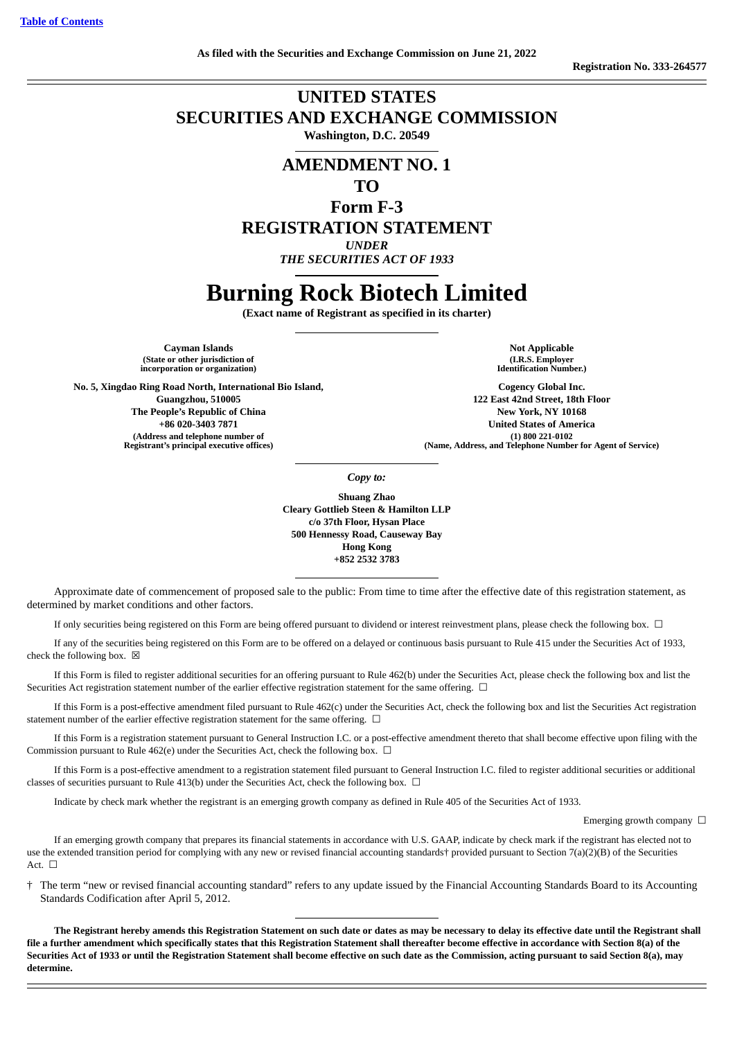## **UNITED STATES SECURITIES AND EXCHANGE COMMISSION Washington, D.C. 20549**

## **AMENDMENT NO. 1**

**TO**

**Form F-3**

**REGISTRATION STATEMENT**

*UNDER*

*THE SECURITIES ACT OF 1933*

# **Burning Rock Biotech Limited**

**(Exact name of Registrant as specified in its charter)**

**Cayman Islands Not Applicable (State or other jurisdiction of incorporation or organization)**

**No. 5, Xingdao Ring Road North, International Bio Island, Guangzhou, 510005 The People's Republic of China +86 020-3403 7871 (Address and telephone number of Registrant's principal executive offices)**

**(I.R.S. Employer Identification Number.)**

**Cogency Global Inc. 122 East 42nd Street, 18th Floor New York, NY 10168 United States of America (1) 800 221-0102 (Name, Address, and Telephone Number for Agent of Service)**

*Copy to:*

**Shuang Zhao Cleary Gottlieb Steen & Hamilton LLP c/o 37th Floor, Hysan Place 500 Hennessy Road, Causeway Bay Hong Kong +852 2532 3783**

Approximate date of commencement of proposed sale to the public: From time to time after the effective date of this registration statement, as determined by market conditions and other factors.

If only securities being registered on this Form are being offered pursuant to dividend or interest reinvestment plans, please check the following box. ☐

If any of the securities being registered on this Form are to be offered on a delayed or continuous basis pursuant to Rule 415 under the Securities Act of 1933, check the following box.  $\boxtimes$ 

If this Form is filed to register additional securities for an offering pursuant to Rule 462(b) under the Securities Act, please check the following box and list the Securities Act registration statement number of the earlier effective registration statement for the same offering.  $\Box$ 

If this Form is a post-effective amendment filed pursuant to Rule 462(c) under the Securities Act, check the following box and list the Securities Act registration statement number of the earlier effective registration statement for the same offering.  $\Box$ 

If this Form is a registration statement pursuant to General Instruction I.C. or a post-effective amendment thereto that shall become effective upon filing with the Commission pursuant to Rule 462(e) under the Securities Act, check the following box.  $\Box$ 

If this Form is a post-effective amendment to a registration statement filed pursuant to General Instruction I.C. filed to register additional securities or additional classes of securities pursuant to Rule 413(b) under the Securities Act, check the following box.  $\Box$ 

Indicate by check mark whether the registrant is an emerging growth company as defined in Rule 405 of the Securities Act of 1933.

Emerging growth company  $\Box$ 

If an emerging growth company that prepares its financial statements in accordance with U.S. GAAP, indicate by check mark if the registrant has elected not to use the extended transition period for complying with any new or revised financial accounting standards† provided pursuant to Section 7(a)(2)(B) of the Securities Act.  $\Box$ 

† The term "new or revised financial accounting standard" refers to any update issued by the Financial Accounting Standards Board to its Accounting Standards Codification after April 5, 2012.

**The Registrant hereby amends this Registration Statement on such date or dates as may be necessary to delay its effective date until the Registrant shall file a further amendment which specifically states that this Registration Statement shall thereafter become effective in accordance with Section 8(a) of the Securities Act of 1933 or until the Registration Statement shall become effective on such date as the Commission, acting pursuant to said Section 8(a), may determine.**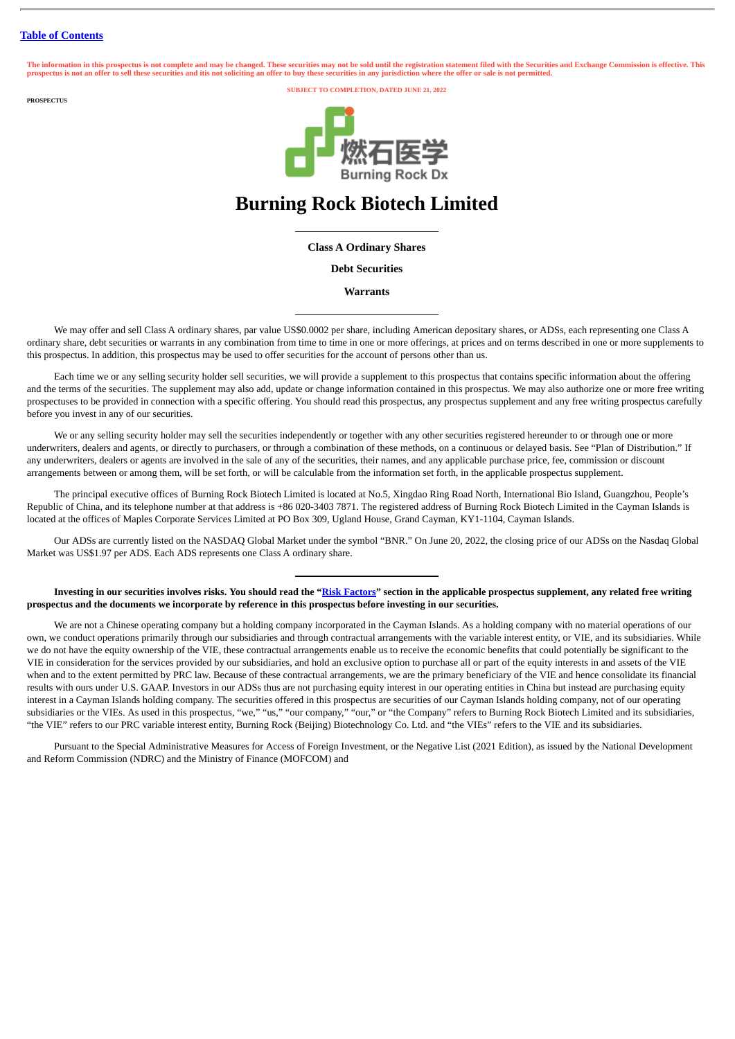The information in this prospectus is not complete and may be changed. These securities may not be sold until the registration statement filed with the Securities and Exchange Commission is effective. This<br>prospectus is no

**PROSPECTUS**

**SUBJECT TO COMPLETION, DATED JUNE 21, 2022**



## **Burning Rock Biotech Limited**

## **Class A Ordinary Shares**

**Debt Securities**

**Warrants**

We may offer and sell Class A ordinary shares, par value US\$0.0002 per share, including American depositary shares, or ADSs, each representing one Class A ordinary share, debt securities or warrants in any combination from time to time in one or more offerings, at prices and on terms described in one or more supplements to this prospectus. In addition, this prospectus may be used to offer securities for the account of persons other than us.

Each time we or any selling security holder sell securities, we will provide a supplement to this prospectus that contains specific information about the offering and the terms of the securities. The supplement may also add, update or change information contained in this prospectus. We may also authorize one or more free writing prospectuses to be provided in connection with a specific offering. You should read this prospectus, any prospectus supplement and any free writing prospectus carefully before you invest in any of our securities.

We or any selling security holder may sell the securities independently or together with any other securities registered hereunder to or through one or more underwriters, dealers and agents, or directly to purchasers, or through a combination of these methods, on a continuous or delayed basis. See "Plan of Distribution." If any underwriters, dealers or agents are involved in the sale of any of the securities, their names, and any applicable purchase price, fee, commission or discount arrangements between or among them, will be set forth, or will be calculable from the information set forth, in the applicable prospectus supplement.

The principal executive offices of Burning Rock Biotech Limited is located at No.5, Xingdao Ring Road North, International Bio Island, Guangzhou, People's Republic of China, and its telephone number at that address is +86 020-3403 7871. The registered address of Burning Rock Biotech Limited in the Cayman Islands is located at the offices of Maples Corporate Services Limited at PO Box 309, Ugland House, Grand Cayman, KY1-1104, Cayman Islands.

Our ADSs are currently listed on the NASDAQ Global Market under the symbol "BNR." On June 20, 2022, the closing price of our ADSs on the Nasdaq Global Market was US\$1.97 per ADS. Each ADS represents one Class A ordinary share.

**Investing in our securities involves risks. You should read the "[Risk Factors"](#page-22-0) section in the applicable prospectus supplement, any related free writing prospectus and the documents we incorporate by reference in this prospectus before investing in our securities.**

We are not a Chinese operating company but a holding company incorporated in the Cayman Islands. As a holding company with no material operations of our own, we conduct operations primarily through our subsidiaries and through contractual arrangements with the variable interest entity, or VIE, and its subsidiaries. While we do not have the equity ownership of the VIE, these contractual arrangements enable us to receive the economic benefits that could potentially be significant to the VIE in consideration for the services provided by our subsidiaries, and hold an exclusive option to purchase all or part of the equity interests in and assets of the VIE when and to the extent permitted by PRC law. Because of these contractual arrangements, we are the primary beneficiary of the VIE and hence consolidate its financial results with ours under U.S. GAAP. Investors in our ADSs thus are not purchasing equity interest in our operating entities in China but instead are purchasing equity interest in a Cayman Islands holding company. The securities offered in this prospectus are securities of our Cayman Islands holding company, not of our operating subsidiaries or the VIEs. As used in this prospectus, "we," "us," "our company," "our," or "the Company" refers to Burning Rock Biotech Limited and its subsidiaries, "the VIE" refers to our PRC variable interest entity, Burning Rock (Beijing) Biotechnology Co. Ltd. and "the VIEs" refers to the VIE and its subsidiaries.

Pursuant to the Special Administrative Measures for Access of Foreign Investment, or the Negative List (2021 Edition), as issued by the National Development and Reform Commission (NDRC) and the Ministry of Finance (MOFCOM) and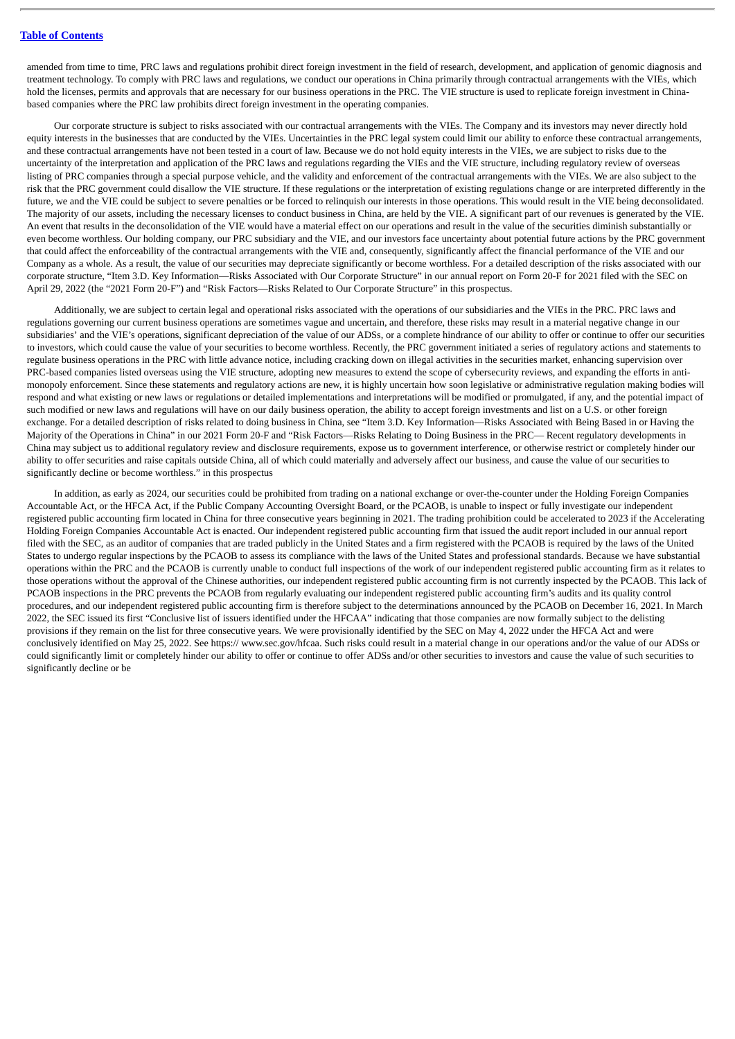amended from time to time, PRC laws and regulations prohibit direct foreign investment in the field of research, development, and application of genomic diagnosis and treatment technology. To comply with PRC laws and regulations, we conduct our operations in China primarily through contractual arrangements with the VIEs, which hold the licenses, permits and approvals that are necessary for our business operations in the PRC. The VIE structure is used to replicate foreign investment in Chinabased companies where the PRC law prohibits direct foreign investment in the operating companies.

Our corporate structure is subject to risks associated with our contractual arrangements with the VIEs. The Company and its investors may never directly hold equity interests in the businesses that are conducted by the VIEs. Uncertainties in the PRC legal system could limit our ability to enforce these contractual arrangements, and these contractual arrangements have not been tested in a court of law. Because we do not hold equity interests in the VIEs, we are subject to risks due to the uncertainty of the interpretation and application of the PRC laws and regulations regarding the VIEs and the VIE structure, including regulatory review of overseas listing of PRC companies through a special purpose vehicle, and the validity and enforcement of the contractual arrangements with the VIEs. We are also subject to the risk that the PRC government could disallow the VIE structure. If these regulations or the interpretation of existing regulations change or are interpreted differently in the future, we and the VIE could be subject to severe penalties or be forced to relinquish our interests in those operations. This would result in the VIE being deconsolidated. The majority of our assets, including the necessary licenses to conduct business in China, are held by the VIE. A significant part of our revenues is generated by the VIE. An event that results in the deconsolidation of the VIE would have a material effect on our operations and result in the value of the securities diminish substantially or even become worthless. Our holding company, our PRC subsidiary and the VIE, and our investors face uncertainty about potential future actions by the PRC government that could affect the enforceability of the contractual arrangements with the VIE and, consequently, significantly affect the financial performance of the VIE and our Company as a whole. As a result, the value of our securities may depreciate significantly or become worthless. For a detailed description of the risks associated with our corporate structure, "Item 3.D. Key Information—Risks Associated with Our Corporate Structure" in our annual report on Form 20-F for 2021 filed with the SEC on April 29, 2022 (the "2021 Form 20-F") and "Risk Factors—Risks Related to Our Corporate Structure" in this prospectus.

Additionally, we are subject to certain legal and operational risks associated with the operations of our subsidiaries and the VIEs in the PRC. PRC laws and regulations governing our current business operations are sometimes vague and uncertain, and therefore, these risks may result in a material negative change in our subsidiaries' and the VIE's operations, significant depreciation of the value of our ADSs, or a complete hindrance of our ability to offer or continue to offer our securities to investors, which could cause the value of your securities to become worthless. Recently, the PRC government initiated a series of regulatory actions and statements to regulate business operations in the PRC with little advance notice, including cracking down on illegal activities in the securities market, enhancing supervision over PRC-based companies listed overseas using the VIE structure, adopting new measures to extend the scope of cybersecurity reviews, and expanding the efforts in antimonopoly enforcement. Since these statements and regulatory actions are new, it is highly uncertain how soon legislative or administrative regulation making bodies will respond and what existing or new laws or regulations or detailed implementations and interpretations will be modified or promulgated, if any, and the potential impact of such modified or new laws and regulations will have on our daily business operation, the ability to accept foreign investments and list on a U.S. or other foreign exchange. For a detailed description of risks related to doing business in China, see "Item 3.D. Key Information—Risks Associated with Being Based in or Having the Majority of the Operations in China" in our 2021 Form 20-F and "Risk Factors—Risks Relating to Doing Business in the PRC— Recent regulatory developments in China may subject us to additional regulatory review and disclosure requirements, expose us to government interference, or otherwise restrict or completely hinder our ability to offer securities and raise capitals outside China, all of which could materially and adversely affect our business, and cause the value of our securities to significantly decline or become worthless." in this prospectus

In addition, as early as 2024, our securities could be prohibited from trading on a national exchange or over-the-counter under the Holding Foreign Companies Accountable Act, or the HFCA Act, if the Public Company Accounting Oversight Board, or the PCAOB, is unable to inspect or fully investigate our independent registered public accounting firm located in China for three consecutive years beginning in 2021. The trading prohibition could be accelerated to 2023 if the Accelerating Holding Foreign Companies Accountable Act is enacted. Our independent registered public accounting firm that issued the audit report included in our annual report filed with the SEC, as an auditor of companies that are traded publicly in the United States and a firm registered with the PCAOB is required by the laws of the United States to undergo regular inspections by the PCAOB to assess its compliance with the laws of the United States and professional standards. Because we have substantial operations within the PRC and the PCAOB is currently unable to conduct full inspections of the work of our independent registered public accounting firm as it relates to those operations without the approval of the Chinese authorities, our independent registered public accounting firm is not currently inspected by the PCAOB. This lack of PCAOB inspections in the PRC prevents the PCAOB from regularly evaluating our independent registered public accounting firm's audits and its quality control procedures, and our independent registered public accounting firm is therefore subject to the determinations announced by the PCAOB on December 16, 2021. In March 2022, the SEC issued its first "Conclusive list of issuers identified under the HFCAA" indicating that those companies are now formally subject to the delisting provisions if they remain on the list for three consecutive years. We were provisionally identified by the SEC on May 4, 2022 under the HFCA Act and were conclusively identified on May 25, 2022. See https:// www.sec.gov/hfcaa. Such risks could result in a material change in our operations and/or the value of our ADSs or could significantly limit or completely hinder our ability to offer or continue to offer ADSs and/or other securities to investors and cause the value of such securities to significantly decline or be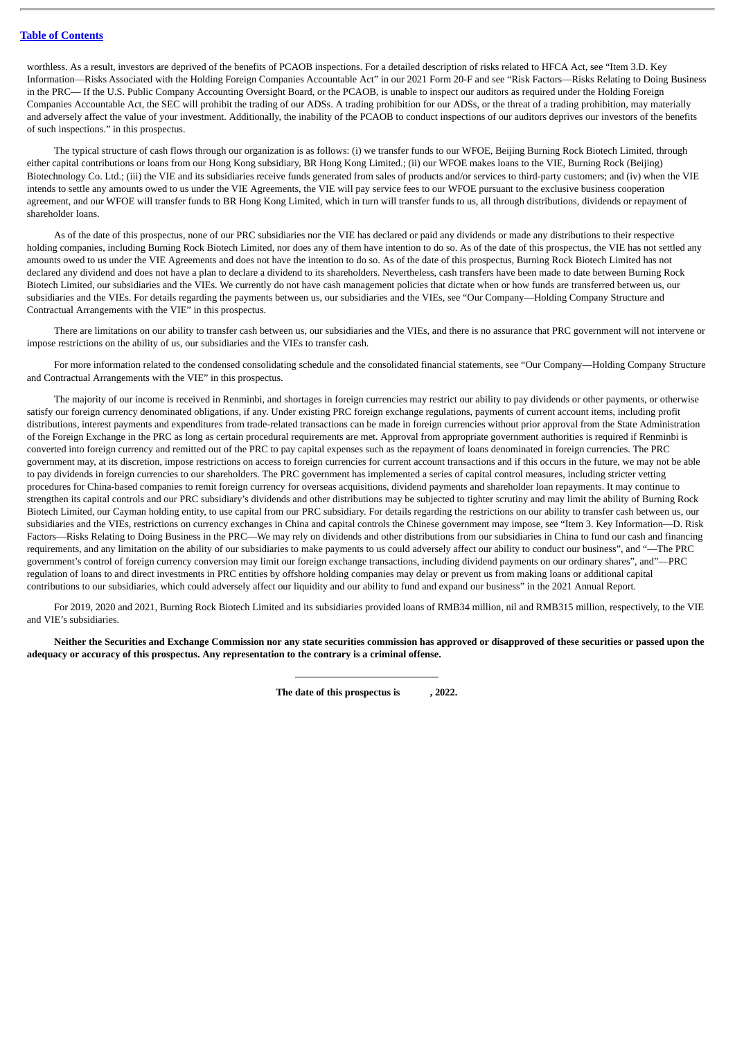worthless. As a result, investors are deprived of the benefits of PCAOB inspections. For a detailed description of risks related to HFCA Act, see "Item 3.D. Key Information—Risks Associated with the Holding Foreign Companies Accountable Act" in our 2021 Form 20-F and see "Risk Factors—Risks Relating to Doing Business in the PRC— If the U.S. Public Company Accounting Oversight Board, or the PCAOB, is unable to inspect our auditors as required under the Holding Foreign Companies Accountable Act, the SEC will prohibit the trading of our ADSs. A trading prohibition for our ADSs, or the threat of a trading prohibition, may materially and adversely affect the value of your investment. Additionally, the inability of the PCAOB to conduct inspections of our auditors deprives our investors of the benefits of such inspections." in this prospectus.

The typical structure of cash flows through our organization is as follows: (i) we transfer funds to our WFOE, Beijing Burning Rock Biotech Limited, through either capital contributions or loans from our Hong Kong subsidiary, BR Hong Kong Limited.; (ii) our WFOE makes loans to the VIE, Burning Rock (Beijing) Biotechnology Co. Ltd.; (iii) the VIE and its subsidiaries receive funds generated from sales of products and/or services to third-party customers; and (iv) when the VIE intends to settle any amounts owed to us under the VIE Agreements, the VIE will pay service fees to our WFOE pursuant to the exclusive business cooperation agreement, and our WFOE will transfer funds to BR Hong Kong Limited, which in turn will transfer funds to us, all through distributions, dividends or repayment of shareholder loans.

As of the date of this prospectus, none of our PRC subsidiaries nor the VIE has declared or paid any dividends or made any distributions to their respective holding companies, including Burning Rock Biotech Limited, nor does any of them have intention to do so. As of the date of this prospectus, the VIE has not settled any amounts owed to us under the VIE Agreements and does not have the intention to do so. As of the date of this prospectus, Burning Rock Biotech Limited has not declared any dividend and does not have a plan to declare a dividend to its shareholders. Nevertheless, cash transfers have been made to date between Burning Rock Biotech Limited, our subsidiaries and the VIEs. We currently do not have cash management policies that dictate when or how funds are transferred between us, our subsidiaries and the VIEs. For details regarding the payments between us, our subsidiaries and the VIEs, see "Our Company—Holding Company Structure and Contractual Arrangements with the VIE" in this prospectus.

There are limitations on our ability to transfer cash between us, our subsidiaries and the VIEs, and there is no assurance that PRC government will not intervene or impose restrictions on the ability of us, our subsidiaries and the VIEs to transfer cash.

For more information related to the condensed consolidating schedule and the consolidated financial statements, see "Our Company—Holding Company Structure and Contractual Arrangements with the VIE" in this prospectus.

The majority of our income is received in Renminbi, and shortages in foreign currencies may restrict our ability to pay dividends or other payments, or otherwise satisfy our foreign currency denominated obligations, if any. Under existing PRC foreign exchange regulations, payments of current account items, including profit distributions, interest payments and expenditures from trade-related transactions can be made in foreign currencies without prior approval from the State Administration of the Foreign Exchange in the PRC as long as certain procedural requirements are met. Approval from appropriate government authorities is required if Renminbi is converted into foreign currency and remitted out of the PRC to pay capital expenses such as the repayment of loans denominated in foreign currencies. The PRC government may, at its discretion, impose restrictions on access to foreign currencies for current account transactions and if this occurs in the future, we may not be able to pay dividends in foreign currencies to our shareholders. The PRC government has implemented a series of capital control measures, including stricter vetting procedures for China-based companies to remit foreign currency for overseas acquisitions, dividend payments and shareholder loan repayments. It may continue to strengthen its capital controls and our PRC subsidiary's dividends and other distributions may be subjected to tighter scrutiny and may limit the ability of Burning Rock Biotech Limited, our Cayman holding entity, to use capital from our PRC subsidiary. For details regarding the restrictions on our ability to transfer cash between us, our subsidiaries and the VIEs, restrictions on currency exchanges in China and capital controls the Chinese government may impose, see "Item 3. Key Information—D. Risk Factors—Risks Relating to Doing Business in the PRC—We may rely on dividends and other distributions from our subsidiaries in China to fund our cash and financing requirements, and any limitation on the ability of our subsidiaries to make payments to us could adversely affect our ability to conduct our business", and "—The PRC government's control of foreign currency conversion may limit our foreign exchange transactions, including dividend payments on our ordinary shares", and"—PRC regulation of loans to and direct investments in PRC entities by offshore holding companies may delay or prevent us from making loans or additional capital contributions to our subsidiaries, which could adversely affect our liquidity and our ability to fund and expand our business" in the 2021 Annual Report.

For 2019, 2020 and 2021, Burning Rock Biotech Limited and its subsidiaries provided loans of RMB34 million, nil and RMB315 million, respectively, to the VIE and VIE's subsidiaries.

**Neither the Securities and Exchange Commission nor any state securities commission has approved or disapproved of these securities or passed upon the adequacy or accuracy of this prospectus. Any representation to the contrary is a criminal offense.**

**The date of this prospectus is , 2022.**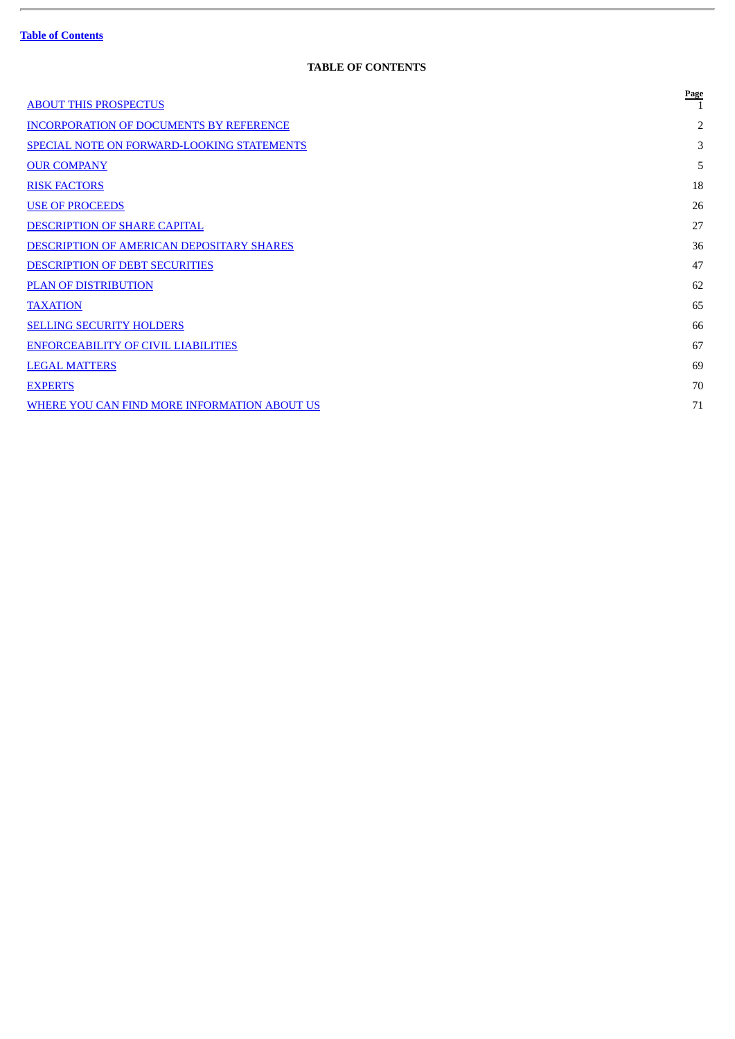ł.

## **TABLE OF CONTENTS**

<span id="page-4-0"></span>

| <b>ABOUT THIS PROSPECTUS</b>                   | Page           |
|------------------------------------------------|----------------|
| <b>INCORPORATION OF DOCUMENTS BY REFERENCE</b> | $\overline{2}$ |
| SPECIAL NOTE ON FORWARD-LOOKING STATEMENTS     | 3              |
| <b>OUR COMPANY</b>                             | 5              |
| <b>RISK FACTORS</b>                            | 18             |
| <b>USE OF PROCEEDS</b>                         | 26             |
| DESCRIPTION OF SHARE CAPITAL                   | 27             |
| DESCRIPTION OF AMERICAN DEPOSITARY SHARES      | 36             |
| DESCRIPTION OF DEBT SECURITIES                 | 47             |
| <b>PLAN OF DISTRIBUTION</b>                    | 62             |
| <b>TAXATION</b>                                | 65             |
| <b>SELLING SECURITY HOLDERS</b>                | 66             |
| <b>ENFORCEABILITY OF CIVIL LIABILITIES</b>     | 67             |
| <b>LEGAL MATTERS</b>                           | 69             |
| <b>EXPERTS</b>                                 | 70             |
| WHERE YOU CAN FIND MORE INFORMATION ABOUT US   | 71             |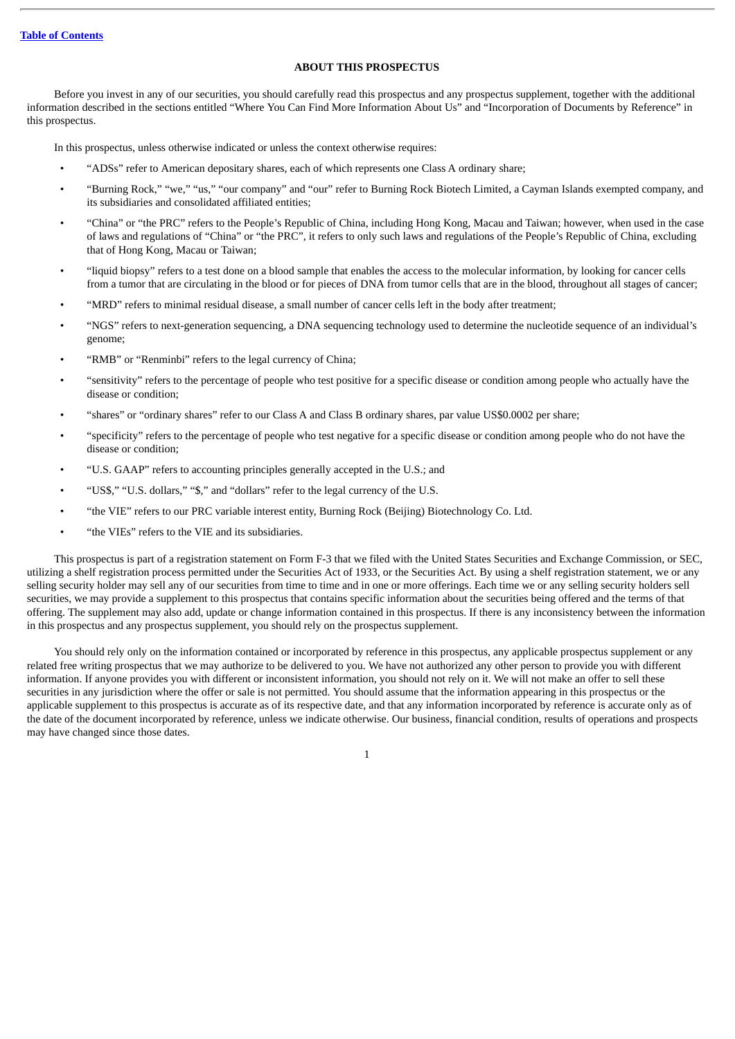## **ABOUT THIS PROSPECTUS**

<span id="page-5-0"></span>Before you invest in any of our securities, you should carefully read this prospectus and any prospectus supplement, together with the additional information described in the sections entitled "Where You Can Find More Information About Us" and "Incorporation of Documents by Reference" in this prospectus.

In this prospectus, unless otherwise indicated or unless the context otherwise requires:

- "ADSs" refer to American depositary shares, each of which represents one Class A ordinary share;
- "Burning Rock," "we," "us," "our company" and "our" refer to Burning Rock Biotech Limited, a Cayman Islands exempted company, and its subsidiaries and consolidated affiliated entities;
- "China" or "the PRC" refers to the People's Republic of China, including Hong Kong, Macau and Taiwan; however, when used in the case of laws and regulations of "China" or "the PRC", it refers to only such laws and regulations of the People's Republic of China, excluding that of Hong Kong, Macau or Taiwan;
- "liquid biopsy" refers to a test done on a blood sample that enables the access to the molecular information, by looking for cancer cells from a tumor that are circulating in the blood or for pieces of DNA from tumor cells that are in the blood, throughout all stages of cancer;
- "MRD" refers to minimal residual disease, a small number of cancer cells left in the body after treatment;
- "NGS" refers to next-generation sequencing, a DNA sequencing technology used to determine the nucleotide sequence of an individual's genome;
- "RMB" or "Renminbi" refers to the legal currency of China;
- "sensitivity" refers to the percentage of people who test positive for a specific disease or condition among people who actually have the disease or condition;
- "shares" or "ordinary shares" refer to our Class A and Class B ordinary shares, par value US\$0.0002 per share;
- "specificity" refers to the percentage of people who test negative for a specific disease or condition among people who do not have the disease or condition;
- "U.S. GAAP" refers to accounting principles generally accepted in the U.S.; and
- "US\$," "U.S. dollars," "\$," and "dollars" refer to the legal currency of the U.S.
- "the VIE" refers to our PRC variable interest entity, Burning Rock (Beijing) Biotechnology Co. Ltd.
- "the VIEs" refers to the VIE and its subsidiaries.

This prospectus is part of a registration statement on Form F-3 that we filed with the United States Securities and Exchange Commission, or SEC, utilizing a shelf registration process permitted under the Securities Act of 1933, or the Securities Act. By using a shelf registration statement, we or any selling security holder may sell any of our securities from time to time and in one or more offerings. Each time we or any selling security holders sell securities, we may provide a supplement to this prospectus that contains specific information about the securities being offered and the terms of that offering. The supplement may also add, update or change information contained in this prospectus. If there is any inconsistency between the information in this prospectus and any prospectus supplement, you should rely on the prospectus supplement.

You should rely only on the information contained or incorporated by reference in this prospectus, any applicable prospectus supplement or any related free writing prospectus that we may authorize to be delivered to you. We have not authorized any other person to provide you with different information. If anyone provides you with different or inconsistent information, you should not rely on it. We will not make an offer to sell these securities in any jurisdiction where the offer or sale is not permitted. You should assume that the information appearing in this prospectus or the applicable supplement to this prospectus is accurate as of its respective date, and that any information incorporated by reference is accurate only as of the date of the document incorporated by reference, unless we indicate otherwise. Our business, financial condition, results of operations and prospects may have changed since those dates.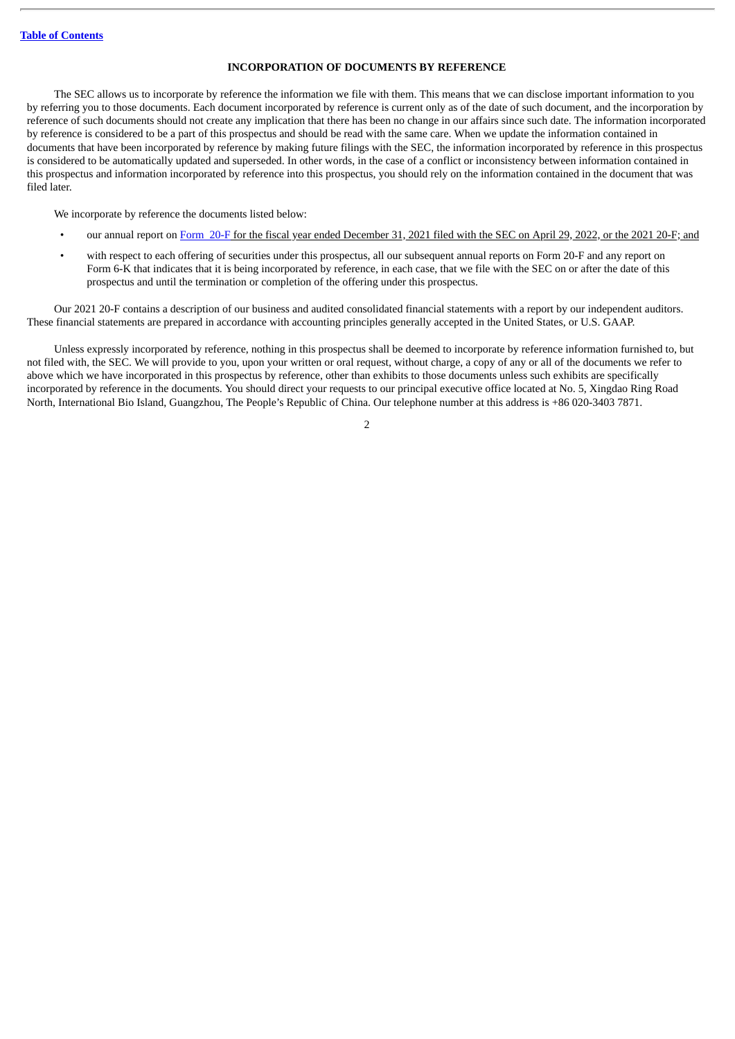## **INCORPORATION OF DOCUMENTS BY REFERENCE**

<span id="page-6-0"></span>The SEC allows us to incorporate by reference the information we file with them. This means that we can disclose important information to you by referring you to those documents. Each document incorporated by reference is current only as of the date of such document, and the incorporation by reference of such documents should not create any implication that there has been no change in our affairs since such date. The information incorporated by reference is considered to be a part of this prospectus and should be read with the same care. When we update the information contained in documents that have been incorporated by reference by making future filings with the SEC, the information incorporated by reference in this prospectus is considered to be automatically updated and superseded. In other words, in the case of a conflict or inconsistency between information contained in this prospectus and information incorporated by reference into this prospectus, you should rely on the information contained in the document that was filed later.

We incorporate by reference the documents listed below:

- our annual report on [Form](http://www.sec.gov/ix?doc=/Archives/edgar/data/1792267/000119312522133522/d238217d20f.htm) 20-F for the fiscal year ended December 31, 2021 filed with the SEC on April 29, 2022, or the 2021 20-F; and
- with respect to each offering of securities under this prospectus, all our subsequent annual reports on Form 20-F and any report on Form 6-K that indicates that it is being incorporated by reference, in each case, that we file with the SEC on or after the date of this prospectus and until the termination or completion of the offering under this prospectus.

Our 2021 20-F contains a description of our business and audited consolidated financial statements with a report by our independent auditors. These financial statements are prepared in accordance with accounting principles generally accepted in the United States, or U.S. GAAP.

Unless expressly incorporated by reference, nothing in this prospectus shall be deemed to incorporate by reference information furnished to, but not filed with, the SEC. We will provide to you, upon your written or oral request, without charge, a copy of any or all of the documents we refer to above which we have incorporated in this prospectus by reference, other than exhibits to those documents unless such exhibits are specifically incorporated by reference in the documents. You should direct your requests to our principal executive office located at No. 5, Xingdao Ring Road North, International Bio Island, Guangzhou, The People's Republic of China. Our telephone number at this address is +86 020-3403 7871.

 $\overline{2}$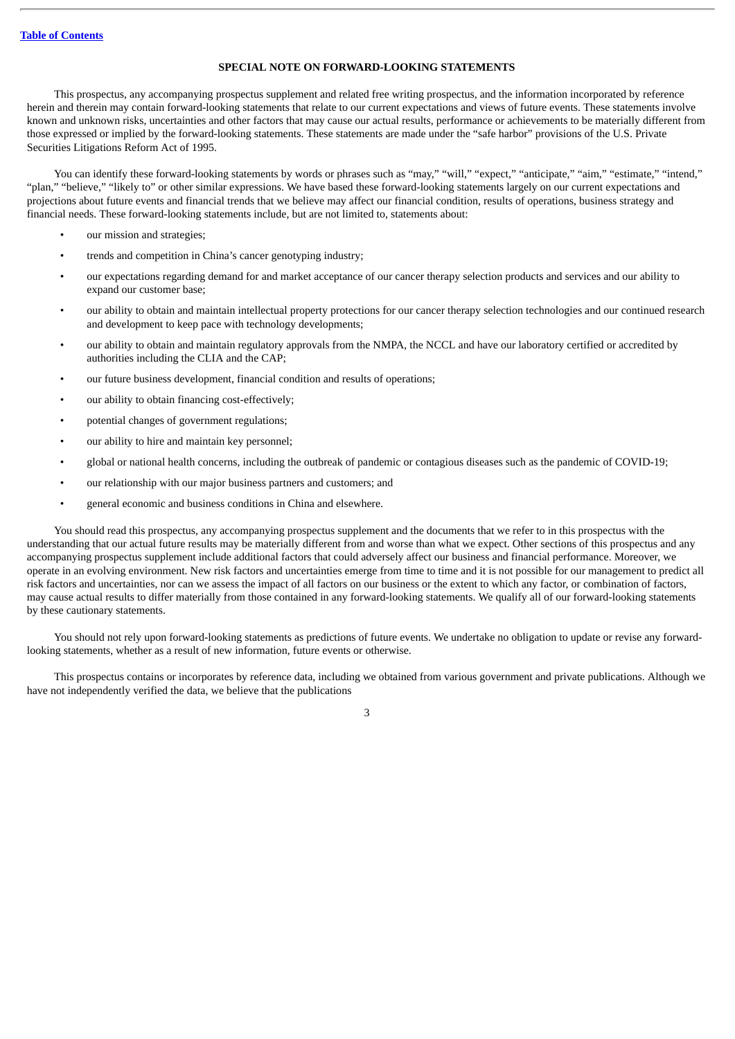#### **SPECIAL NOTE ON FORWARD-LOOKING STATEMENTS**

<span id="page-7-0"></span>This prospectus, any accompanying prospectus supplement and related free writing prospectus, and the information incorporated by reference herein and therein may contain forward-looking statements that relate to our current expectations and views of future events. These statements involve known and unknown risks, uncertainties and other factors that may cause our actual results, performance or achievements to be materially different from those expressed or implied by the forward-looking statements. These statements are made under the "safe harbor" provisions of the U.S. Private Securities Litigations Reform Act of 1995.

You can identify these forward-looking statements by words or phrases such as "may," "will," "expect," "anticipate," "aim," "estimate," "intend," "plan," "believe," "likely to" or other similar expressions. We have based these forward-looking statements largely on our current expectations and projections about future events and financial trends that we believe may affect our financial condition, results of operations, business strategy and financial needs. These forward-looking statements include, but are not limited to, statements about:

- our mission and strategies;
- trends and competition in China's cancer genotyping industry;
- our expectations regarding demand for and market acceptance of our cancer therapy selection products and services and our ability to expand our customer base;
- our ability to obtain and maintain intellectual property protections for our cancer therapy selection technologies and our continued research and development to keep pace with technology developments;
- our ability to obtain and maintain regulatory approvals from the NMPA, the NCCL and have our laboratory certified or accredited by authorities including the CLIA and the CAP;
- our future business development, financial condition and results of operations;
- our ability to obtain financing cost-effectively;
- potential changes of government regulations;
- our ability to hire and maintain key personnel;
- global or national health concerns, including the outbreak of pandemic or contagious diseases such as the pandemic of COVID-19;
- our relationship with our major business partners and customers; and
- general economic and business conditions in China and elsewhere.

You should read this prospectus, any accompanying prospectus supplement and the documents that we refer to in this prospectus with the understanding that our actual future results may be materially different from and worse than what we expect. Other sections of this prospectus and any accompanying prospectus supplement include additional factors that could adversely affect our business and financial performance. Moreover, we operate in an evolving environment. New risk factors and uncertainties emerge from time to time and it is not possible for our management to predict all risk factors and uncertainties, nor can we assess the impact of all factors on our business or the extent to which any factor, or combination of factors, may cause actual results to differ materially from those contained in any forward-looking statements. We qualify all of our forward-looking statements by these cautionary statements.

You should not rely upon forward-looking statements as predictions of future events. We undertake no obligation to update or revise any forwardlooking statements, whether as a result of new information, future events or otherwise.

This prospectus contains or incorporates by reference data, including we obtained from various government and private publications. Although we have not independently verified the data, we believe that the publications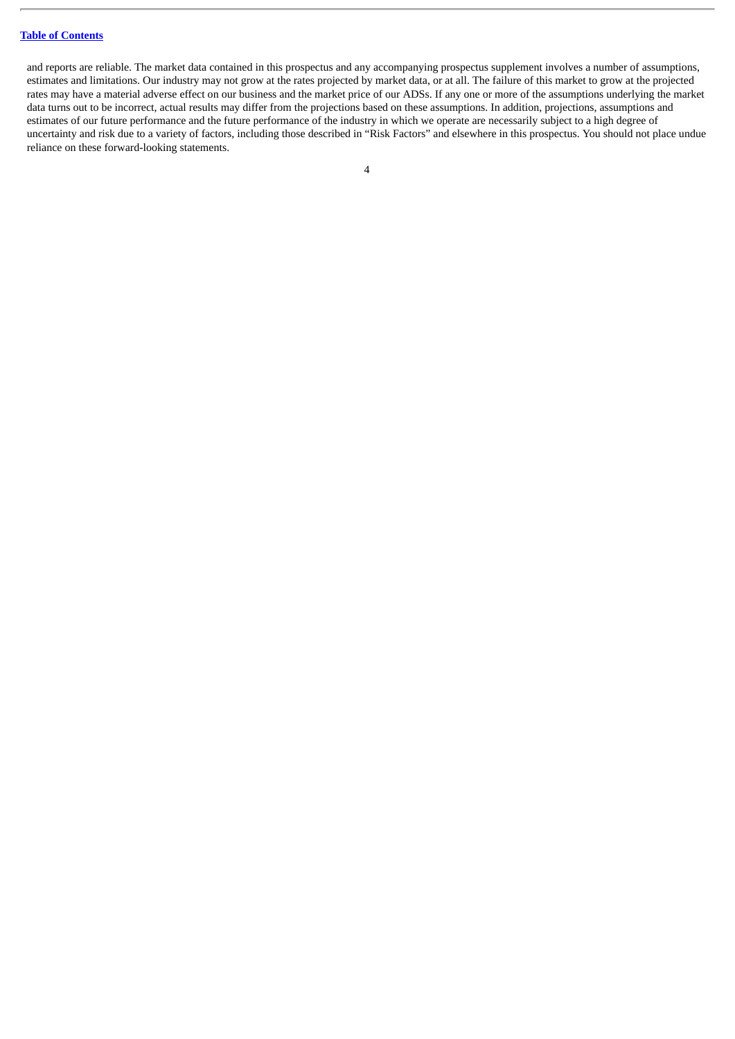and reports are reliable. The market data contained in this prospectus and any accompanying prospectus supplement involves a number of assumptions, estimates and limitations. Our industry may not grow at the rates projected by market data, or at all. The failure of this market to grow at the projected rates may have a material adverse effect on our business and the market price of our ADSs. If any one or more of the assumptions underlying the market data turns out to be incorrect, actual results may differ from the projections based on these assumptions. In addition, projections, assumptions and estimates of our future performance and the future performance of the industry in which we operate are necessarily subject to a high degree of uncertainty and risk due to a variety of factors, including those described in "Risk Factors" and elsewhere in this prospectus. You should not place undue reliance on these forward-looking statements.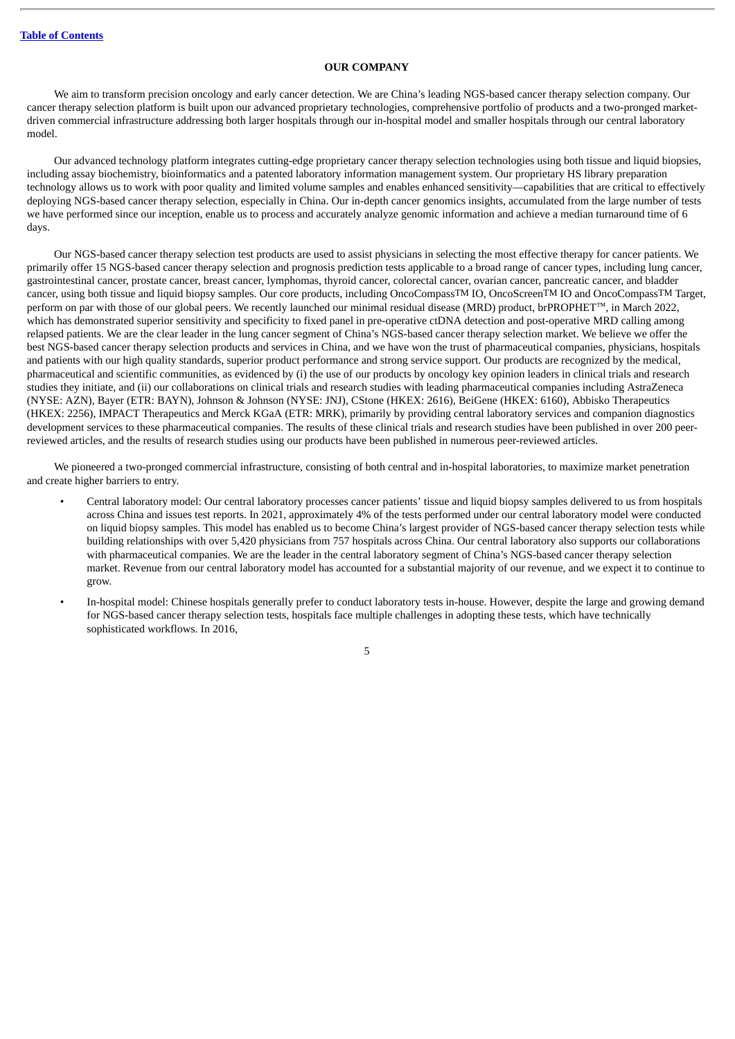#### **OUR COMPANY**

<span id="page-9-0"></span>We aim to transform precision oncology and early cancer detection. We are China's leading NGS-based cancer therapy selection company. Our cancer therapy selection platform is built upon our advanced proprietary technologies, comprehensive portfolio of products and a two-pronged marketdriven commercial infrastructure addressing both larger hospitals through our in-hospital model and smaller hospitals through our central laboratory model.

Our advanced technology platform integrates cutting-edge proprietary cancer therapy selection technologies using both tissue and liquid biopsies, including assay biochemistry, bioinformatics and a patented laboratory information management system. Our proprietary HS library preparation technology allows us to work with poor quality and limited volume samples and enables enhanced sensitivity—capabilities that are critical to effectively deploying NGS-based cancer therapy selection, especially in China. Our in-depth cancer genomics insights, accumulated from the large number of tests we have performed since our inception, enable us to process and accurately analyze genomic information and achieve a median turnaround time of 6 days.

Our NGS-based cancer therapy selection test products are used to assist physicians in selecting the most effective therapy for cancer patients. We primarily offer 15 NGS-based cancer therapy selection and prognosis prediction tests applicable to a broad range of cancer types, including lung cancer, gastrointestinal cancer, prostate cancer, breast cancer, lymphomas, thyroid cancer, colorectal cancer, ovarian cancer, pancreatic cancer, and bladder cancer, using both tissue and liquid biopsy samples. Our core products, including OncoCompassTM IO, OncoScreenTM IO and OncoCompassTM Target, perform on par with those of our global peers. We recently launched our minimal residual disease (MRD) product, brPROPHET™, in March 2022, which has demonstrated superior sensitivity and specificity to fixed panel in pre-operative ctDNA detection and post-operative MRD calling among relapsed patients. We are the clear leader in the lung cancer segment of China's NGS-based cancer therapy selection market. We believe we offer the best NGS-based cancer therapy selection products and services in China, and we have won the trust of pharmaceutical companies, physicians, hospitals and patients with our high quality standards, superior product performance and strong service support. Our products are recognized by the medical, pharmaceutical and scientific communities, as evidenced by (i) the use of our products by oncology key opinion leaders in clinical trials and research studies they initiate, and (ii) our collaborations on clinical trials and research studies with leading pharmaceutical companies including AstraZeneca (NYSE: AZN), Bayer (ETR: BAYN), Johnson & Johnson (NYSE: JNJ), CStone (HKEX: 2616), BeiGene (HKEX: 6160), Abbisko Therapeutics (HKEX: 2256), IMPACT Therapeutics and Merck KGaA (ETR: MRK), primarily by providing central laboratory services and companion diagnostics development services to these pharmaceutical companies. The results of these clinical trials and research studies have been published in over 200 peerreviewed articles, and the results of research studies using our products have been published in numerous peer-reviewed articles.

We pioneered a two-pronged commercial infrastructure, consisting of both central and in-hospital laboratories, to maximize market penetration and create higher barriers to entry.

- Central laboratory model: Our central laboratory processes cancer patients' tissue and liquid biopsy samples delivered to us from hospitals across China and issues test reports. In 2021, approximately 4% of the tests performed under our central laboratory model were conducted on liquid biopsy samples. This model has enabled us to become China's largest provider of NGS-based cancer therapy selection tests while building relationships with over 5,420 physicians from 757 hospitals across China. Our central laboratory also supports our collaborations with pharmaceutical companies. We are the leader in the central laboratory segment of China's NGS-based cancer therapy selection market. Revenue from our central laboratory model has accounted for a substantial majority of our revenue, and we expect it to continue to grow.
- In-hospital model: Chinese hospitals generally prefer to conduct laboratory tests in-house. However, despite the large and growing demand for NGS-based cancer therapy selection tests, hospitals face multiple challenges in adopting these tests, which have technically sophisticated workflows. In 2016,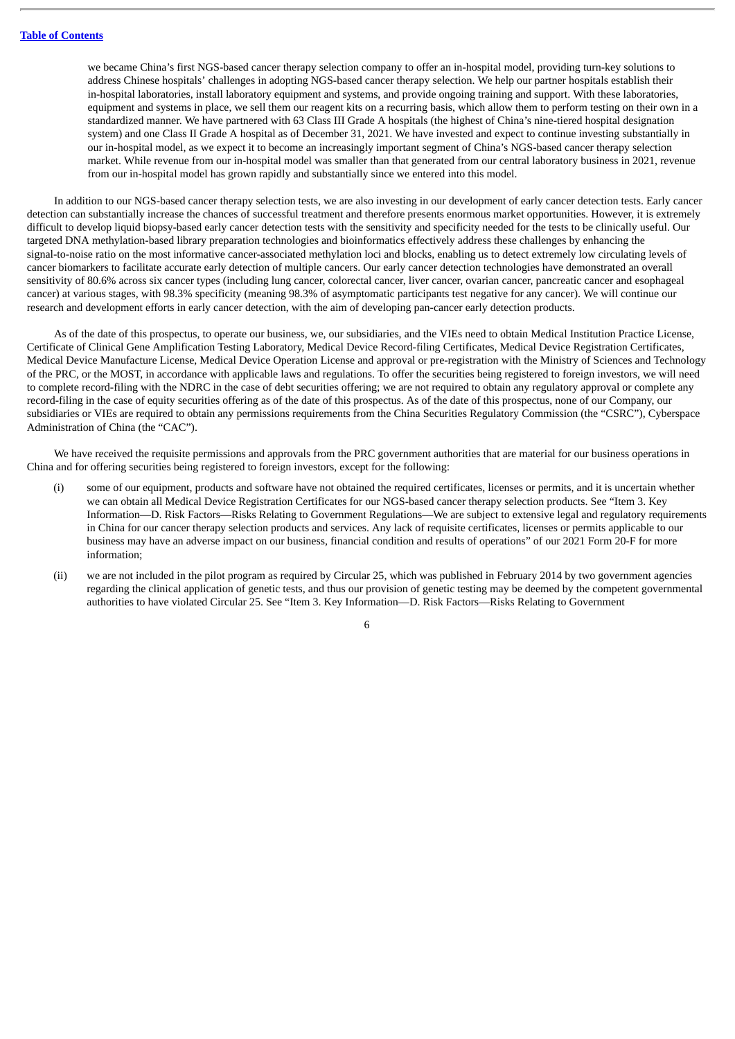we became China's first NGS-based cancer therapy selection company to offer an in-hospital model, providing turn-key solutions to address Chinese hospitals' challenges in adopting NGS-based cancer therapy selection. We help our partner hospitals establish their in-hospital laboratories, install laboratory equipment and systems, and provide ongoing training and support. With these laboratories, equipment and systems in place, we sell them our reagent kits on a recurring basis, which allow them to perform testing on their own in a standardized manner. We have partnered with 63 Class III Grade A hospitals (the highest of China's nine-tiered hospital designation system) and one Class II Grade A hospital as of December 31, 2021. We have invested and expect to continue investing substantially in our in-hospital model, as we expect it to become an increasingly important segment of China's NGS-based cancer therapy selection market. While revenue from our in-hospital model was smaller than that generated from our central laboratory business in 2021, revenue from our in-hospital model has grown rapidly and substantially since we entered into this model.

In addition to our NGS-based cancer therapy selection tests, we are also investing in our development of early cancer detection tests. Early cancer detection can substantially increase the chances of successful treatment and therefore presents enormous market opportunities. However, it is extremely difficult to develop liquid biopsy-based early cancer detection tests with the sensitivity and specificity needed for the tests to be clinically useful. Our targeted DNA methylation-based library preparation technologies and bioinformatics effectively address these challenges by enhancing the signal-to-noise ratio on the most informative cancer-associated methylation loci and blocks, enabling us to detect extremely low circulating levels of cancer biomarkers to facilitate accurate early detection of multiple cancers. Our early cancer detection technologies have demonstrated an overall sensitivity of 80.6% across six cancer types (including lung cancer, colorectal cancer, liver cancer, ovarian cancer, pancreatic cancer and esophageal cancer) at various stages, with 98.3% specificity (meaning 98.3% of asymptomatic participants test negative for any cancer). We will continue our research and development efforts in early cancer detection, with the aim of developing pan-cancer early detection products.

As of the date of this prospectus, to operate our business, we, our subsidiaries, and the VIEs need to obtain Medical Institution Practice License, Certificate of Clinical Gene Amplification Testing Laboratory, Medical Device Record-filing Certificates, Medical Device Registration Certificates, Medical Device Manufacture License, Medical Device Operation License and approval or pre-registration with the Ministry of Sciences and Technology of the PRC, or the MOST, in accordance with applicable laws and regulations. To offer the securities being registered to foreign investors, we will need to complete record-filing with the NDRC in the case of debt securities offering; we are not required to obtain any regulatory approval or complete any record-filing in the case of equity securities offering as of the date of this prospectus. As of the date of this prospectus, none of our Company, our subsidiaries or VIEs are required to obtain any permissions requirements from the China Securities Regulatory Commission (the "CSRC"), Cyberspace Administration of China (the "CAC").

We have received the requisite permissions and approvals from the PRC government authorities that are material for our business operations in China and for offering securities being registered to foreign investors, except for the following:

- (i) some of our equipment, products and software have not obtained the required certificates, licenses or permits, and it is uncertain whether we can obtain all Medical Device Registration Certificates for our NGS-based cancer therapy selection products. See "Item 3. Key Information—D. Risk Factors—Risks Relating to Government Regulations—We are subject to extensive legal and regulatory requirements in China for our cancer therapy selection products and services. Any lack of requisite certificates, licenses or permits applicable to our business may have an adverse impact on our business, financial condition and results of operations" of our 2021 Form 20-F for more information;
- (ii) we are not included in the pilot program as required by Circular 25, which was published in February 2014 by two government agencies regarding the clinical application of genetic tests, and thus our provision of genetic testing may be deemed by the competent governmental authorities to have violated Circular 25. See "Item 3. Key Information—D. Risk Factors—Risks Relating to Government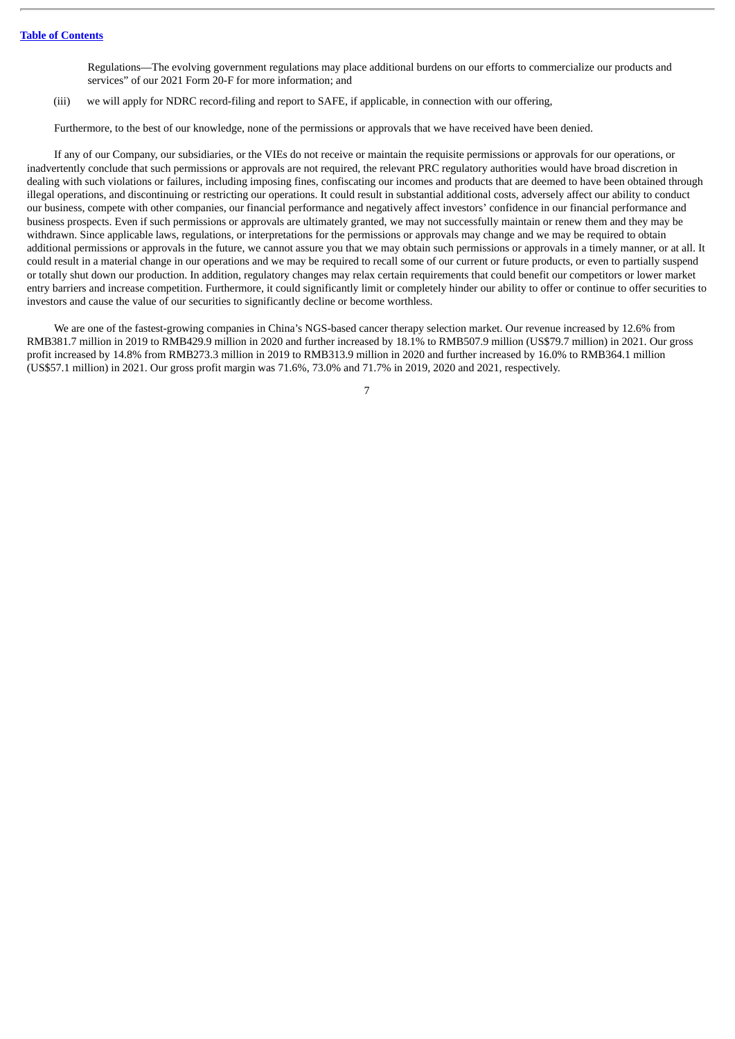Regulations—The evolving government regulations may place additional burdens on our efforts to commercialize our products and services" of our 2021 Form 20-F for more information; and

(iii) we will apply for NDRC record-filing and report to SAFE, if applicable, in connection with our offering,

Furthermore, to the best of our knowledge, none of the permissions or approvals that we have received have been denied.

If any of our Company, our subsidiaries, or the VIEs do not receive or maintain the requisite permissions or approvals for our operations, or inadvertently conclude that such permissions or approvals are not required, the relevant PRC regulatory authorities would have broad discretion in dealing with such violations or failures, including imposing fines, confiscating our incomes and products that are deemed to have been obtained through illegal operations, and discontinuing or restricting our operations. It could result in substantial additional costs, adversely affect our ability to conduct our business, compete with other companies, our financial performance and negatively affect investors' confidence in our financial performance and business prospects. Even if such permissions or approvals are ultimately granted, we may not successfully maintain or renew them and they may be withdrawn. Since applicable laws, regulations, or interpretations for the permissions or approvals may change and we may be required to obtain additional permissions or approvals in the future, we cannot assure you that we may obtain such permissions or approvals in a timely manner, or at all. It could result in a material change in our operations and we may be required to recall some of our current or future products, or even to partially suspend or totally shut down our production. In addition, regulatory changes may relax certain requirements that could benefit our competitors or lower market entry barriers and increase competition. Furthermore, it could significantly limit or completely hinder our ability to offer or continue to offer securities to investors and cause the value of our securities to significantly decline or become worthless.

We are one of the fastest-growing companies in China's NGS-based cancer therapy selection market. Our revenue increased by 12.6% from RMB381.7 million in 2019 to RMB429.9 million in 2020 and further increased by 18.1% to RMB507.9 million (US\$79.7 million) in 2021. Our gross profit increased by 14.8% from RMB273.3 million in 2019 to RMB313.9 million in 2020 and further increased by 16.0% to RMB364.1 million (US\$57.1 million) in 2021. Our gross profit margin was 71.6%, 73.0% and 71.7% in 2019, 2020 and 2021, respectively.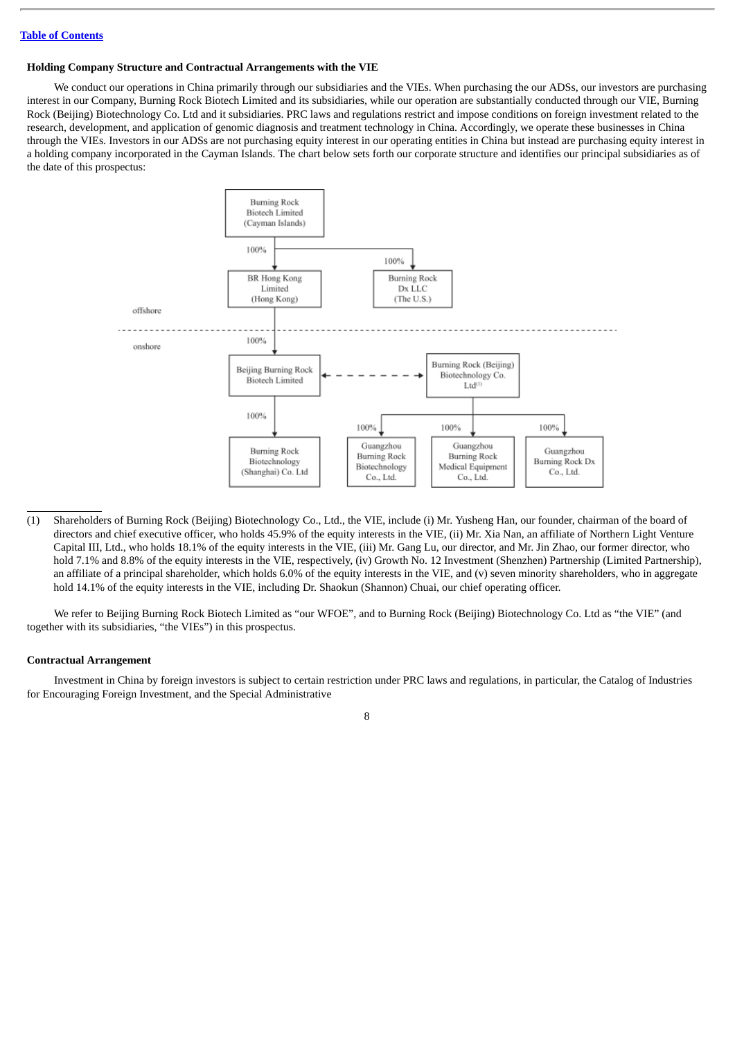#### **Holding Company Structure and Contractual Arrangements with the VIE**

We conduct our operations in China primarily through our subsidiaries and the VIEs. When purchasing the our ADSs, our investors are purchasing interest in our Company, Burning Rock Biotech Limited and its subsidiaries, while our operation are substantially conducted through our VIE, Burning Rock (Beijing) Biotechnology Co. Ltd and it subsidiaries. PRC laws and regulations restrict and impose conditions on foreign investment related to the research, development, and application of genomic diagnosis and treatment technology in China. Accordingly, we operate these businesses in China through the VIEs. Investors in our ADSs are not purchasing equity interest in our operating entities in China but instead are purchasing equity interest in a holding company incorporated in the Cayman Islands. The chart below sets forth our corporate structure and identifies our principal subsidiaries as of the date of this prospectus:



(1) Shareholders of Burning Rock (Beijing) Biotechnology Co., Ltd., the VIE, include (i) Mr. Yusheng Han, our founder, chairman of the board of directors and chief executive officer, who holds 45.9% of the equity interests in the VIE, (ii) Mr. Xia Nan, an affiliate of Northern Light Venture Capital III, Ltd., who holds 18.1% of the equity interests in the VIE, (iii) Mr. Gang Lu, our director, and Mr. Jin Zhao, our former director, who hold 7.1% and 8.8% of the equity interests in the VIE, respectively, (iv) Growth No. 12 Investment (Shenzhen) Partnership (Limited Partnership), an affiliate of a principal shareholder, which holds 6.0% of the equity interests in the VIE, and (v) seven minority shareholders, who in aggregate hold 14.1% of the equity interests in the VIE, including Dr. Shaokun (Shannon) Chuai, our chief operating officer.

We refer to Beijing Burning Rock Biotech Limited as "our WFOE", and to Burning Rock (Beijing) Biotechnology Co. Ltd as "the VIE" (and together with its subsidiaries, "the VIEs") in this prospectus.

#### **Contractual Arrangement**

Investment in China by foreign investors is subject to certain restriction under PRC laws and regulations, in particular, the Catalog of Industries for Encouraging Foreign Investment, and the Special Administrative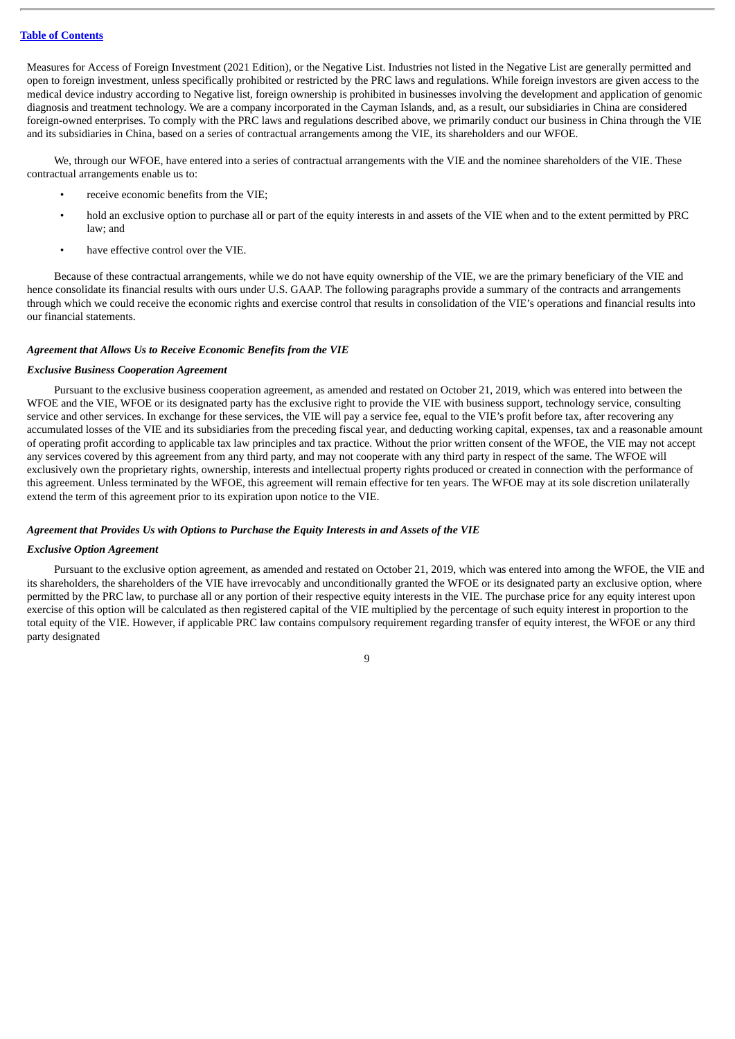Measures for Access of Foreign Investment (2021 Edition), or the Negative List. Industries not listed in the Negative List are generally permitted and open to foreign investment, unless specifically prohibited or restricted by the PRC laws and regulations. While foreign investors are given access to the medical device industry according to Negative list, foreign ownership is prohibited in businesses involving the development and application of genomic diagnosis and treatment technology. We are a company incorporated in the Cayman Islands, and, as a result, our subsidiaries in China are considered foreign-owned enterprises. To comply with the PRC laws and regulations described above, we primarily conduct our business in China through the VIE and its subsidiaries in China, based on a series of contractual arrangements among the VIE, its shareholders and our WFOE.

We, through our WFOE, have entered into a series of contractual arrangements with the VIE and the nominee shareholders of the VIE. These contractual arrangements enable us to:

- receive economic benefits from the VIE;
- hold an exclusive option to purchase all or part of the equity interests in and assets of the VIE when and to the extent permitted by PRC law; and
- have effective control over the VIE.

Because of these contractual arrangements, while we do not have equity ownership of the VIE, we are the primary beneficiary of the VIE and hence consolidate its financial results with ours under U.S. GAAP. The following paragraphs provide a summary of the contracts and arrangements through which we could receive the economic rights and exercise control that results in consolidation of the VIE's operations and financial results into our financial statements.

#### *Agreement that Allows Us to Receive Economic Benefits from the VIE*

#### *Exclusive Business Cooperation Agreement*

Pursuant to the exclusive business cooperation agreement, as amended and restated on October 21, 2019, which was entered into between the WFOE and the VIE, WFOE or its designated party has the exclusive right to provide the VIE with business support, technology service, consulting service and other services. In exchange for these services, the VIE will pay a service fee, equal to the VIE's profit before tax, after recovering any accumulated losses of the VIE and its subsidiaries from the preceding fiscal year, and deducting working capital, expenses, tax and a reasonable amount of operating profit according to applicable tax law principles and tax practice. Without the prior written consent of the WFOE, the VIE may not accept any services covered by this agreement from any third party, and may not cooperate with any third party in respect of the same. The WFOE will exclusively own the proprietary rights, ownership, interests and intellectual property rights produced or created in connection with the performance of this agreement. Unless terminated by the WFOE, this agreement will remain effective for ten years. The WFOE may at its sole discretion unilaterally extend the term of this agreement prior to its expiration upon notice to the VIE.

## *Agreement that Provides Us with Options to Purchase the Equity Interests in and Assets of the VIE*

#### *Exclusive Option Agreement*

Pursuant to the exclusive option agreement, as amended and restated on October 21, 2019, which was entered into among the WFOE, the VIE and its shareholders, the shareholders of the VIE have irrevocably and unconditionally granted the WFOE or its designated party an exclusive option, where permitted by the PRC law, to purchase all or any portion of their respective equity interests in the VIE. The purchase price for any equity interest upon exercise of this option will be calculated as then registered capital of the VIE multiplied by the percentage of such equity interest in proportion to the total equity of the VIE. However, if applicable PRC law contains compulsory requirement regarding transfer of equity interest, the WFOE or any third party designated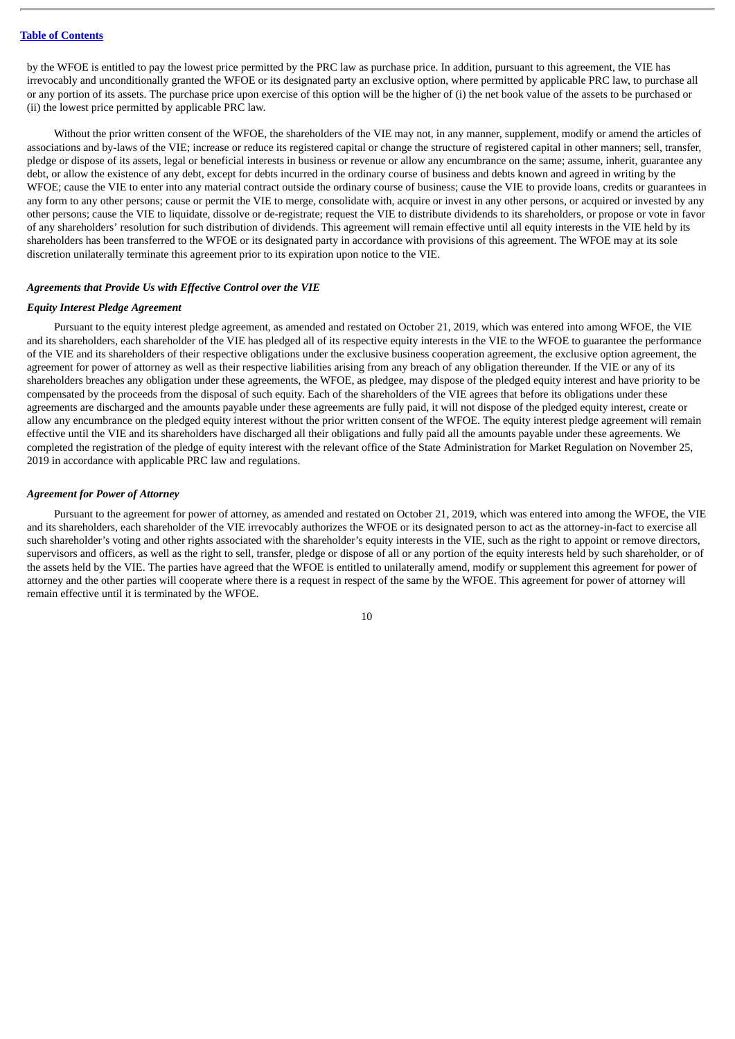by the WFOE is entitled to pay the lowest price permitted by the PRC law as purchase price. In addition, pursuant to this agreement, the VIE has irrevocably and unconditionally granted the WFOE or its designated party an exclusive option, where permitted by applicable PRC law, to purchase all or any portion of its assets. The purchase price upon exercise of this option will be the higher of (i) the net book value of the assets to be purchased or (ii) the lowest price permitted by applicable PRC law.

Without the prior written consent of the WFOE, the shareholders of the VIE may not, in any manner, supplement, modify or amend the articles of associations and by-laws of the VIE; increase or reduce its registered capital or change the structure of registered capital in other manners; sell, transfer, pledge or dispose of its assets, legal or beneficial interests in business or revenue or allow any encumbrance on the same; assume, inherit, guarantee any debt, or allow the existence of any debt, except for debts incurred in the ordinary course of business and debts known and agreed in writing by the WFOE; cause the VIE to enter into any material contract outside the ordinary course of business; cause the VIE to provide loans, credits or guarantees in any form to any other persons; cause or permit the VIE to merge, consolidate with, acquire or invest in any other persons, or acquired or invested by any other persons; cause the VIE to liquidate, dissolve or de-registrate; request the VIE to distribute dividends to its shareholders, or propose or vote in favor of any shareholders' resolution for such distribution of dividends. This agreement will remain effective until all equity interests in the VIE held by its shareholders has been transferred to the WFOE or its designated party in accordance with provisions of this agreement. The WFOE may at its sole discretion unilaterally terminate this agreement prior to its expiration upon notice to the VIE.

#### *Agreements that Provide Us with Effective Control over the VIE*

#### *Equity Interest Pledge Agreement*

Pursuant to the equity interest pledge agreement, as amended and restated on October 21, 2019, which was entered into among WFOE, the VIE and its shareholders, each shareholder of the VIE has pledged all of its respective equity interests in the VIE to the WFOE to guarantee the performance of the VIE and its shareholders of their respective obligations under the exclusive business cooperation agreement, the exclusive option agreement, the agreement for power of attorney as well as their respective liabilities arising from any breach of any obligation thereunder. If the VIE or any of its shareholders breaches any obligation under these agreements, the WFOE, as pledgee, may dispose of the pledged equity interest and have priority to be compensated by the proceeds from the disposal of such equity. Each of the shareholders of the VIE agrees that before its obligations under these agreements are discharged and the amounts payable under these agreements are fully paid, it will not dispose of the pledged equity interest, create or allow any encumbrance on the pledged equity interest without the prior written consent of the WFOE. The equity interest pledge agreement will remain effective until the VIE and its shareholders have discharged all their obligations and fully paid all the amounts payable under these agreements. We completed the registration of the pledge of equity interest with the relevant office of the State Administration for Market Regulation on November 25, 2019 in accordance with applicable PRC law and regulations.

#### *Agreement for Power of Attorney*

Pursuant to the agreement for power of attorney, as amended and restated on October 21, 2019, which was entered into among the WFOE, the VIE and its shareholders, each shareholder of the VIE irrevocably authorizes the WFOE or its designated person to act as the attorney-in-fact to exercise all such shareholder's voting and other rights associated with the shareholder's equity interests in the VIE, such as the right to appoint or remove directors, supervisors and officers, as well as the right to sell, transfer, pledge or dispose of all or any portion of the equity interests held by such shareholder, or of the assets held by the VIE. The parties have agreed that the WFOE is entitled to unilaterally amend, modify or supplement this agreement for power of attorney and the other parties will cooperate where there is a request in respect of the same by the WFOE. This agreement for power of attorney will remain effective until it is terminated by the WFOE.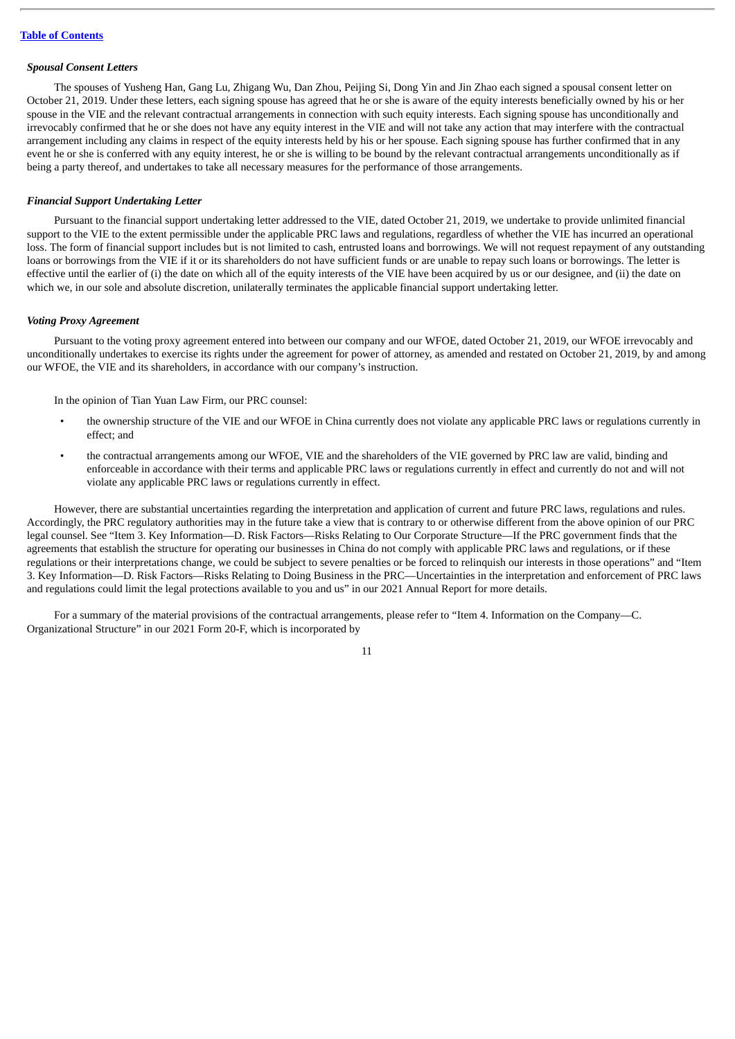#### *Spousal Consent Letters*

The spouses of Yusheng Han, Gang Lu, Zhigang Wu, Dan Zhou, Peijing Si, Dong Yin and Jin Zhao each signed a spousal consent letter on October 21, 2019. Under these letters, each signing spouse has agreed that he or she is aware of the equity interests beneficially owned by his or her spouse in the VIE and the relevant contractual arrangements in connection with such equity interests. Each signing spouse has unconditionally and irrevocably confirmed that he or she does not have any equity interest in the VIE and will not take any action that may interfere with the contractual arrangement including any claims in respect of the equity interests held by his or her spouse. Each signing spouse has further confirmed that in any event he or she is conferred with any equity interest, he or she is willing to be bound by the relevant contractual arrangements unconditionally as if being a party thereof, and undertakes to take all necessary measures for the performance of those arrangements.

#### *Financial Support Undertaking Letter*

Pursuant to the financial support undertaking letter addressed to the VIE, dated October 21, 2019, we undertake to provide unlimited financial support to the VIE to the extent permissible under the applicable PRC laws and regulations, regardless of whether the VIE has incurred an operational loss. The form of financial support includes but is not limited to cash, entrusted loans and borrowings. We will not request repayment of any outstanding loans or borrowings from the VIE if it or its shareholders do not have sufficient funds or are unable to repay such loans or borrowings. The letter is effective until the earlier of (i) the date on which all of the equity interests of the VIE have been acquired by us or our designee, and (ii) the date on which we, in our sole and absolute discretion, unilaterally terminates the applicable financial support undertaking letter.

#### *Voting Proxy Agreement*

Pursuant to the voting proxy agreement entered into between our company and our WFOE, dated October 21, 2019, our WFOE irrevocably and unconditionally undertakes to exercise its rights under the agreement for power of attorney, as amended and restated on October 21, 2019, by and among our WFOE, the VIE and its shareholders, in accordance with our company's instruction.

In the opinion of Tian Yuan Law Firm, our PRC counsel:

- the ownership structure of the VIE and our WFOE in China currently does not violate any applicable PRC laws or regulations currently in effect; and
- the contractual arrangements among our WFOE, VIE and the shareholders of the VIE governed by PRC law are valid, binding and enforceable in accordance with their terms and applicable PRC laws or regulations currently in effect and currently do not and will not violate any applicable PRC laws or regulations currently in effect.

However, there are substantial uncertainties regarding the interpretation and application of current and future PRC laws, regulations and rules. Accordingly, the PRC regulatory authorities may in the future take a view that is contrary to or otherwise different from the above opinion of our PRC legal counsel. See "Item 3. Key Information—D. Risk Factors—Risks Relating to Our Corporate Structure—If the PRC government finds that the agreements that establish the structure for operating our businesses in China do not comply with applicable PRC laws and regulations, or if these regulations or their interpretations change, we could be subject to severe penalties or be forced to relinquish our interests in those operations" and "Item 3. Key Information—D. Risk Factors—Risks Relating to Doing Business in the PRC—Uncertainties in the interpretation and enforcement of PRC laws and regulations could limit the legal protections available to you and us" in our 2021 Annual Report for more details.

For a summary of the material provisions of the contractual arrangements, please refer to "Item 4. Information on the Company—C. Organizational Structure" in our 2021 Form 20-F, which is incorporated by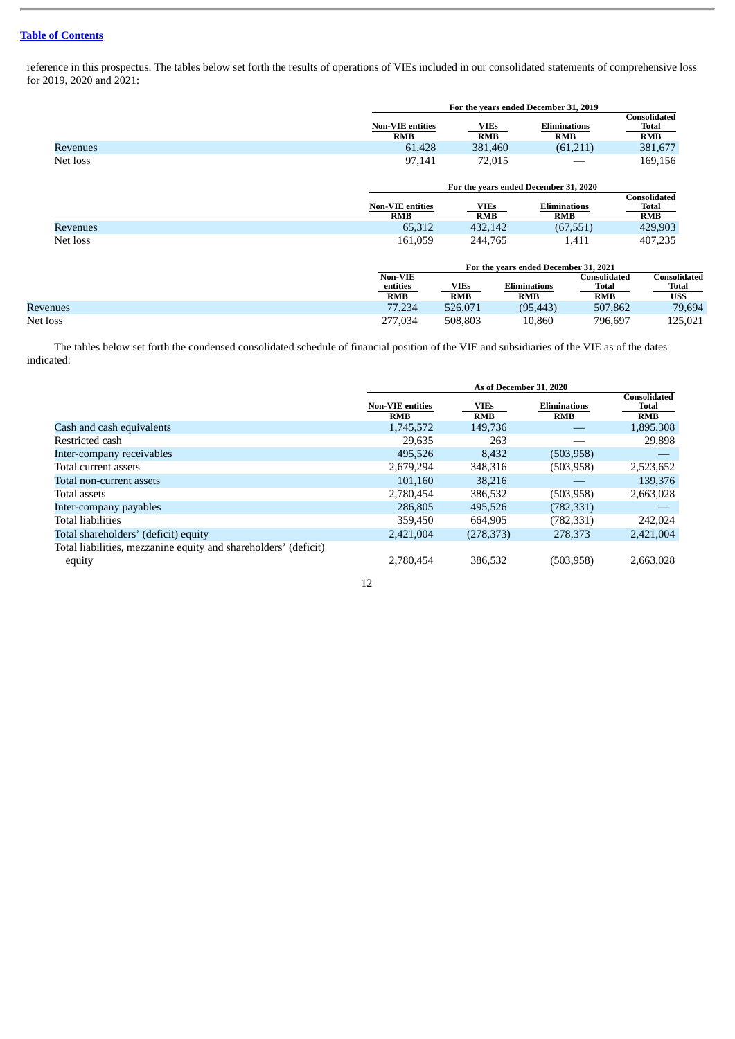reference in this prospectus. The tables below set forth the results of operations of VIEs included in our consolidated statements of comprehensive loss for 2019, 2020 and 2021:

|                 |                                       | For the years ended December 31, 2019 |                                       |                                     |                                     |  |
|-----------------|---------------------------------------|---------------------------------------|---------------------------------------|-------------------------------------|-------------------------------------|--|
|                 | <b>Non-VIE entities</b><br><b>RMB</b> | <b>VIEs</b><br><b>RMB</b>             | <b>Eliminations</b><br><b>RMB</b>     |                                     | <b>Consolidated</b><br>Total<br>RMB |  |
| <b>Revenues</b> | 61,428                                | 381,460                               |                                       | (61,211)                            | 381,677                             |  |
| Net loss        | 97,141                                | 72,015                                |                                       |                                     | 169,156                             |  |
|                 |                                       | For the years ended December 31, 2020 |                                       |                                     |                                     |  |
|                 | <b>Non-VIE entities</b><br><b>RMB</b> | <b>VIEs</b><br><b>RMB</b>             | <b>Eliminations</b><br><b>RMB</b>     |                                     | Consolidated<br>Total<br><b>RMB</b> |  |
| Revenues        | 65,312                                | 432,142                               |                                       | (67, 551)                           | 429,903                             |  |
| Net loss        | 161,059                               | 244,765                               |                                       | 1,411                               | 407,235                             |  |
|                 |                                       |                                       | For the years ended December 31, 2021 |                                     |                                     |  |
|                 | Non-VIE<br>entities<br><b>RMB</b>     | <b>VIEs</b><br><b>RMB</b>             | <b>Eliminations</b><br><b>RMB</b>     | Consolidated<br>Total<br><b>RMB</b> | Consolidated<br>Total<br>US\$       |  |
| <b>Revenues</b> | 77,234                                | 526,071                               | (95, 443)                             | 507,862                             | 79,694                              |  |
| Net loss        | 277,034                               | 508,803                               | 10.860                                | 796.697                             | 125,021                             |  |

The tables below set forth the condensed consolidated schedule of financial position of the VIE and subsidiaries of the VIE as of the dates indicated:

|                                                                 | As of December 31, 2020               |                           |                                   |                                            |
|-----------------------------------------------------------------|---------------------------------------|---------------------------|-----------------------------------|--------------------------------------------|
|                                                                 | <b>Non-VIE entities</b><br><b>RMB</b> | <b>VIEs</b><br><b>RMB</b> | <b>Eliminations</b><br><b>RMB</b> | <b>Consolidated</b><br>Total<br><b>RMB</b> |
| Cash and cash equivalents                                       | 1,745,572                             | 149,736                   |                                   | 1,895,308                                  |
| Restricted cash                                                 | 29,635                                | 263                       |                                   | 29,898                                     |
| Inter-company receivables                                       | 495,526                               | 8,432                     | (503, 958)                        |                                            |
| Total current assets                                            | 2,679,294                             | 348,316                   | (503, 958)                        | 2,523,652                                  |
| Total non-current assets                                        | 101.160                               | 38.216                    |                                   | 139,376                                    |
| <b>Total assets</b>                                             | 2,780,454                             | 386,532                   | (503, 958)                        | 2,663,028                                  |
| Inter-company payables                                          | 286,805                               | 495.526                   | (782, 331)                        |                                            |
| <b>Total liabilities</b>                                        | 359,450                               | 664.905                   | (782, 331)                        | 242,024                                    |
| Total shareholders' (deficit) equity                            | 2,421,004                             | (278, 373)                | 278,373                           | 2,421,004                                  |
| Total liabilities, mezzanine equity and shareholders' (deficit) |                                       |                           |                                   |                                            |
| equity                                                          | 2,780,454                             | 386.532                   | (503,958)                         | 2,663,028                                  |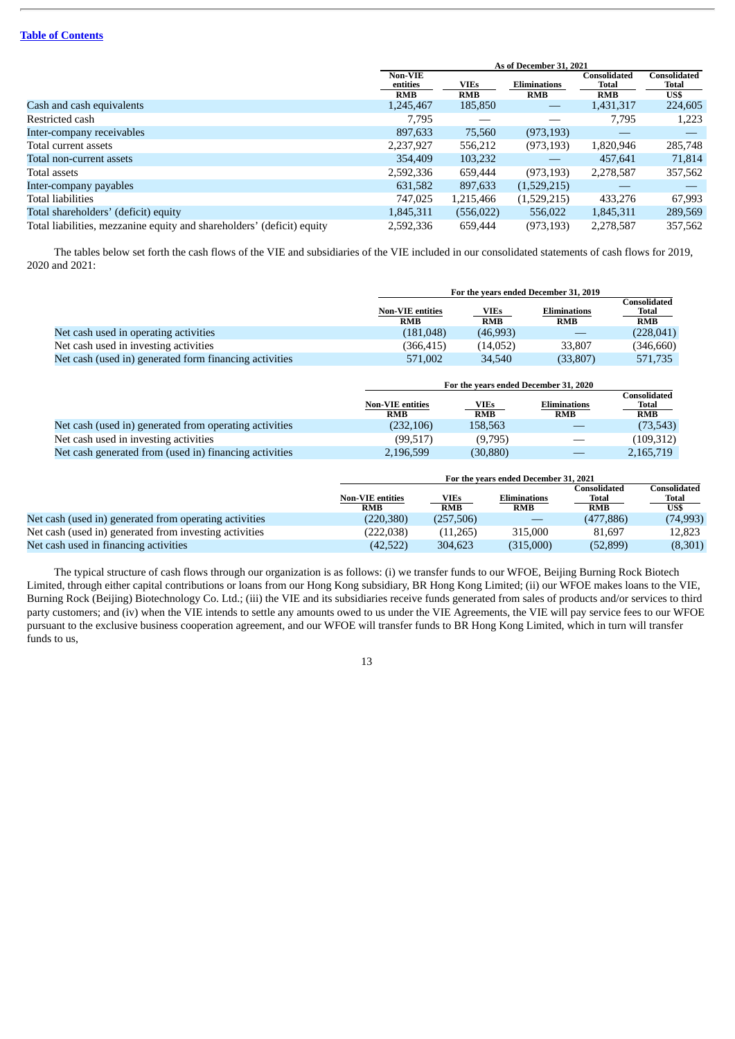|                                                                        | As of December 31, 2021           |                           |                                   |                                     |                                      |
|------------------------------------------------------------------------|-----------------------------------|---------------------------|-----------------------------------|-------------------------------------|--------------------------------------|
|                                                                        | Non-VIE<br>entities<br><b>RMB</b> | <b>VIEs</b><br><b>RMB</b> | <b>Eliminations</b><br><b>RMB</b> | Consolidated<br>Total<br><b>RMB</b> | <b>Consolidated</b><br>Total<br>US\$ |
| Cash and cash equivalents                                              | 1,245,467                         | 185,850                   |                                   | 1,431,317                           | 224,605                              |
| Restricted cash                                                        | 7,795                             |                           |                                   | 7,795                               | 1,223                                |
| Inter-company receivables                                              | 897,633                           | 75,560                    | (973, 193)                        |                                     |                                      |
| Total current assets                                                   | 2,237,927                         | 556,212                   | (973, 193)                        | 1,820,946                           | 285,748                              |
| Total non-current assets                                               | 354,409                           | 103,232                   |                                   | 457,641                             | 71,814                               |
| Total assets                                                           | 2,592,336                         | 659,444                   | (973, 193)                        | 2,278,587                           | 357,562                              |
| Inter-company payables                                                 | 631,582                           | 897,633                   | (1,529,215)                       |                                     |                                      |
| Total liabilities                                                      | 747,025                           | 1,215,466                 | (1,529,215)                       | 433,276                             | 67,993                               |
| Total shareholders' (deficit) equity                                   | 1,845,311                         | (556, 022)                | 556,022                           | 1,845,311                           | 289,569                              |
| Total liabilities, mezzanine equity and shareholders' (deficit) equity | 2,592,336                         | 659,444                   | (973, 193)                        | 2,278,587                           | 357,562                              |

The tables below set forth the cash flows of the VIE and subsidiaries of the VIE included in our consolidated statements of cash flows for 2019, 2020 and 2021:

|                                                        | For the years ended December 31, 2019 |                           |                     |                                     |
|--------------------------------------------------------|---------------------------------------|---------------------------|---------------------|-------------------------------------|
|                                                        | <b>Non-VIE entities</b>               | <b>VIEs</b><br><b>RMB</b> | <b>Eliminations</b> | Consolidated<br>Total<br><b>RMB</b> |
|                                                        | <b>RMB</b>                            |                           | <b>RMB</b>          |                                     |
| Net cash used in operating activities                  | (181, 048)                            | (46,993)                  |                     | (228, 041)                          |
| Net cash used in investing activities                  | (366.415)                             | (14.052)                  | 33,807              | (346,660)                           |
| Net cash (used in) generated form financing activities | 571,002                               | 34,540                    | (33, 807)           | 571.735                             |

|                                                        | For the years ended December 31, 2020 |                    |                                   |                                     |
|--------------------------------------------------------|---------------------------------------|--------------------|-----------------------------------|-------------------------------------|
|                                                        | <b>Non-VIE entities</b><br><b>RMB</b> | VIEs<br><b>RMB</b> | <b>Eliminations</b><br><b>RMB</b> | Consolidated<br>Total<br><b>RMB</b> |
| Net cash (used in) generated from operating activities | (232, 106)                            | 158.563            |                                   | (73, 543)                           |
| Net cash used in investing activities                  | (99.517)                              | (9.795)            |                                   | (109,312)                           |
| Net cash generated from (used in) financing activities | 2,196,599                             | (30, 880)          |                                   | 2,165,719                           |

|                                                        | For the years ended December 31, 2021 |                    |                            |                                     |                               |
|--------------------------------------------------------|---------------------------------------|--------------------|----------------------------|-------------------------------------|-------------------------------|
|                                                        | <b>Non-VIE entities</b><br><b>RMB</b> | VIEs<br><b>RMB</b> | Eliminations<br><b>RMB</b> | Consolidated<br>Total<br><b>RMB</b> | Consolidated<br>Total<br>US\$ |
| Net cash (used in) generated from operating activities | (220, 380)                            | (257,506)          |                            | (477, 886)                          | (74,993)                      |
| Net cash (used in) generated from investing activities | (222,038)                             | (11,265)           | 315,000                    | 81.697                              | 12.823                        |
| Net cash used in financing activities                  | (42,522)                              | 304,623            | (315,000)                  | (52, 899)                           | (8,301)                       |

The typical structure of cash flows through our organization is as follows: (i) we transfer funds to our WFOE, Beijing Burning Rock Biotech Limited, through either capital contributions or loans from our Hong Kong subsidiary, BR Hong Kong Limited; (ii) our WFOE makes loans to the VIE, Burning Rock (Beijing) Biotechnology Co. Ltd.; (iii) the VIE and its subsidiaries receive funds generated from sales of products and/or services to third party customers; and (iv) when the VIE intends to settle any amounts owed to us under the VIE Agreements, the VIE will pay service fees to our WFOE pursuant to the exclusive business cooperation agreement, and our WFOE will transfer funds to BR Hong Kong Limited, which in turn will transfer funds to us,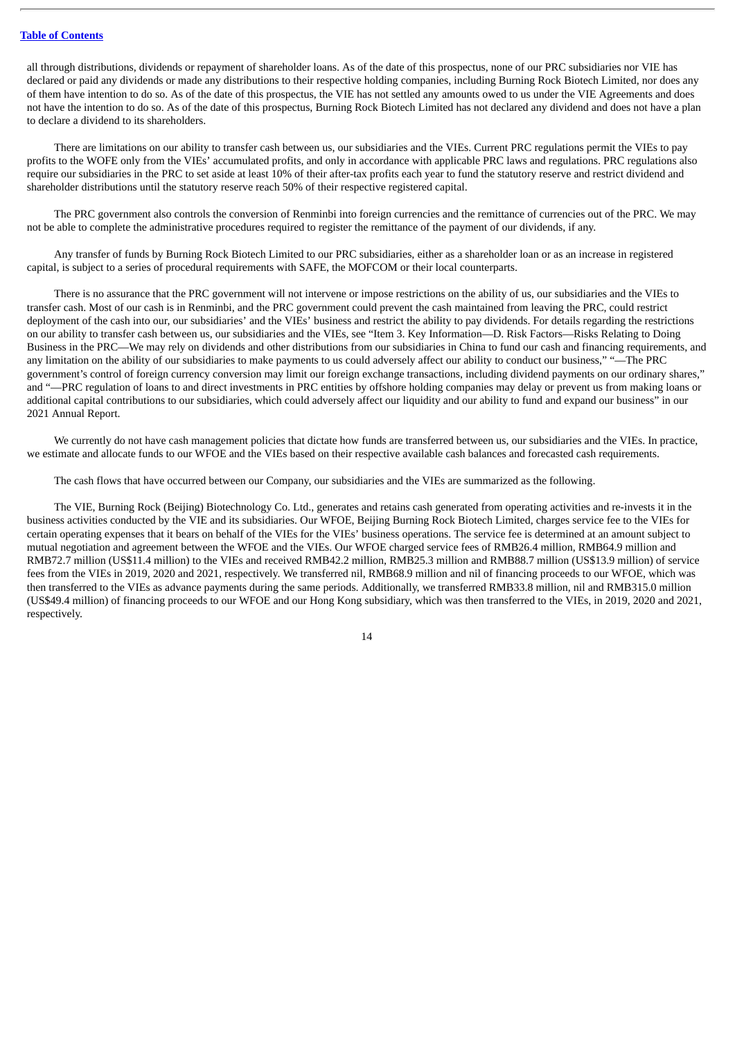all through distributions, dividends or repayment of shareholder loans. As of the date of this prospectus, none of our PRC subsidiaries nor VIE has declared or paid any dividends or made any distributions to their respective holding companies, including Burning Rock Biotech Limited, nor does any of them have intention to do so. As of the date of this prospectus, the VIE has not settled any amounts owed to us under the VIE Agreements and does not have the intention to do so. As of the date of this prospectus, Burning Rock Biotech Limited has not declared any dividend and does not have a plan to declare a dividend to its shareholders.

There are limitations on our ability to transfer cash between us, our subsidiaries and the VIEs. Current PRC regulations permit the VIEs to pay profits to the WOFE only from the VIEs' accumulated profits, and only in accordance with applicable PRC laws and regulations. PRC regulations also require our subsidiaries in the PRC to set aside at least 10% of their after-tax profits each year to fund the statutory reserve and restrict dividend and shareholder distributions until the statutory reserve reach 50% of their respective registered capital.

The PRC government also controls the conversion of Renminbi into foreign currencies and the remittance of currencies out of the PRC. We may not be able to complete the administrative procedures required to register the remittance of the payment of our dividends, if any.

Any transfer of funds by Burning Rock Biotech Limited to our PRC subsidiaries, either as a shareholder loan or as an increase in registered capital, is subject to a series of procedural requirements with SAFE, the MOFCOM or their local counterparts.

There is no assurance that the PRC government will not intervene or impose restrictions on the ability of us, our subsidiaries and the VIEs to transfer cash. Most of our cash is in Renminbi, and the PRC government could prevent the cash maintained from leaving the PRC, could restrict deployment of the cash into our, our subsidiaries' and the VIEs' business and restrict the ability to pay dividends. For details regarding the restrictions on our ability to transfer cash between us, our subsidiaries and the VIEs, see "Item 3. Key Information—D. Risk Factors—Risks Relating to Doing Business in the PRC—We may rely on dividends and other distributions from our subsidiaries in China to fund our cash and financing requirements, and any limitation on the ability of our subsidiaries to make payments to us could adversely affect our ability to conduct our business," "—The PRC government's control of foreign currency conversion may limit our foreign exchange transactions, including dividend payments on our ordinary shares," and "—PRC regulation of loans to and direct investments in PRC entities by offshore holding companies may delay or prevent us from making loans or additional capital contributions to our subsidiaries, which could adversely affect our liquidity and our ability to fund and expand our business" in our 2021 Annual Report.

We currently do not have cash management policies that dictate how funds are transferred between us, our subsidiaries and the VIEs. In practice, we estimate and allocate funds to our WFOE and the VIEs based on their respective available cash balances and forecasted cash requirements.

The cash flows that have occurred between our Company, our subsidiaries and the VIEs are summarized as the following.

The VIE, Burning Rock (Beijing) Biotechnology Co. Ltd., generates and retains cash generated from operating activities and re-invests it in the business activities conducted by the VIE and its subsidiaries. Our WFOE, Beijing Burning Rock Biotech Limited, charges service fee to the VIEs for certain operating expenses that it bears on behalf of the VIEs for the VIEs' business operations. The service fee is determined at an amount subject to mutual negotiation and agreement between the WFOE and the VIEs. Our WFOE charged service fees of RMB26.4 million, RMB64.9 million and RMB72.7 million (US\$11.4 million) to the VIEs and received RMB42.2 million, RMB25.3 million and RMB88.7 million (US\$13.9 million) of service fees from the VIEs in 2019, 2020 and 2021, respectively. We transferred nil, RMB68.9 million and nil of financing proceeds to our WFOE, which was then transferred to the VIEs as advance payments during the same periods. Additionally, we transferred RMB33.8 million, nil and RMB315.0 million (US\$49.4 million) of financing proceeds to our WFOE and our Hong Kong subsidiary, which was then transferred to the VIEs, in 2019, 2020 and 2021, respectively.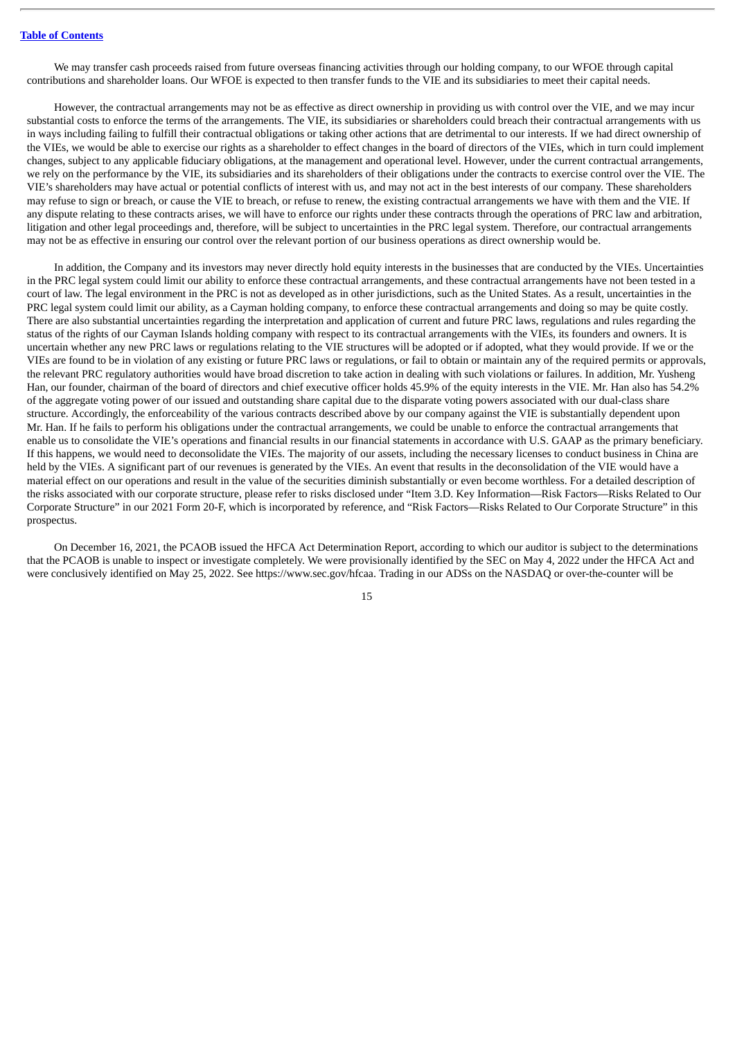We may transfer cash proceeds raised from future overseas financing activities through our holding company, to our WFOE through capital contributions and shareholder loans. Our WFOE is expected to then transfer funds to the VIE and its subsidiaries to meet their capital needs.

However, the contractual arrangements may not be as effective as direct ownership in providing us with control over the VIE, and we may incur substantial costs to enforce the terms of the arrangements. The VIE, its subsidiaries or shareholders could breach their contractual arrangements with us in ways including failing to fulfill their contractual obligations or taking other actions that are detrimental to our interests. If we had direct ownership of the VIEs, we would be able to exercise our rights as a shareholder to effect changes in the board of directors of the VIEs, which in turn could implement changes, subject to any applicable fiduciary obligations, at the management and operational level. However, under the current contractual arrangements, we rely on the performance by the VIE, its subsidiaries and its shareholders of their obligations under the contracts to exercise control over the VIE. The VIE's shareholders may have actual or potential conflicts of interest with us, and may not act in the best interests of our company. These shareholders may refuse to sign or breach, or cause the VIE to breach, or refuse to renew, the existing contractual arrangements we have with them and the VIE. If any dispute relating to these contracts arises, we will have to enforce our rights under these contracts through the operations of PRC law and arbitration, litigation and other legal proceedings and, therefore, will be subject to uncertainties in the PRC legal system. Therefore, our contractual arrangements may not be as effective in ensuring our control over the relevant portion of our business operations as direct ownership would be.

In addition, the Company and its investors may never directly hold equity interests in the businesses that are conducted by the VIEs. Uncertainties in the PRC legal system could limit our ability to enforce these contractual arrangements, and these contractual arrangements have not been tested in a court of law. The legal environment in the PRC is not as developed as in other jurisdictions, such as the United States. As a result, uncertainties in the PRC legal system could limit our ability, as a Cayman holding company, to enforce these contractual arrangements and doing so may be quite costly. There are also substantial uncertainties regarding the interpretation and application of current and future PRC laws, regulations and rules regarding the status of the rights of our Cayman Islands holding company with respect to its contractual arrangements with the VIEs, its founders and owners. It is uncertain whether any new PRC laws or regulations relating to the VIE structures will be adopted or if adopted, what they would provide. If we or the VIEs are found to be in violation of any existing or future PRC laws or regulations, or fail to obtain or maintain any of the required permits or approvals, the relevant PRC regulatory authorities would have broad discretion to take action in dealing with such violations or failures. In addition, Mr. Yusheng Han, our founder, chairman of the board of directors and chief executive officer holds 45.9% of the equity interests in the VIE. Mr. Han also has 54.2% of the aggregate voting power of our issued and outstanding share capital due to the disparate voting powers associated with our dual-class share structure. Accordingly, the enforceability of the various contracts described above by our company against the VIE is substantially dependent upon Mr. Han. If he fails to perform his obligations under the contractual arrangements, we could be unable to enforce the contractual arrangements that enable us to consolidate the VIE's operations and financial results in our financial statements in accordance with U.S. GAAP as the primary beneficiary. If this happens, we would need to deconsolidate the VIEs. The majority of our assets, including the necessary licenses to conduct business in China are held by the VIEs. A significant part of our revenues is generated by the VIEs. An event that results in the deconsolidation of the VIE would have a material effect on our operations and result in the value of the securities diminish substantially or even become worthless. For a detailed description of the risks associated with our corporate structure, please refer to risks disclosed under "Item 3.D. Key Information—Risk Factors—Risks Related to Our Corporate Structure" in our 2021 Form 20-F, which is incorporated by reference, and "Risk Factors—Risks Related to Our Corporate Structure" in this prospectus.

On December 16, 2021, the PCAOB issued the HFCA Act Determination Report, according to which our auditor is subject to the determinations that the PCAOB is unable to inspect or investigate completely. We were provisionally identified by the SEC on May 4, 2022 under the HFCA Act and were conclusively identified on May 25, 2022. See https://www.sec.gov/hfcaa. Trading in our ADSs on the NASDAQ or over-the-counter will be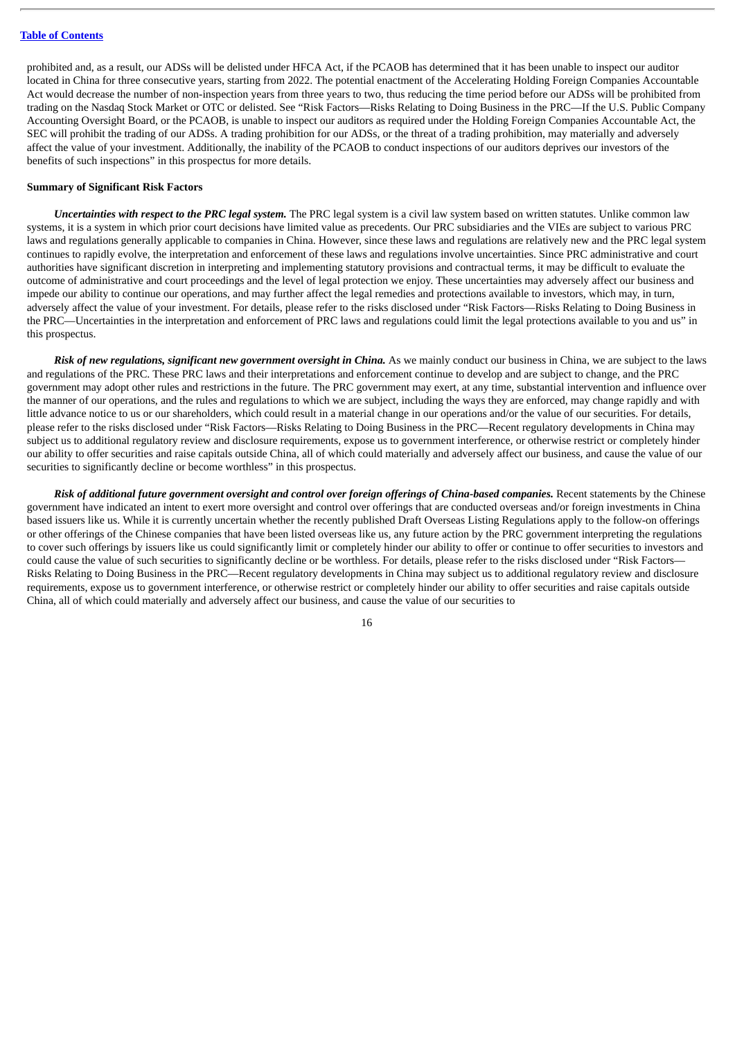prohibited and, as a result, our ADSs will be delisted under HFCA Act, if the PCAOB has determined that it has been unable to inspect our auditor located in China for three consecutive years, starting from 2022. The potential enactment of the Accelerating Holding Foreign Companies Accountable Act would decrease the number of non-inspection years from three years to two, thus reducing the time period before our ADSs will be prohibited from trading on the Nasdaq Stock Market or OTC or delisted. See "Risk Factors—Risks Relating to Doing Business in the PRC—If the U.S. Public Company Accounting Oversight Board, or the PCAOB, is unable to inspect our auditors as required under the Holding Foreign Companies Accountable Act, the SEC will prohibit the trading of our ADSs. A trading prohibition for our ADSs, or the threat of a trading prohibition, may materially and adversely affect the value of your investment. Additionally, the inability of the PCAOB to conduct inspections of our auditors deprives our investors of the benefits of such inspections" in this prospectus for more details.

#### **Summary of Significant Risk Factors**

*Uncertainties with respect to the PRC legal system.* The PRC legal system is a civil law system based on written statutes. Unlike common law systems, it is a system in which prior court decisions have limited value as precedents. Our PRC subsidiaries and the VIEs are subject to various PRC laws and regulations generally applicable to companies in China. However, since these laws and regulations are relatively new and the PRC legal system continues to rapidly evolve, the interpretation and enforcement of these laws and regulations involve uncertainties. Since PRC administrative and court authorities have significant discretion in interpreting and implementing statutory provisions and contractual terms, it may be difficult to evaluate the outcome of administrative and court proceedings and the level of legal protection we enjoy. These uncertainties may adversely affect our business and impede our ability to continue our operations, and may further affect the legal remedies and protections available to investors, which may, in turn, adversely affect the value of your investment. For details, please refer to the risks disclosed under "Risk Factors—Risks Relating to Doing Business in the PRC—Uncertainties in the interpretation and enforcement of PRC laws and regulations could limit the legal protections available to you and us" in this prospectus.

*Risk of new regulations, significant new government oversight in China.* As we mainly conduct our business in China, we are subject to the laws and regulations of the PRC. These PRC laws and their interpretations and enforcement continue to develop and are subject to change, and the PRC government may adopt other rules and restrictions in the future. The PRC government may exert, at any time, substantial intervention and influence over the manner of our operations, and the rules and regulations to which we are subject, including the ways they are enforced, may change rapidly and with little advance notice to us or our shareholders, which could result in a material change in our operations and/or the value of our securities. For details, please refer to the risks disclosed under "Risk Factors—Risks Relating to Doing Business in the PRC—Recent regulatory developments in China may subject us to additional regulatory review and disclosure requirements, expose us to government interference, or otherwise restrict or completely hinder our ability to offer securities and raise capitals outside China, all of which could materially and adversely affect our business, and cause the value of our securities to significantly decline or become worthless" in this prospectus.

Risk of additional future government oversight and control over foreign offerings of China-based companies. Recent statements by the Chinese government have indicated an intent to exert more oversight and control over offerings that are conducted overseas and/or foreign investments in China based issuers like us. While it is currently uncertain whether the recently published Draft Overseas Listing Regulations apply to the follow-on offerings or other offerings of the Chinese companies that have been listed overseas like us, any future action by the PRC government interpreting the regulations to cover such offerings by issuers like us could significantly limit or completely hinder our ability to offer or continue to offer securities to investors and could cause the value of such securities to significantly decline or be worthless. For details, please refer to the risks disclosed under "Risk Factors— Risks Relating to Doing Business in the PRC—Recent regulatory developments in China may subject us to additional regulatory review and disclosure requirements, expose us to government interference, or otherwise restrict or completely hinder our ability to offer securities and raise capitals outside China, all of which could materially and adversely affect our business, and cause the value of our securities to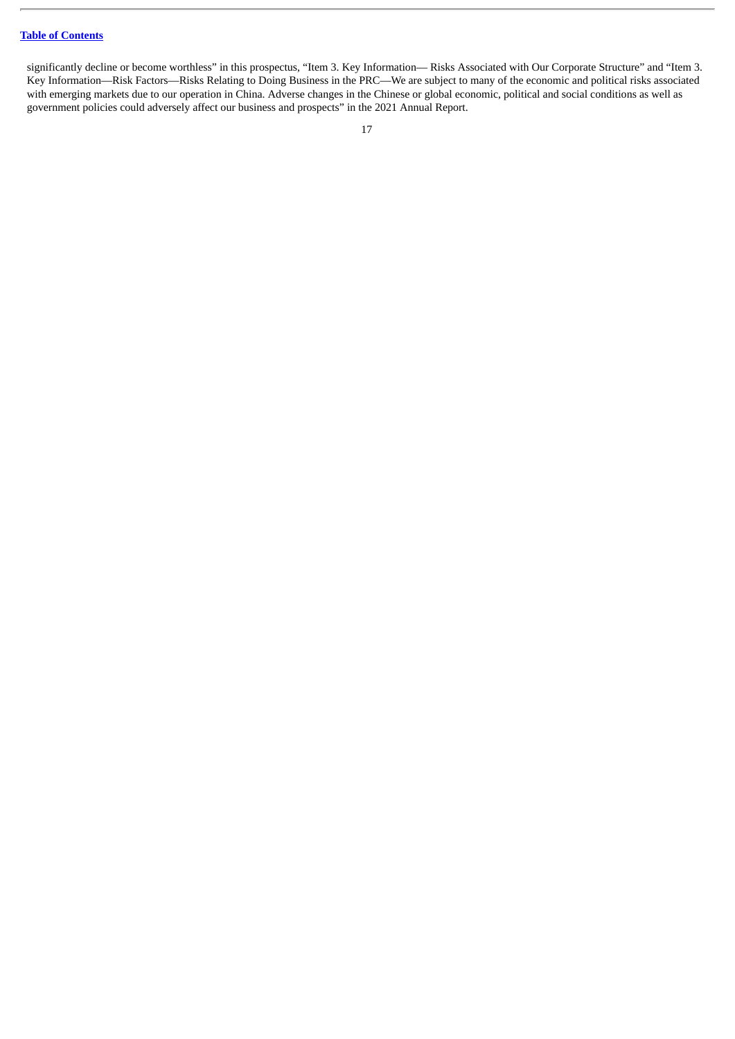significantly decline or become worthless" in this prospectus, "Item 3. Key Information— Risks Associated with Our Corporate Structure" and "Item 3. Key Information—Risk Factors—Risks Relating to Doing Business in the PRC—We are subject to many of the economic and political risks associated with emerging markets due to our operation in China. Adverse changes in the Chinese or global economic, political and social conditions as well as government policies could adversely affect our business and prospects" in the 2021 Annual Report.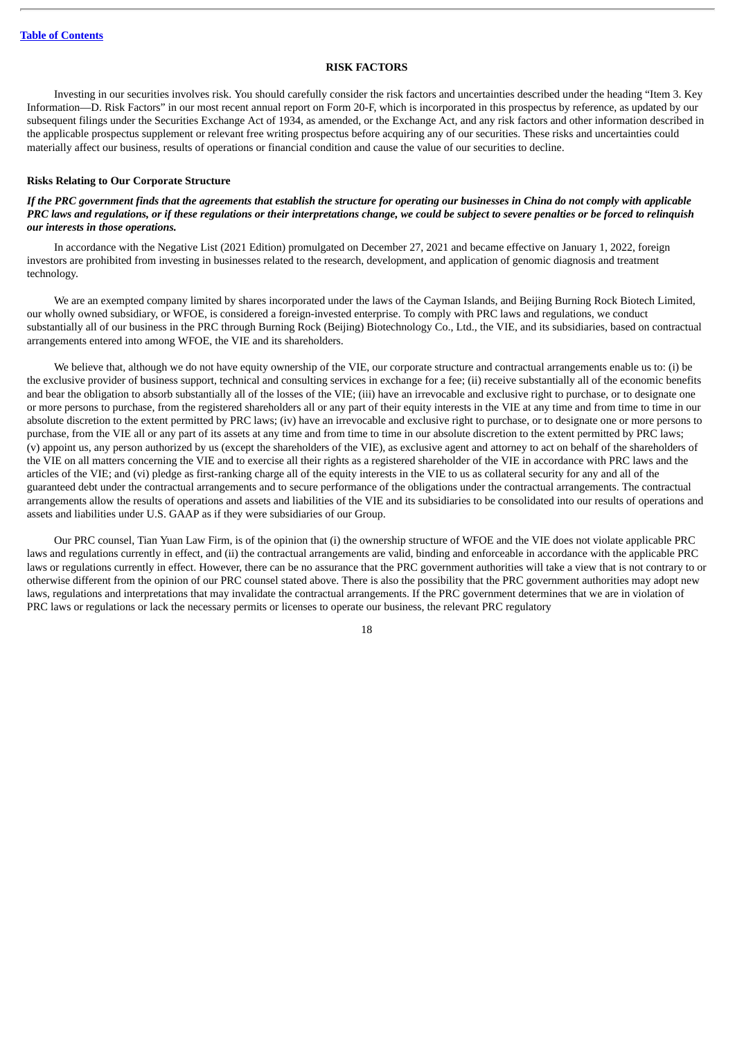#### **RISK FACTORS**

<span id="page-22-0"></span>Investing in our securities involves risk. You should carefully consider the risk factors and uncertainties described under the heading "Item 3. Key Information—D. Risk Factors" in our most recent annual report on Form 20-F, which is incorporated in this prospectus by reference, as updated by our subsequent filings under the Securities Exchange Act of 1934, as amended, or the Exchange Act, and any risk factors and other information described in the applicable prospectus supplement or relevant free writing prospectus before acquiring any of our securities. These risks and uncertainties could materially affect our business, results of operations or financial condition and cause the value of our securities to decline.

#### **Risks Relating to Our Corporate Structure**

#### If the PRC government finds that the agreements that establish the structure for operating our businesses in China do not comply with applicable PRC laws and reaulations, or if these reaulations or their interpretations change, we could be subject to severe penalties or be forced to relinguish *our interests in those operations.*

In accordance with the Negative List (2021 Edition) promulgated on December 27, 2021 and became effective on January 1, 2022, foreign investors are prohibited from investing in businesses related to the research, development, and application of genomic diagnosis and treatment technology.

We are an exempted company limited by shares incorporated under the laws of the Cayman Islands, and Beijing Burning Rock Biotech Limited, our wholly owned subsidiary, or WFOE, is considered a foreign-invested enterprise. To comply with PRC laws and regulations, we conduct substantially all of our business in the PRC through Burning Rock (Beijing) Biotechnology Co., Ltd., the VIE, and its subsidiaries, based on contractual arrangements entered into among WFOE, the VIE and its shareholders.

We believe that, although we do not have equity ownership of the VIE, our corporate structure and contractual arrangements enable us to: (i) be the exclusive provider of business support, technical and consulting services in exchange for a fee; (ii) receive substantially all of the economic benefits and bear the obligation to absorb substantially all of the losses of the VIE; (iii) have an irrevocable and exclusive right to purchase, or to designate one or more persons to purchase, from the registered shareholders all or any part of their equity interests in the VIE at any time and from time to time in our absolute discretion to the extent permitted by PRC laws; (iv) have an irrevocable and exclusive right to purchase, or to designate one or more persons to purchase, from the VIE all or any part of its assets at any time and from time to time in our absolute discretion to the extent permitted by PRC laws; (v) appoint us, any person authorized by us (except the shareholders of the VIE), as exclusive agent and attorney to act on behalf of the shareholders of the VIE on all matters concerning the VIE and to exercise all their rights as a registered shareholder of the VIE in accordance with PRC laws and the articles of the VIE; and (vi) pledge as first-ranking charge all of the equity interests in the VIE to us as collateral security for any and all of the guaranteed debt under the contractual arrangements and to secure performance of the obligations under the contractual arrangements. The contractual arrangements allow the results of operations and assets and liabilities of the VIE and its subsidiaries to be consolidated into our results of operations and assets and liabilities under U.S. GAAP as if they were subsidiaries of our Group.

Our PRC counsel, Tian Yuan Law Firm, is of the opinion that (i) the ownership structure of WFOE and the VIE does not violate applicable PRC laws and regulations currently in effect, and (ii) the contractual arrangements are valid, binding and enforceable in accordance with the applicable PRC laws or regulations currently in effect. However, there can be no assurance that the PRC government authorities will take a view that is not contrary to or otherwise different from the opinion of our PRC counsel stated above. There is also the possibility that the PRC government authorities may adopt new laws, regulations and interpretations that may invalidate the contractual arrangements. If the PRC government determines that we are in violation of PRC laws or regulations or lack the necessary permits or licenses to operate our business, the relevant PRC regulatory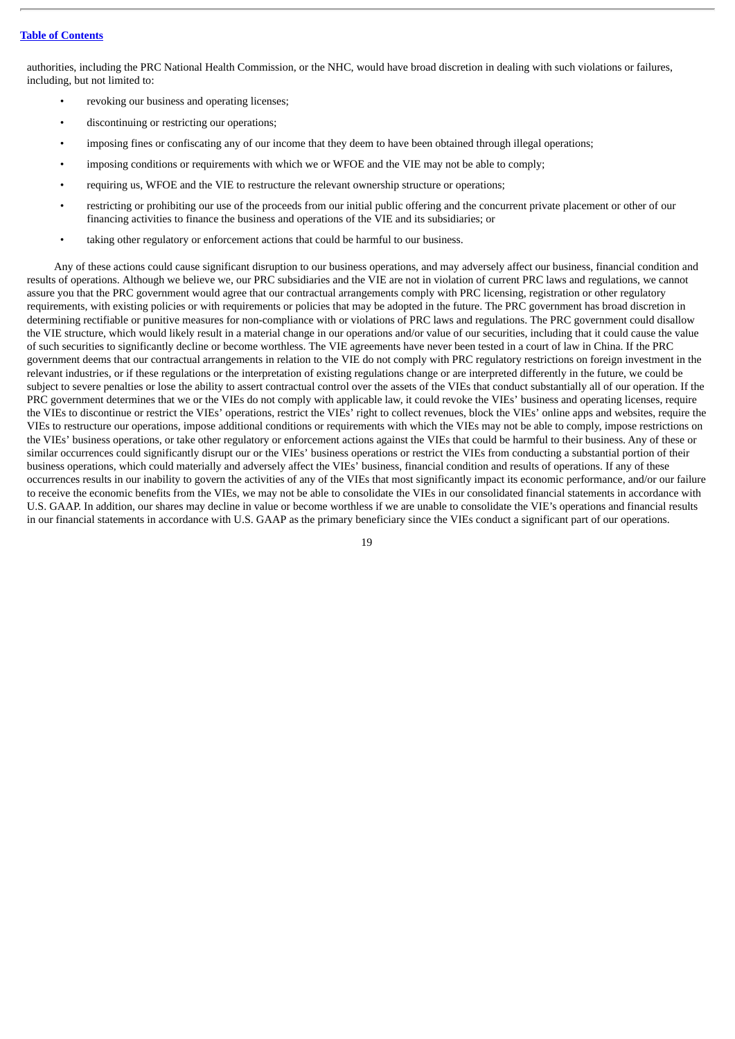authorities, including the PRC National Health Commission, or the NHC, would have broad discretion in dealing with such violations or failures, including, but not limited to:

- revoking our business and operating licenses;
- discontinuing or restricting our operations;
- imposing fines or confiscating any of our income that they deem to have been obtained through illegal operations;
- imposing conditions or requirements with which we or WFOE and the VIE may not be able to comply;
- requiring us, WFOE and the VIE to restructure the relevant ownership structure or operations;
- restricting or prohibiting our use of the proceeds from our initial public offering and the concurrent private placement or other of our financing activities to finance the business and operations of the VIE and its subsidiaries; or
- taking other regulatory or enforcement actions that could be harmful to our business.

Any of these actions could cause significant disruption to our business operations, and may adversely affect our business, financial condition and results of operations. Although we believe we, our PRC subsidiaries and the VIE are not in violation of current PRC laws and regulations, we cannot assure you that the PRC government would agree that our contractual arrangements comply with PRC licensing, registration or other regulatory requirements, with existing policies or with requirements or policies that may be adopted in the future. The PRC government has broad discretion in determining rectifiable or punitive measures for non-compliance with or violations of PRC laws and regulations. The PRC government could disallow the VIE structure, which would likely result in a material change in our operations and/or value of our securities, including that it could cause the value of such securities to significantly decline or become worthless. The VIE agreements have never been tested in a court of law in China. If the PRC government deems that our contractual arrangements in relation to the VIE do not comply with PRC regulatory restrictions on foreign investment in the relevant industries, or if these regulations or the interpretation of existing regulations change or are interpreted differently in the future, we could be subject to severe penalties or lose the ability to assert contractual control over the assets of the VIEs that conduct substantially all of our operation. If the PRC government determines that we or the VIEs do not comply with applicable law, it could revoke the VIEs' business and operating licenses, require the VIEs to discontinue or restrict the VIEs' operations, restrict the VIEs' right to collect revenues, block the VIEs' online apps and websites, require the VIEs to restructure our operations, impose additional conditions or requirements with which the VIEs may not be able to comply, impose restrictions on the VIEs' business operations, or take other regulatory or enforcement actions against the VIEs that could be harmful to their business. Any of these or similar occurrences could significantly disrupt our or the VIEs' business operations or restrict the VIEs from conducting a substantial portion of their business operations, which could materially and adversely affect the VIEs' business, financial condition and results of operations. If any of these occurrences results in our inability to govern the activities of any of the VIEs that most significantly impact its economic performance, and/or our failure to receive the economic benefits from the VIEs, we may not be able to consolidate the VIEs in our consolidated financial statements in accordance with U.S. GAAP. In addition, our shares may decline in value or become worthless if we are unable to consolidate the VIE's operations and financial results in our financial statements in accordance with U.S. GAAP as the primary beneficiary since the VIEs conduct a significant part of our operations.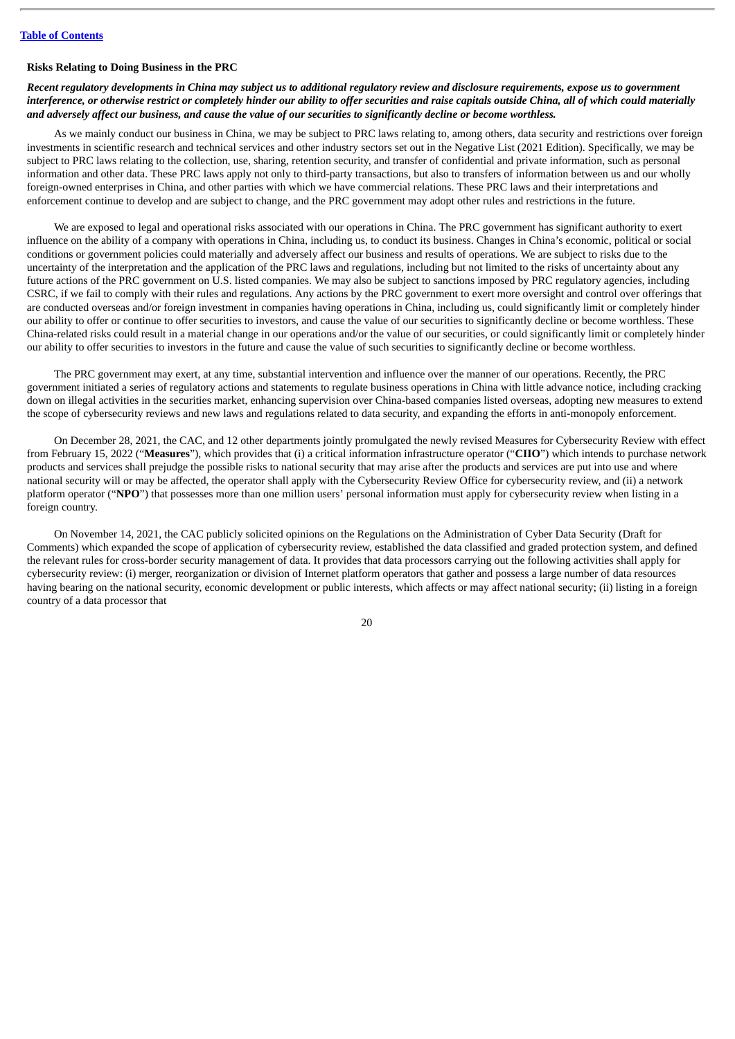#### **Risks Relating to Doing Business in the PRC**

Recent reaulatory developments in China may subiect us to additional reaulatory review and disclosure reauirements, expose us to aovernment interference, or otherwise restrict or completely hinder our ability to offer securities and raise capitals outside China, all of which could materially and adversely affect our business, and cause the value of our securities to significantly decline or become worthless.

As we mainly conduct our business in China, we may be subject to PRC laws relating to, among others, data security and restrictions over foreign investments in scientific research and technical services and other industry sectors set out in the Negative List (2021 Edition). Specifically, we may be subject to PRC laws relating to the collection, use, sharing, retention security, and transfer of confidential and private information, such as personal information and other data. These PRC laws apply not only to third-party transactions, but also to transfers of information between us and our wholly foreign-owned enterprises in China, and other parties with which we have commercial relations. These PRC laws and their interpretations and enforcement continue to develop and are subject to change, and the PRC government may adopt other rules and restrictions in the future.

We are exposed to legal and operational risks associated with our operations in China. The PRC government has significant authority to exert influence on the ability of a company with operations in China, including us, to conduct its business. Changes in China's economic, political or social conditions or government policies could materially and adversely affect our business and results of operations. We are subject to risks due to the uncertainty of the interpretation and the application of the PRC laws and regulations, including but not limited to the risks of uncertainty about any future actions of the PRC government on U.S. listed companies. We may also be subject to sanctions imposed by PRC regulatory agencies, including CSRC, if we fail to comply with their rules and regulations. Any actions by the PRC government to exert more oversight and control over offerings that are conducted overseas and/or foreign investment in companies having operations in China, including us, could significantly limit or completely hinder our ability to offer or continue to offer securities to investors, and cause the value of our securities to significantly decline or become worthless. These China-related risks could result in a material change in our operations and/or the value of our securities, or could significantly limit or completely hinder our ability to offer securities to investors in the future and cause the value of such securities to significantly decline or become worthless.

The PRC government may exert, at any time, substantial intervention and influence over the manner of our operations. Recently, the PRC government initiated a series of regulatory actions and statements to regulate business operations in China with little advance notice, including cracking down on illegal activities in the securities market, enhancing supervision over China-based companies listed overseas, adopting new measures to extend the scope of cybersecurity reviews and new laws and regulations related to data security, and expanding the efforts in anti-monopoly enforcement.

On December 28, 2021, the CAC, and 12 other departments jointly promulgated the newly revised Measures for Cybersecurity Review with effect from February 15, 2022 ("**Measures**"), which provides that (i) a critical information infrastructure operator ("**CIIO**") which intends to purchase network products and services shall prejudge the possible risks to national security that may arise after the products and services are put into use and where national security will or may be affected, the operator shall apply with the Cybersecurity Review Office for cybersecurity review, and (ii) a network platform operator ("**NPO**") that possesses more than one million users' personal information must apply for cybersecurity review when listing in a foreign country.

On November 14, 2021, the CAC publicly solicited opinions on the Regulations on the Administration of Cyber Data Security (Draft for Comments) which expanded the scope of application of cybersecurity review, established the data classified and graded protection system, and defined the relevant rules for cross-border security management of data. It provides that data processors carrying out the following activities shall apply for cybersecurity review: (i) merger, reorganization or division of Internet platform operators that gather and possess a large number of data resources having bearing on the national security, economic development or public interests, which affects or may affect national security; (ii) listing in a foreign country of a data processor that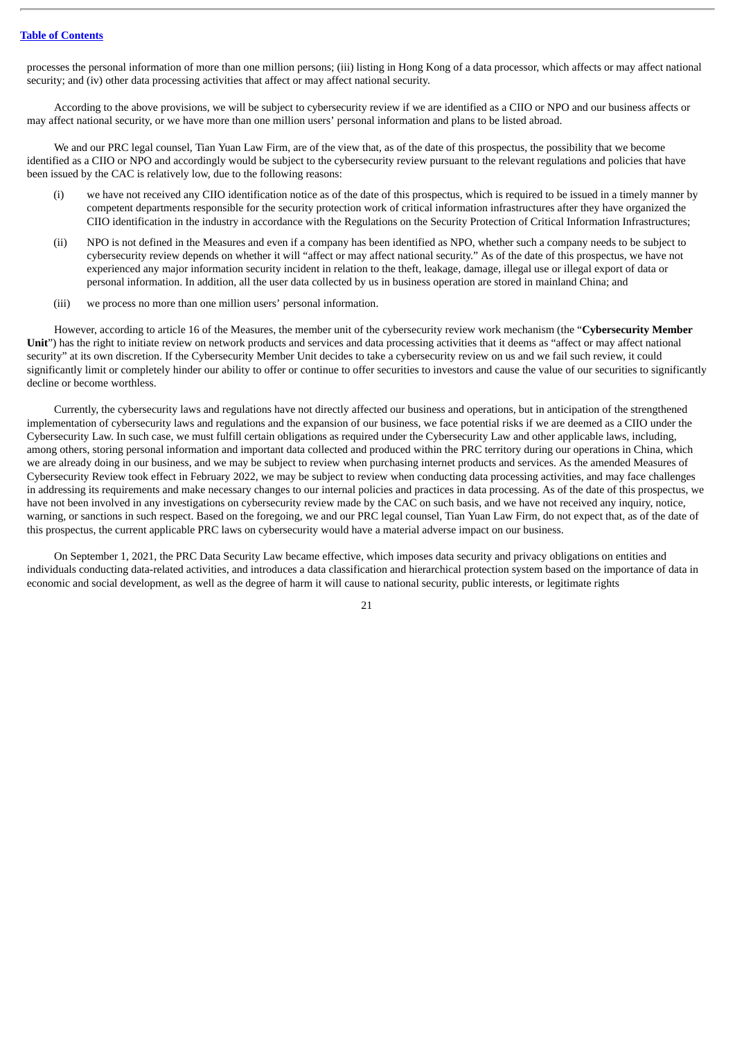processes the personal information of more than one million persons; (iii) listing in Hong Kong of a data processor, which affects or may affect national security; and (iv) other data processing activities that affect or may affect national security.

According to the above provisions, we will be subject to cybersecurity review if we are identified as a CIIO or NPO and our business affects or may affect national security, or we have more than one million users' personal information and plans to be listed abroad.

We and our PRC legal counsel, Tian Yuan Law Firm, are of the view that, as of the date of this prospectus, the possibility that we become identified as a CIIO or NPO and accordingly would be subject to the cybersecurity review pursuant to the relevant regulations and policies that have been issued by the CAC is relatively low, due to the following reasons:

- (i) we have not received any CIIO identification notice as of the date of this prospectus, which is required to be issued in a timely manner by competent departments responsible for the security protection work of critical information infrastructures after they have organized the CIIO identification in the industry in accordance with the Regulations on the Security Protection of Critical Information Infrastructures;
- (ii) NPO is not defined in the Measures and even if a company has been identified as NPO, whether such a company needs to be subject to cybersecurity review depends on whether it will "affect or may affect national security." As of the date of this prospectus, we have not experienced any major information security incident in relation to the theft, leakage, damage, illegal use or illegal export of data or personal information. In addition, all the user data collected by us in business operation are stored in mainland China; and
- (iii) we process no more than one million users' personal information.

However, according to article 16 of the Measures, the member unit of the cybersecurity review work mechanism (the "**Cybersecurity Member Unit**") has the right to initiate review on network products and services and data processing activities that it deems as "affect or may affect national security" at its own discretion. If the Cybersecurity Member Unit decides to take a cybersecurity review on us and we fail such review, it could significantly limit or completely hinder our ability to offer or continue to offer securities to investors and cause the value of our securities to significantly decline or become worthless.

Currently, the cybersecurity laws and regulations have not directly affected our business and operations, but in anticipation of the strengthened implementation of cybersecurity laws and regulations and the expansion of our business, we face potential risks if we are deemed as a CIIO under the Cybersecurity Law. In such case, we must fulfill certain obligations as required under the Cybersecurity Law and other applicable laws, including, among others, storing personal information and important data collected and produced within the PRC territory during our operations in China, which we are already doing in our business, and we may be subject to review when purchasing internet products and services. As the amended Measures of Cybersecurity Review took effect in February 2022, we may be subject to review when conducting data processing activities, and may face challenges in addressing its requirements and make necessary changes to our internal policies and practices in data processing. As of the date of this prospectus, we have not been involved in any investigations on cybersecurity review made by the CAC on such basis, and we have not received any inquiry, notice, warning, or sanctions in such respect. Based on the foregoing, we and our PRC legal counsel, Tian Yuan Law Firm, do not expect that, as of the date of this prospectus, the current applicable PRC laws on cybersecurity would have a material adverse impact on our business.

On September 1, 2021, the PRC Data Security Law became effective, which imposes data security and privacy obligations on entities and individuals conducting data-related activities, and introduces a data classification and hierarchical protection system based on the importance of data in economic and social development, as well as the degree of harm it will cause to national security, public interests, or legitimate rights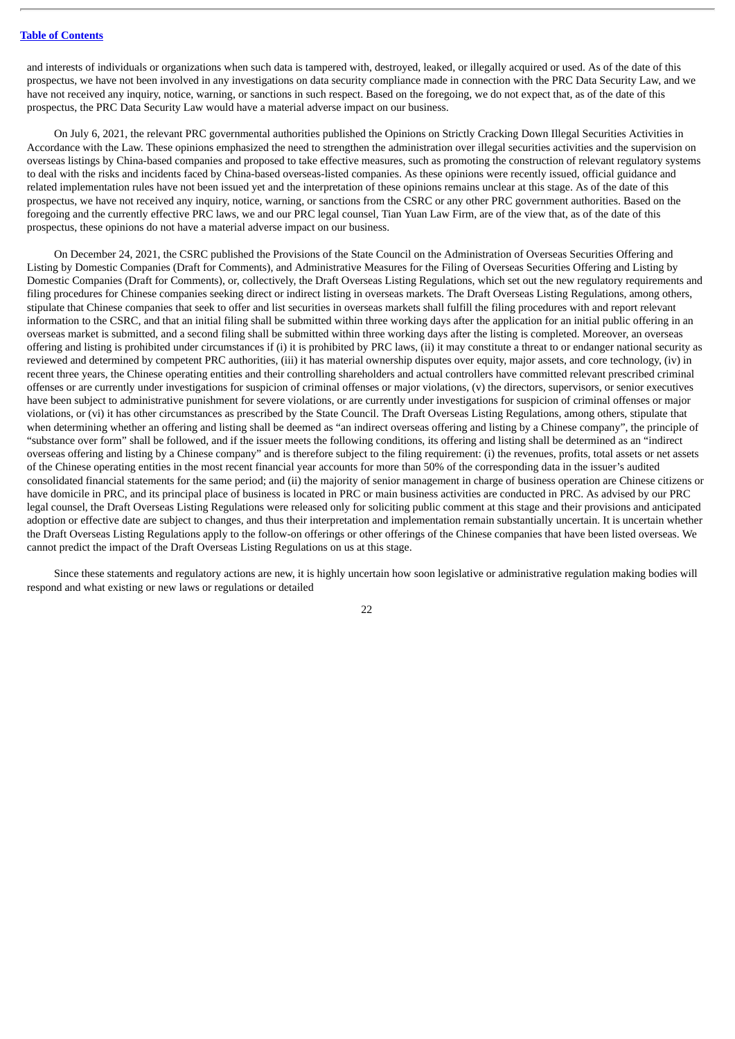and interests of individuals or organizations when such data is tampered with, destroyed, leaked, or illegally acquired or used. As of the date of this prospectus, we have not been involved in any investigations on data security compliance made in connection with the PRC Data Security Law, and we have not received any inquiry, notice, warning, or sanctions in such respect. Based on the foregoing, we do not expect that, as of the date of this prospectus, the PRC Data Security Law would have a material adverse impact on our business.

On July 6, 2021, the relevant PRC governmental authorities published the Opinions on Strictly Cracking Down Illegal Securities Activities in Accordance with the Law. These opinions emphasized the need to strengthen the administration over illegal securities activities and the supervision on overseas listings by China-based companies and proposed to take effective measures, such as promoting the construction of relevant regulatory systems to deal with the risks and incidents faced by China-based overseas-listed companies. As these opinions were recently issued, official guidance and related implementation rules have not been issued yet and the interpretation of these opinions remains unclear at this stage. As of the date of this prospectus, we have not received any inquiry, notice, warning, or sanctions from the CSRC or any other PRC government authorities. Based on the foregoing and the currently effective PRC laws, we and our PRC legal counsel, Tian Yuan Law Firm, are of the view that, as of the date of this prospectus, these opinions do not have a material adverse impact on our business.

On December 24, 2021, the CSRC published the Provisions of the State Council on the Administration of Overseas Securities Offering and Listing by Domestic Companies (Draft for Comments), and Administrative Measures for the Filing of Overseas Securities Offering and Listing by Domestic Companies (Draft for Comments), or, collectively, the Draft Overseas Listing Regulations, which set out the new regulatory requirements and filing procedures for Chinese companies seeking direct or indirect listing in overseas markets. The Draft Overseas Listing Regulations, among others, stipulate that Chinese companies that seek to offer and list securities in overseas markets shall fulfill the filing procedures with and report relevant information to the CSRC, and that an initial filing shall be submitted within three working days after the application for an initial public offering in an overseas market is submitted, and a second filing shall be submitted within three working days after the listing is completed. Moreover, an overseas offering and listing is prohibited under circumstances if (i) it is prohibited by PRC laws, (ii) it may constitute a threat to or endanger national security as reviewed and determined by competent PRC authorities, (iii) it has material ownership disputes over equity, major assets, and core technology, (iv) in recent three years, the Chinese operating entities and their controlling shareholders and actual controllers have committed relevant prescribed criminal offenses or are currently under investigations for suspicion of criminal offenses or major violations, (v) the directors, supervisors, or senior executives have been subject to administrative punishment for severe violations, or are currently under investigations for suspicion of criminal offenses or major violations, or (vi) it has other circumstances as prescribed by the State Council. The Draft Overseas Listing Regulations, among others, stipulate that when determining whether an offering and listing shall be deemed as "an indirect overseas offering and listing by a Chinese company", the principle of "substance over form" shall be followed, and if the issuer meets the following conditions, its offering and listing shall be determined as an "indirect overseas offering and listing by a Chinese company" and is therefore subject to the filing requirement: (i) the revenues, profits, total assets or net assets of the Chinese operating entities in the most recent financial year accounts for more than 50% of the corresponding data in the issuer's audited consolidated financial statements for the same period; and (ii) the majority of senior management in charge of business operation are Chinese citizens or have domicile in PRC, and its principal place of business is located in PRC or main business activities are conducted in PRC. As advised by our PRC legal counsel, the Draft Overseas Listing Regulations were released only for soliciting public comment at this stage and their provisions and anticipated adoption or effective date are subject to changes, and thus their interpretation and implementation remain substantially uncertain. It is uncertain whether the Draft Overseas Listing Regulations apply to the follow-on offerings or other offerings of the Chinese companies that have been listed overseas. We cannot predict the impact of the Draft Overseas Listing Regulations on us at this stage.

Since these statements and regulatory actions are new, it is highly uncertain how soon legislative or administrative regulation making bodies will respond and what existing or new laws or regulations or detailed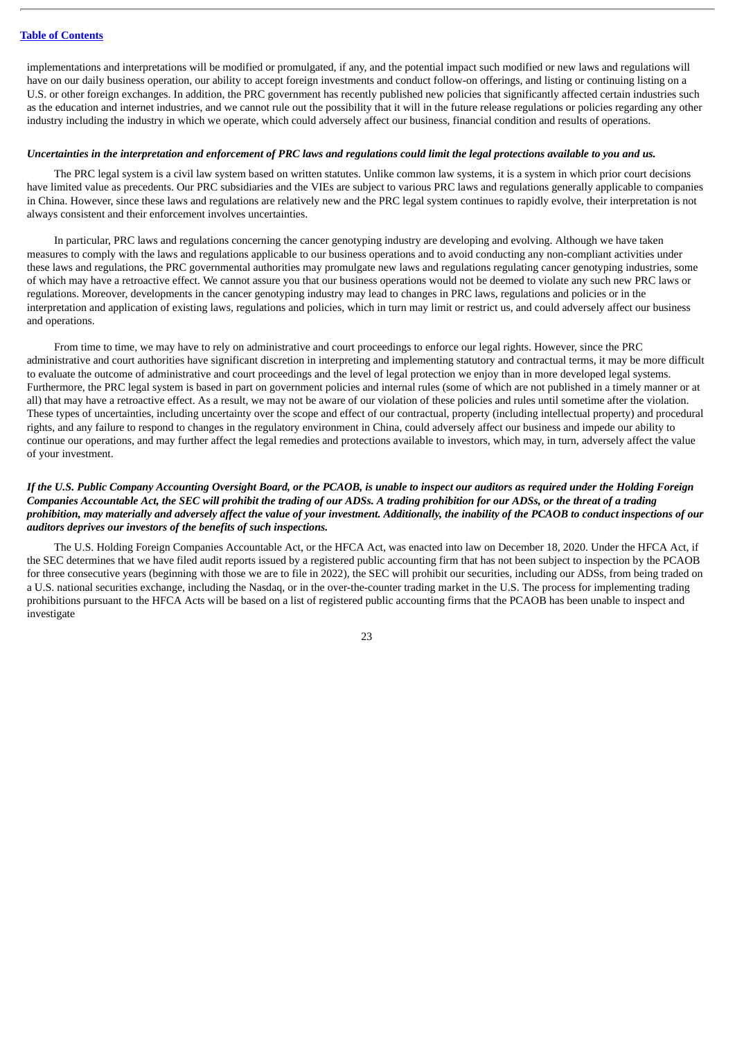implementations and interpretations will be modified or promulgated, if any, and the potential impact such modified or new laws and regulations will have on our daily business operation, our ability to accept foreign investments and conduct follow-on offerings, and listing or continuing listing on a U.S. or other foreign exchanges. In addition, the PRC government has recently published new policies that significantly affected certain industries such as the education and internet industries, and we cannot rule out the possibility that it will in the future release regulations or policies regarding any other industry including the industry in which we operate, which could adversely affect our business, financial condition and results of operations.

#### Uncertainties in the interpretation and enforcement of PRC laws and regulations could limit the legal protections available to you and us.

The PRC legal system is a civil law system based on written statutes. Unlike common law systems, it is a system in which prior court decisions have limited value as precedents. Our PRC subsidiaries and the VIEs are subject to various PRC laws and regulations generally applicable to companies in China. However, since these laws and regulations are relatively new and the PRC legal system continues to rapidly evolve, their interpretation is not always consistent and their enforcement involves uncertainties.

In particular, PRC laws and regulations concerning the cancer genotyping industry are developing and evolving. Although we have taken measures to comply with the laws and regulations applicable to our business operations and to avoid conducting any non-compliant activities under these laws and regulations, the PRC governmental authorities may promulgate new laws and regulations regulating cancer genotyping industries, some of which may have a retroactive effect. We cannot assure you that our business operations would not be deemed to violate any such new PRC laws or regulations. Moreover, developments in the cancer genotyping industry may lead to changes in PRC laws, regulations and policies or in the interpretation and application of existing laws, regulations and policies, which in turn may limit or restrict us, and could adversely affect our business and operations.

From time to time, we may have to rely on administrative and court proceedings to enforce our legal rights. However, since the PRC administrative and court authorities have significant discretion in interpreting and implementing statutory and contractual terms, it may be more difficult to evaluate the outcome of administrative and court proceedings and the level of legal protection we enjoy than in more developed legal systems. Furthermore, the PRC legal system is based in part on government policies and internal rules (some of which are not published in a timely manner or at all) that may have a retroactive effect. As a result, we may not be aware of our violation of these policies and rules until sometime after the violation. These types of uncertainties, including uncertainty over the scope and effect of our contractual, property (including intellectual property) and procedural rights, and any failure to respond to changes in the regulatory environment in China, could adversely affect our business and impede our ability to continue our operations, and may further affect the legal remedies and protections available to investors, which may, in turn, adversely affect the value of your investment.

## If the U.S. Public Company Accounting Oversight Board, or the PCAOB, is unable to inspect our auditors as required under the Holding Foreign Companies Accountable Act, the SEC will prohibit the trading of our ADSs. A trading prohibition for our ADSs, or the threat of a trading prohibition, may materially and adversely affect the value of your investment. Additionally, the inability of the PCAOB to conduct inspections of our *auditors deprives our investors of the benefits of such inspections.*

The U.S. Holding Foreign Companies Accountable Act, or the HFCA Act, was enacted into law on December 18, 2020. Under the HFCA Act, if the SEC determines that we have filed audit reports issued by a registered public accounting firm that has not been subject to inspection by the PCAOB for three consecutive years (beginning with those we are to file in 2022), the SEC will prohibit our securities, including our ADSs, from being traded on a U.S. national securities exchange, including the Nasdaq, or in the over-the-counter trading market in the U.S. The process for implementing trading prohibitions pursuant to the HFCA Acts will be based on a list of registered public accounting firms that the PCAOB has been unable to inspect and investigate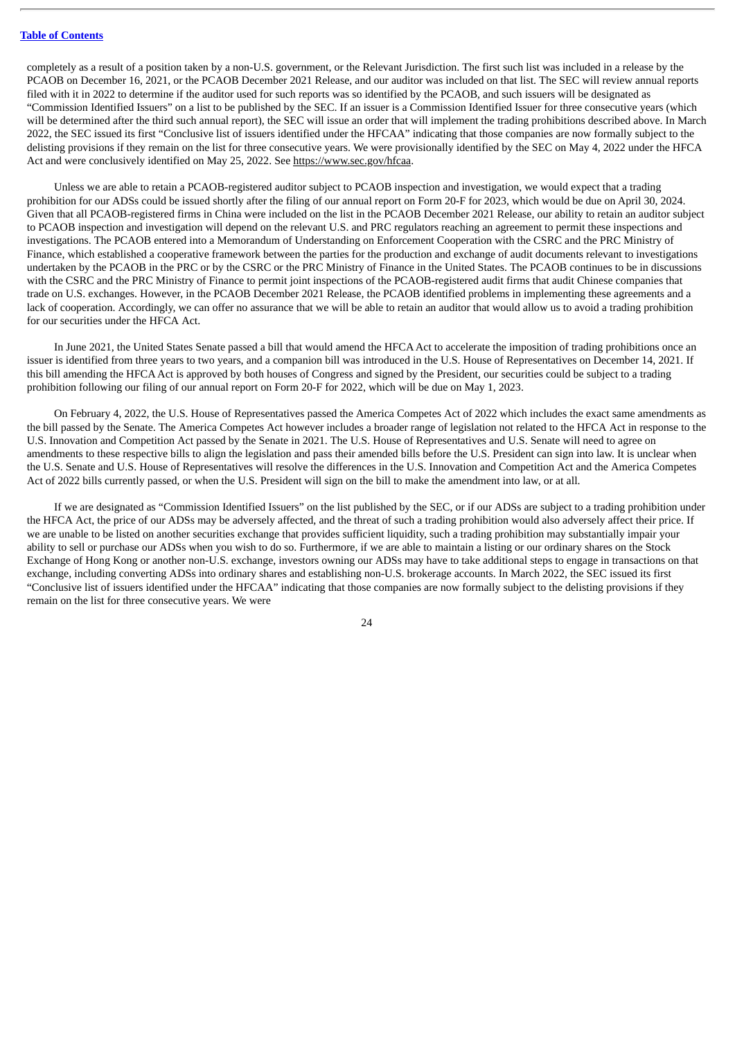completely as a result of a position taken by a non-U.S. government, or the Relevant Jurisdiction. The first such list was included in a release by the PCAOB on December 16, 2021, or the PCAOB December 2021 Release, and our auditor was included on that list. The SEC will review annual reports filed with it in 2022 to determine if the auditor used for such reports was so identified by the PCAOB, and such issuers will be designated as "Commission Identified Issuers" on a list to be published by the SEC. If an issuer is a Commission Identified Issuer for three consecutive years (which will be determined after the third such annual report), the SEC will issue an order that will implement the trading prohibitions described above. In March 2022, the SEC issued its first "Conclusive list of issuers identified under the HFCAA" indicating that those companies are now formally subject to the delisting provisions if they remain on the list for three consecutive years. We were provisionally identified by the SEC on May 4, 2022 under the HFCA Act and were conclusively identified on May 25, 2022. See https://www.sec.gov/hfcaa.

Unless we are able to retain a PCAOB-registered auditor subject to PCAOB inspection and investigation, we would expect that a trading prohibition for our ADSs could be issued shortly after the filing of our annual report on Form 20-F for 2023, which would be due on April 30, 2024. Given that all PCAOB-registered firms in China were included on the list in the PCAOB December 2021 Release, our ability to retain an auditor subject to PCAOB inspection and investigation will depend on the relevant U.S. and PRC regulators reaching an agreement to permit these inspections and investigations. The PCAOB entered into a Memorandum of Understanding on Enforcement Cooperation with the CSRC and the PRC Ministry of Finance, which established a cooperative framework between the parties for the production and exchange of audit documents relevant to investigations undertaken by the PCAOB in the PRC or by the CSRC or the PRC Ministry of Finance in the United States. The PCAOB continues to be in discussions with the CSRC and the PRC Ministry of Finance to permit joint inspections of the PCAOB-registered audit firms that audit Chinese companies that trade on U.S. exchanges. However, in the PCAOB December 2021 Release, the PCAOB identified problems in implementing these agreements and a lack of cooperation. Accordingly, we can offer no assurance that we will be able to retain an auditor that would allow us to avoid a trading prohibition for our securities under the HFCA Act.

In June 2021, the United States Senate passed a bill that would amend the HFCAAct to accelerate the imposition of trading prohibitions once an issuer is identified from three years to two years, and a companion bill was introduced in the U.S. House of Representatives on December 14, 2021. If this bill amending the HFCAAct is approved by both houses of Congress and signed by the President, our securities could be subject to a trading prohibition following our filing of our annual report on Form 20-F for 2022, which will be due on May 1, 2023.

On February 4, 2022, the U.S. House of Representatives passed the America Competes Act of 2022 which includes the exact same amendments as the bill passed by the Senate. The America Competes Act however includes a broader range of legislation not related to the HFCA Act in response to the U.S. Innovation and Competition Act passed by the Senate in 2021. The U.S. House of Representatives and U.S. Senate will need to agree on amendments to these respective bills to align the legislation and pass their amended bills before the U.S. President can sign into law. It is unclear when the U.S. Senate and U.S. House of Representatives will resolve the differences in the U.S. Innovation and Competition Act and the America Competes Act of 2022 bills currently passed, or when the U.S. President will sign on the bill to make the amendment into law, or at all.

If we are designated as "Commission Identified Issuers" on the list published by the SEC, or if our ADSs are subject to a trading prohibition under the HFCA Act, the price of our ADSs may be adversely affected, and the threat of such a trading prohibition would also adversely affect their price. If we are unable to be listed on another securities exchange that provides sufficient liquidity, such a trading prohibition may substantially impair your ability to sell or purchase our ADSs when you wish to do so. Furthermore, if we are able to maintain a listing or our ordinary shares on the Stock Exchange of Hong Kong or another non-U.S. exchange, investors owning our ADSs may have to take additional steps to engage in transactions on that exchange, including converting ADSs into ordinary shares and establishing non-U.S. brokerage accounts. In March 2022, the SEC issued its first "Conclusive list of issuers identified under the HFCAA" indicating that those companies are now formally subject to the delisting provisions if they remain on the list for three consecutive years. We were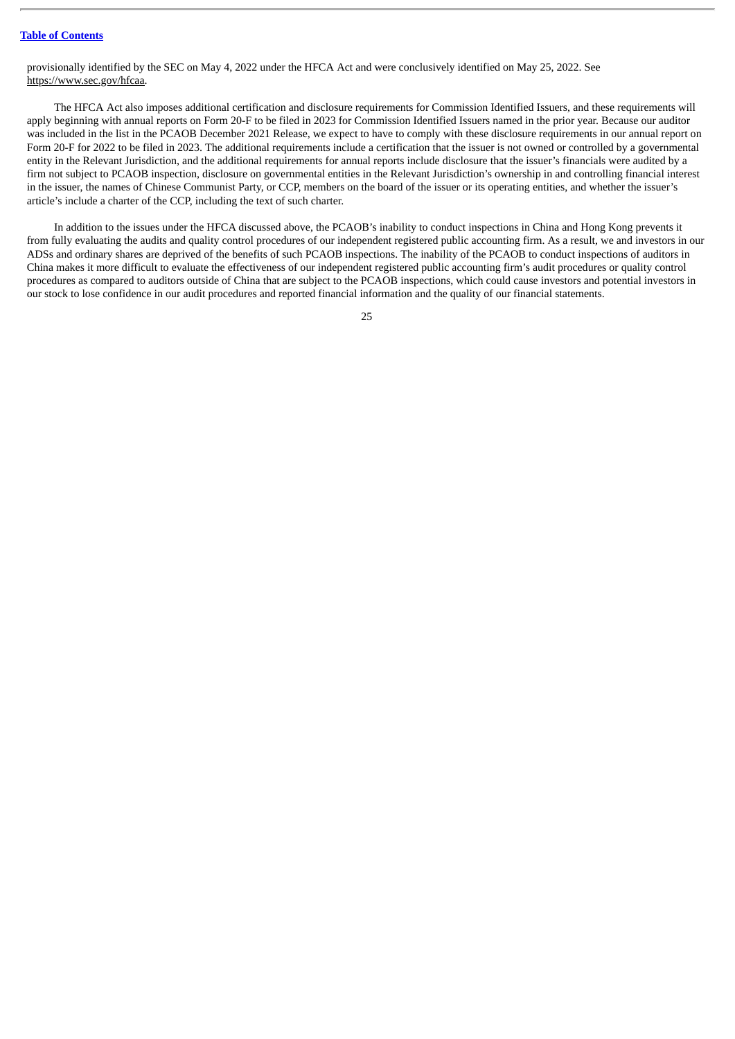provisionally identified by the SEC on May 4, 2022 under the HFCA Act and were conclusively identified on May 25, 2022. See https://www.sec.gov/hfcaa.

The HFCA Act also imposes additional certification and disclosure requirements for Commission Identified Issuers, and these requirements will apply beginning with annual reports on Form 20-F to be filed in 2023 for Commission Identified Issuers named in the prior year. Because our auditor was included in the list in the PCAOB December 2021 Release, we expect to have to comply with these disclosure requirements in our annual report on Form 20-F for 2022 to be filed in 2023. The additional requirements include a certification that the issuer is not owned or controlled by a governmental entity in the Relevant Jurisdiction, and the additional requirements for annual reports include disclosure that the issuer's financials were audited by a firm not subject to PCAOB inspection, disclosure on governmental entities in the Relevant Jurisdiction's ownership in and controlling financial interest in the issuer, the names of Chinese Communist Party, or CCP, members on the board of the issuer or its operating entities, and whether the issuer's article's include a charter of the CCP, including the text of such charter.

In addition to the issues under the HFCA discussed above, the PCAOB's inability to conduct inspections in China and Hong Kong prevents it from fully evaluating the audits and quality control procedures of our independent registered public accounting firm. As a result, we and investors in our ADSs and ordinary shares are deprived of the benefits of such PCAOB inspections. The inability of the PCAOB to conduct inspections of auditors in China makes it more difficult to evaluate the effectiveness of our independent registered public accounting firm's audit procedures or quality control procedures as compared to auditors outside of China that are subject to the PCAOB inspections, which could cause investors and potential investors in our stock to lose confidence in our audit procedures and reported financial information and the quality of our financial statements.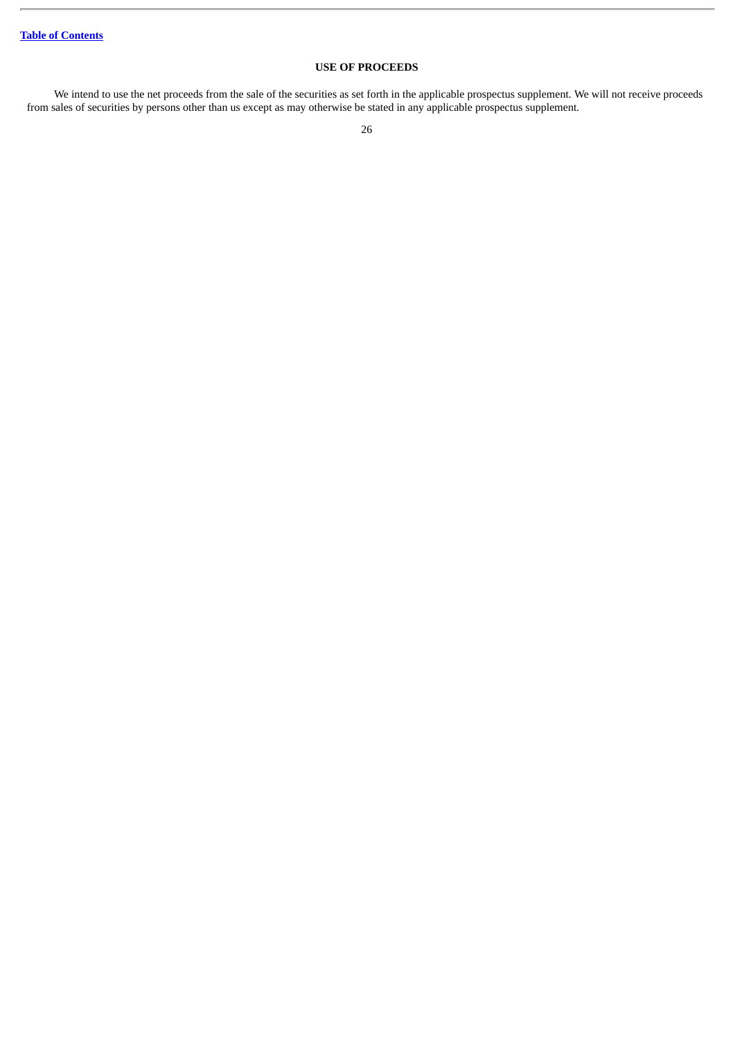## **USE OF PROCEEDS**

<span id="page-30-0"></span>We intend to use the net proceeds from the sale of the securities as set forth in the applicable prospectus supplement. We will not receive proceeds from sales of securities by persons other than us except as may otherwise be stated in any applicable prospectus supplement.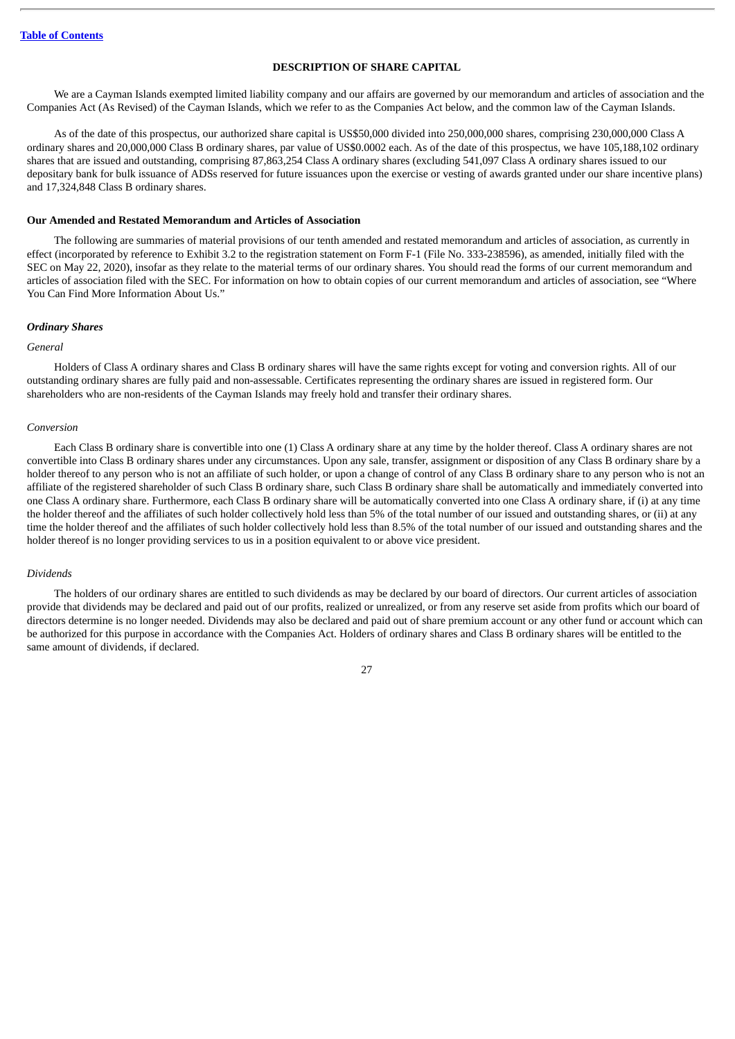#### **DESCRIPTION OF SHARE CAPITAL**

<span id="page-31-0"></span>We are a Cayman Islands exempted limited liability company and our affairs are governed by our memorandum and articles of association and the Companies Act (As Revised) of the Cayman Islands, which we refer to as the Companies Act below, and the common law of the Cayman Islands.

As of the date of this prospectus, our authorized share capital is US\$50,000 divided into 250,000,000 shares, comprising 230,000,000 Class A ordinary shares and 20,000,000 Class B ordinary shares, par value of US\$0.0002 each. As of the date of this prospectus, we have 105,188,102 ordinary shares that are issued and outstanding, comprising 87,863,254 Class A ordinary shares (excluding 541,097 Class A ordinary shares issued to our depositary bank for bulk issuance of ADSs reserved for future issuances upon the exercise or vesting of awards granted under our share incentive plans) and 17,324,848 Class B ordinary shares.

#### **Our Amended and Restated Memorandum and Articles of Association**

The following are summaries of material provisions of our tenth amended and restated memorandum and articles of association, as currently in effect (incorporated by reference to Exhibit 3.2 to the registration statement on Form F-1 (File No. 333-238596), as amended, initially filed with the SEC on May 22, 2020), insofar as they relate to the material terms of our ordinary shares. You should read the forms of our current memorandum and articles of association filed with the SEC. For information on how to obtain copies of our current memorandum and articles of association, see "Where You Can Find More Information About Us."

#### *Ordinary Shares*

#### *General*

Holders of Class A ordinary shares and Class B ordinary shares will have the same rights except for voting and conversion rights. All of our outstanding ordinary shares are fully paid and non-assessable. Certificates representing the ordinary shares are issued in registered form. Our shareholders who are non-residents of the Cayman Islands may freely hold and transfer their ordinary shares.

#### *Conversion*

Each Class B ordinary share is convertible into one (1) Class A ordinary share at any time by the holder thereof. Class A ordinary shares are not convertible into Class B ordinary shares under any circumstances. Upon any sale, transfer, assignment or disposition of any Class B ordinary share by a holder thereof to any person who is not an affiliate of such holder, or upon a change of control of any Class B ordinary share to any person who is not an affiliate of the registered shareholder of such Class B ordinary share, such Class B ordinary share shall be automatically and immediately converted into one Class A ordinary share. Furthermore, each Class B ordinary share will be automatically converted into one Class A ordinary share, if (i) at any time the holder thereof and the affiliates of such holder collectively hold less than 5% of the total number of our issued and outstanding shares, or (ii) at any time the holder thereof and the affiliates of such holder collectively hold less than 8.5% of the total number of our issued and outstanding shares and the holder thereof is no longer providing services to us in a position equivalent to or above vice president.

#### *Dividends*

The holders of our ordinary shares are entitled to such dividends as may be declared by our board of directors. Our current articles of association provide that dividends may be declared and paid out of our profits, realized or unrealized, or from any reserve set aside from profits which our board of directors determine is no longer needed. Dividends may also be declared and paid out of share premium account or any other fund or account which can be authorized for this purpose in accordance with the Companies Act. Holders of ordinary shares and Class B ordinary shares will be entitled to the same amount of dividends, if declared.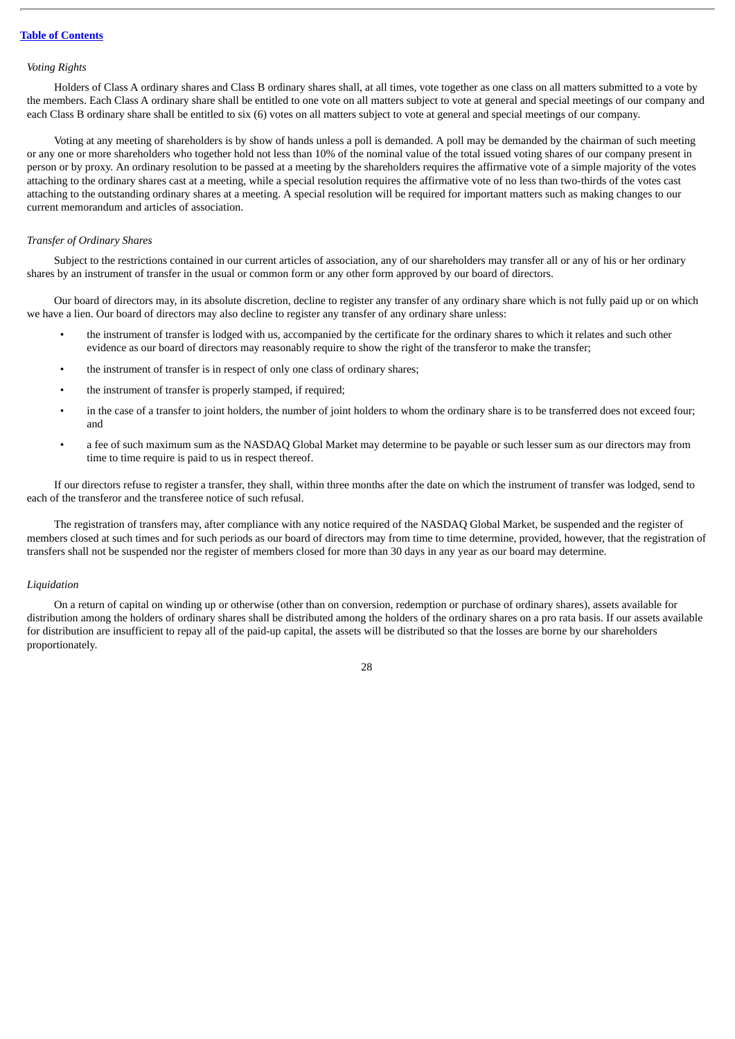#### *Voting Rights*

Holders of Class A ordinary shares and Class B ordinary shares shall, at all times, vote together as one class on all matters submitted to a vote by the members. Each Class A ordinary share shall be entitled to one vote on all matters subject to vote at general and special meetings of our company and each Class B ordinary share shall be entitled to six (6) votes on all matters subject to vote at general and special meetings of our company.

Voting at any meeting of shareholders is by show of hands unless a poll is demanded. A poll may be demanded by the chairman of such meeting or any one or more shareholders who together hold not less than 10% of the nominal value of the total issued voting shares of our company present in person or by proxy. An ordinary resolution to be passed at a meeting by the shareholders requires the affirmative vote of a simple majority of the votes attaching to the ordinary shares cast at a meeting, while a special resolution requires the affirmative vote of no less than two-thirds of the votes cast attaching to the outstanding ordinary shares at a meeting. A special resolution will be required for important matters such as making changes to our current memorandum and articles of association.

#### *Transfer of Ordinary Shares*

Subject to the restrictions contained in our current articles of association, any of our shareholders may transfer all or any of his or her ordinary shares by an instrument of transfer in the usual or common form or any other form approved by our board of directors.

Our board of directors may, in its absolute discretion, decline to register any transfer of any ordinary share which is not fully paid up or on which we have a lien. Our board of directors may also decline to register any transfer of any ordinary share unless:

- the instrument of transfer is lodged with us, accompanied by the certificate for the ordinary shares to which it relates and such other evidence as our board of directors may reasonably require to show the right of the transferor to make the transfer;
- the instrument of transfer is in respect of only one class of ordinary shares;
- the instrument of transfer is properly stamped, if required;
- in the case of a transfer to joint holders, the number of joint holders to whom the ordinary share is to be transferred does not exceed four; and
- a fee of such maximum sum as the NASDAQ Global Market may determine to be payable or such lesser sum as our directors may from time to time require is paid to us in respect thereof.

If our directors refuse to register a transfer, they shall, within three months after the date on which the instrument of transfer was lodged, send to each of the transferor and the transferee notice of such refusal.

The registration of transfers may, after compliance with any notice required of the NASDAQ Global Market, be suspended and the register of members closed at such times and for such periods as our board of directors may from time to time determine, provided, however, that the registration of transfers shall not be suspended nor the register of members closed for more than 30 days in any year as our board may determine.

#### *Liquidation*

On a return of capital on winding up or otherwise (other than on conversion, redemption or purchase of ordinary shares), assets available for distribution among the holders of ordinary shares shall be distributed among the holders of the ordinary shares on a pro rata basis. If our assets available for distribution are insufficient to repay all of the paid-up capital, the assets will be distributed so that the losses are borne by our shareholders proportionately.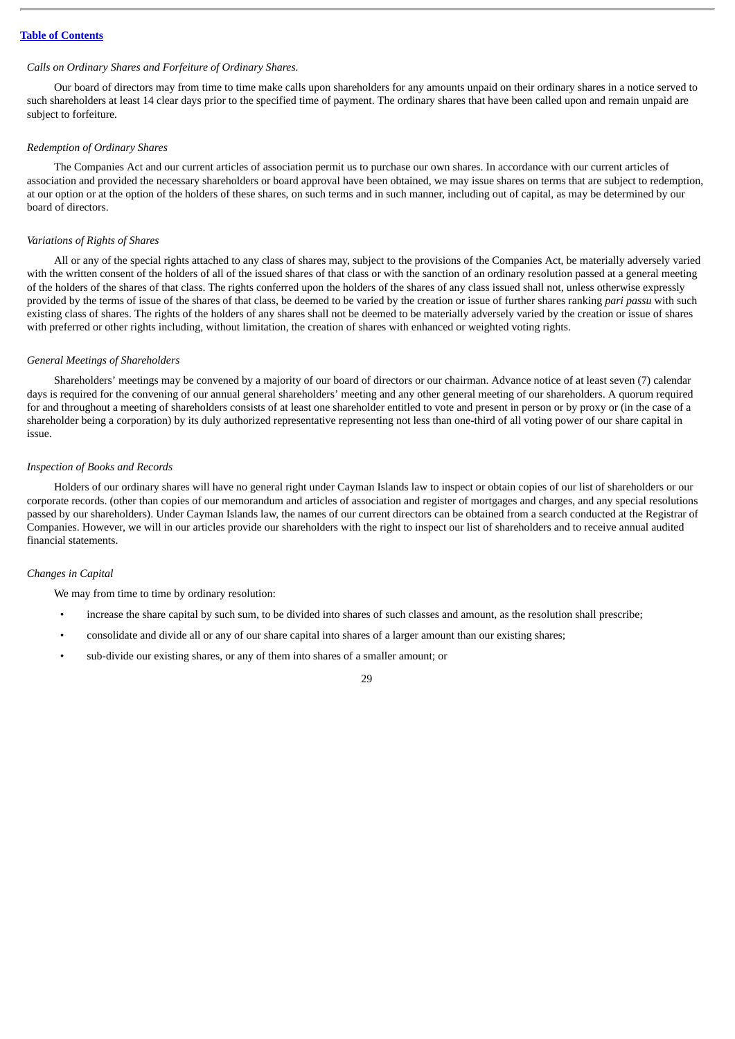#### *Calls on Ordinary Shares and Forfeiture of Ordinary Shares.*

Our board of directors may from time to time make calls upon shareholders for any amounts unpaid on their ordinary shares in a notice served to such shareholders at least 14 clear days prior to the specified time of payment. The ordinary shares that have been called upon and remain unpaid are subject to forfeiture.

#### *Redemption of Ordinary Shares*

The Companies Act and our current articles of association permit us to purchase our own shares. In accordance with our current articles of association and provided the necessary shareholders or board approval have been obtained, we may issue shares on terms that are subject to redemption, at our option or at the option of the holders of these shares, on such terms and in such manner, including out of capital, as may be determined by our board of directors.

#### *Variations of Rights of Shares*

All or any of the special rights attached to any class of shares may, subject to the provisions of the Companies Act, be materially adversely varied with the written consent of the holders of all of the issued shares of that class or with the sanction of an ordinary resolution passed at a general meeting of the holders of the shares of that class. The rights conferred upon the holders of the shares of any class issued shall not, unless otherwise expressly provided by the terms of issue of the shares of that class, be deemed to be varied by the creation or issue of further shares ranking *pari passu* with such existing class of shares. The rights of the holders of any shares shall not be deemed to be materially adversely varied by the creation or issue of shares with preferred or other rights including, without limitation, the creation of shares with enhanced or weighted voting rights.

#### *General Meetings of Shareholders*

Shareholders' meetings may be convened by a majority of our board of directors or our chairman. Advance notice of at least seven (7) calendar days is required for the convening of our annual general shareholders' meeting and any other general meeting of our shareholders. A quorum required for and throughout a meeting of shareholders consists of at least one shareholder entitled to vote and present in person or by proxy or (in the case of a shareholder being a corporation) by its duly authorized representative representing not less than one-third of all voting power of our share capital in issue.

#### *Inspection of Books and Records*

Holders of our ordinary shares will have no general right under Cayman Islands law to inspect or obtain copies of our list of shareholders or our corporate records. (other than copies of our memorandum and articles of association and register of mortgages and charges, and any special resolutions passed by our shareholders). Under Cayman Islands law, the names of our current directors can be obtained from a search conducted at the Registrar of Companies. However, we will in our articles provide our shareholders with the right to inspect our list of shareholders and to receive annual audited financial statements.

#### *Changes in Capital*

We may from time to time by ordinary resolution:

- increase the share capital by such sum, to be divided into shares of such classes and amount, as the resolution shall prescribe;
- consolidate and divide all or any of our share capital into shares of a larger amount than our existing shares;
- sub-divide our existing shares, or any of them into shares of a smaller amount; or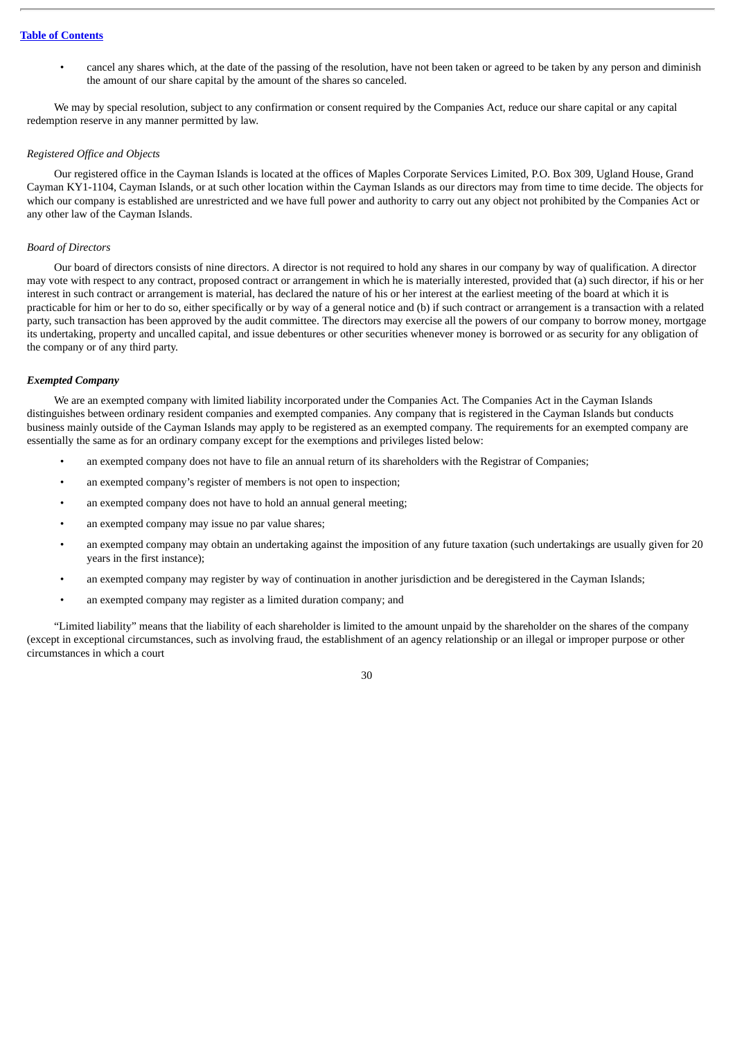• cancel any shares which, at the date of the passing of the resolution, have not been taken or agreed to be taken by any person and diminish the amount of our share capital by the amount of the shares so canceled.

We may by special resolution, subject to any confirmation or consent required by the Companies Act, reduce our share capital or any capital redemption reserve in any manner permitted by law.

## *Registered Office and Objects*

Our registered office in the Cayman Islands is located at the offices of Maples Corporate Services Limited, P.O. Box 309, Ugland House, Grand Cayman KY1-1104, Cayman Islands, or at such other location within the Cayman Islands as our directors may from time to time decide. The objects for which our company is established are unrestricted and we have full power and authority to carry out any object not prohibited by the Companies Act or any other law of the Cayman Islands.

#### *Board of Directors*

Our board of directors consists of nine directors. A director is not required to hold any shares in our company by way of qualification. A director may vote with respect to any contract, proposed contract or arrangement in which he is materially interested, provided that (a) such director, if his or her interest in such contract or arrangement is material, has declared the nature of his or her interest at the earliest meeting of the board at which it is practicable for him or her to do so, either specifically or by way of a general notice and (b) if such contract or arrangement is a transaction with a related party, such transaction has been approved by the audit committee. The directors may exercise all the powers of our company to borrow money, mortgage its undertaking, property and uncalled capital, and issue debentures or other securities whenever money is borrowed or as security for any obligation of the company or of any third party.

#### *Exempted Company*

We are an exempted company with limited liability incorporated under the Companies Act. The Companies Act in the Cayman Islands distinguishes between ordinary resident companies and exempted companies. Any company that is registered in the Cayman Islands but conducts business mainly outside of the Cayman Islands may apply to be registered as an exempted company. The requirements for an exempted company are essentially the same as for an ordinary company except for the exemptions and privileges listed below:

- an exempted company does not have to file an annual return of its shareholders with the Registrar of Companies;
- an exempted company's register of members is not open to inspection;
- an exempted company does not have to hold an annual general meeting;
- an exempted company may issue no par value shares:
- an exempted company may obtain an undertaking against the imposition of any future taxation (such undertakings are usually given for 20 years in the first instance);
- an exempted company may register by way of continuation in another jurisdiction and be deregistered in the Cayman Islands;
- an exempted company may register as a limited duration company; and

"Limited liability" means that the liability of each shareholder is limited to the amount unpaid by the shareholder on the shares of the company (except in exceptional circumstances, such as involving fraud, the establishment of an agency relationship or an illegal or improper purpose or other circumstances in which a court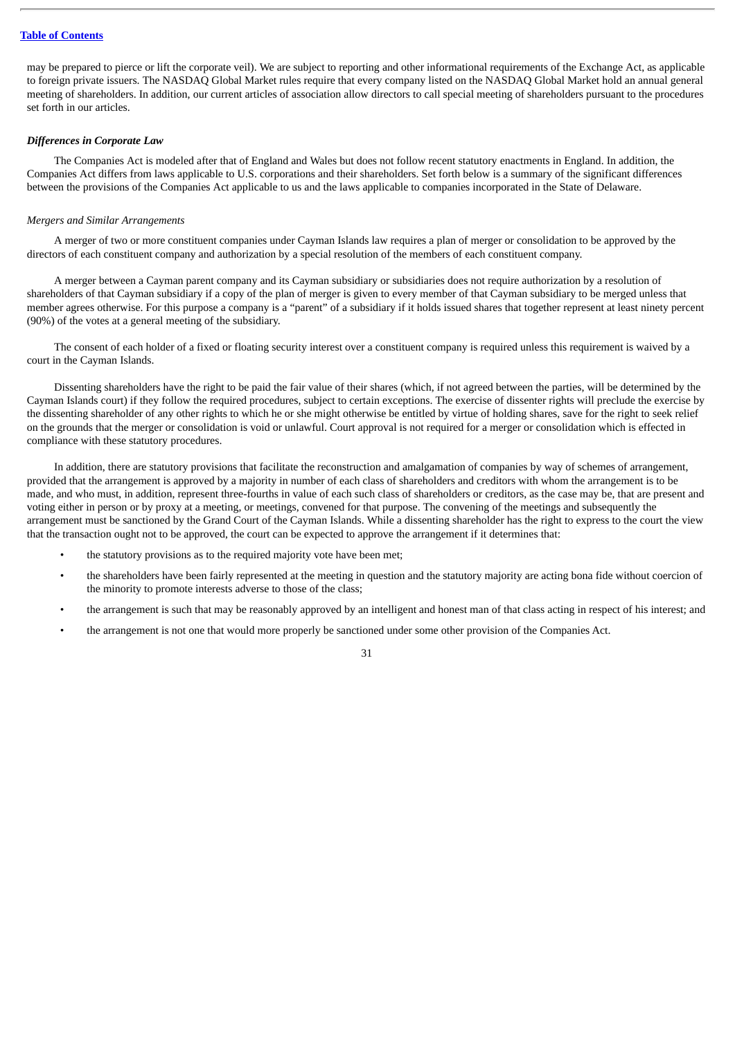may be prepared to pierce or lift the corporate veil). We are subject to reporting and other informational requirements of the Exchange Act, as applicable to foreign private issuers. The NASDAQ Global Market rules require that every company listed on the NASDAQ Global Market hold an annual general meeting of shareholders. In addition, our current articles of association allow directors to call special meeting of shareholders pursuant to the procedures set forth in our articles.

#### *Differences in Corporate Law*

The Companies Act is modeled after that of England and Wales but does not follow recent statutory enactments in England. In addition, the Companies Act differs from laws applicable to U.S. corporations and their shareholders. Set forth below is a summary of the significant differences between the provisions of the Companies Act applicable to us and the laws applicable to companies incorporated in the State of Delaware.

#### *Mergers and Similar Arrangements*

A merger of two or more constituent companies under Cayman Islands law requires a plan of merger or consolidation to be approved by the directors of each constituent company and authorization by a special resolution of the members of each constituent company.

A merger between a Cayman parent company and its Cayman subsidiary or subsidiaries does not require authorization by a resolution of shareholders of that Cayman subsidiary if a copy of the plan of merger is given to every member of that Cayman subsidiary to be merged unless that member agrees otherwise. For this purpose a company is a "parent" of a subsidiary if it holds issued shares that together represent at least ninety percent (90%) of the votes at a general meeting of the subsidiary.

The consent of each holder of a fixed or floating security interest over a constituent company is required unless this requirement is waived by a court in the Cayman Islands.

Dissenting shareholders have the right to be paid the fair value of their shares (which, if not agreed between the parties, will be determined by the Cayman Islands court) if they follow the required procedures, subject to certain exceptions. The exercise of dissenter rights will preclude the exercise by the dissenting shareholder of any other rights to which he or she might otherwise be entitled by virtue of holding shares, save for the right to seek relief on the grounds that the merger or consolidation is void or unlawful. Court approval is not required for a merger or consolidation which is effected in compliance with these statutory procedures.

In addition, there are statutory provisions that facilitate the reconstruction and amalgamation of companies by way of schemes of arrangement, provided that the arrangement is approved by a majority in number of each class of shareholders and creditors with whom the arrangement is to be made, and who must, in addition, represent three-fourths in value of each such class of shareholders or creditors, as the case may be, that are present and voting either in person or by proxy at a meeting, or meetings, convened for that purpose. The convening of the meetings and subsequently the arrangement must be sanctioned by the Grand Court of the Cayman Islands. While a dissenting shareholder has the right to express to the court the view that the transaction ought not to be approved, the court can be expected to approve the arrangement if it determines that:

- the statutory provisions as to the required majority vote have been met;
- the shareholders have been fairly represented at the meeting in question and the statutory majority are acting bona fide without coercion of the minority to promote interests adverse to those of the class;
- the arrangement is such that may be reasonably approved by an intelligent and honest man of that class acting in respect of his interest; and
- the arrangement is not one that would more properly be sanctioned under some other provision of the Companies Act.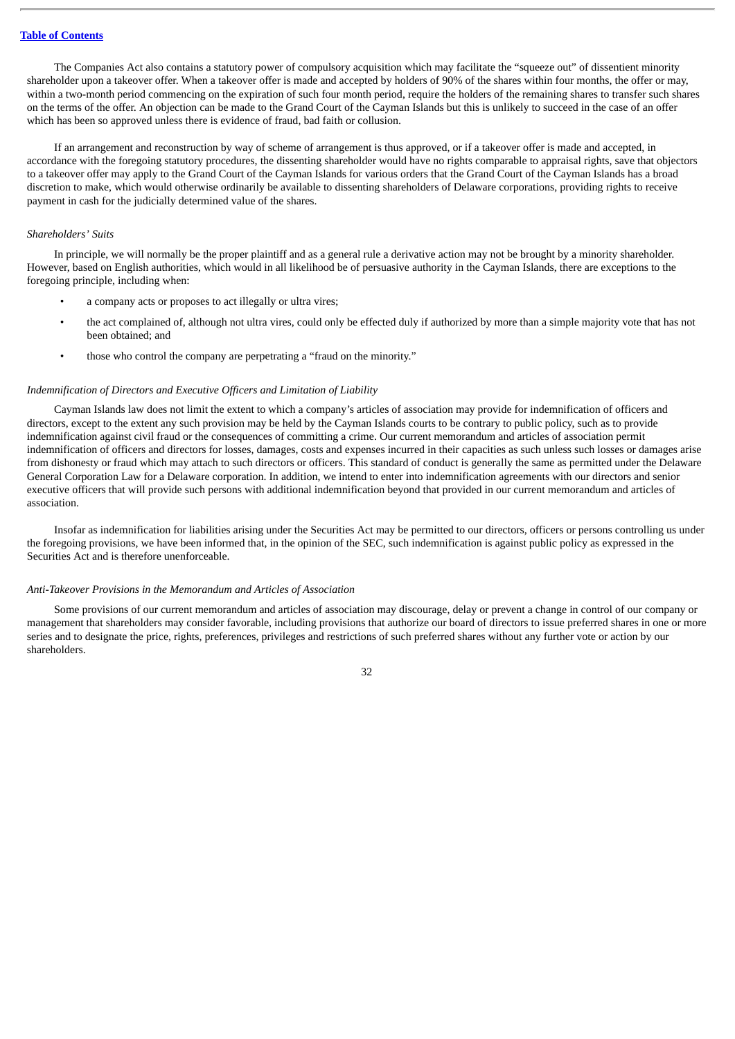The Companies Act also contains a statutory power of compulsory acquisition which may facilitate the "squeeze out" of dissentient minority shareholder upon a takeover offer. When a takeover offer is made and accepted by holders of 90% of the shares within four months, the offer or may, within a two-month period commencing on the expiration of such four month period, require the holders of the remaining shares to transfer such shares on the terms of the offer. An objection can be made to the Grand Court of the Cayman Islands but this is unlikely to succeed in the case of an offer which has been so approved unless there is evidence of fraud, bad faith or collusion.

If an arrangement and reconstruction by way of scheme of arrangement is thus approved, or if a takeover offer is made and accepted, in accordance with the foregoing statutory procedures, the dissenting shareholder would have no rights comparable to appraisal rights, save that objectors to a takeover offer may apply to the Grand Court of the Cayman Islands for various orders that the Grand Court of the Cayman Islands has a broad discretion to make, which would otherwise ordinarily be available to dissenting shareholders of Delaware corporations, providing rights to receive payment in cash for the judicially determined value of the shares.

### *Shareholders' Suits*

In principle, we will normally be the proper plaintiff and as a general rule a derivative action may not be brought by a minority shareholder. However, based on English authorities, which would in all likelihood be of persuasive authority in the Cayman Islands, there are exceptions to the foregoing principle, including when:

- a company acts or proposes to act illegally or ultra vires;
- the act complained of, although not ultra vires, could only be effected duly if authorized by more than a simple majority vote that has not been obtained; and
- those who control the company are perpetrating a "fraud on the minority."

## *Indemnification of Directors and Executive Officers and Limitation of Liability*

Cayman Islands law does not limit the extent to which a company's articles of association may provide for indemnification of officers and directors, except to the extent any such provision may be held by the Cayman Islands courts to be contrary to public policy, such as to provide indemnification against civil fraud or the consequences of committing a crime. Our current memorandum and articles of association permit indemnification of officers and directors for losses, damages, costs and expenses incurred in their capacities as such unless such losses or damages arise from dishonesty or fraud which may attach to such directors or officers. This standard of conduct is generally the same as permitted under the Delaware General Corporation Law for a Delaware corporation. In addition, we intend to enter into indemnification agreements with our directors and senior executive officers that will provide such persons with additional indemnification beyond that provided in our current memorandum and articles of association.

Insofar as indemnification for liabilities arising under the Securities Act may be permitted to our directors, officers or persons controlling us under the foregoing provisions, we have been informed that, in the opinion of the SEC, such indemnification is against public policy as expressed in the Securities Act and is therefore unenforceable.

## *Anti-Takeover Provisions in the Memorandum and Articles of Association*

Some provisions of our current memorandum and articles of association may discourage, delay or prevent a change in control of our company or management that shareholders may consider favorable, including provisions that authorize our board of directors to issue preferred shares in one or more series and to designate the price, rights, preferences, privileges and restrictions of such preferred shares without any further vote or action by our shareholders.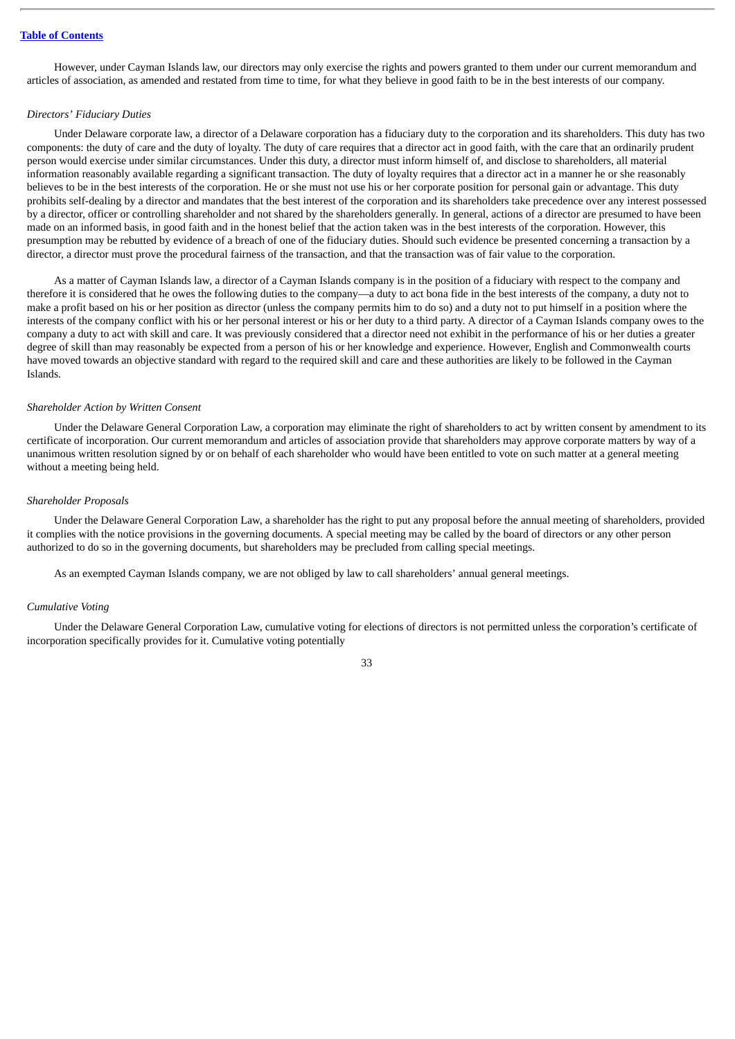However, under Cayman Islands law, our directors may only exercise the rights and powers granted to them under our current memorandum and articles of association, as amended and restated from time to time, for what they believe in good faith to be in the best interests of our company.

### *Directors' Fiduciary Duties*

Under Delaware corporate law, a director of a Delaware corporation has a fiduciary duty to the corporation and its shareholders. This duty has two components: the duty of care and the duty of loyalty. The duty of care requires that a director act in good faith, with the care that an ordinarily prudent person would exercise under similar circumstances. Under this duty, a director must inform himself of, and disclose to shareholders, all material information reasonably available regarding a significant transaction. The duty of loyalty requires that a director act in a manner he or she reasonably believes to be in the best interests of the corporation. He or she must not use his or her corporate position for personal gain or advantage. This duty prohibits self-dealing by a director and mandates that the best interest of the corporation and its shareholders take precedence over any interest possessed by a director, officer or controlling shareholder and not shared by the shareholders generally. In general, actions of a director are presumed to have been made on an informed basis, in good faith and in the honest belief that the action taken was in the best interests of the corporation. However, this presumption may be rebutted by evidence of a breach of one of the fiduciary duties. Should such evidence be presented concerning a transaction by a director, a director must prove the procedural fairness of the transaction, and that the transaction was of fair value to the corporation.

As a matter of Cayman Islands law, a director of a Cayman Islands company is in the position of a fiduciary with respect to the company and therefore it is considered that he owes the following duties to the company—a duty to act bona fide in the best interests of the company, a duty not to make a profit based on his or her position as director (unless the company permits him to do so) and a duty not to put himself in a position where the interests of the company conflict with his or her personal interest or his or her duty to a third party. A director of a Cayman Islands company owes to the company a duty to act with skill and care. It was previously considered that a director need not exhibit in the performance of his or her duties a greater degree of skill than may reasonably be expected from a person of his or her knowledge and experience. However, English and Commonwealth courts have moved towards an objective standard with regard to the required skill and care and these authorities are likely to be followed in the Cayman Islands.

### *Shareholder Action by Written Consent*

Under the Delaware General Corporation Law, a corporation may eliminate the right of shareholders to act by written consent by amendment to its certificate of incorporation. Our current memorandum and articles of association provide that shareholders may approve corporate matters by way of a unanimous written resolution signed by or on behalf of each shareholder who would have been entitled to vote on such matter at a general meeting without a meeting being held.

### *Shareholder Proposals*

Under the Delaware General Corporation Law, a shareholder has the right to put any proposal before the annual meeting of shareholders, provided it complies with the notice provisions in the governing documents. A special meeting may be called by the board of directors or any other person authorized to do so in the governing documents, but shareholders may be precluded from calling special meetings.

As an exempted Cayman Islands company, we are not obliged by law to call shareholders' annual general meetings.

#### *Cumulative Voting*

Under the Delaware General Corporation Law, cumulative voting for elections of directors is not permitted unless the corporation's certificate of incorporation specifically provides for it. Cumulative voting potentially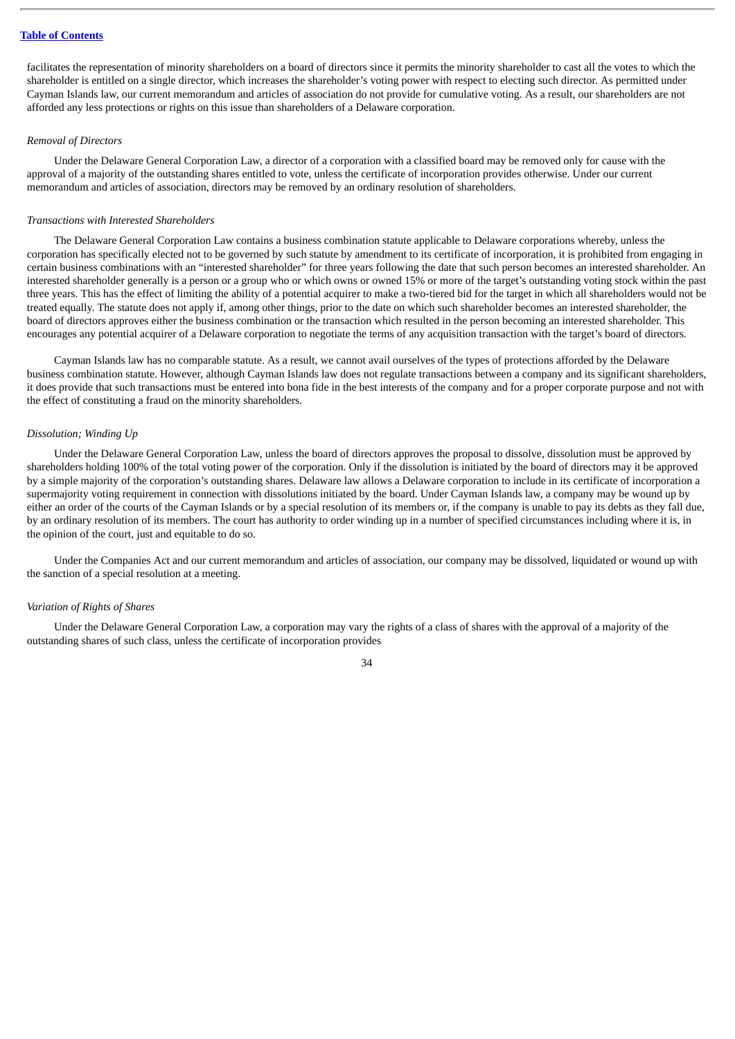facilitates the representation of minority shareholders on a board of directors since it permits the minority shareholder to cast all the votes to which the shareholder is entitled on a single director, which increases the shareholder's voting power with respect to electing such director. As permitted under Cayman Islands law, our current memorandum and articles of association do not provide for cumulative voting. As a result, our shareholders are not afforded any less protections or rights on this issue than shareholders of a Delaware corporation.

## *Removal of Directors*

Under the Delaware General Corporation Law, a director of a corporation with a classified board may be removed only for cause with the approval of a majority of the outstanding shares entitled to vote, unless the certificate of incorporation provides otherwise. Under our current memorandum and articles of association, directors may be removed by an ordinary resolution of shareholders.

### *Transactions with Interested Shareholders*

The Delaware General Corporation Law contains a business combination statute applicable to Delaware corporations whereby, unless the corporation has specifically elected not to be governed by such statute by amendment to its certificate of incorporation, it is prohibited from engaging in certain business combinations with an "interested shareholder" for three years following the date that such person becomes an interested shareholder. An interested shareholder generally is a person or a group who or which owns or owned 15% or more of the target's outstanding voting stock within the past three years. This has the effect of limiting the ability of a potential acquirer to make a two-tiered bid for the target in which all shareholders would not be treated equally. The statute does not apply if, among other things, prior to the date on which such shareholder becomes an interested shareholder, the board of directors approves either the business combination or the transaction which resulted in the person becoming an interested shareholder. This encourages any potential acquirer of a Delaware corporation to negotiate the terms of any acquisition transaction with the target's board of directors.

Cayman Islands law has no comparable statute. As a result, we cannot avail ourselves of the types of protections afforded by the Delaware business combination statute. However, although Cayman Islands law does not regulate transactions between a company and its significant shareholders, it does provide that such transactions must be entered into bona fide in the best interests of the company and for a proper corporate purpose and not with the effect of constituting a fraud on the minority shareholders.

### *Dissolution; Winding Up*

Under the Delaware General Corporation Law, unless the board of directors approves the proposal to dissolve, dissolution must be approved by shareholders holding 100% of the total voting power of the corporation. Only if the dissolution is initiated by the board of directors may it be approved by a simple majority of the corporation's outstanding shares. Delaware law allows a Delaware corporation to include in its certificate of incorporation a supermajority voting requirement in connection with dissolutions initiated by the board. Under Cayman Islands law, a company may be wound up by either an order of the courts of the Cayman Islands or by a special resolution of its members or, if the company is unable to pay its debts as they fall due, by an ordinary resolution of its members. The court has authority to order winding up in a number of specified circumstances including where it is, in the opinion of the court, just and equitable to do so.

Under the Companies Act and our current memorandum and articles of association, our company may be dissolved, liquidated or wound up with the sanction of a special resolution at a meeting.

## *Variation of Rights of Shares*

Under the Delaware General Corporation Law, a corporation may vary the rights of a class of shares with the approval of a majority of the outstanding shares of such class, unless the certificate of incorporation provides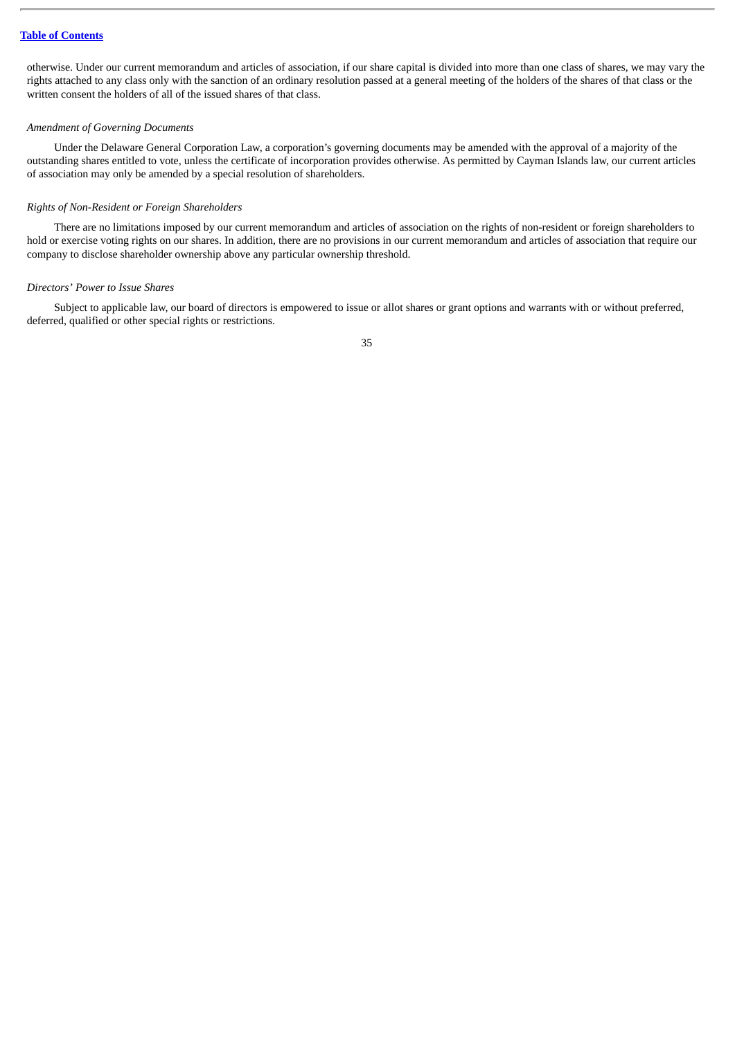otherwise. Under our current memorandum and articles of association, if our share capital is divided into more than one class of shares, we may vary the rights attached to any class only with the sanction of an ordinary resolution passed at a general meeting of the holders of the shares of that class or the written consent the holders of all of the issued shares of that class.

### *Amendment of Governing Documents*

Under the Delaware General Corporation Law, a corporation's governing documents may be amended with the approval of a majority of the outstanding shares entitled to vote, unless the certificate of incorporation provides otherwise. As permitted by Cayman Islands law, our current articles of association may only be amended by a special resolution of shareholders.

## *Rights of Non-Resident or Foreign Shareholders*

There are no limitations imposed by our current memorandum and articles of association on the rights of non-resident or foreign shareholders to hold or exercise voting rights on our shares. In addition, there are no provisions in our current memorandum and articles of association that require our company to disclose shareholder ownership above any particular ownership threshold.

### *Directors' Power to Issue Shares*

Subject to applicable law, our board of directors is empowered to issue or allot shares or grant options and warrants with or without preferred, deferred, qualified or other special rights or restrictions.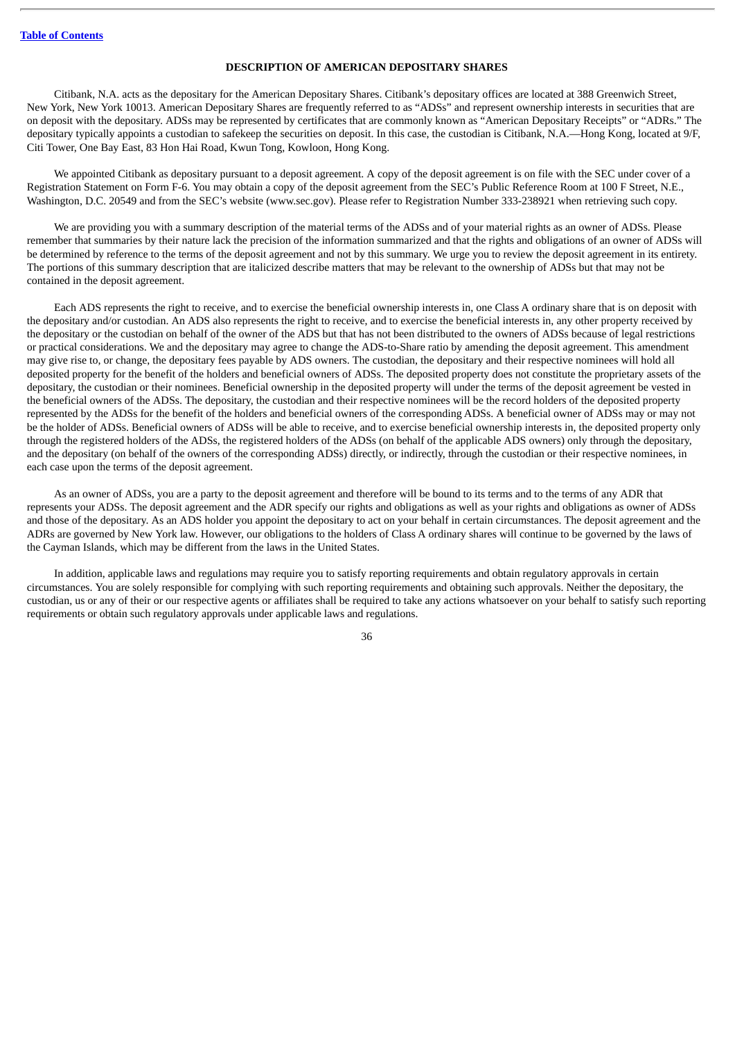## **DESCRIPTION OF AMERICAN DEPOSITARY SHARES**

Citibank, N.A. acts as the depositary for the American Depositary Shares. Citibank's depositary offices are located at 388 Greenwich Street, New York, New York 10013. American Depositary Shares are frequently referred to as "ADSs" and represent ownership interests in securities that are on deposit with the depositary. ADSs may be represented by certificates that are commonly known as "American Depositary Receipts" or "ADRs." The depositary typically appoints a custodian to safekeep the securities on deposit. In this case, the custodian is Citibank, N.A.—Hong Kong, located at 9/F, Citi Tower, One Bay East, 83 Hon Hai Road, Kwun Tong, Kowloon, Hong Kong.

We appointed Citibank as depositary pursuant to a deposit agreement. A copy of the deposit agreement is on file with the SEC under cover of a Registration Statement on Form F-6. You may obtain a copy of the deposit agreement from the SEC's Public Reference Room at 100 F Street, N.E., Washington, D.C. 20549 and from the SEC's website (www.sec.gov). Please refer to Registration Number 333-238921 when retrieving such copy.

We are providing you with a summary description of the material terms of the ADSs and of your material rights as an owner of ADSs. Please remember that summaries by their nature lack the precision of the information summarized and that the rights and obligations of an owner of ADSs will be determined by reference to the terms of the deposit agreement and not by this summary. We urge you to review the deposit agreement in its entirety. The portions of this summary description that are italicized describe matters that may be relevant to the ownership of ADSs but that may not be contained in the deposit agreement.

Each ADS represents the right to receive, and to exercise the beneficial ownership interests in, one Class A ordinary share that is on deposit with the depositary and/or custodian. An ADS also represents the right to receive, and to exercise the beneficial interests in, any other property received by the depositary or the custodian on behalf of the owner of the ADS but that has not been distributed to the owners of ADSs because of legal restrictions or practical considerations. We and the depositary may agree to change the ADS-to-Share ratio by amending the deposit agreement. This amendment may give rise to, or change, the depositary fees payable by ADS owners. The custodian, the depositary and their respective nominees will hold all deposited property for the benefit of the holders and beneficial owners of ADSs. The deposited property does not constitute the proprietary assets of the depositary, the custodian or their nominees. Beneficial ownership in the deposited property will under the terms of the deposit agreement be vested in the beneficial owners of the ADSs. The depositary, the custodian and their respective nominees will be the record holders of the deposited property represented by the ADSs for the benefit of the holders and beneficial owners of the corresponding ADSs. A beneficial owner of ADSs may or may not be the holder of ADSs. Beneficial owners of ADSs will be able to receive, and to exercise beneficial ownership interests in, the deposited property only through the registered holders of the ADSs, the registered holders of the ADSs (on behalf of the applicable ADS owners) only through the depositary, and the depositary (on behalf of the owners of the corresponding ADSs) directly, or indirectly, through the custodian or their respective nominees, in each case upon the terms of the deposit agreement.

As an owner of ADSs, you are a party to the deposit agreement and therefore will be bound to its terms and to the terms of any ADR that represents your ADSs. The deposit agreement and the ADR specify our rights and obligations as well as your rights and obligations as owner of ADSs and those of the depositary. As an ADS holder you appoint the depositary to act on your behalf in certain circumstances. The deposit agreement and the ADRs are governed by New York law. However, our obligations to the holders of Class A ordinary shares will continue to be governed by the laws of the Cayman Islands, which may be different from the laws in the United States.

In addition, applicable laws and regulations may require you to satisfy reporting requirements and obtain regulatory approvals in certain circumstances. You are solely responsible for complying with such reporting requirements and obtaining such approvals. Neither the depositary, the custodian, us or any of their or our respective agents or affiliates shall be required to take any actions whatsoever on your behalf to satisfy such reporting requirements or obtain such regulatory approvals under applicable laws and regulations.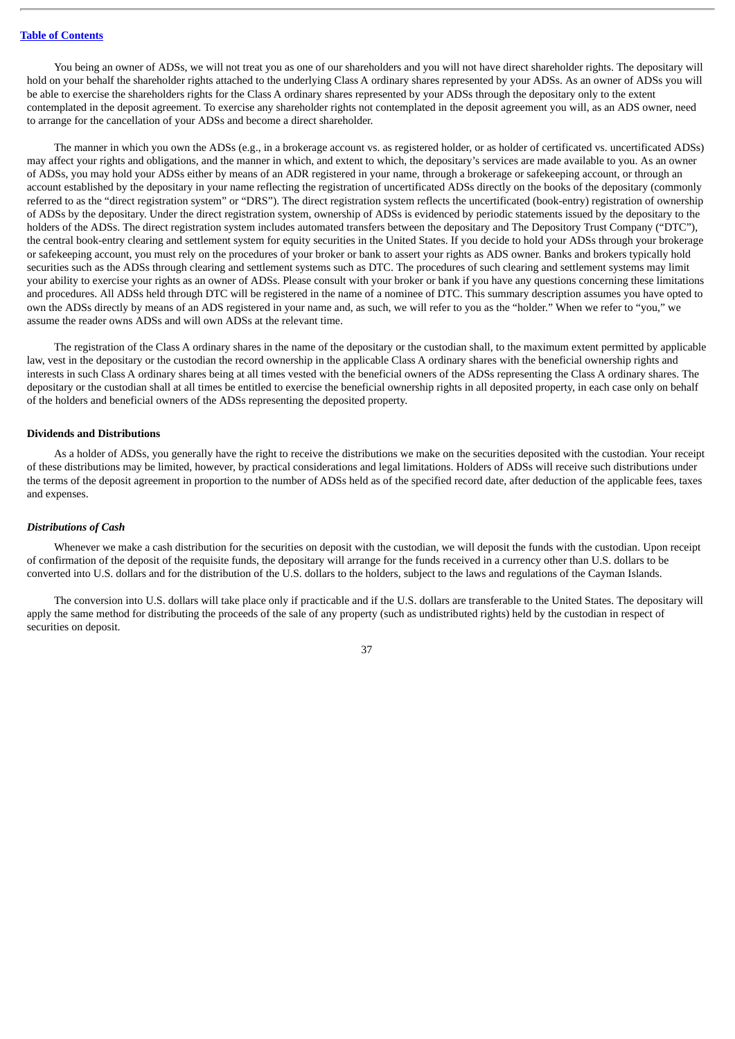You being an owner of ADSs, we will not treat you as one of our shareholders and you will not have direct shareholder rights. The depositary will hold on your behalf the shareholder rights attached to the underlying Class A ordinary shares represented by your ADSs. As an owner of ADSs you will be able to exercise the shareholders rights for the Class A ordinary shares represented by your ADSs through the depositary only to the extent contemplated in the deposit agreement. To exercise any shareholder rights not contemplated in the deposit agreement you will, as an ADS owner, need to arrange for the cancellation of your ADSs and become a direct shareholder.

The manner in which you own the ADSs (e.g., in a brokerage account vs. as registered holder, or as holder of certificated vs. uncertificated ADSs) may affect your rights and obligations, and the manner in which, and extent to which, the depositary's services are made available to you. As an owner of ADSs, you may hold your ADSs either by means of an ADR registered in your name, through a brokerage or safekeeping account, or through an account established by the depositary in your name reflecting the registration of uncertificated ADSs directly on the books of the depositary (commonly referred to as the "direct registration system" or "DRS"). The direct registration system reflects the uncertificated (book-entry) registration of ownership of ADSs by the depositary. Under the direct registration system, ownership of ADSs is evidenced by periodic statements issued by the depositary to the holders of the ADSs. The direct registration system includes automated transfers between the depositary and The Depository Trust Company ("DTC"), the central book-entry clearing and settlement system for equity securities in the United States. If you decide to hold your ADSs through your brokerage or safekeeping account, you must rely on the procedures of your broker or bank to assert your rights as ADS owner. Banks and brokers typically hold securities such as the ADSs through clearing and settlement systems such as DTC. The procedures of such clearing and settlement systems may limit your ability to exercise your rights as an owner of ADSs. Please consult with your broker or bank if you have any questions concerning these limitations and procedures. All ADSs held through DTC will be registered in the name of a nominee of DTC. This summary description assumes you have opted to own the ADSs directly by means of an ADS registered in your name and, as such, we will refer to you as the "holder." When we refer to "you," we assume the reader owns ADSs and will own ADSs at the relevant time.

The registration of the Class A ordinary shares in the name of the depositary or the custodian shall, to the maximum extent permitted by applicable law, vest in the depositary or the custodian the record ownership in the applicable Class A ordinary shares with the beneficial ownership rights and interests in such Class A ordinary shares being at all times vested with the beneficial owners of the ADSs representing the Class A ordinary shares. The depositary or the custodian shall at all times be entitled to exercise the beneficial ownership rights in all deposited property, in each case only on behalf of the holders and beneficial owners of the ADSs representing the deposited property.

### **Dividends and Distributions**

As a holder of ADSs, you generally have the right to receive the distributions we make on the securities deposited with the custodian. Your receipt of these distributions may be limited, however, by practical considerations and legal limitations. Holders of ADSs will receive such distributions under the terms of the deposit agreement in proportion to the number of ADSs held as of the specified record date, after deduction of the applicable fees, taxes and expenses.

### *Distributions of Cash*

Whenever we make a cash distribution for the securities on deposit with the custodian, we will deposit the funds with the custodian. Upon receipt of confirmation of the deposit of the requisite funds, the depositary will arrange for the funds received in a currency other than U.S. dollars to be converted into U.S. dollars and for the distribution of the U.S. dollars to the holders, subject to the laws and regulations of the Cayman Islands.

The conversion into U.S. dollars will take place only if practicable and if the U.S. dollars are transferable to the United States. The depositary will apply the same method for distributing the proceeds of the sale of any property (such as undistributed rights) held by the custodian in respect of securities on deposit.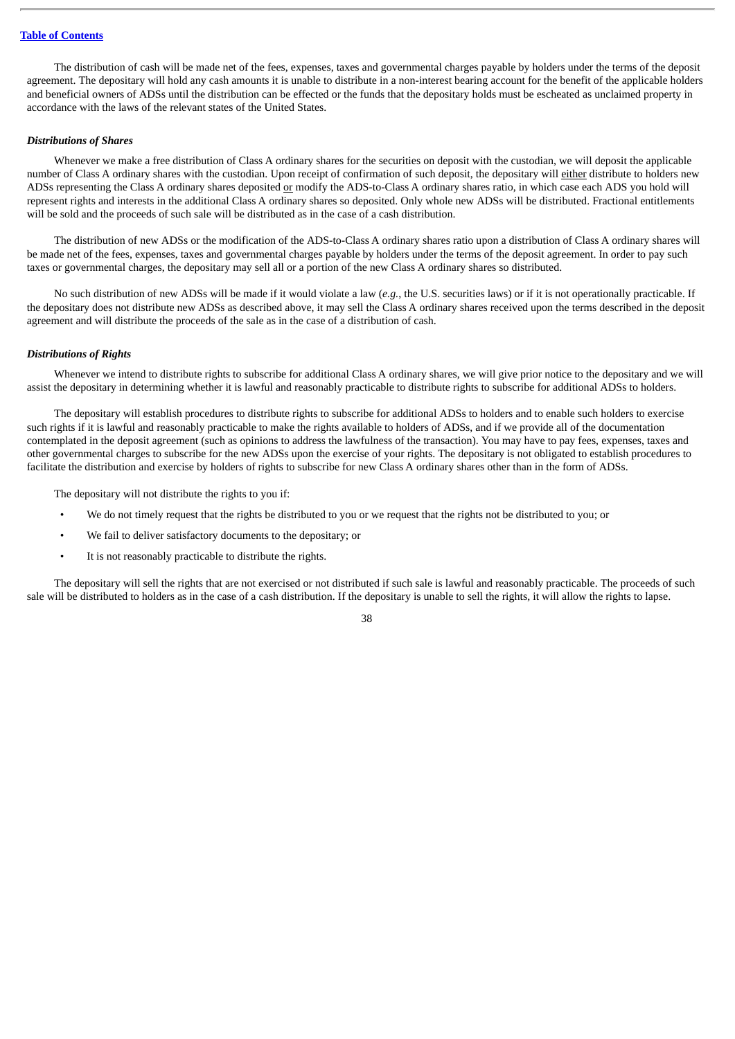The distribution of cash will be made net of the fees, expenses, taxes and governmental charges payable by holders under the terms of the deposit agreement. The depositary will hold any cash amounts it is unable to distribute in a non-interest bearing account for the benefit of the applicable holders and beneficial owners of ADSs until the distribution can be effected or the funds that the depositary holds must be escheated as unclaimed property in accordance with the laws of the relevant states of the United States.

### *Distributions of Shares*

Whenever we make a free distribution of Class A ordinary shares for the securities on deposit with the custodian, we will deposit the applicable number of Class A ordinary shares with the custodian. Upon receipt of confirmation of such deposit, the depositary will either distribute to holders new ADSs representing the Class A ordinary shares deposited or modify the ADS-to-Class A ordinary shares ratio, in which case each ADS you hold will represent rights and interests in the additional Class A ordinary shares so deposited. Only whole new ADSs will be distributed. Fractional entitlements will be sold and the proceeds of such sale will be distributed as in the case of a cash distribution.

The distribution of new ADSs or the modification of the ADS-to-Class A ordinary shares ratio upon a distribution of Class A ordinary shares will be made net of the fees, expenses, taxes and governmental charges payable by holders under the terms of the deposit agreement. In order to pay such taxes or governmental charges, the depositary may sell all or a portion of the new Class A ordinary shares so distributed.

No such distribution of new ADSs will be made if it would violate a law (*e.g.*, the U.S. securities laws) or if it is not operationally practicable. If the depositary does not distribute new ADSs as described above, it may sell the Class A ordinary shares received upon the terms described in the deposit agreement and will distribute the proceeds of the sale as in the case of a distribution of cash.

### *Distributions of Rights*

Whenever we intend to distribute rights to subscribe for additional Class A ordinary shares, we will give prior notice to the depositary and we will assist the depositary in determining whether it is lawful and reasonably practicable to distribute rights to subscribe for additional ADSs to holders.

The depositary will establish procedures to distribute rights to subscribe for additional ADSs to holders and to enable such holders to exercise such rights if it is lawful and reasonably practicable to make the rights available to holders of ADSs, and if we provide all of the documentation contemplated in the deposit agreement (such as opinions to address the lawfulness of the transaction). You may have to pay fees, expenses, taxes and other governmental charges to subscribe for the new ADSs upon the exercise of your rights. The depositary is not obligated to establish procedures to facilitate the distribution and exercise by holders of rights to subscribe for new Class A ordinary shares other than in the form of ADSs.

The depositary will not distribute the rights to you if:

- We do not timely request that the rights be distributed to you or we request that the rights not be distributed to you; or
- We fail to deliver satisfactory documents to the depositary; or
- It is not reasonably practicable to distribute the rights.

The depositary will sell the rights that are not exercised or not distributed if such sale is lawful and reasonably practicable. The proceeds of such sale will be distributed to holders as in the case of a cash distribution. If the depositary is unable to sell the rights, it will allow the rights to lapse.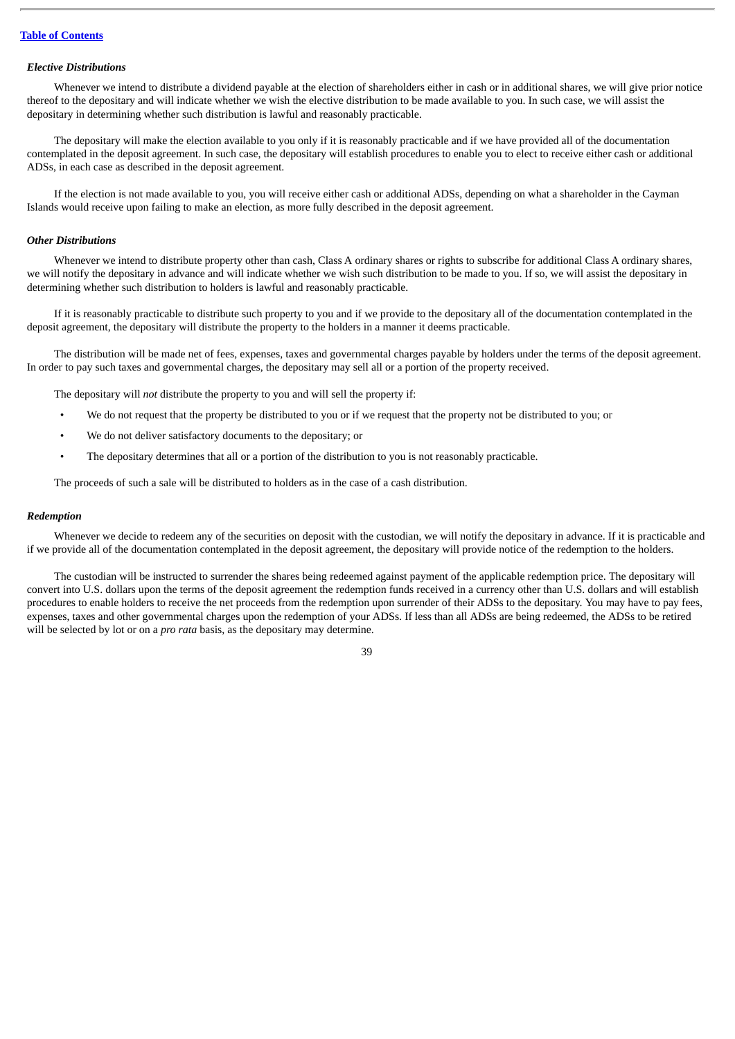### *Elective Distributions*

Whenever we intend to distribute a dividend payable at the election of shareholders either in cash or in additional shares, we will give prior notice thereof to the depositary and will indicate whether we wish the elective distribution to be made available to you. In such case, we will assist the depositary in determining whether such distribution is lawful and reasonably practicable.

The depositary will make the election available to you only if it is reasonably practicable and if we have provided all of the documentation contemplated in the deposit agreement. In such case, the depositary will establish procedures to enable you to elect to receive either cash or additional ADSs, in each case as described in the deposit agreement.

If the election is not made available to you, you will receive either cash or additional ADSs, depending on what a shareholder in the Cayman Islands would receive upon failing to make an election, as more fully described in the deposit agreement.

## *Other Distributions*

Whenever we intend to distribute property other than cash, Class A ordinary shares or rights to subscribe for additional Class A ordinary shares, we will notify the depositary in advance and will indicate whether we wish such distribution to be made to you. If so, we will assist the depositary in determining whether such distribution to holders is lawful and reasonably practicable.

If it is reasonably practicable to distribute such property to you and if we provide to the depositary all of the documentation contemplated in the deposit agreement, the depositary will distribute the property to the holders in a manner it deems practicable.

The distribution will be made net of fees, expenses, taxes and governmental charges payable by holders under the terms of the deposit agreement. In order to pay such taxes and governmental charges, the depositary may sell all or a portion of the property received.

The depositary will *not* distribute the property to you and will sell the property if:

- We do not request that the property be distributed to you or if we request that the property not be distributed to you; or
- We do not deliver satisfactory documents to the depositary; or
- The depositary determines that all or a portion of the distribution to you is not reasonably practicable.

The proceeds of such a sale will be distributed to holders as in the case of a cash distribution.

#### *Redemption*

Whenever we decide to redeem any of the securities on deposit with the custodian, we will notify the depositary in advance. If it is practicable and if we provide all of the documentation contemplated in the deposit agreement, the depositary will provide notice of the redemption to the holders.

The custodian will be instructed to surrender the shares being redeemed against payment of the applicable redemption price. The depositary will convert into U.S. dollars upon the terms of the deposit agreement the redemption funds received in a currency other than U.S. dollars and will establish procedures to enable holders to receive the net proceeds from the redemption upon surrender of their ADSs to the depositary. You may have to pay fees, expenses, taxes and other governmental charges upon the redemption of your ADSs. If less than all ADSs are being redeemed, the ADSs to be retired will be selected by lot or on a *pro rata* basis, as the depositary may determine.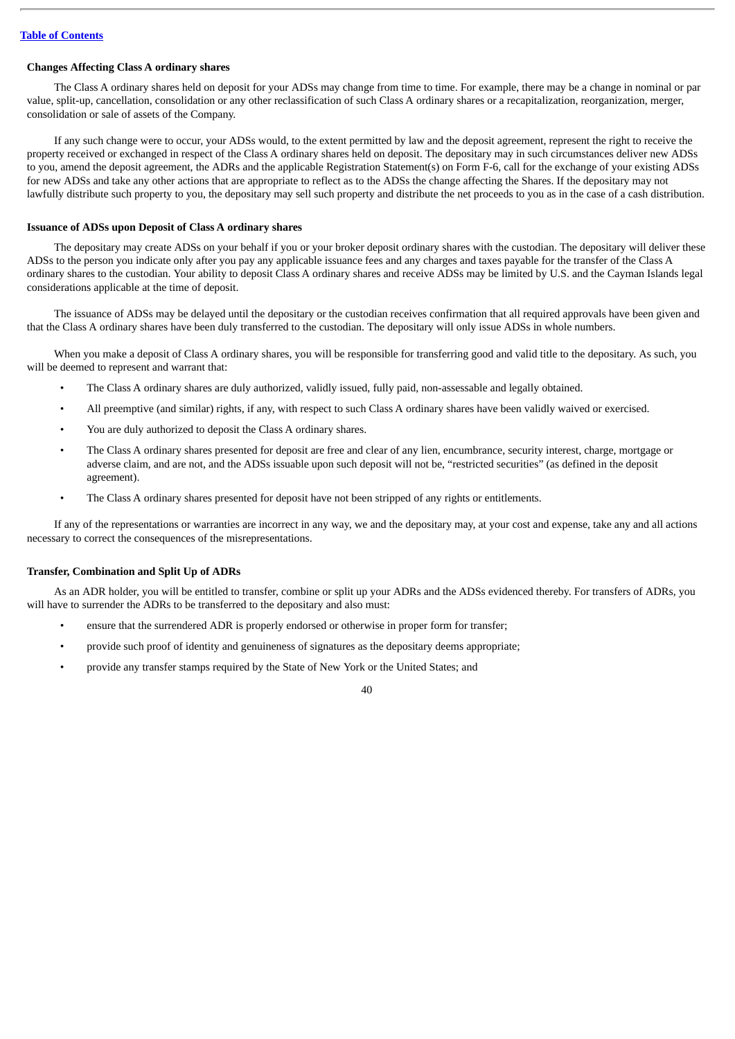## **Changes Affecting Class A ordinary shares**

The Class A ordinary shares held on deposit for your ADSs may change from time to time. For example, there may be a change in nominal or par value, split-up, cancellation, consolidation or any other reclassification of such Class A ordinary shares or a recapitalization, reorganization, merger, consolidation or sale of assets of the Company.

If any such change were to occur, your ADSs would, to the extent permitted by law and the deposit agreement, represent the right to receive the property received or exchanged in respect of the Class A ordinary shares held on deposit. The depositary may in such circumstances deliver new ADSs to you, amend the deposit agreement, the ADRs and the applicable Registration Statement(s) on Form F-6, call for the exchange of your existing ADSs for new ADSs and take any other actions that are appropriate to reflect as to the ADSs the change affecting the Shares. If the depositary may not lawfully distribute such property to you, the depositary may sell such property and distribute the net proceeds to you as in the case of a cash distribution.

### **Issuance of ADSs upon Deposit of Class A ordinary shares**

The depositary may create ADSs on your behalf if you or your broker deposit ordinary shares with the custodian. The depositary will deliver these ADSs to the person you indicate only after you pay any applicable issuance fees and any charges and taxes payable for the transfer of the Class A ordinary shares to the custodian. Your ability to deposit Class A ordinary shares and receive ADSs may be limited by U.S. and the Cayman Islands legal considerations applicable at the time of deposit.

The issuance of ADSs may be delayed until the depositary or the custodian receives confirmation that all required approvals have been given and that the Class A ordinary shares have been duly transferred to the custodian. The depositary will only issue ADSs in whole numbers.

When you make a deposit of Class A ordinary shares, you will be responsible for transferring good and valid title to the depositary. As such, you will be deemed to represent and warrant that:

- The Class A ordinary shares are duly authorized, validly issued, fully paid, non-assessable and legally obtained.
- All preemptive (and similar) rights, if any, with respect to such Class A ordinary shares have been validly waived or exercised.
- You are duly authorized to deposit the Class A ordinary shares.
- The Class A ordinary shares presented for deposit are free and clear of any lien, encumbrance, security interest, charge, mortgage or adverse claim, and are not, and the ADSs issuable upon such deposit will not be, "restricted securities" (as defined in the deposit agreement).
- The Class A ordinary shares presented for deposit have not been stripped of any rights or entitlements.

If any of the representations or warranties are incorrect in any way, we and the depositary may, at your cost and expense, take any and all actions necessary to correct the consequences of the misrepresentations.

### **Transfer, Combination and Split Up of ADRs**

As an ADR holder, you will be entitled to transfer, combine or split up your ADRs and the ADSs evidenced thereby. For transfers of ADRs, you will have to surrender the ADRs to be transferred to the depositary and also must:

- ensure that the surrendered ADR is properly endorsed or otherwise in proper form for transfer;
- provide such proof of identity and genuineness of signatures as the depositary deems appropriate;
- provide any transfer stamps required by the State of New York or the United States; and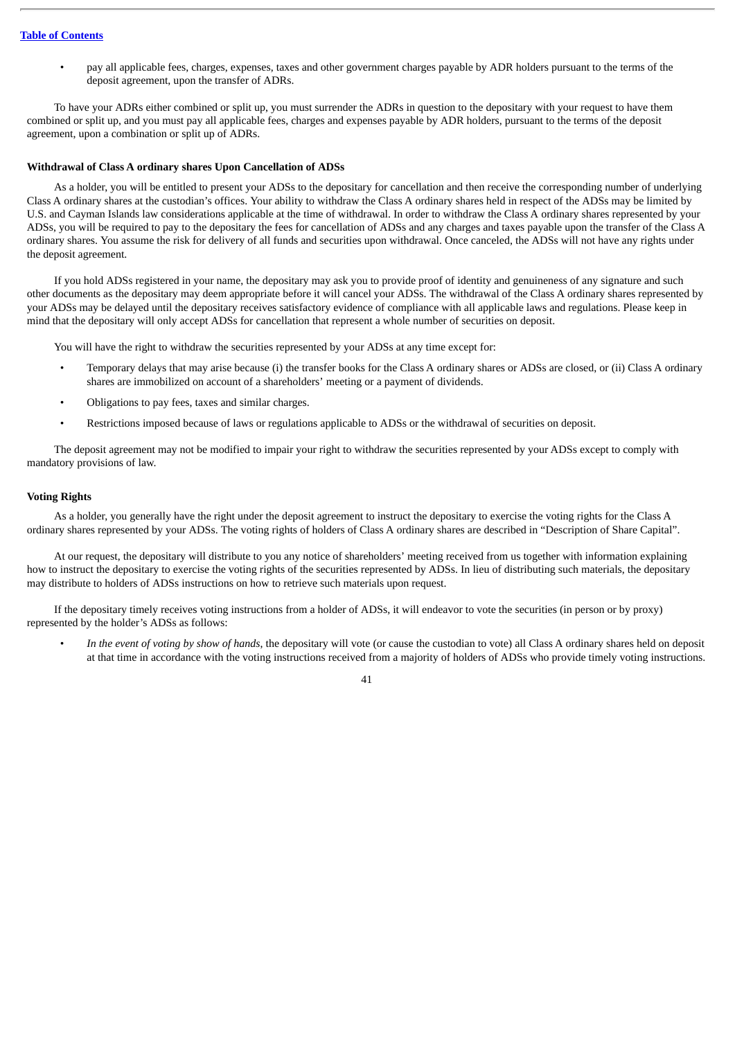• pay all applicable fees, charges, expenses, taxes and other government charges payable by ADR holders pursuant to the terms of the deposit agreement, upon the transfer of ADRs.

To have your ADRs either combined or split up, you must surrender the ADRs in question to the depositary with your request to have them combined or split up, and you must pay all applicable fees, charges and expenses payable by ADR holders, pursuant to the terms of the deposit agreement, upon a combination or split up of ADRs.

### **Withdrawal of Class A ordinary shares Upon Cancellation of ADSs**

As a holder, you will be entitled to present your ADSs to the depositary for cancellation and then receive the corresponding number of underlying Class A ordinary shares at the custodian's offices. Your ability to withdraw the Class A ordinary shares held in respect of the ADSs may be limited by U.S. and Cayman Islands law considerations applicable at the time of withdrawal. In order to withdraw the Class A ordinary shares represented by your ADSs, you will be required to pay to the depositary the fees for cancellation of ADSs and any charges and taxes payable upon the transfer of the Class A ordinary shares. You assume the risk for delivery of all funds and securities upon withdrawal. Once canceled, the ADSs will not have any rights under the deposit agreement.

If you hold ADSs registered in your name, the depositary may ask you to provide proof of identity and genuineness of any signature and such other documents as the depositary may deem appropriate before it will cancel your ADSs. The withdrawal of the Class A ordinary shares represented by your ADSs may be delayed until the depositary receives satisfactory evidence of compliance with all applicable laws and regulations. Please keep in mind that the depositary will only accept ADSs for cancellation that represent a whole number of securities on deposit.

You will have the right to withdraw the securities represented by your ADSs at any time except for:

- Temporary delays that may arise because (i) the transfer books for the Class A ordinary shares or ADSs are closed, or (ii) Class A ordinary shares are immobilized on account of a shareholders' meeting or a payment of dividends.
- Obligations to pay fees, taxes and similar charges.
- Restrictions imposed because of laws or regulations applicable to ADSs or the withdrawal of securities on deposit.

The deposit agreement may not be modified to impair your right to withdraw the securities represented by your ADSs except to comply with mandatory provisions of law.

### **Voting Rights**

As a holder, you generally have the right under the deposit agreement to instruct the depositary to exercise the voting rights for the Class A ordinary shares represented by your ADSs. The voting rights of holders of Class A ordinary shares are described in "Description of Share Capital".

At our request, the depositary will distribute to you any notice of shareholders' meeting received from us together with information explaining how to instruct the depositary to exercise the voting rights of the securities represented by ADSs. In lieu of distributing such materials, the depositary may distribute to holders of ADSs instructions on how to retrieve such materials upon request.

If the depositary timely receives voting instructions from a holder of ADSs, it will endeavor to vote the securities (in person or by proxy) represented by the holder's ADSs as follows:

• *In the event of voting by show of hands*, the depositary will vote (or cause the custodian to vote) all Class A ordinary shares held on deposit at that time in accordance with the voting instructions received from a majority of holders of ADSs who provide timely voting instructions.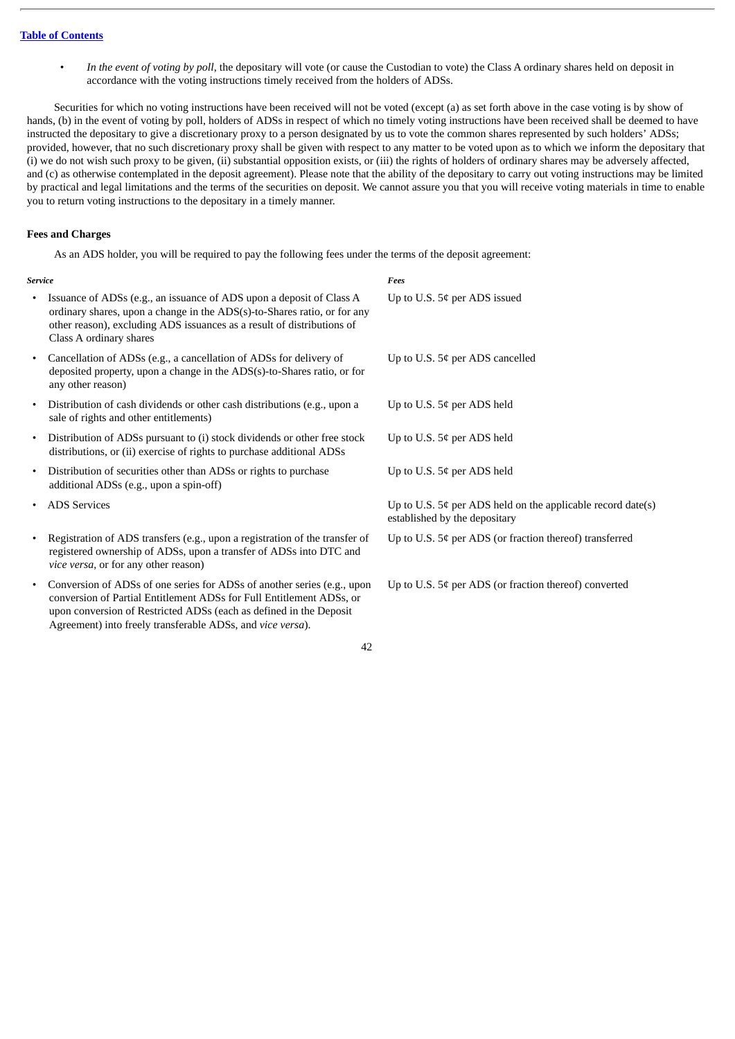• *In the event of voting by poll*, the depositary will vote (or cause the Custodian to vote) the Class A ordinary shares held on deposit in accordance with the voting instructions timely received from the holders of ADSs.

Securities for which no voting instructions have been received will not be voted (except (a) as set forth above in the case voting is by show of hands, (b) in the event of voting by poll, holders of ADSs in respect of which no timely voting instructions have been received shall be deemed to have instructed the depositary to give a discretionary proxy to a person designated by us to vote the common shares represented by such holders' ADSs; provided, however, that no such discretionary proxy shall be given with respect to any matter to be voted upon as to which we inform the depositary that (i) we do not wish such proxy to be given, (ii) substantial opposition exists, or (iii) the rights of holders of ordinary shares may be adversely affected, and (c) as otherwise contemplated in the deposit agreement). Please note that the ability of the depositary to carry out voting instructions may be limited by practical and legal limitations and the terms of the securities on deposit. We cannot assure you that you will receive voting materials in time to enable you to return voting instructions to the depositary in a timely manner.

## **Fees and Charges**

As an ADS holder, you will be required to pay the following fees under the terms of the deposit agreement:

*Service Fees* Issuance of ADSs (e.g., an issuance of ADS upon a deposit of Class A ordinary shares, upon a change in the ADS(s)-to-Shares ratio, or for any other reason), excluding ADS issuances as a result of distributions of Class A ordinary shares Up to U.S. 5¢ per ADS issued • Cancellation of ADSs (e.g., a cancellation of ADSs for delivery of deposited property, upon a change in the ADS(s)-to-Shares ratio, or for any other reason) Up to U.S. 5¢ per ADS cancelled • Distribution of cash dividends or other cash distributions (e.g., upon a sale of rights and other entitlements) Up to U.S. 5¢ per ADS held • Distribution of ADSs pursuant to (i) stock dividends or other free stock distributions, or (ii) exercise of rights to purchase additional ADSs Up to U.S. 5¢ per ADS held • Distribution of securities other than ADSs or rights to purchase additional ADSs (e.g., upon a spin-off) Up to U.S. 5¢ per ADS held • ADS Services Up to U.S. 5¢ per ADS held on the applicable record date(s) established by the depositary • Registration of ADS transfers (e.g., upon a registration of the transfer of registered ownership of ADSs, upon a transfer of ADSs into DTC and *vice versa*, or for any other reason) Up to U.S. 5¢ per ADS (or fraction thereof) transferred

• Conversion of ADSs of one series for ADSs of another series (e.g., upon conversion of Partial Entitlement ADSs for Full Entitlement ADSs, or upon conversion of Restricted ADSs (each as defined in the Deposit Agreement) into freely transferable ADSs, and *vice versa*).

Up to U.S. 5¢ per ADS (or fraction thereof) converted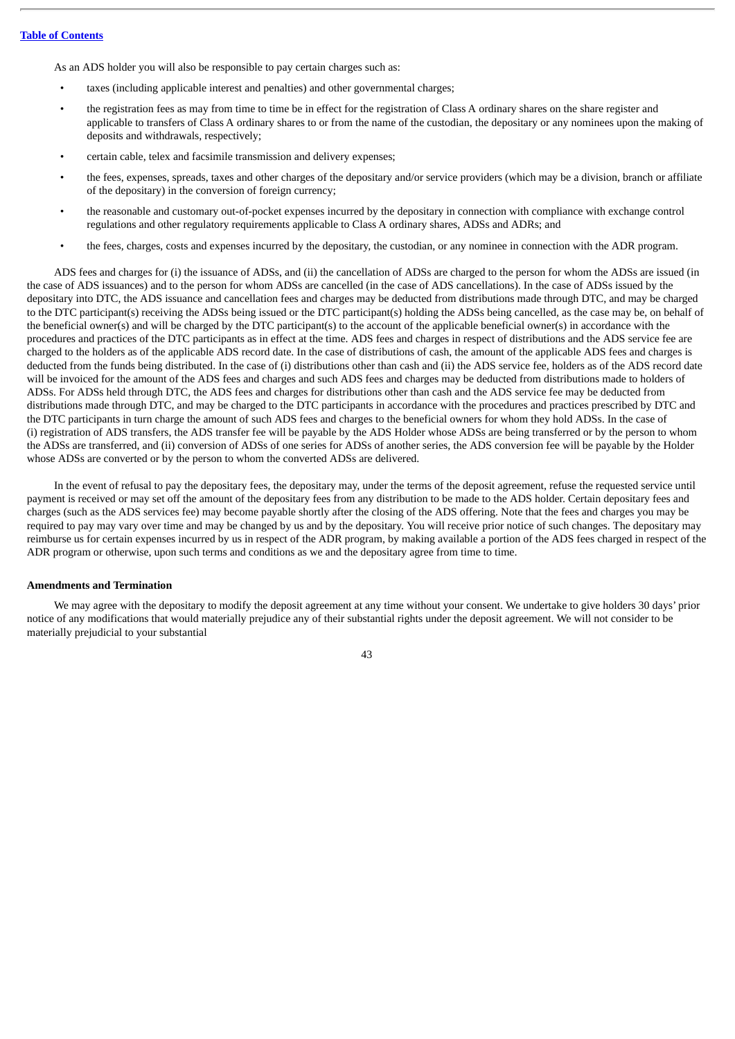As an ADS holder you will also be responsible to pay certain charges such as:

- taxes (including applicable interest and penalties) and other governmental charges;
- the registration fees as may from time to time be in effect for the registration of Class A ordinary shares on the share register and applicable to transfers of Class A ordinary shares to or from the name of the custodian, the depositary or any nominees upon the making of deposits and withdrawals, respectively;
- certain cable, telex and facsimile transmission and delivery expenses;
- the fees, expenses, spreads, taxes and other charges of the depositary and/or service providers (which may be a division, branch or affiliate of the depositary) in the conversion of foreign currency;
- the reasonable and customary out-of-pocket expenses incurred by the depositary in connection with compliance with exchange control regulations and other regulatory requirements applicable to Class A ordinary shares, ADSs and ADRs; and
- the fees, charges, costs and expenses incurred by the depositary, the custodian, or any nominee in connection with the ADR program.

ADS fees and charges for (i) the issuance of ADSs, and (ii) the cancellation of ADSs are charged to the person for whom the ADSs are issued (in the case of ADS issuances) and to the person for whom ADSs are cancelled (in the case of ADS cancellations). In the case of ADSs issued by the depositary into DTC, the ADS issuance and cancellation fees and charges may be deducted from distributions made through DTC, and may be charged to the DTC participant(s) receiving the ADSs being issued or the DTC participant(s) holding the ADSs being cancelled, as the case may be, on behalf of the beneficial owner(s) and will be charged by the DTC participant(s) to the account of the applicable beneficial owner(s) in accordance with the procedures and practices of the DTC participants as in effect at the time. ADS fees and charges in respect of distributions and the ADS service fee are charged to the holders as of the applicable ADS record date. In the case of distributions of cash, the amount of the applicable ADS fees and charges is deducted from the funds being distributed. In the case of (i) distributions other than cash and (ii) the ADS service fee, holders as of the ADS record date will be invoiced for the amount of the ADS fees and charges and such ADS fees and charges may be deducted from distributions made to holders of ADSs. For ADSs held through DTC, the ADS fees and charges for distributions other than cash and the ADS service fee may be deducted from distributions made through DTC, and may be charged to the DTC participants in accordance with the procedures and practices prescribed by DTC and the DTC participants in turn charge the amount of such ADS fees and charges to the beneficial owners for whom they hold ADSs. In the case of (i) registration of ADS transfers, the ADS transfer fee will be payable by the ADS Holder whose ADSs are being transferred or by the person to whom the ADSs are transferred, and (ii) conversion of ADSs of one series for ADSs of another series, the ADS conversion fee will be payable by the Holder whose ADSs are converted or by the person to whom the converted ADSs are delivered.

In the event of refusal to pay the depositary fees, the depositary may, under the terms of the deposit agreement, refuse the requested service until payment is received or may set off the amount of the depositary fees from any distribution to be made to the ADS holder. Certain depositary fees and charges (such as the ADS services fee) may become payable shortly after the closing of the ADS offering. Note that the fees and charges you may be required to pay may vary over time and may be changed by us and by the depositary. You will receive prior notice of such changes. The depositary may reimburse us for certain expenses incurred by us in respect of the ADR program, by making available a portion of the ADS fees charged in respect of the ADR program or otherwise, upon such terms and conditions as we and the depositary agree from time to time.

## **Amendments and Termination**

We may agree with the depositary to modify the deposit agreement at any time without your consent. We undertake to give holders 30 days' prior notice of any modifications that would materially prejudice any of their substantial rights under the deposit agreement. We will not consider to be materially prejudicial to your substantial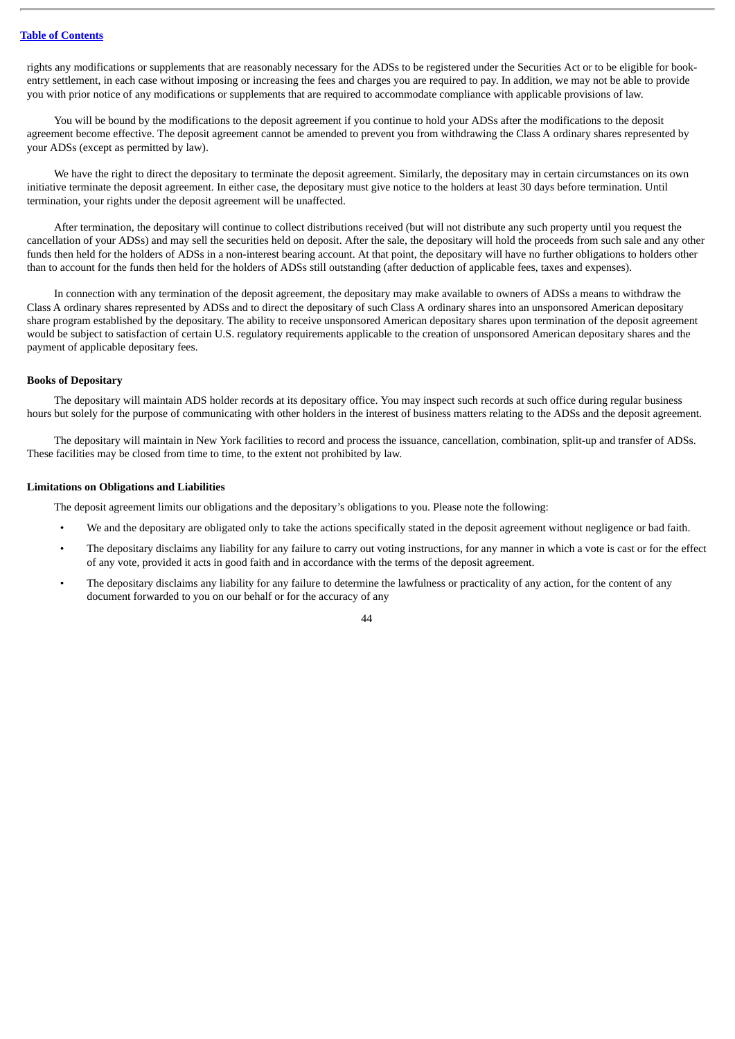rights any modifications or supplements that are reasonably necessary for the ADSs to be registered under the Securities Act or to be eligible for bookentry settlement, in each case without imposing or increasing the fees and charges you are required to pay. In addition, we may not be able to provide you with prior notice of any modifications or supplements that are required to accommodate compliance with applicable provisions of law.

You will be bound by the modifications to the deposit agreement if you continue to hold your ADSs after the modifications to the deposit agreement become effective. The deposit agreement cannot be amended to prevent you from withdrawing the Class A ordinary shares represented by your ADSs (except as permitted by law).

We have the right to direct the depositary to terminate the deposit agreement. Similarly, the depositary may in certain circumstances on its own initiative terminate the deposit agreement. In either case, the depositary must give notice to the holders at least 30 days before termination. Until termination, your rights under the deposit agreement will be unaffected.

After termination, the depositary will continue to collect distributions received (but will not distribute any such property until you request the cancellation of your ADSs) and may sell the securities held on deposit. After the sale, the depositary will hold the proceeds from such sale and any other funds then held for the holders of ADSs in a non-interest bearing account. At that point, the depositary will have no further obligations to holders other than to account for the funds then held for the holders of ADSs still outstanding (after deduction of applicable fees, taxes and expenses).

In connection with any termination of the deposit agreement, the depositary may make available to owners of ADSs a means to withdraw the Class A ordinary shares represented by ADSs and to direct the depositary of such Class A ordinary shares into an unsponsored American depositary share program established by the depositary. The ability to receive unsponsored American depositary shares upon termination of the deposit agreement would be subject to satisfaction of certain U.S. regulatory requirements applicable to the creation of unsponsored American depositary shares and the payment of applicable depositary fees.

### **Books of Depositary**

The depositary will maintain ADS holder records at its depositary office. You may inspect such records at such office during regular business hours but solely for the purpose of communicating with other holders in the interest of business matters relating to the ADSs and the deposit agreement.

The depositary will maintain in New York facilities to record and process the issuance, cancellation, combination, split-up and transfer of ADSs. These facilities may be closed from time to time, to the extent not prohibited by law.

### **Limitations on Obligations and Liabilities**

The deposit agreement limits our obligations and the depositary's obligations to you. Please note the following:

- We and the depositary are obligated only to take the actions specifically stated in the deposit agreement without negligence or bad faith.
- The depositary disclaims any liability for any failure to carry out voting instructions, for any manner in which a vote is cast or for the effect of any vote, provided it acts in good faith and in accordance with the terms of the deposit agreement.
- The depositary disclaims any liability for any failure to determine the lawfulness or practicality of any action, for the content of any document forwarded to you on our behalf or for the accuracy of any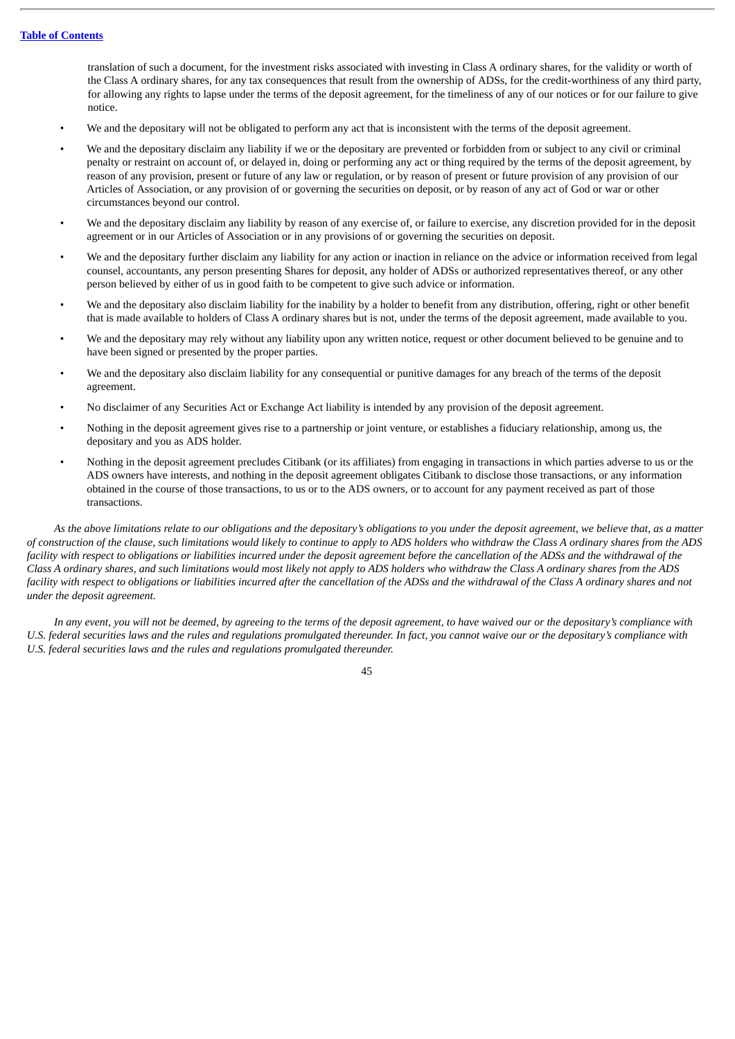translation of such a document, for the investment risks associated with investing in Class A ordinary shares, for the validity or worth of the Class A ordinary shares, for any tax consequences that result from the ownership of ADSs, for the credit-worthiness of any third party, for allowing any rights to lapse under the terms of the deposit agreement, for the timeliness of any of our notices or for our failure to give notice.

- We and the depositary will not be obligated to perform any act that is inconsistent with the terms of the deposit agreement.
- We and the depositary disclaim any liability if we or the depositary are prevented or forbidden from or subject to any civil or criminal penalty or restraint on account of, or delayed in, doing or performing any act or thing required by the terms of the deposit agreement, by reason of any provision, present or future of any law or regulation, or by reason of present or future provision of any provision of our Articles of Association, or any provision of or governing the securities on deposit, or by reason of any act of God or war or other circumstances beyond our control.
- We and the depositary disclaim any liability by reason of any exercise of, or failure to exercise, any discretion provided for in the deposit agreement or in our Articles of Association or in any provisions of or governing the securities on deposit.
- We and the depositary further disclaim any liability for any action or inaction in reliance on the advice or information received from legal counsel, accountants, any person presenting Shares for deposit, any holder of ADSs or authorized representatives thereof, or any other person believed by either of us in good faith to be competent to give such advice or information.
- We and the depositary also disclaim liability for the inability by a holder to benefit from any distribution, offering, right or other benefit that is made available to holders of Class A ordinary shares but is not, under the terms of the deposit agreement, made available to you.
- We and the depositary may rely without any liability upon any written notice, request or other document believed to be genuine and to have been signed or presented by the proper parties.
- We and the depositary also disclaim liability for any consequential or punitive damages for any breach of the terms of the deposit agreement.
- No disclaimer of any Securities Act or Exchange Act liability is intended by any provision of the deposit agreement.
- Nothing in the deposit agreement gives rise to a partnership or joint venture, or establishes a fiduciary relationship, among us, the depositary and you as ADS holder.
- Nothing in the deposit agreement precludes Citibank (or its affiliates) from engaging in transactions in which parties adverse to us or the ADS owners have interests, and nothing in the deposit agreement obligates Citibank to disclose those transactions, or any information obtained in the course of those transactions, to us or to the ADS owners, or to account for any payment received as part of those transactions.

As the above limitations relate to our obligations and the depositary's obligations to you under the deposit agreement, we believe that, as a matter of construction of the clause, such limitations would likely to continue to apply to ADS holders who withdraw the Class A ordinary shares from the ADS facility with respect to obligations or liabilities incurred under the deposit agreement before the cancellation of the ADSs and the withdrawal of the Class A ordinary shares, and such limitations would most likely not apply to ADS holders who withdraw the Class A ordinary shares from the ADS facility with respect to obligations or ligbilities incurred after the cancellation of the ADSs and the withdrawal of the Class A ordinary shares and not *under the deposit agreement.*

In any event, you will not be deemed, by agreeing to the terms of the deposit agreement, to have waived our or the depositary's compliance with U.S. federal securities laws and the rules and regulations promulgated thereunder. In fact, you cannot waive our or the depositary's compliance with *U.S. federal securities laws and the rules and regulations promulgated thereunder.*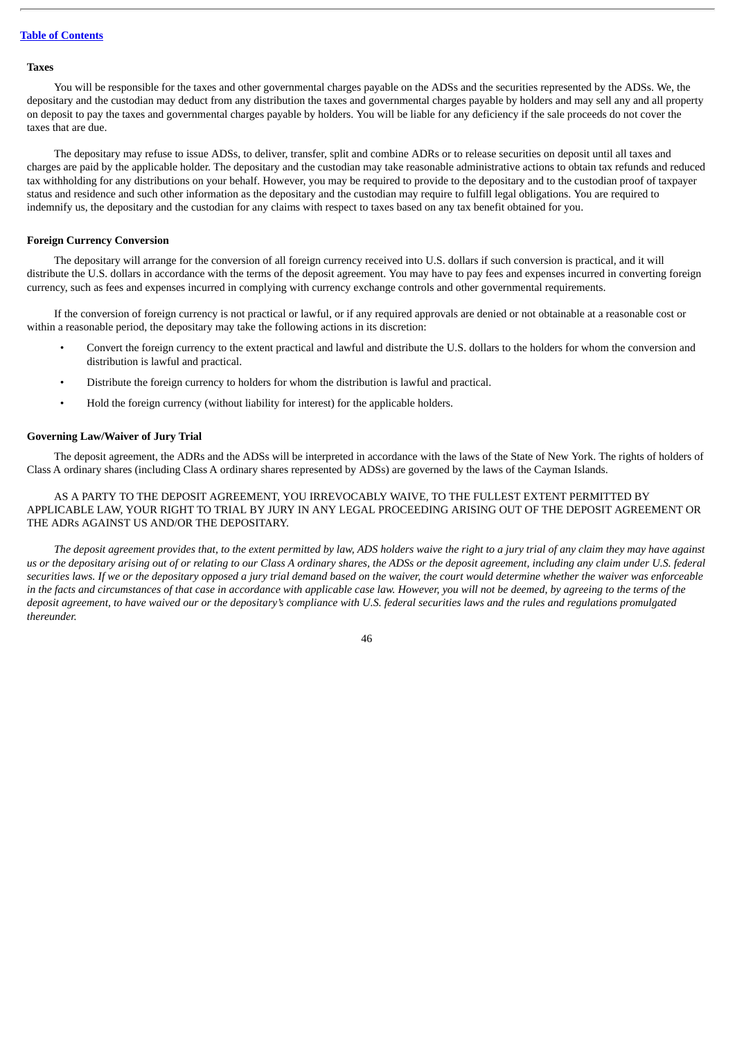### **Taxes**

You will be responsible for the taxes and other governmental charges payable on the ADSs and the securities represented by the ADSs. We, the depositary and the custodian may deduct from any distribution the taxes and governmental charges payable by holders and may sell any and all property on deposit to pay the taxes and governmental charges payable by holders. You will be liable for any deficiency if the sale proceeds do not cover the taxes that are due.

The depositary may refuse to issue ADSs, to deliver, transfer, split and combine ADRs or to release securities on deposit until all taxes and charges are paid by the applicable holder. The depositary and the custodian may take reasonable administrative actions to obtain tax refunds and reduced tax withholding for any distributions on your behalf. However, you may be required to provide to the depositary and to the custodian proof of taxpayer status and residence and such other information as the depositary and the custodian may require to fulfill legal obligations. You are required to indemnify us, the depositary and the custodian for any claims with respect to taxes based on any tax benefit obtained for you.

### **Foreign Currency Conversion**

The depositary will arrange for the conversion of all foreign currency received into U.S. dollars if such conversion is practical, and it will distribute the U.S. dollars in accordance with the terms of the deposit agreement. You may have to pay fees and expenses incurred in converting foreign currency, such as fees and expenses incurred in complying with currency exchange controls and other governmental requirements.

If the conversion of foreign currency is not practical or lawful, or if any required approvals are denied or not obtainable at a reasonable cost or within a reasonable period, the depositary may take the following actions in its discretion:

- Convert the foreign currency to the extent practical and lawful and distribute the U.S. dollars to the holders for whom the conversion and distribution is lawful and practical.
- Distribute the foreign currency to holders for whom the distribution is lawful and practical.
- Hold the foreign currency (without liability for interest) for the applicable holders.

## **Governing Law/Waiver of Jury Trial**

The deposit agreement, the ADRs and the ADSs will be interpreted in accordance with the laws of the State of New York. The rights of holders of Class A ordinary shares (including Class A ordinary shares represented by ADSs) are governed by the laws of the Cayman Islands.

AS A PARTY TO THE DEPOSIT AGREEMENT, YOU IRREVOCABLY WAIVE, TO THE FULLEST EXTENT PERMITTED BY APPLICABLE LAW, YOUR RIGHT TO TRIAL BY JURY IN ANY LEGAL PROCEEDING ARISING OUT OF THE DEPOSIT AGREEMENT OR THE ADRs AGAINST US AND/OR THE DEPOSITARY.

The deposit agreement provides that, to the extent permitted by law, ADS holders waive the right to a jury trial of any claim they may have against us or the depositary arising out of or relating to our Class A ordinary shares, the ADSs or the deposit agreement, including any claim under U.S. federal securities laws. If we or the depositary opposed a jury trial demand based on the waiver, the court would determine whether the waiver was enforceable in the facts and circumstances of that case in accordance with applicable case law. However, you will not be deemed, by aareeina to the terms of the deposit agreement, to have waived our or the depositary's compliance with U.S. federal securities laws and the rules and regulations promulgated *thereunder.*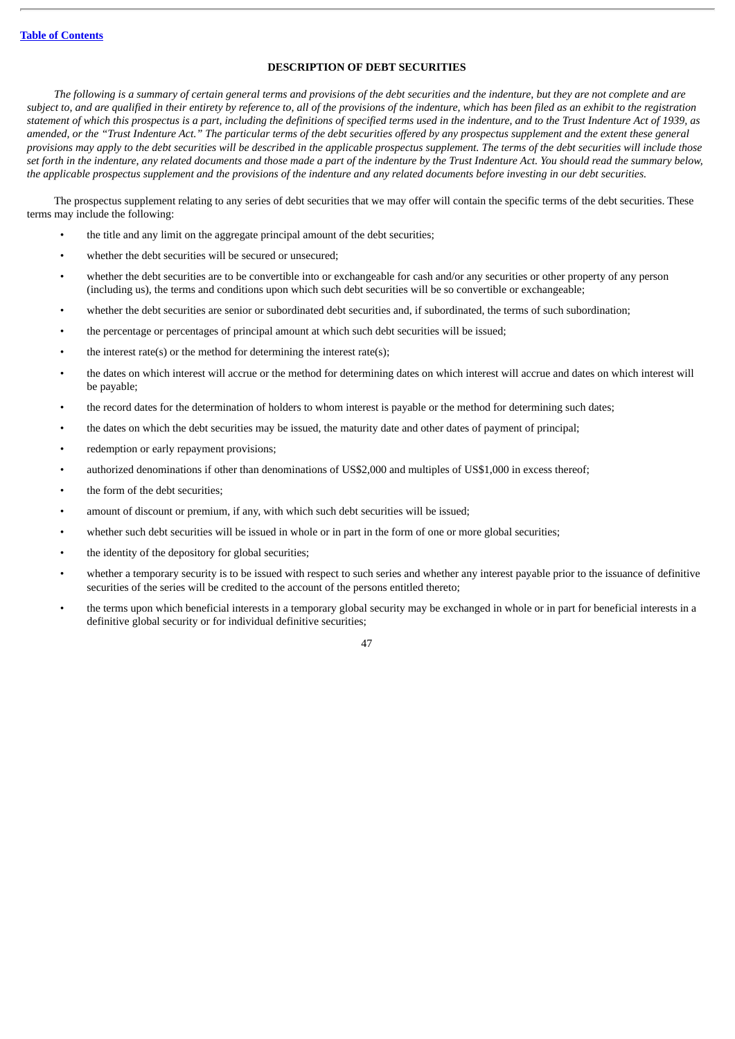## **DESCRIPTION OF DEBT SECURITIES**

The following is a summary of certain general terms and provisions of the debt securities and the indenture, but they are not complete and are subject to, and are qualified in their entirety by reference to, all of the provisions of the indenture, which has been filed as an exhibit to the registration statement of which this prospectus is a part, including the definitions of specified terms used in the indenture, and to the Trust Indenture Act of 1939, as amended, or the "Trust Indenture Act." The particular terms of the debt securities offered by any prospectus supplement and the extent these general provisions may apply to the debt securities will be described in the applicable prospectus supplement. The terms of the debt securities will include those set forth in the indenture, any related documents and those made a part of the indenture by the Trust Indenture Act. You should read the summary below, the applicable prospectus supplement and the provisions of the indenture and any related documents before investing in our debt securities.

The prospectus supplement relating to any series of debt securities that we may offer will contain the specific terms of the debt securities. These terms may include the following:

- the title and any limit on the aggregate principal amount of the debt securities;
- whether the debt securities will be secured or unsecured:
- whether the debt securities are to be convertible into or exchangeable for cash and/or any securities or other property of any person (including us), the terms and conditions upon which such debt securities will be so convertible or exchangeable;
- whether the debt securities are senior or subordinated debt securities and, if subordinated, the terms of such subordination;
- the percentage or percentages of principal amount at which such debt securities will be issued;
- the interest rate(s) or the method for determining the interest rate(s);
- the dates on which interest will accrue or the method for determining dates on which interest will accrue and dates on which interest will be payable;
- the record dates for the determination of holders to whom interest is payable or the method for determining such dates;
- the dates on which the debt securities may be issued, the maturity date and other dates of payment of principal;
- redemption or early repayment provisions;
- authorized denominations if other than denominations of US\$2,000 and multiples of US\$1,000 in excess thereof;
- the form of the debt securities;
- amount of discount or premium, if any, with which such debt securities will be issued;
- whether such debt securities will be issued in whole or in part in the form of one or more global securities;
- the identity of the depository for global securities;
- whether a temporary security is to be issued with respect to such series and whether any interest payable prior to the issuance of definitive securities of the series will be credited to the account of the persons entitled thereto;
- the terms upon which beneficial interests in a temporary global security may be exchanged in whole or in part for beneficial interests in a definitive global security or for individual definitive securities;
	- 47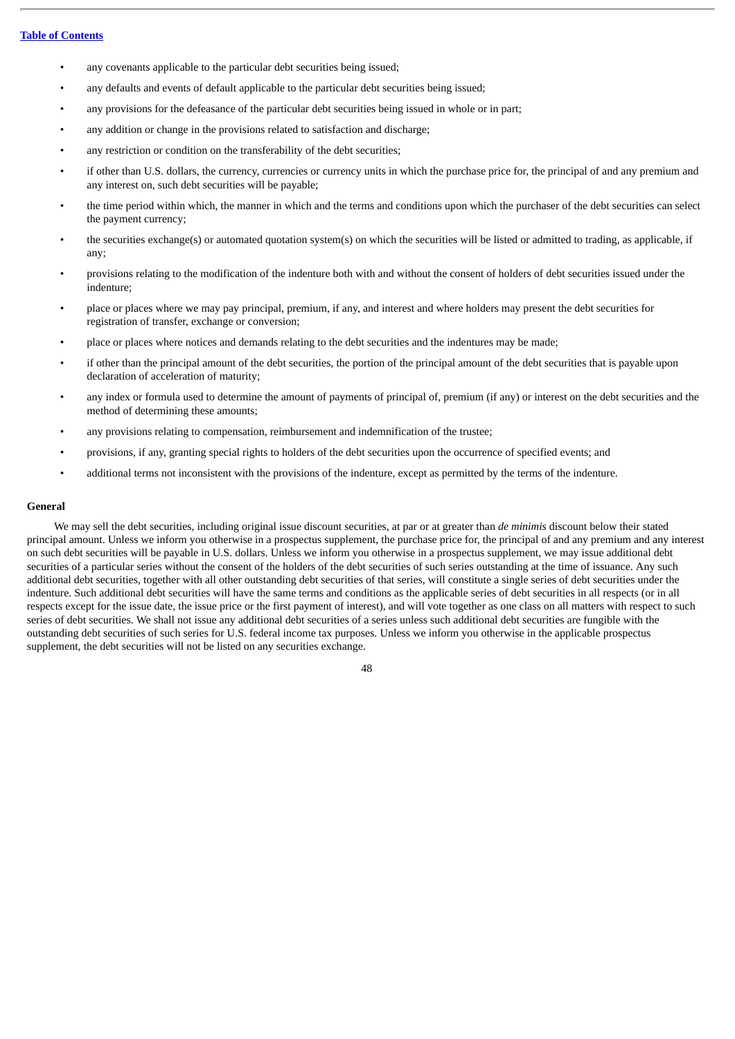- any covenants applicable to the particular debt securities being issued;
- any defaults and events of default applicable to the particular debt securities being issued;
- any provisions for the defeasance of the particular debt securities being issued in whole or in part;
- any addition or change in the provisions related to satisfaction and discharge;
- any restriction or condition on the transferability of the debt securities;
- if other than U.S. dollars, the currency, currencies or currency units in which the purchase price for, the principal of and any premium and any interest on, such debt securities will be payable;
- the time period within which, the manner in which and the terms and conditions upon which the purchaser of the debt securities can select the payment currency;
- the securities exchange(s) or automated quotation system(s) on which the securities will be listed or admitted to trading, as applicable, if any;
- provisions relating to the modification of the indenture both with and without the consent of holders of debt securities issued under the indenture;
- place or places where we may pay principal, premium, if any, and interest and where holders may present the debt securities for registration of transfer, exchange or conversion;
- place or places where notices and demands relating to the debt securities and the indentures may be made;
- if other than the principal amount of the debt securities, the portion of the principal amount of the debt securities that is payable upon declaration of acceleration of maturity;
- any index or formula used to determine the amount of payments of principal of, premium (if any) or interest on the debt securities and the method of determining these amounts;
- any provisions relating to compensation, reimbursement and indemnification of the trustee;
- provisions, if any, granting special rights to holders of the debt securities upon the occurrence of specified events; and
- additional terms not inconsistent with the provisions of the indenture, except as permitted by the terms of the indenture.

## **General**

We may sell the debt securities, including original issue discount securities, at par or at greater than *de minimis* discount below their stated principal amount. Unless we inform you otherwise in a prospectus supplement, the purchase price for, the principal of and any premium and any interest on such debt securities will be payable in U.S. dollars. Unless we inform you otherwise in a prospectus supplement, we may issue additional debt securities of a particular series without the consent of the holders of the debt securities of such series outstanding at the time of issuance. Any such additional debt securities, together with all other outstanding debt securities of that series, will constitute a single series of debt securities under the indenture. Such additional debt securities will have the same terms and conditions as the applicable series of debt securities in all respects (or in all respects except for the issue date, the issue price or the first payment of interest), and will vote together as one class on all matters with respect to such series of debt securities. We shall not issue any additional debt securities of a series unless such additional debt securities are fungible with the outstanding debt securities of such series for U.S. federal income tax purposes. Unless we inform you otherwise in the applicable prospectus supplement, the debt securities will not be listed on any securities exchange.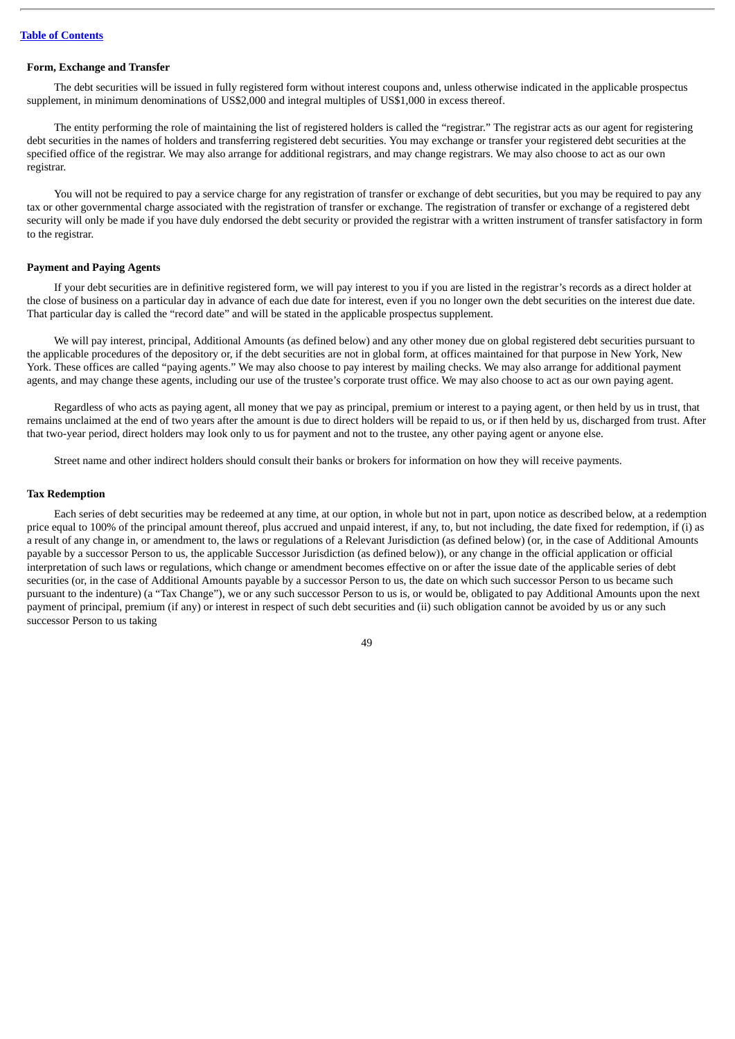### **Form, Exchange and Transfer**

The debt securities will be issued in fully registered form without interest coupons and, unless otherwise indicated in the applicable prospectus supplement, in minimum denominations of US\$2,000 and integral multiples of US\$1,000 in excess thereof.

The entity performing the role of maintaining the list of registered holders is called the "registrar." The registrar acts as our agent for registering debt securities in the names of holders and transferring registered debt securities. You may exchange or transfer your registered debt securities at the specified office of the registrar. We may also arrange for additional registrars, and may change registrars. We may also choose to act as our own registrar.

You will not be required to pay a service charge for any registration of transfer or exchange of debt securities, but you may be required to pay any tax or other governmental charge associated with the registration of transfer or exchange. The registration of transfer or exchange of a registered debt security will only be made if you have duly endorsed the debt security or provided the registrar with a written instrument of transfer satisfactory in form to the registrar.

### **Payment and Paying Agents**

If your debt securities are in definitive registered form, we will pay interest to you if you are listed in the registrar's records as a direct holder at the close of business on a particular day in advance of each due date for interest, even if you no longer own the debt securities on the interest due date. That particular day is called the "record date" and will be stated in the applicable prospectus supplement.

We will pay interest, principal, Additional Amounts (as defined below) and any other money due on global registered debt securities pursuant to the applicable procedures of the depository or, if the debt securities are not in global form, at offices maintained for that purpose in New York, New York. These offices are called "paying agents." We may also choose to pay interest by mailing checks. We may also arrange for additional payment agents, and may change these agents, including our use of the trustee's corporate trust office. We may also choose to act as our own paying agent.

Regardless of who acts as paying agent, all money that we pay as principal, premium or interest to a paying agent, or then held by us in trust, that remains unclaimed at the end of two years after the amount is due to direct holders will be repaid to us, or if then held by us, discharged from trust. After that two-year period, direct holders may look only to us for payment and not to the trustee, any other paying agent or anyone else.

Street name and other indirect holders should consult their banks or brokers for information on how they will receive payments.

#### **Tax Redemption**

Each series of debt securities may be redeemed at any time, at our option, in whole but not in part, upon notice as described below, at a redemption price equal to 100% of the principal amount thereof, plus accrued and unpaid interest, if any, to, but not including, the date fixed for redemption, if (i) as a result of any change in, or amendment to, the laws or regulations of a Relevant Jurisdiction (as defined below) (or, in the case of Additional Amounts payable by a successor Person to us, the applicable Successor Jurisdiction (as defined below)), or any change in the official application or official interpretation of such laws or regulations, which change or amendment becomes effective on or after the issue date of the applicable series of debt securities (or, in the case of Additional Amounts payable by a successor Person to us, the date on which such successor Person to us became such pursuant to the indenture) (a "Tax Change"), we or any such successor Person to us is, or would be, obligated to pay Additional Amounts upon the next payment of principal, premium (if any) or interest in respect of such debt securities and (ii) such obligation cannot be avoided by us or any such successor Person to us taking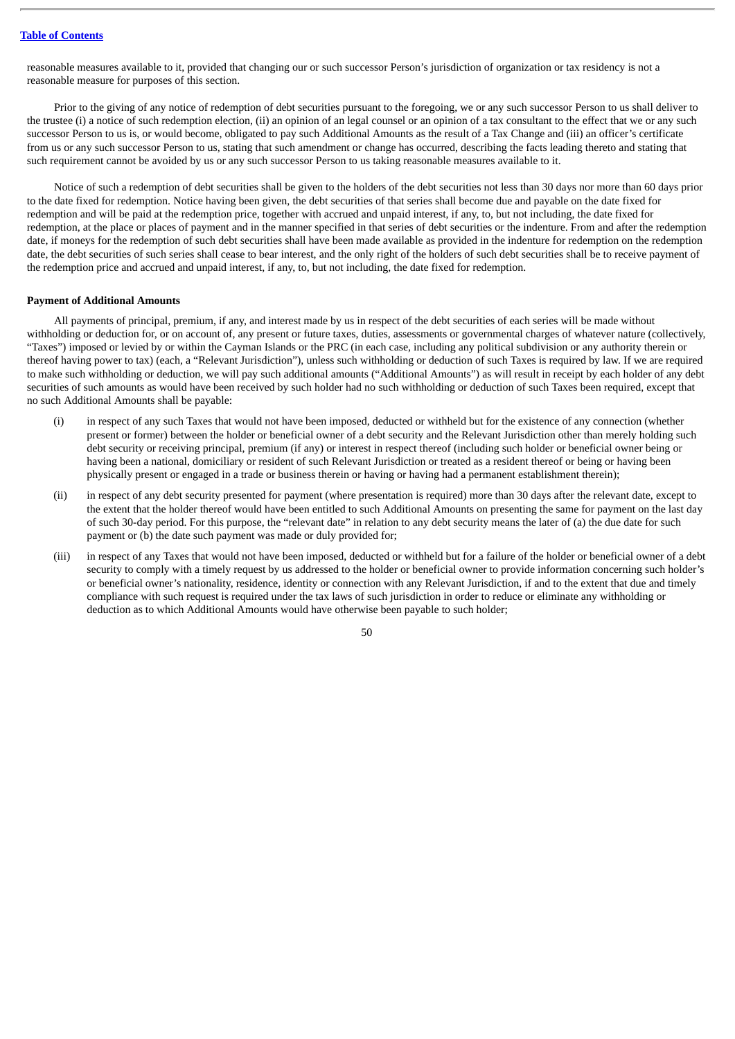reasonable measures available to it, provided that changing our or such successor Person's jurisdiction of organization or tax residency is not a reasonable measure for purposes of this section.

Prior to the giving of any notice of redemption of debt securities pursuant to the foregoing, we or any such successor Person to us shall deliver to the trustee (i) a notice of such redemption election, (ii) an opinion of an legal counsel or an opinion of a tax consultant to the effect that we or any such successor Person to us is, or would become, obligated to pay such Additional Amounts as the result of a Tax Change and (iii) an officer's certificate from us or any such successor Person to us, stating that such amendment or change has occurred, describing the facts leading thereto and stating that such requirement cannot be avoided by us or any such successor Person to us taking reasonable measures available to it.

Notice of such a redemption of debt securities shall be given to the holders of the debt securities not less than 30 days nor more than 60 days prior to the date fixed for redemption. Notice having been given, the debt securities of that series shall become due and payable on the date fixed for redemption and will be paid at the redemption price, together with accrued and unpaid interest, if any, to, but not including, the date fixed for redemption, at the place or places of payment and in the manner specified in that series of debt securities or the indenture. From and after the redemption date, if moneys for the redemption of such debt securities shall have been made available as provided in the indenture for redemption on the redemption date, the debt securities of such series shall cease to bear interest, and the only right of the holders of such debt securities shall be to receive payment of the redemption price and accrued and unpaid interest, if any, to, but not including, the date fixed for redemption.

#### **Payment of Additional Amounts**

All payments of principal, premium, if any, and interest made by us in respect of the debt securities of each series will be made without withholding or deduction for, or on account of, any present or future taxes, duties, assessments or governmental charges of whatever nature (collectively, "Taxes") imposed or levied by or within the Cayman Islands or the PRC (in each case, including any political subdivision or any authority therein or thereof having power to tax) (each, a "Relevant Jurisdiction"), unless such withholding or deduction of such Taxes is required by law. If we are required to make such withholding or deduction, we will pay such additional amounts ("Additional Amounts") as will result in receipt by each holder of any debt securities of such amounts as would have been received by such holder had no such withholding or deduction of such Taxes been required, except that no such Additional Amounts shall be payable:

- (i) in respect of any such Taxes that would not have been imposed, deducted or withheld but for the existence of any connection (whether present or former) between the holder or beneficial owner of a debt security and the Relevant Jurisdiction other than merely holding such debt security or receiving principal, premium (if any) or interest in respect thereof (including such holder or beneficial owner being or having been a national, domiciliary or resident of such Relevant Jurisdiction or treated as a resident thereof or being or having been physically present or engaged in a trade or business therein or having or having had a permanent establishment therein);
- (ii) in respect of any debt security presented for payment (where presentation is required) more than 30 days after the relevant date, except to the extent that the holder thereof would have been entitled to such Additional Amounts on presenting the same for payment on the last day of such 30-day period. For this purpose, the "relevant date" in relation to any debt security means the later of (a) the due date for such payment or (b) the date such payment was made or duly provided for;
- (iii) in respect of any Taxes that would not have been imposed, deducted or withheld but for a failure of the holder or beneficial owner of a debt security to comply with a timely request by us addressed to the holder or beneficial owner to provide information concerning such holder's or beneficial owner's nationality, residence, identity or connection with any Relevant Jurisdiction, if and to the extent that due and timely compliance with such request is required under the tax laws of such jurisdiction in order to reduce or eliminate any withholding or deduction as to which Additional Amounts would have otherwise been payable to such holder;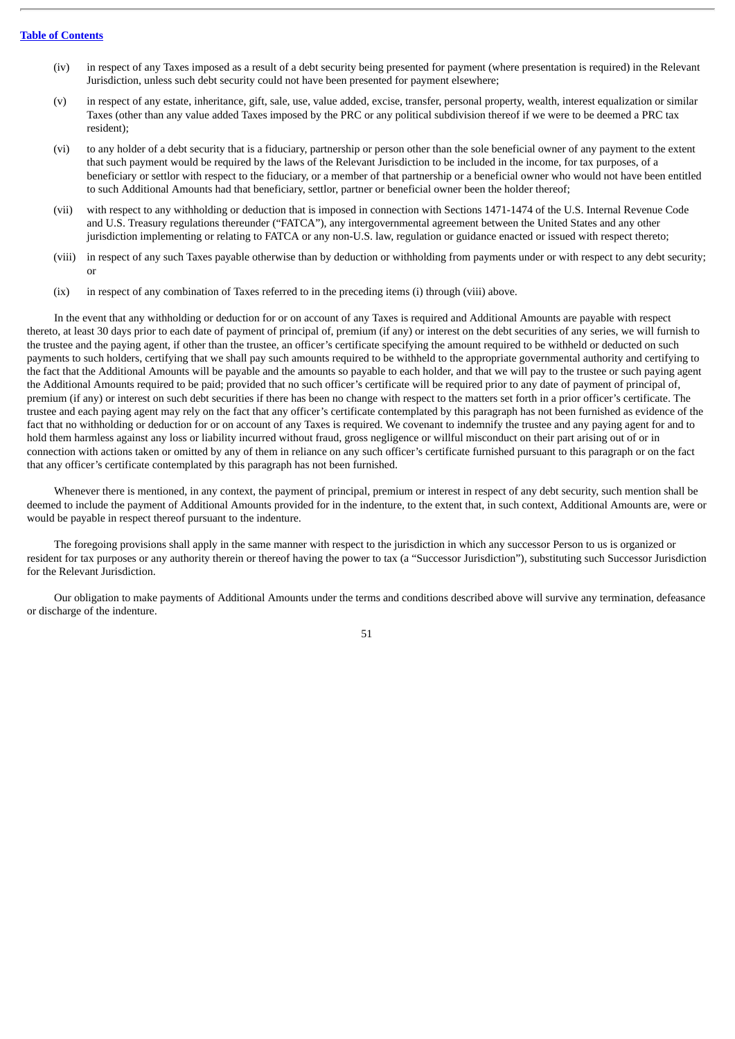- (iv) in respect of any Taxes imposed as a result of a debt security being presented for payment (where presentation is required) in the Relevant Jurisdiction, unless such debt security could not have been presented for payment elsewhere;
- (v) in respect of any estate, inheritance, gift, sale, use, value added, excise, transfer, personal property, wealth, interest equalization or similar Taxes (other than any value added Taxes imposed by the PRC or any political subdivision thereof if we were to be deemed a PRC tax resident);
- (vi) to any holder of a debt security that is a fiduciary, partnership or person other than the sole beneficial owner of any payment to the extent that such payment would be required by the laws of the Relevant Jurisdiction to be included in the income, for tax purposes, of a beneficiary or settlor with respect to the fiduciary, or a member of that partnership or a beneficial owner who would not have been entitled to such Additional Amounts had that beneficiary, settlor, partner or beneficial owner been the holder thereof;
- (vii) with respect to any withholding or deduction that is imposed in connection with Sections 1471-1474 of the U.S. Internal Revenue Code and U.S. Treasury regulations thereunder ("FATCA"), any intergovernmental agreement between the United States and any other jurisdiction implementing or relating to FATCA or any non-U.S. law, regulation or guidance enacted or issued with respect thereto;
- (viii) in respect of any such Taxes payable otherwise than by deduction or withholding from payments under or with respect to any debt security; or
- (ix) in respect of any combination of Taxes referred to in the preceding items (i) through (viii) above.

In the event that any withholding or deduction for or on account of any Taxes is required and Additional Amounts are payable with respect thereto, at least 30 days prior to each date of payment of principal of, premium (if any) or interest on the debt securities of any series, we will furnish to the trustee and the paying agent, if other than the trustee, an officer's certificate specifying the amount required to be withheld or deducted on such payments to such holders, certifying that we shall pay such amounts required to be withheld to the appropriate governmental authority and certifying to the fact that the Additional Amounts will be payable and the amounts so payable to each holder, and that we will pay to the trustee or such paying agent the Additional Amounts required to be paid; provided that no such officer's certificate will be required prior to any date of payment of principal of, premium (if any) or interest on such debt securities if there has been no change with respect to the matters set forth in a prior officer's certificate. The trustee and each paying agent may rely on the fact that any officer's certificate contemplated by this paragraph has not been furnished as evidence of the fact that no withholding or deduction for or on account of any Taxes is required. We covenant to indemnify the trustee and any paying agent for and to hold them harmless against any loss or liability incurred without fraud, gross negligence or willful misconduct on their part arising out of or in connection with actions taken or omitted by any of them in reliance on any such officer's certificate furnished pursuant to this paragraph or on the fact that any officer's certificate contemplated by this paragraph has not been furnished.

Whenever there is mentioned, in any context, the payment of principal, premium or interest in respect of any debt security, such mention shall be deemed to include the payment of Additional Amounts provided for in the indenture, to the extent that, in such context, Additional Amounts are, were or would be payable in respect thereof pursuant to the indenture.

The foregoing provisions shall apply in the same manner with respect to the jurisdiction in which any successor Person to us is organized or resident for tax purposes or any authority therein or thereof having the power to tax (a "Successor Jurisdiction"), substituting such Successor Jurisdiction for the Relevant Jurisdiction.

Our obligation to make payments of Additional Amounts under the terms and conditions described above will survive any termination, defeasance or discharge of the indenture.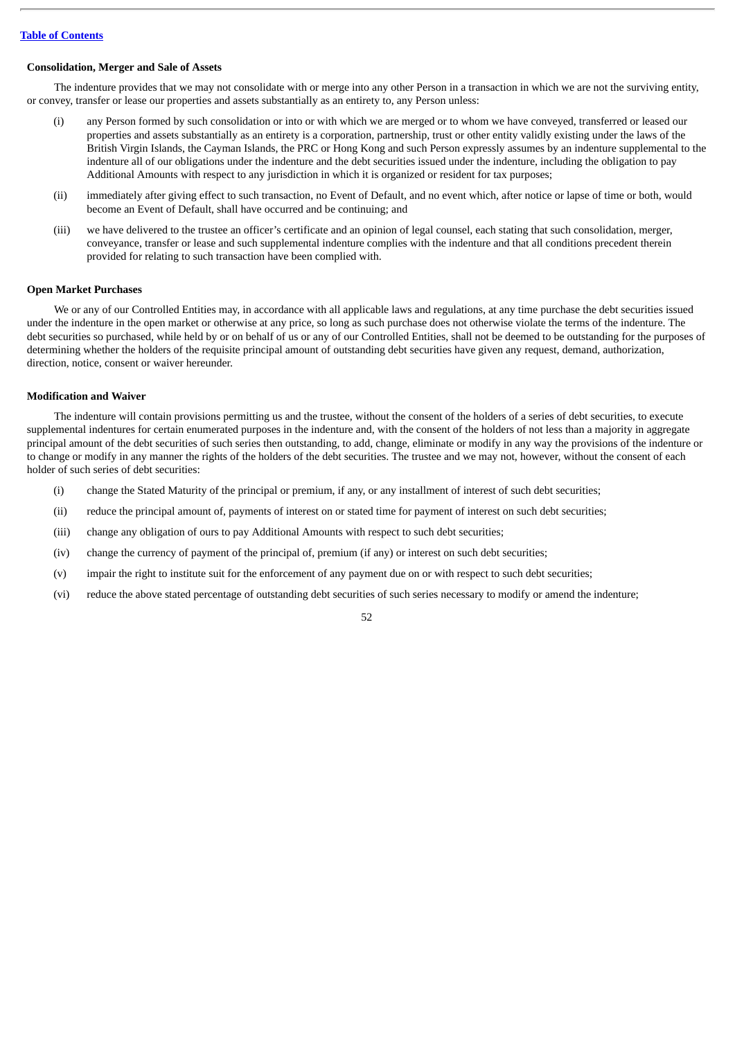### **Consolidation, Merger and Sale of Assets**

The indenture provides that we may not consolidate with or merge into any other Person in a transaction in which we are not the surviving entity, or convey, transfer or lease our properties and assets substantially as an entirety to, any Person unless:

- (i) any Person formed by such consolidation or into or with which we are merged or to whom we have conveyed, transferred or leased our properties and assets substantially as an entirety is a corporation, partnership, trust or other entity validly existing under the laws of the British Virgin Islands, the Cayman Islands, the PRC or Hong Kong and such Person expressly assumes by an indenture supplemental to the indenture all of our obligations under the indenture and the debt securities issued under the indenture, including the obligation to pay Additional Amounts with respect to any jurisdiction in which it is organized or resident for tax purposes;
- (ii) immediately after giving effect to such transaction, no Event of Default, and no event which, after notice or lapse of time or both, would become an Event of Default, shall have occurred and be continuing; and
- (iii) we have delivered to the trustee an officer's certificate and an opinion of legal counsel, each stating that such consolidation, merger, conveyance, transfer or lease and such supplemental indenture complies with the indenture and that all conditions precedent therein provided for relating to such transaction have been complied with.

### **Open Market Purchases**

We or any of our Controlled Entities may, in accordance with all applicable laws and regulations, at any time purchase the debt securities issued under the indenture in the open market or otherwise at any price, so long as such purchase does not otherwise violate the terms of the indenture. The debt securities so purchased, while held by or on behalf of us or any of our Controlled Entities, shall not be deemed to be outstanding for the purposes of determining whether the holders of the requisite principal amount of outstanding debt securities have given any request, demand, authorization, direction, notice, consent or waiver hereunder.

### **Modification and Waiver**

The indenture will contain provisions permitting us and the trustee, without the consent of the holders of a series of debt securities, to execute supplemental indentures for certain enumerated purposes in the indenture and, with the consent of the holders of not less than a majority in aggregate principal amount of the debt securities of such series then outstanding, to add, change, eliminate or modify in any way the provisions of the indenture or to change or modify in any manner the rights of the holders of the debt securities. The trustee and we may not, however, without the consent of each holder of such series of debt securities:

- (i) change the Stated Maturity of the principal or premium, if any, or any installment of interest of such debt securities;
- (ii) reduce the principal amount of, payments of interest on or stated time for payment of interest on such debt securities;
- (iii) change any obligation of ours to pay Additional Amounts with respect to such debt securities;
- (iv) change the currency of payment of the principal of, premium (if any) or interest on such debt securities;
- (v) impair the right to institute suit for the enforcement of any payment due on or with respect to such debt securities;
- (vi) reduce the above stated percentage of outstanding debt securities of such series necessary to modify or amend the indenture;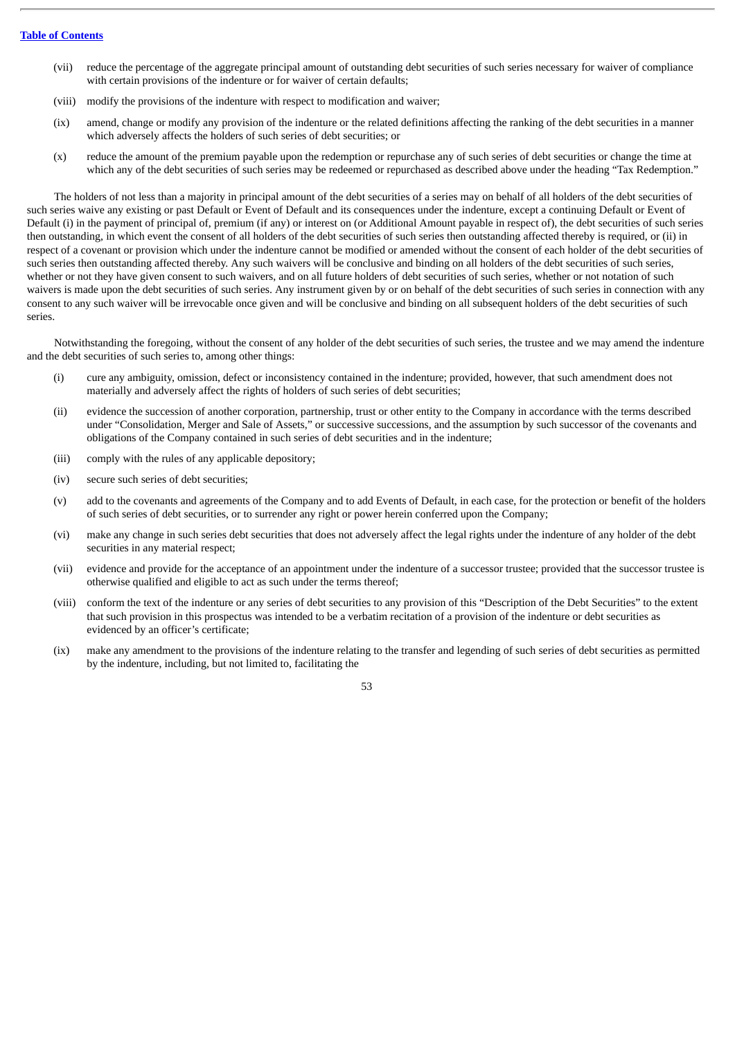- (vii) reduce the percentage of the aggregate principal amount of outstanding debt securities of such series necessary for waiver of compliance with certain provisions of the indenture or for waiver of certain defaults;
- (viii) modify the provisions of the indenture with respect to modification and waiver;
- (ix) amend, change or modify any provision of the indenture or the related definitions affecting the ranking of the debt securities in a manner which adversely affects the holders of such series of debt securities; or
- (x) reduce the amount of the premium payable upon the redemption or repurchase any of such series of debt securities or change the time at which any of the debt securities of such series may be redeemed or repurchased as described above under the heading "Tax Redemption."

The holders of not less than a majority in principal amount of the debt securities of a series may on behalf of all holders of the debt securities of such series waive any existing or past Default or Event of Default and its consequences under the indenture, except a continuing Default or Event of Default (i) in the payment of principal of, premium (if any) or interest on (or Additional Amount payable in respect of), the debt securities of such series then outstanding, in which event the consent of all holders of the debt securities of such series then outstanding affected thereby is required, or (ii) in respect of a covenant or provision which under the indenture cannot be modified or amended without the consent of each holder of the debt securities of such series then outstanding affected thereby. Any such waivers will be conclusive and binding on all holders of the debt securities of such series, whether or not they have given consent to such waivers, and on all future holders of debt securities of such series, whether or not notation of such waivers is made upon the debt securities of such series. Any instrument given by or on behalf of the debt securities of such series in connection with any consent to any such waiver will be irrevocable once given and will be conclusive and binding on all subsequent holders of the debt securities of such series.

Notwithstanding the foregoing, without the consent of any holder of the debt securities of such series, the trustee and we may amend the indenture and the debt securities of such series to, among other things:

- (i) cure any ambiguity, omission, defect or inconsistency contained in the indenture; provided, however, that such amendment does not materially and adversely affect the rights of holders of such series of debt securities;
- (ii) evidence the succession of another corporation, partnership, trust or other entity to the Company in accordance with the terms described under "Consolidation, Merger and Sale of Assets," or successive successions, and the assumption by such successor of the covenants and obligations of the Company contained in such series of debt securities and in the indenture;
- (iii) comply with the rules of any applicable depository;
- (iv) secure such series of debt securities;
- (v) add to the covenants and agreements of the Company and to add Events of Default, in each case, for the protection or benefit of the holders of such series of debt securities, or to surrender any right or power herein conferred upon the Company;
- (vi) make any change in such series debt securities that does not adversely affect the legal rights under the indenture of any holder of the debt securities in any material respect;
- (vii) evidence and provide for the acceptance of an appointment under the indenture of a successor trustee; provided that the successor trustee is otherwise qualified and eligible to act as such under the terms thereof;
- (viii) conform the text of the indenture or any series of debt securities to any provision of this "Description of the Debt Securities" to the extent that such provision in this prospectus was intended to be a verbatim recitation of a provision of the indenture or debt securities as evidenced by an officer's certificate;
- (ix) make any amendment to the provisions of the indenture relating to the transfer and legending of such series of debt securities as permitted by the indenture, including, but not limited to, facilitating the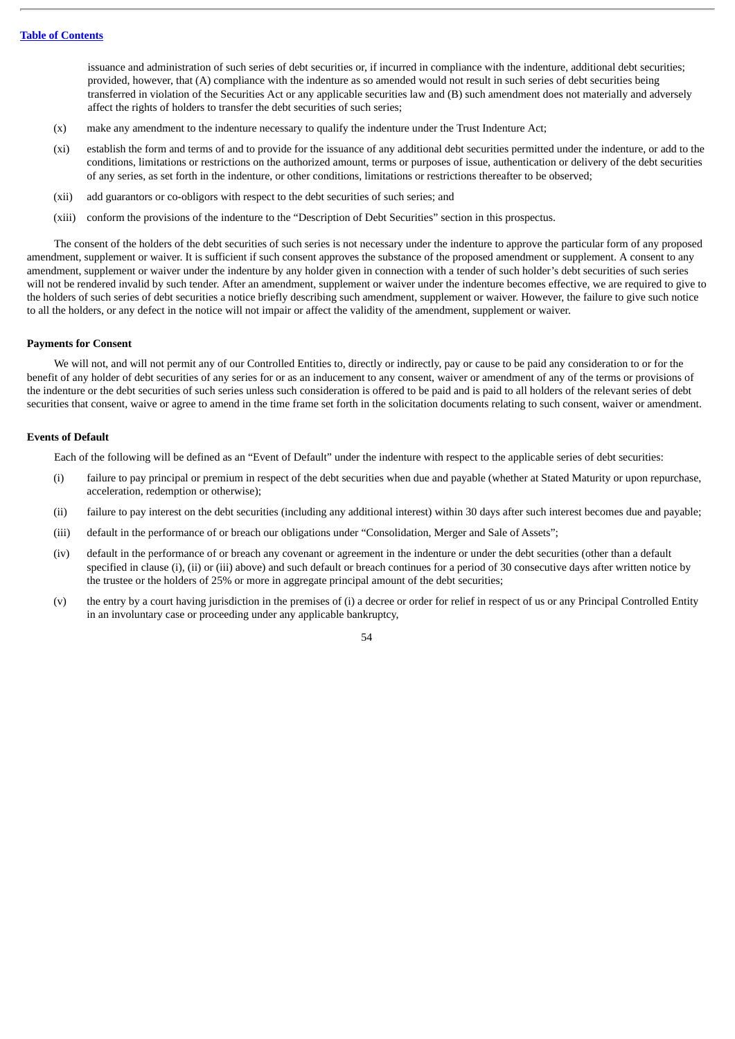issuance and administration of such series of debt securities or, if incurred in compliance with the indenture, additional debt securities; provided, however, that (A) compliance with the indenture as so amended would not result in such series of debt securities being transferred in violation of the Securities Act or any applicable securities law and (B) such amendment does not materially and adversely affect the rights of holders to transfer the debt securities of such series;

- (x) make any amendment to the indenture necessary to qualify the indenture under the Trust Indenture Act;
- (xi) establish the form and terms of and to provide for the issuance of any additional debt securities permitted under the indenture, or add to the conditions, limitations or restrictions on the authorized amount, terms or purposes of issue, authentication or delivery of the debt securities of any series, as set forth in the indenture, or other conditions, limitations or restrictions thereafter to be observed;
- (xii) add guarantors or co-obligors with respect to the debt securities of such series; and
- (xiii) conform the provisions of the indenture to the "Description of Debt Securities" section in this prospectus.

The consent of the holders of the debt securities of such series is not necessary under the indenture to approve the particular form of any proposed amendment, supplement or waiver. It is sufficient if such consent approves the substance of the proposed amendment or supplement. A consent to any amendment, supplement or waiver under the indenture by any holder given in connection with a tender of such holder's debt securities of such series will not be rendered invalid by such tender. After an amendment, supplement or waiver under the indenture becomes effective, we are required to give to the holders of such series of debt securities a notice briefly describing such amendment, supplement or waiver. However, the failure to give such notice to all the holders, or any defect in the notice will not impair or affect the validity of the amendment, supplement or waiver.

## **Payments for Consent**

We will not, and will not permit any of our Controlled Entities to, directly or indirectly, pay or cause to be paid any consideration to or for the benefit of any holder of debt securities of any series for or as an inducement to any consent, waiver or amendment of any of the terms or provisions of the indenture or the debt securities of such series unless such consideration is offered to be paid and is paid to all holders of the relevant series of debt securities that consent, waive or agree to amend in the time frame set forth in the solicitation documents relating to such consent, waiver or amendment.

## **Events of Default**

Each of the following will be defined as an "Event of Default" under the indenture with respect to the applicable series of debt securities:

- (i) failure to pay principal or premium in respect of the debt securities when due and payable (whether at Stated Maturity or upon repurchase, acceleration, redemption or otherwise);
- (ii) failure to pay interest on the debt securities (including any additional interest) within 30 days after such interest becomes due and payable;
- (iii) default in the performance of or breach our obligations under "Consolidation, Merger and Sale of Assets";
- (iv) default in the performance of or breach any covenant or agreement in the indenture or under the debt securities (other than a default specified in clause (i), (ii) or (iii) above) and such default or breach continues for a period of 30 consecutive days after written notice by the trustee or the holders of 25% or more in aggregate principal amount of the debt securities;
- (v) the entry by a court having jurisdiction in the premises of (i) a decree or order for relief in respect of us or any Principal Controlled Entity in an involuntary case or proceeding under any applicable bankruptcy,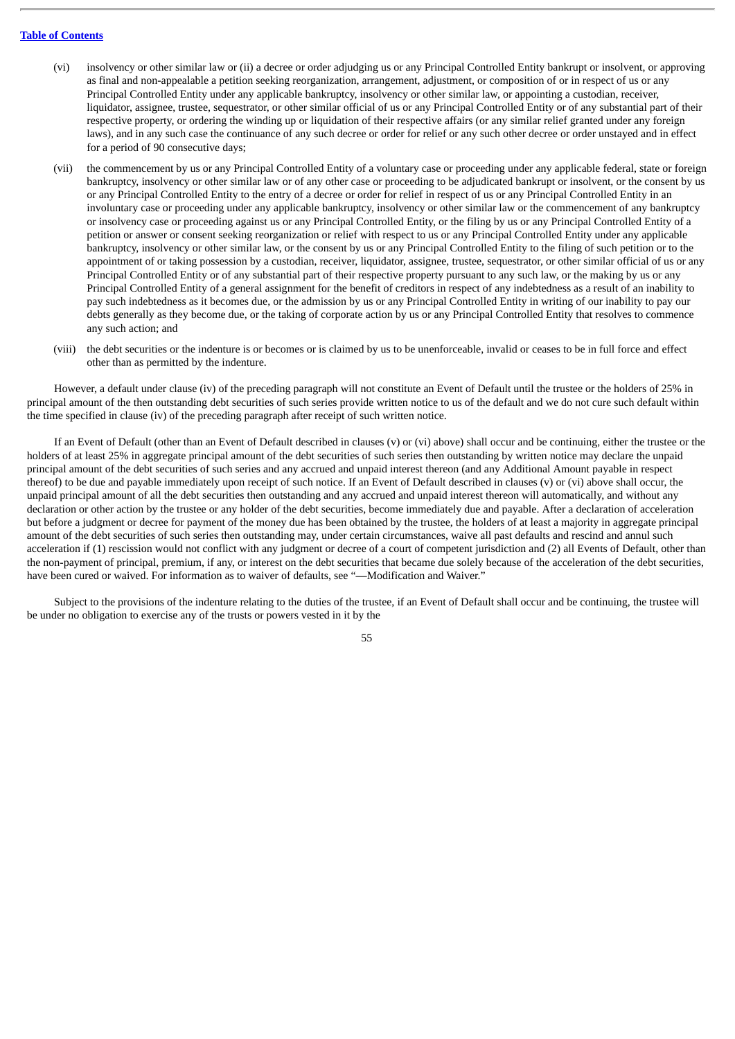- (vi) insolvency or other similar law or (ii) a decree or order adjudging us or any Principal Controlled Entity bankrupt or insolvent, or approving as final and non-appealable a petition seeking reorganization, arrangement, adjustment, or composition of or in respect of us or any Principal Controlled Entity under any applicable bankruptcy, insolvency or other similar law, or appointing a custodian, receiver, liquidator, assignee, trustee, sequestrator, or other similar official of us or any Principal Controlled Entity or of any substantial part of their respective property, or ordering the winding up or liquidation of their respective affairs (or any similar relief granted under any foreign laws), and in any such case the continuance of any such decree or order for relief or any such other decree or order unstayed and in effect for a period of 90 consecutive days;
- (vii) the commencement by us or any Principal Controlled Entity of a voluntary case or proceeding under any applicable federal, state or foreign bankruptcy, insolvency or other similar law or of any other case or proceeding to be adjudicated bankrupt or insolvent, or the consent by us or any Principal Controlled Entity to the entry of a decree or order for relief in respect of us or any Principal Controlled Entity in an involuntary case or proceeding under any applicable bankruptcy, insolvency or other similar law or the commencement of any bankruptcy or insolvency case or proceeding against us or any Principal Controlled Entity, or the filing by us or any Principal Controlled Entity of a petition or answer or consent seeking reorganization or relief with respect to us or any Principal Controlled Entity under any applicable bankruptcy, insolvency or other similar law, or the consent by us or any Principal Controlled Entity to the filing of such petition or to the appointment of or taking possession by a custodian, receiver, liquidator, assignee, trustee, sequestrator, or other similar official of us or any Principal Controlled Entity or of any substantial part of their respective property pursuant to any such law, or the making by us or any Principal Controlled Entity of a general assignment for the benefit of creditors in respect of any indebtedness as a result of an inability to pay such indebtedness as it becomes due, or the admission by us or any Principal Controlled Entity in writing of our inability to pay our debts generally as they become due, or the taking of corporate action by us or any Principal Controlled Entity that resolves to commence any such action; and
- (viii) the debt securities or the indenture is or becomes or is claimed by us to be unenforceable, invalid or ceases to be in full force and effect other than as permitted by the indenture.

However, a default under clause (iv) of the preceding paragraph will not constitute an Event of Default until the trustee or the holders of 25% in principal amount of the then outstanding debt securities of such series provide written notice to us of the default and we do not cure such default within the time specified in clause (iv) of the preceding paragraph after receipt of such written notice.

If an Event of Default (other than an Event of Default described in clauses (v) or (vi) above) shall occur and be continuing, either the trustee or the holders of at least 25% in aggregate principal amount of the debt securities of such series then outstanding by written notice may declare the unpaid principal amount of the debt securities of such series and any accrued and unpaid interest thereon (and any Additional Amount payable in respect thereof) to be due and payable immediately upon receipt of such notice. If an Event of Default described in clauses (v) or (vi) above shall occur, the unpaid principal amount of all the debt securities then outstanding and any accrued and unpaid interest thereon will automatically, and without any declaration or other action by the trustee or any holder of the debt securities, become immediately due and payable. After a declaration of acceleration but before a judgment or decree for payment of the money due has been obtained by the trustee, the holders of at least a majority in aggregate principal amount of the debt securities of such series then outstanding may, under certain circumstances, waive all past defaults and rescind and annul such acceleration if (1) rescission would not conflict with any judgment or decree of a court of competent jurisdiction and (2) all Events of Default, other than the non-payment of principal, premium, if any, or interest on the debt securities that became due solely because of the acceleration of the debt securities, have been cured or waived. For information as to waiver of defaults, see "—Modification and Waiver."

Subject to the provisions of the indenture relating to the duties of the trustee, if an Event of Default shall occur and be continuing, the trustee will be under no obligation to exercise any of the trusts or powers vested in it by the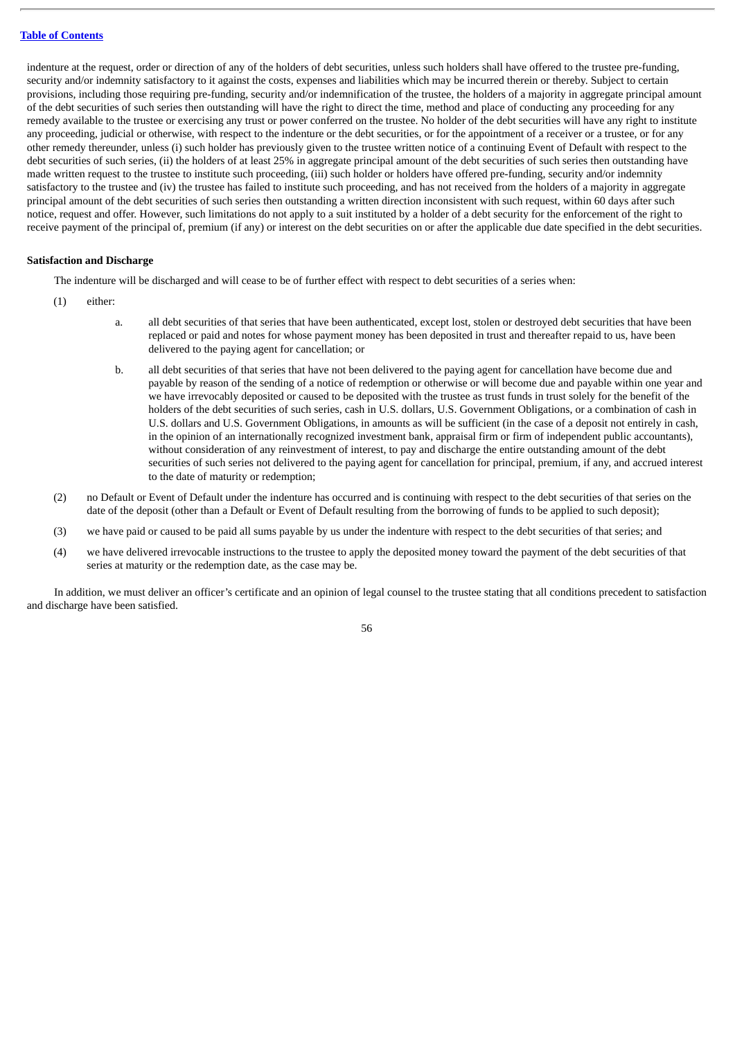indenture at the request, order or direction of any of the holders of debt securities, unless such holders shall have offered to the trustee pre-funding, security and/or indemnity satisfactory to it against the costs, expenses and liabilities which may be incurred therein or thereby. Subject to certain provisions, including those requiring pre-funding, security and/or indemnification of the trustee, the holders of a majority in aggregate principal amount of the debt securities of such series then outstanding will have the right to direct the time, method and place of conducting any proceeding for any remedy available to the trustee or exercising any trust or power conferred on the trustee. No holder of the debt securities will have any right to institute any proceeding, judicial or otherwise, with respect to the indenture or the debt securities, or for the appointment of a receiver or a trustee, or for any other remedy thereunder, unless (i) such holder has previously given to the trustee written notice of a continuing Event of Default with respect to the debt securities of such series, (ii) the holders of at least 25% in aggregate principal amount of the debt securities of such series then outstanding have made written request to the trustee to institute such proceeding, (iii) such holder or holders have offered pre-funding, security and/or indemnity satisfactory to the trustee and (iv) the trustee has failed to institute such proceeding, and has not received from the holders of a majority in aggregate principal amount of the debt securities of such series then outstanding a written direction inconsistent with such request, within 60 days after such notice, request and offer. However, such limitations do not apply to a suit instituted by a holder of a debt security for the enforcement of the right to receive payment of the principal of, premium (if any) or interest on the debt securities on or after the applicable due date specified in the debt securities.

## **Satisfaction and Discharge**

The indenture will be discharged and will cease to be of further effect with respect to debt securities of a series when:

- (1) either:
	- a. all debt securities of that series that have been authenticated, except lost, stolen or destroyed debt securities that have been replaced or paid and notes for whose payment money has been deposited in trust and thereafter repaid to us, have been delivered to the paying agent for cancellation; or
	- b. all debt securities of that series that have not been delivered to the paying agent for cancellation have become due and payable by reason of the sending of a notice of redemption or otherwise or will become due and payable within one year and we have irrevocably deposited or caused to be deposited with the trustee as trust funds in trust solely for the benefit of the holders of the debt securities of such series, cash in U.S. dollars, U.S. Government Obligations, or a combination of cash in U.S. dollars and U.S. Government Obligations, in amounts as will be sufficient (in the case of a deposit not entirely in cash, in the opinion of an internationally recognized investment bank, appraisal firm or firm of independent public accountants), without consideration of any reinvestment of interest, to pay and discharge the entire outstanding amount of the debt securities of such series not delivered to the paying agent for cancellation for principal, premium, if any, and accrued interest to the date of maturity or redemption;
- (2) no Default or Event of Default under the indenture has occurred and is continuing with respect to the debt securities of that series on the date of the deposit (other than a Default or Event of Default resulting from the borrowing of funds to be applied to such deposit);
- (3) we have paid or caused to be paid all sums payable by us under the indenture with respect to the debt securities of that series; and
- (4) we have delivered irrevocable instructions to the trustee to apply the deposited money toward the payment of the debt securities of that series at maturity or the redemption date, as the case may be.

In addition, we must deliver an officer's certificate and an opinion of legal counsel to the trustee stating that all conditions precedent to satisfaction and discharge have been satisfied.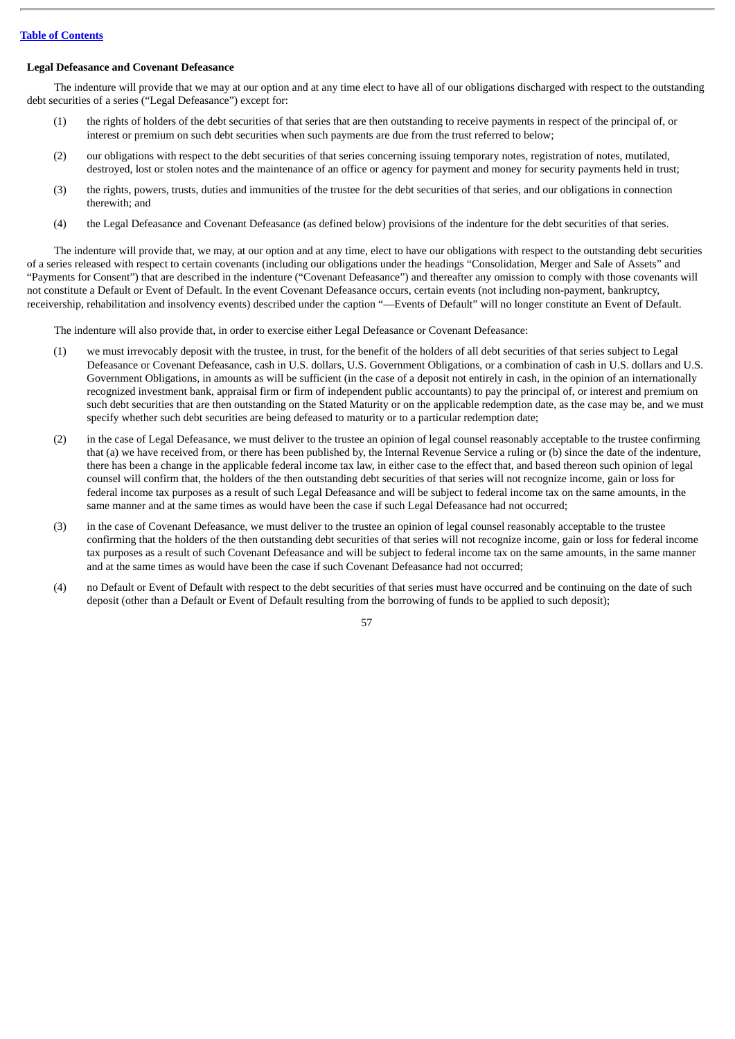### **Legal Defeasance and Covenant Defeasance**

The indenture will provide that we may at our option and at any time elect to have all of our obligations discharged with respect to the outstanding debt securities of a series ("Legal Defeasance") except for:

- (1) the rights of holders of the debt securities of that series that are then outstanding to receive payments in respect of the principal of, or interest or premium on such debt securities when such payments are due from the trust referred to below;
- (2) our obligations with respect to the debt securities of that series concerning issuing temporary notes, registration of notes, mutilated, destroyed, lost or stolen notes and the maintenance of an office or agency for payment and money for security payments held in trust;
- (3) the rights, powers, trusts, duties and immunities of the trustee for the debt securities of that series, and our obligations in connection therewith; and
- (4) the Legal Defeasance and Covenant Defeasance (as defined below) provisions of the indenture for the debt securities of that series.

The indenture will provide that, we may, at our option and at any time, elect to have our obligations with respect to the outstanding debt securities of a series released with respect to certain covenants (including our obligations under the headings "Consolidation, Merger and Sale of Assets" and "Payments for Consent") that are described in the indenture ("Covenant Defeasance") and thereafter any omission to comply with those covenants will not constitute a Default or Event of Default. In the event Covenant Defeasance occurs, certain events (not including non-payment, bankruptcy, receivership, rehabilitation and insolvency events) described under the caption "—Events of Default" will no longer constitute an Event of Default.

The indenture will also provide that, in order to exercise either Legal Defeasance or Covenant Defeasance:

- (1) we must irrevocably deposit with the trustee, in trust, for the benefit of the holders of all debt securities of that series subject to Legal Defeasance or Covenant Defeasance, cash in U.S. dollars, U.S. Government Obligations, or a combination of cash in U.S. dollars and U.S. Government Obligations, in amounts as will be sufficient (in the case of a deposit not entirely in cash, in the opinion of an internationally recognized investment bank, appraisal firm or firm of independent public accountants) to pay the principal of, or interest and premium on such debt securities that are then outstanding on the Stated Maturity or on the applicable redemption date, as the case may be, and we must specify whether such debt securities are being defeased to maturity or to a particular redemption date;
- (2) in the case of Legal Defeasance, we must deliver to the trustee an opinion of legal counsel reasonably acceptable to the trustee confirming that (a) we have received from, or there has been published by, the Internal Revenue Service a ruling or (b) since the date of the indenture, there has been a change in the applicable federal income tax law, in either case to the effect that, and based thereon such opinion of legal counsel will confirm that, the holders of the then outstanding debt securities of that series will not recognize income, gain or loss for federal income tax purposes as a result of such Legal Defeasance and will be subject to federal income tax on the same amounts, in the same manner and at the same times as would have been the case if such Legal Defeasance had not occurred;
- (3) in the case of Covenant Defeasance, we must deliver to the trustee an opinion of legal counsel reasonably acceptable to the trustee confirming that the holders of the then outstanding debt securities of that series will not recognize income, gain or loss for federal income tax purposes as a result of such Covenant Defeasance and will be subject to federal income tax on the same amounts, in the same manner and at the same times as would have been the case if such Covenant Defeasance had not occurred;
- (4) no Default or Event of Default with respect to the debt securities of that series must have occurred and be continuing on the date of such deposit (other than a Default or Event of Default resulting from the borrowing of funds to be applied to such deposit);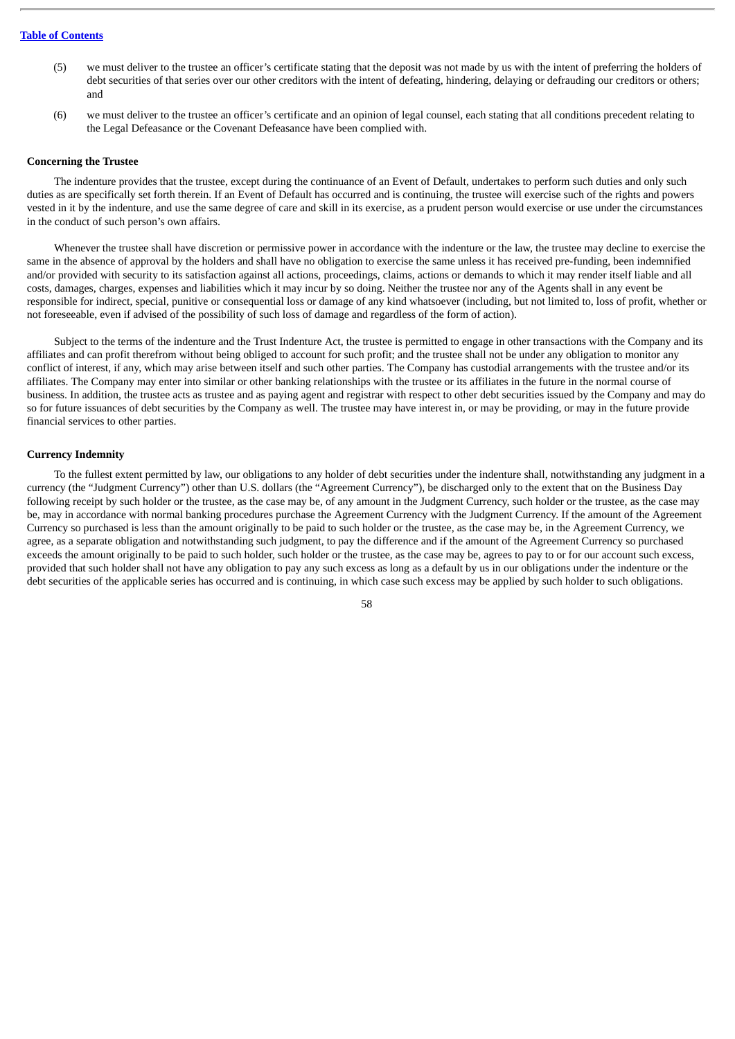- (5) we must deliver to the trustee an officer's certificate stating that the deposit was not made by us with the intent of preferring the holders of debt securities of that series over our other creditors with the intent of defeating, hindering, delaying or defrauding our creditors or others; and
- (6) we must deliver to the trustee an officer's certificate and an opinion of legal counsel, each stating that all conditions precedent relating to the Legal Defeasance or the Covenant Defeasance have been complied with.

#### **Concerning the Trustee**

The indenture provides that the trustee, except during the continuance of an Event of Default, undertakes to perform such duties and only such duties as are specifically set forth therein. If an Event of Default has occurred and is continuing, the trustee will exercise such of the rights and powers vested in it by the indenture, and use the same degree of care and skill in its exercise, as a prudent person would exercise or use under the circumstances in the conduct of such person's own affairs.

Whenever the trustee shall have discretion or permissive power in accordance with the indenture or the law, the trustee may decline to exercise the same in the absence of approval by the holders and shall have no obligation to exercise the same unless it has received pre-funding, been indemnified and/or provided with security to its satisfaction against all actions, proceedings, claims, actions or demands to which it may render itself liable and all costs, damages, charges, expenses and liabilities which it may incur by so doing. Neither the trustee nor any of the Agents shall in any event be responsible for indirect, special, punitive or consequential loss or damage of any kind whatsoever (including, but not limited to, loss of profit, whether or not foreseeable, even if advised of the possibility of such loss of damage and regardless of the form of action).

Subject to the terms of the indenture and the Trust Indenture Act, the trustee is permitted to engage in other transactions with the Company and its affiliates and can profit therefrom without being obliged to account for such profit; and the trustee shall not be under any obligation to monitor any conflict of interest, if any, which may arise between itself and such other parties. The Company has custodial arrangements with the trustee and/or its affiliates. The Company may enter into similar or other banking relationships with the trustee or its affiliates in the future in the normal course of business. In addition, the trustee acts as trustee and as paying agent and registrar with respect to other debt securities issued by the Company and may do so for future issuances of debt securities by the Company as well. The trustee may have interest in, or may be providing, or may in the future provide financial services to other parties.

### **Currency Indemnity**

To the fullest extent permitted by law, our obligations to any holder of debt securities under the indenture shall, notwithstanding any judgment in a currency (the "Judgment Currency") other than U.S. dollars (the "Agreement Currency"), be discharged only to the extent that on the Business Day following receipt by such holder or the trustee, as the case may be, of any amount in the Judgment Currency, such holder or the trustee, as the case may be, may in accordance with normal banking procedures purchase the Agreement Currency with the Judgment Currency. If the amount of the Agreement Currency so purchased is less than the amount originally to be paid to such holder or the trustee, as the case may be, in the Agreement Currency, we agree, as a separate obligation and notwithstanding such judgment, to pay the difference and if the amount of the Agreement Currency so purchased exceeds the amount originally to be paid to such holder, such holder or the trustee, as the case may be, agrees to pay to or for our account such excess, provided that such holder shall not have any obligation to pay any such excess as long as a default by us in our obligations under the indenture or the debt securities of the applicable series has occurred and is continuing, in which case such excess may be applied by such holder to such obligations.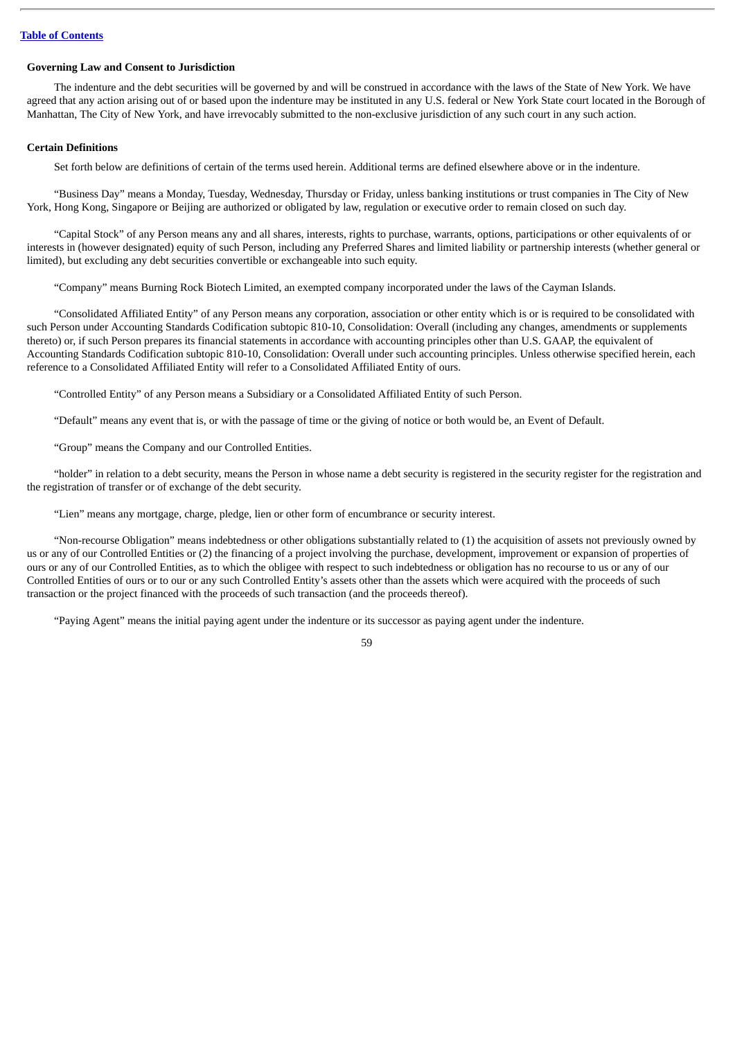### **Governing Law and Consent to Jurisdiction**

The indenture and the debt securities will be governed by and will be construed in accordance with the laws of the State of New York. We have agreed that any action arising out of or based upon the indenture may be instituted in any U.S. federal or New York State court located in the Borough of Manhattan, The City of New York, and have irrevocably submitted to the non-exclusive jurisdiction of any such court in any such action.

### **Certain Definitions**

Set forth below are definitions of certain of the terms used herein. Additional terms are defined elsewhere above or in the indenture.

"Business Day" means a Monday, Tuesday, Wednesday, Thursday or Friday, unless banking institutions or trust companies in The City of New York, Hong Kong, Singapore or Beijing are authorized or obligated by law, regulation or executive order to remain closed on such day.

"Capital Stock" of any Person means any and all shares, interests, rights to purchase, warrants, options, participations or other equivalents of or interests in (however designated) equity of such Person, including any Preferred Shares and limited liability or partnership interests (whether general or limited), but excluding any debt securities convertible or exchangeable into such equity.

"Company" means Burning Rock Biotech Limited, an exempted company incorporated under the laws of the Cayman Islands.

"Consolidated Affiliated Entity" of any Person means any corporation, association or other entity which is or is required to be consolidated with such Person under Accounting Standards Codification subtopic 810-10, Consolidation: Overall (including any changes, amendments or supplements thereto) or, if such Person prepares its financial statements in accordance with accounting principles other than U.S. GAAP, the equivalent of Accounting Standards Codification subtopic 810-10, Consolidation: Overall under such accounting principles. Unless otherwise specified herein, each reference to a Consolidated Affiliated Entity will refer to a Consolidated Affiliated Entity of ours.

"Controlled Entity" of any Person means a Subsidiary or a Consolidated Affiliated Entity of such Person.

"Default" means any event that is, or with the passage of time or the giving of notice or both would be, an Event of Default.

"Group" means the Company and our Controlled Entities.

"holder" in relation to a debt security, means the Person in whose name a debt security is registered in the security register for the registration and the registration of transfer or of exchange of the debt security.

"Lien" means any mortgage, charge, pledge, lien or other form of encumbrance or security interest.

"Non-recourse Obligation" means indebtedness or other obligations substantially related to (1) the acquisition of assets not previously owned by us or any of our Controlled Entities or (2) the financing of a project involving the purchase, development, improvement or expansion of properties of ours or any of our Controlled Entities, as to which the obligee with respect to such indebtedness or obligation has no recourse to us or any of our Controlled Entities of ours or to our or any such Controlled Entity's assets other than the assets which were acquired with the proceeds of such transaction or the project financed with the proceeds of such transaction (and the proceeds thereof).

"Paying Agent" means the initial paying agent under the indenture or its successor as paying agent under the indenture.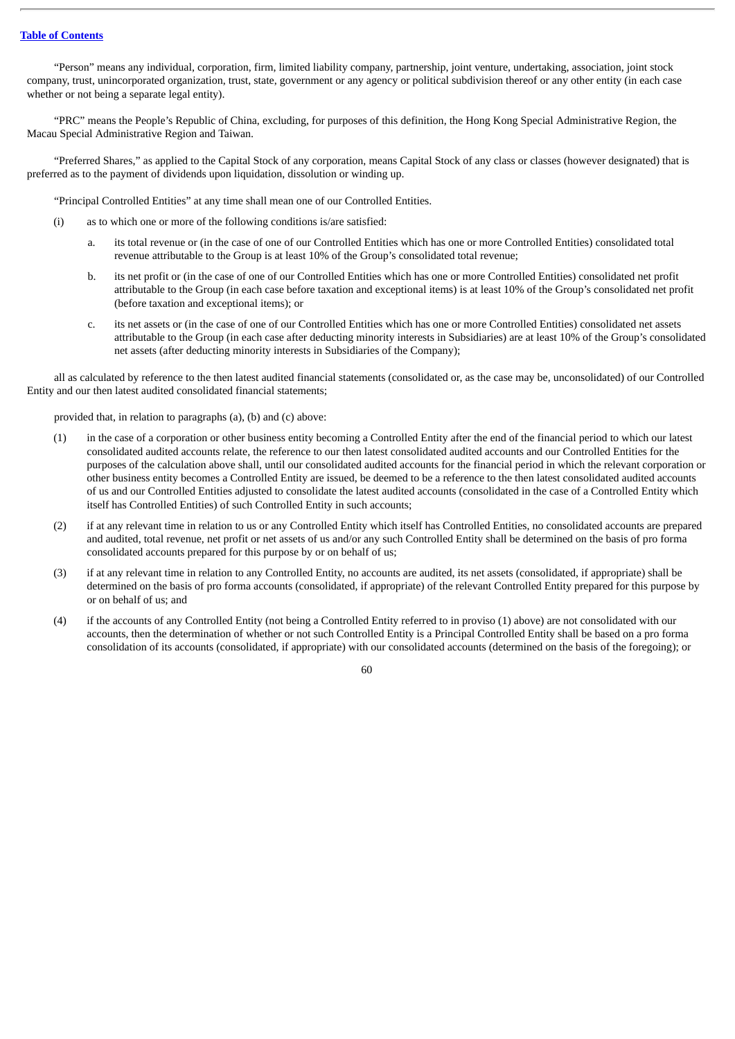"Person" means any individual, corporation, firm, limited liability company, partnership, joint venture, undertaking, association, joint stock company, trust, unincorporated organization, trust, state, government or any agency or political subdivision thereof or any other entity (in each case whether or not being a separate legal entity).

"PRC" means the People's Republic of China, excluding, for purposes of this definition, the Hong Kong Special Administrative Region, the Macau Special Administrative Region and Taiwan.

"Preferred Shares," as applied to the Capital Stock of any corporation, means Capital Stock of any class or classes (however designated) that is preferred as to the payment of dividends upon liquidation, dissolution or winding up.

"Principal Controlled Entities" at any time shall mean one of our Controlled Entities.

- (i) as to which one or more of the following conditions is/are satisfied:
	- a. its total revenue or (in the case of one of our Controlled Entities which has one or more Controlled Entities) consolidated total revenue attributable to the Group is at least 10% of the Group's consolidated total revenue;
	- b. its net profit or (in the case of one of our Controlled Entities which has one or more Controlled Entities) consolidated net profit attributable to the Group (in each case before taxation and exceptional items) is at least 10% of the Group's consolidated net profit (before taxation and exceptional items); or
	- c. its net assets or (in the case of one of our Controlled Entities which has one or more Controlled Entities) consolidated net assets attributable to the Group (in each case after deducting minority interests in Subsidiaries) are at least 10% of the Group's consolidated net assets (after deducting minority interests in Subsidiaries of the Company);

all as calculated by reference to the then latest audited financial statements (consolidated or, as the case may be, unconsolidated) of our Controlled Entity and our then latest audited consolidated financial statements;

provided that, in relation to paragraphs (a), (b) and (c) above:

- (1) in the case of a corporation or other business entity becoming a Controlled Entity after the end of the financial period to which our latest consolidated audited accounts relate, the reference to our then latest consolidated audited accounts and our Controlled Entities for the purposes of the calculation above shall, until our consolidated audited accounts for the financial period in which the relevant corporation or other business entity becomes a Controlled Entity are issued, be deemed to be a reference to the then latest consolidated audited accounts of us and our Controlled Entities adjusted to consolidate the latest audited accounts (consolidated in the case of a Controlled Entity which itself has Controlled Entities) of such Controlled Entity in such accounts;
- (2) if at any relevant time in relation to us or any Controlled Entity which itself has Controlled Entities, no consolidated accounts are prepared and audited, total revenue, net profit or net assets of us and/or any such Controlled Entity shall be determined on the basis of pro forma consolidated accounts prepared for this purpose by or on behalf of us;
- (3) if at any relevant time in relation to any Controlled Entity, no accounts are audited, its net assets (consolidated, if appropriate) shall be determined on the basis of pro forma accounts (consolidated, if appropriate) of the relevant Controlled Entity prepared for this purpose by or on behalf of us; and
- (4) if the accounts of any Controlled Entity (not being a Controlled Entity referred to in proviso (1) above) are not consolidated with our accounts, then the determination of whether or not such Controlled Entity is a Principal Controlled Entity shall be based on a pro forma consolidation of its accounts (consolidated, if appropriate) with our consolidated accounts (determined on the basis of the foregoing); or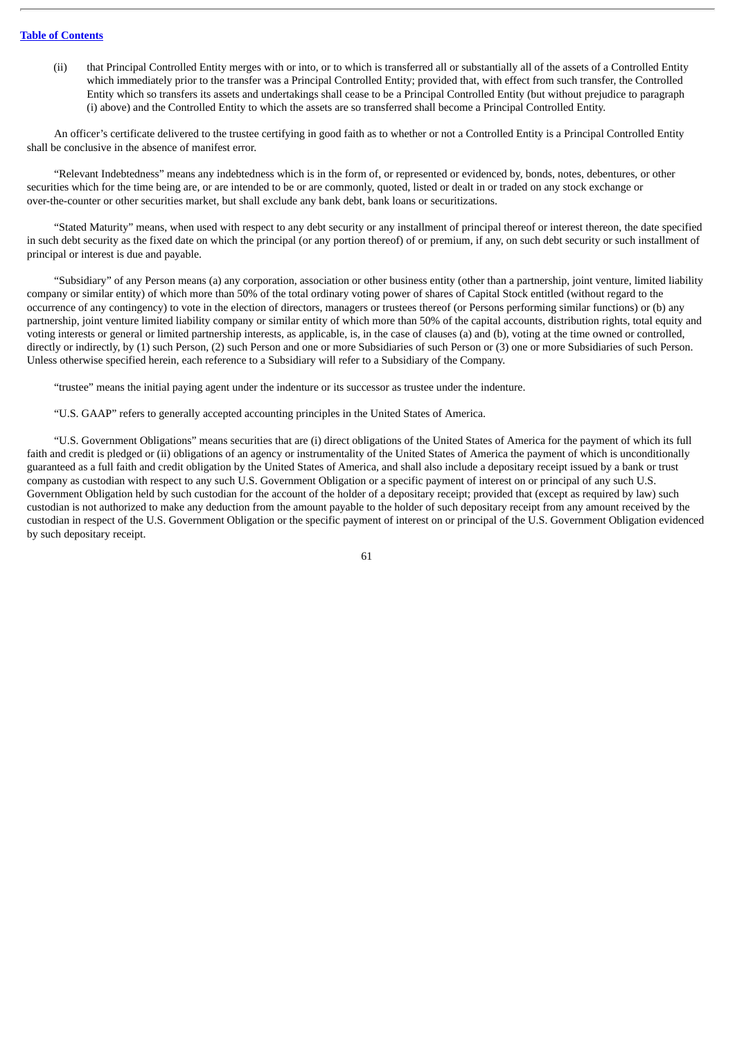(ii) that Principal Controlled Entity merges with or into, or to which is transferred all or substantially all of the assets of a Controlled Entity which immediately prior to the transfer was a Principal Controlled Entity; provided that, with effect from such transfer, the Controlled Entity which so transfers its assets and undertakings shall cease to be a Principal Controlled Entity (but without prejudice to paragraph (i) above) and the Controlled Entity to which the assets are so transferred shall become a Principal Controlled Entity.

An officer's certificate delivered to the trustee certifying in good faith as to whether or not a Controlled Entity is a Principal Controlled Entity shall be conclusive in the absence of manifest error.

"Relevant Indebtedness" means any indebtedness which is in the form of, or represented or evidenced by, bonds, notes, debentures, or other securities which for the time being are, or are intended to be or are commonly, quoted, listed or dealt in or traded on any stock exchange or over-the-counter or other securities market, but shall exclude any bank debt, bank loans or securitizations.

"Stated Maturity" means, when used with respect to any debt security or any installment of principal thereof or interest thereon, the date specified in such debt security as the fixed date on which the principal (or any portion thereof) of or premium, if any, on such debt security or such installment of principal or interest is due and payable.

"Subsidiary" of any Person means (a) any corporation, association or other business entity (other than a partnership, joint venture, limited liability company or similar entity) of which more than 50% of the total ordinary voting power of shares of Capital Stock entitled (without regard to the occurrence of any contingency) to vote in the election of directors, managers or trustees thereof (or Persons performing similar functions) or (b) any partnership, joint venture limited liability company or similar entity of which more than 50% of the capital accounts, distribution rights, total equity and voting interests or general or limited partnership interests, as applicable, is, in the case of clauses (a) and (b), voting at the time owned or controlled, directly or indirectly, by (1) such Person, (2) such Person and one or more Subsidiaries of such Person or (3) one or more Subsidiaries of such Person. Unless otherwise specified herein, each reference to a Subsidiary will refer to a Subsidiary of the Company.

"trustee" means the initial paying agent under the indenture or its successor as trustee under the indenture.

"U.S. GAAP" refers to generally accepted accounting principles in the United States of America.

"U.S. Government Obligations" means securities that are (i) direct obligations of the United States of America for the payment of which its full faith and credit is pledged or (ii) obligations of an agency or instrumentality of the United States of America the payment of which is unconditionally guaranteed as a full faith and credit obligation by the United States of America, and shall also include a depositary receipt issued by a bank or trust company as custodian with respect to any such U.S. Government Obligation or a specific payment of interest on or principal of any such U.S. Government Obligation held by such custodian for the account of the holder of a depositary receipt; provided that (except as required by law) such custodian is not authorized to make any deduction from the amount payable to the holder of such depositary receipt from any amount received by the custodian in respect of the U.S. Government Obligation or the specific payment of interest on or principal of the U.S. Government Obligation evidenced by such depositary receipt.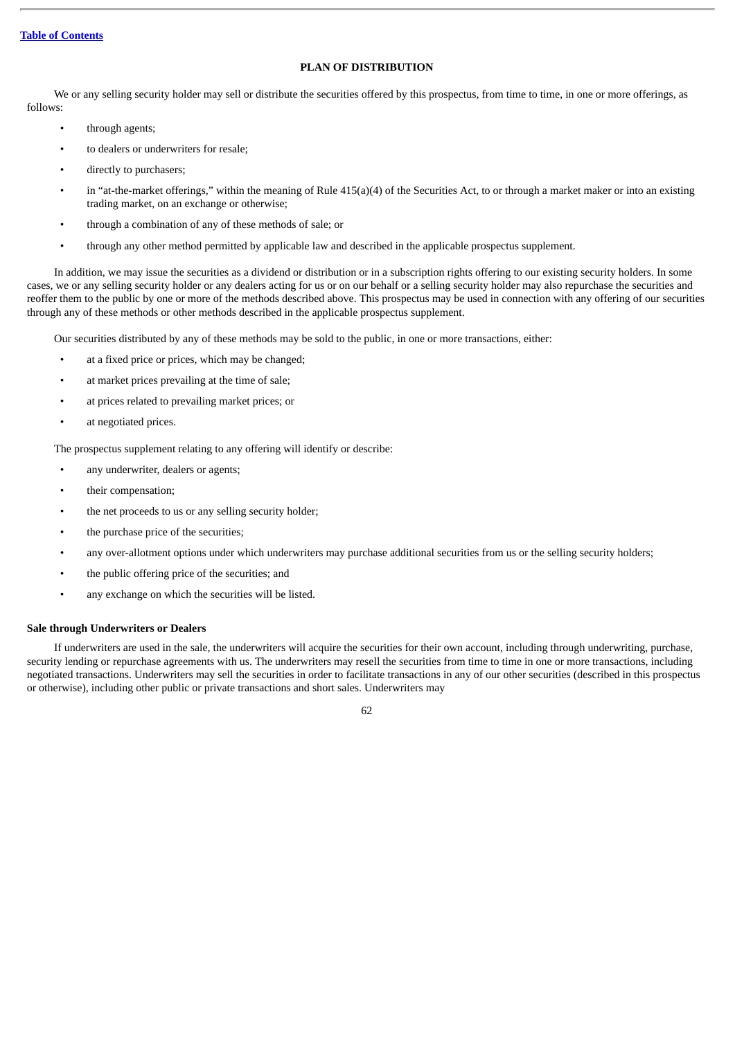## **PLAN OF DISTRIBUTION**

We or any selling security holder may sell or distribute the securities offered by this prospectus, from time to time, in one or more offerings, as follows:

- through agents;
- to dealers or underwriters for resale;
- directly to purchasers;
- in "at-the-market offerings," within the meaning of Rule 415(a)(4) of the Securities Act, to or through a market maker or into an existing trading market, on an exchange or otherwise;
- through a combination of any of these methods of sale; or
- through any other method permitted by applicable law and described in the applicable prospectus supplement.

In addition, we may issue the securities as a dividend or distribution or in a subscription rights offering to our existing security holders. In some cases, we or any selling security holder or any dealers acting for us or on our behalf or a selling security holder may also repurchase the securities and reoffer them to the public by one or more of the methods described above. This prospectus may be used in connection with any offering of our securities through any of these methods or other methods described in the applicable prospectus supplement.

Our securities distributed by any of these methods may be sold to the public, in one or more transactions, either:

- at a fixed price or prices, which may be changed;
- at market prices prevailing at the time of sale;
- at prices related to prevailing market prices; or
- at negotiated prices.

The prospectus supplement relating to any offering will identify or describe:

- any underwriter, dealers or agents;
- their compensation;
- the net proceeds to us or any selling security holder;
- the purchase price of the securities;
- any over-allotment options under which underwriters may purchase additional securities from us or the selling security holders;
- the public offering price of the securities; and
- any exchange on which the securities will be listed.

## **Sale through Underwriters or Dealers**

If underwriters are used in the sale, the underwriters will acquire the securities for their own account, including through underwriting, purchase, security lending or repurchase agreements with us. The underwriters may resell the securities from time to time in one or more transactions, including negotiated transactions. Underwriters may sell the securities in order to facilitate transactions in any of our other securities (described in this prospectus or otherwise), including other public or private transactions and short sales. Underwriters may

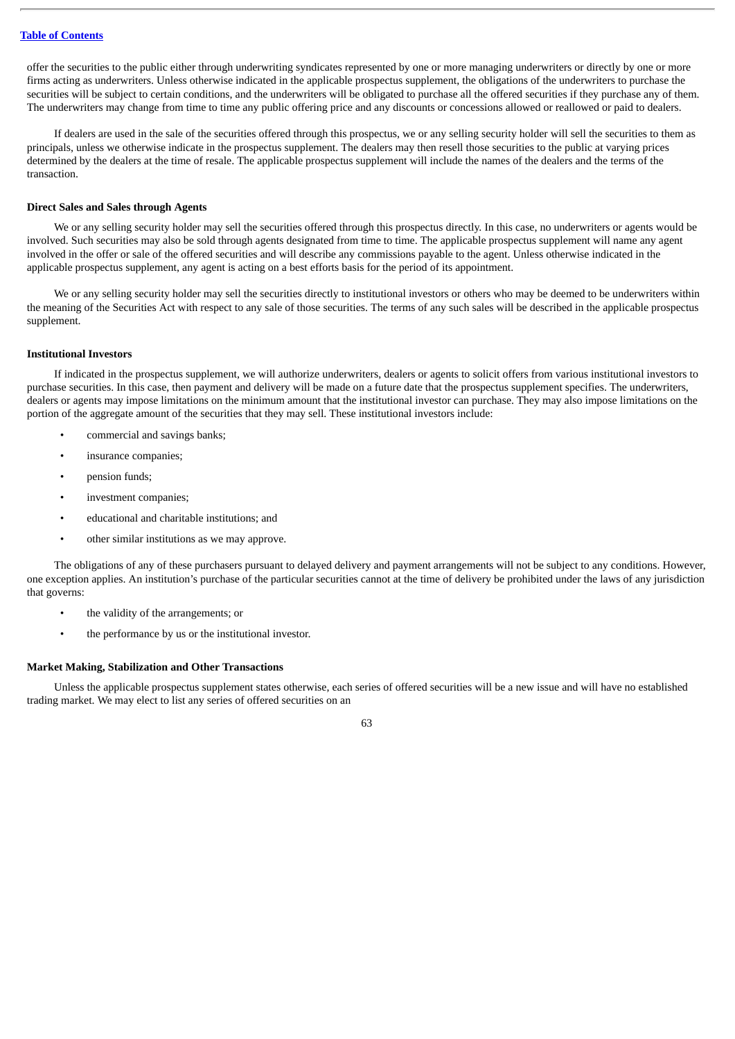offer the securities to the public either through underwriting syndicates represented by one or more managing underwriters or directly by one or more firms acting as underwriters. Unless otherwise indicated in the applicable prospectus supplement, the obligations of the underwriters to purchase the securities will be subject to certain conditions, and the underwriters will be obligated to purchase all the offered securities if they purchase any of them. The underwriters may change from time to time any public offering price and any discounts or concessions allowed or reallowed or paid to dealers.

If dealers are used in the sale of the securities offered through this prospectus, we or any selling security holder will sell the securities to them as principals, unless we otherwise indicate in the prospectus supplement. The dealers may then resell those securities to the public at varying prices determined by the dealers at the time of resale. The applicable prospectus supplement will include the names of the dealers and the terms of the transaction.

## **Direct Sales and Sales through Agents**

We or any selling security holder may sell the securities offered through this prospectus directly. In this case, no underwriters or agents would be involved. Such securities may also be sold through agents designated from time to time. The applicable prospectus supplement will name any agent involved in the offer or sale of the offered securities and will describe any commissions payable to the agent. Unless otherwise indicated in the applicable prospectus supplement, any agent is acting on a best efforts basis for the period of its appointment.

We or any selling security holder may sell the securities directly to institutional investors or others who may be deemed to be underwriters within the meaning of the Securities Act with respect to any sale of those securities. The terms of any such sales will be described in the applicable prospectus supplement.

### **Institutional Investors**

If indicated in the prospectus supplement, we will authorize underwriters, dealers or agents to solicit offers from various institutional investors to purchase securities. In this case, then payment and delivery will be made on a future date that the prospectus supplement specifies. The underwriters, dealers or agents may impose limitations on the minimum amount that the institutional investor can purchase. They may also impose limitations on the portion of the aggregate amount of the securities that they may sell. These institutional investors include:

- commercial and savings banks;
- insurance companies:
- pension funds;
- investment companies:
- educational and charitable institutions; and
- other similar institutions as we may approve.

The obligations of any of these purchasers pursuant to delayed delivery and payment arrangements will not be subject to any conditions. However, one exception applies. An institution's purchase of the particular securities cannot at the time of delivery be prohibited under the laws of any jurisdiction that governs:

- the validity of the arrangements; or
- the performance by us or the institutional investor.

### **Market Making, Stabilization and Other Transactions**

Unless the applicable prospectus supplement states otherwise, each series of offered securities will be a new issue and will have no established trading market. We may elect to list any series of offered securities on an

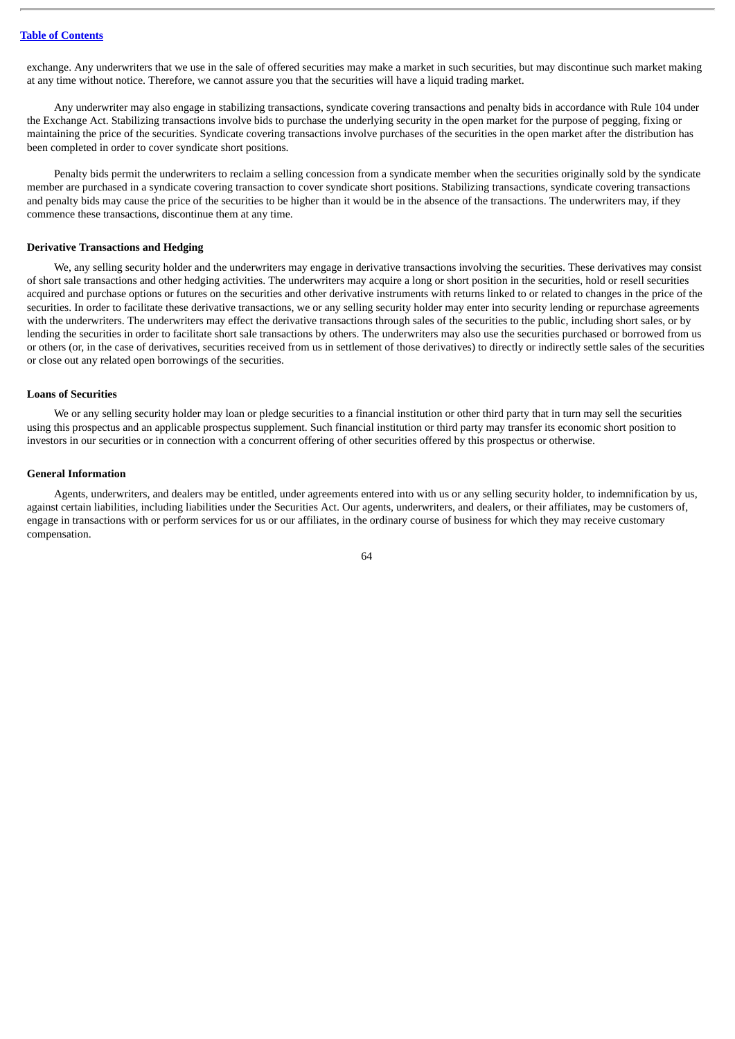exchange. Any underwriters that we use in the sale of offered securities may make a market in such securities, but may discontinue such market making at any time without notice. Therefore, we cannot assure you that the securities will have a liquid trading market.

Any underwriter may also engage in stabilizing transactions, syndicate covering transactions and penalty bids in accordance with Rule 104 under the Exchange Act. Stabilizing transactions involve bids to purchase the underlying security in the open market for the purpose of pegging, fixing or maintaining the price of the securities. Syndicate covering transactions involve purchases of the securities in the open market after the distribution has been completed in order to cover syndicate short positions.

Penalty bids permit the underwriters to reclaim a selling concession from a syndicate member when the securities originally sold by the syndicate member are purchased in a syndicate covering transaction to cover syndicate short positions. Stabilizing transactions, syndicate covering transactions and penalty bids may cause the price of the securities to be higher than it would be in the absence of the transactions. The underwriters may, if they commence these transactions, discontinue them at any time.

### **Derivative Transactions and Hedging**

We, any selling security holder and the underwriters may engage in derivative transactions involving the securities. These derivatives may consist of short sale transactions and other hedging activities. The underwriters may acquire a long or short position in the securities, hold or resell securities acquired and purchase options or futures on the securities and other derivative instruments with returns linked to or related to changes in the price of the securities. In order to facilitate these derivative transactions, we or any selling security holder may enter into security lending or repurchase agreements with the underwriters. The underwriters may effect the derivative transactions through sales of the securities to the public, including short sales, or by lending the securities in order to facilitate short sale transactions by others. The underwriters may also use the securities purchased or borrowed from us or others (or, in the case of derivatives, securities received from us in settlement of those derivatives) to directly or indirectly settle sales of the securities or close out any related open borrowings of the securities.

#### **Loans of Securities**

We or any selling security holder may loan or pledge securities to a financial institution or other third party that in turn may sell the securities using this prospectus and an applicable prospectus supplement. Such financial institution or third party may transfer its economic short position to investors in our securities or in connection with a concurrent offering of other securities offered by this prospectus or otherwise.

#### **General Information**

Agents, underwriters, and dealers may be entitled, under agreements entered into with us or any selling security holder, to indemnification by us, against certain liabilities, including liabilities under the Securities Act. Our agents, underwriters, and dealers, or their affiliates, may be customers of, engage in transactions with or perform services for us or our affiliates, in the ordinary course of business for which they may receive customary compensation.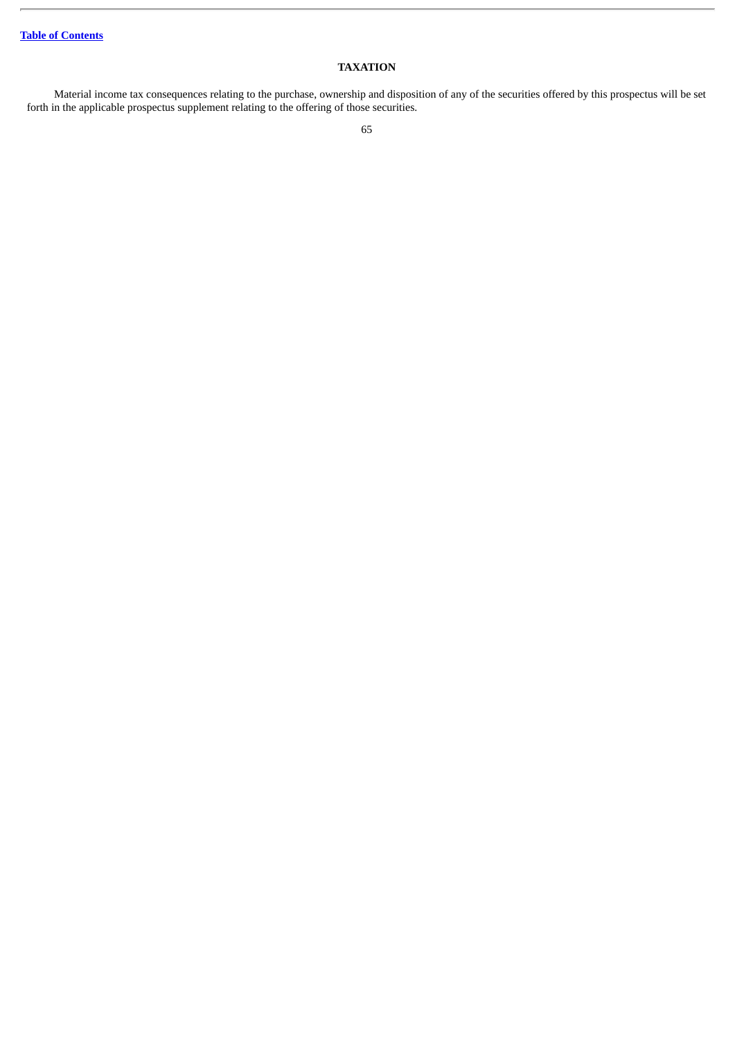## **TAXATION**

Material income tax consequences relating to the purchase, ownership and disposition of any of the securities offered by this prospectus will be set forth in the applicable prospectus supplement relating to the offering of those securities.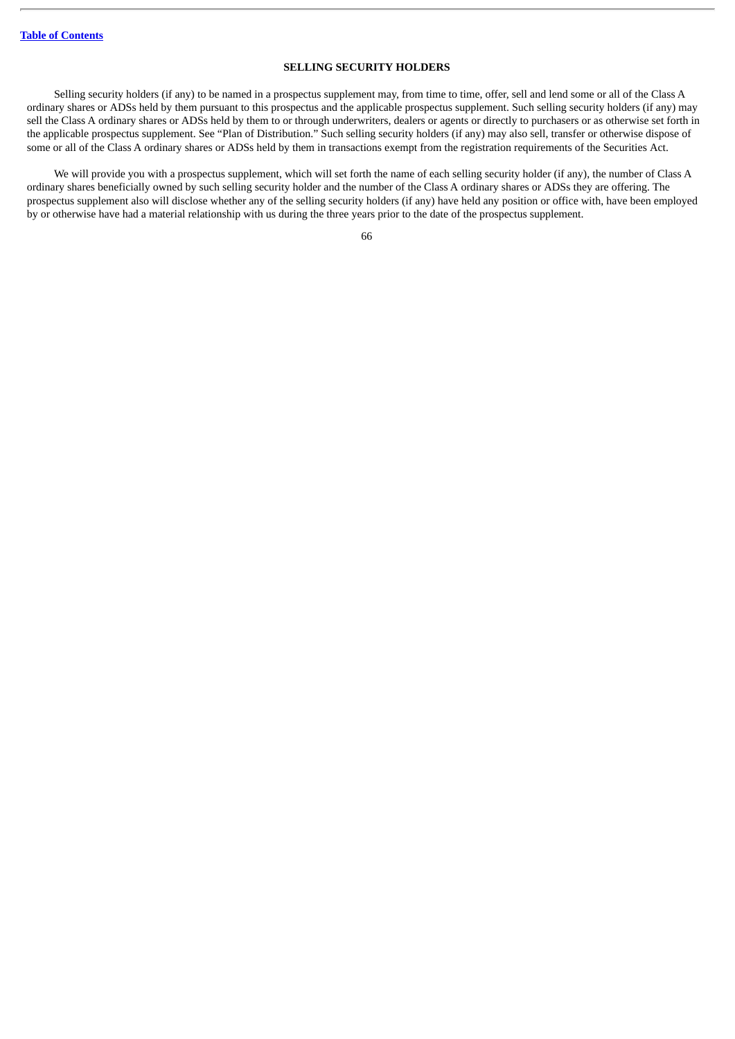## **SELLING SECURITY HOLDERS**

Selling security holders (if any) to be named in a prospectus supplement may, from time to time, offer, sell and lend some or all of the Class A ordinary shares or ADSs held by them pursuant to this prospectus and the applicable prospectus supplement. Such selling security holders (if any) may sell the Class A ordinary shares or ADSs held by them to or through underwriters, dealers or agents or directly to purchasers or as otherwise set forth in the applicable prospectus supplement. See "Plan of Distribution." Such selling security holders (if any) may also sell, transfer or otherwise dispose of some or all of the Class A ordinary shares or ADSs held by them in transactions exempt from the registration requirements of the Securities Act.

We will provide you with a prospectus supplement, which will set forth the name of each selling security holder (if any), the number of Class A ordinary shares beneficially owned by such selling security holder and the number of the Class A ordinary shares or ADSs they are offering. The prospectus supplement also will disclose whether any of the selling security holders (if any) have held any position or office with, have been employed by or otherwise have had a material relationship with us during the three years prior to the date of the prospectus supplement.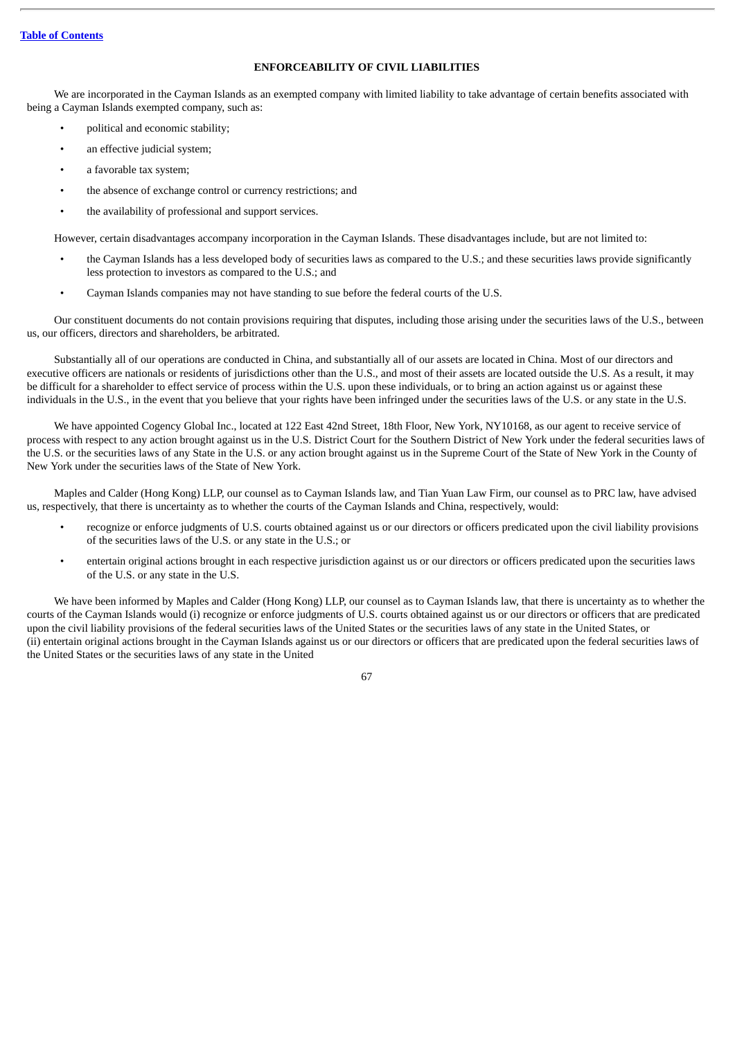## **ENFORCEABILITY OF CIVIL LIABILITIES**

We are incorporated in the Cayman Islands as an exempted company with limited liability to take advantage of certain benefits associated with being a Cayman Islands exempted company, such as:

- political and economic stability;
- an effective judicial system;
- a favorable tax system;
- the absence of exchange control or currency restrictions; and
- the availability of professional and support services.

However, certain disadvantages accompany incorporation in the Cayman Islands. These disadvantages include, but are not limited to:

- the Cayman Islands has a less developed body of securities laws as compared to the U.S.; and these securities laws provide significantly less protection to investors as compared to the U.S.; and
- Cayman Islands companies may not have standing to sue before the federal courts of the U.S.

Our constituent documents do not contain provisions requiring that disputes, including those arising under the securities laws of the U.S., between us, our officers, directors and shareholders, be arbitrated.

Substantially all of our operations are conducted in China, and substantially all of our assets are located in China. Most of our directors and executive officers are nationals or residents of jurisdictions other than the U.S., and most of their assets are located outside the U.S. As a result, it may be difficult for a shareholder to effect service of process within the U.S. upon these individuals, or to bring an action against us or against these individuals in the U.S., in the event that you believe that your rights have been infringed under the securities laws of the U.S. or any state in the U.S.

We have appointed Cogency Global Inc., located at 122 East 42nd Street, 18th Floor, New York, NY10168, as our agent to receive service of process with respect to any action brought against us in the U.S. District Court for the Southern District of New York under the federal securities laws of the U.S. or the securities laws of any State in the U.S. or any action brought against us in the Supreme Court of the State of New York in the County of New York under the securities laws of the State of New York.

Maples and Calder (Hong Kong) LLP, our counsel as to Cayman Islands law, and Tian Yuan Law Firm, our counsel as to PRC law, have advised us, respectively, that there is uncertainty as to whether the courts of the Cayman Islands and China, respectively, would:

- recognize or enforce judgments of U.S. courts obtained against us or our directors or officers predicated upon the civil liability provisions of the securities laws of the U.S. or any state in the U.S.; or
- entertain original actions brought in each respective jurisdiction against us or our directors or officers predicated upon the securities laws of the U.S. or any state in the U.S.

We have been informed by Maples and Calder (Hong Kong) LLP, our counsel as to Cayman Islands law, that there is uncertainty as to whether the courts of the Cayman Islands would (i) recognize or enforce judgments of U.S. courts obtained against us or our directors or officers that are predicated upon the civil liability provisions of the federal securities laws of the United States or the securities laws of any state in the United States, or (ii) entertain original actions brought in the Cayman Islands against us or our directors or officers that are predicated upon the federal securities laws of the United States or the securities laws of any state in the United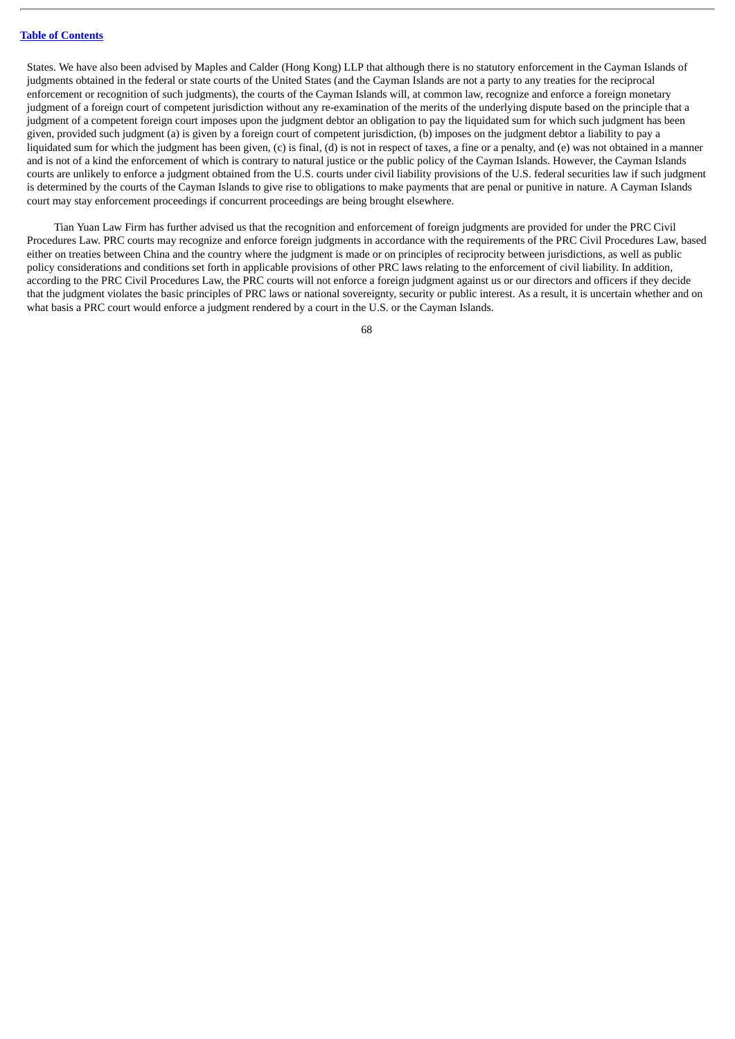### **Table of [Contents](#page-4-0)**

States. We have also been advised by Maples and Calder (Hong Kong) LLP that although there is no statutory enforcement in the Cayman Islands of judgments obtained in the federal or state courts of the United States (and the Cayman Islands are not a party to any treaties for the reciprocal enforcement or recognition of such judgments), the courts of the Cayman Islands will, at common law, recognize and enforce a foreign monetary judgment of a foreign court of competent jurisdiction without any re-examination of the merits of the underlying dispute based on the principle that a judgment of a competent foreign court imposes upon the judgment debtor an obligation to pay the liquidated sum for which such judgment has been given, provided such judgment (a) is given by a foreign court of competent jurisdiction, (b) imposes on the judgment debtor a liability to pay a liquidated sum for which the judgment has been given, (c) is final, (d) is not in respect of taxes, a fine or a penalty, and (e) was not obtained in a manner and is not of a kind the enforcement of which is contrary to natural justice or the public policy of the Cayman Islands. However, the Cayman Islands courts are unlikely to enforce a judgment obtained from the U.S. courts under civil liability provisions of the U.S. federal securities law if such judgment is determined by the courts of the Cayman Islands to give rise to obligations to make payments that are penal or punitive in nature. A Cayman Islands court may stay enforcement proceedings if concurrent proceedings are being brought elsewhere.

Tian Yuan Law Firm has further advised us that the recognition and enforcement of foreign judgments are provided for under the PRC Civil Procedures Law. PRC courts may recognize and enforce foreign judgments in accordance with the requirements of the PRC Civil Procedures Law, based either on treaties between China and the country where the judgment is made or on principles of reciprocity between jurisdictions, as well as public policy considerations and conditions set forth in applicable provisions of other PRC laws relating to the enforcement of civil liability. In addition, according to the PRC Civil Procedures Law, the PRC courts will not enforce a foreign judgment against us or our directors and officers if they decide that the judgment violates the basic principles of PRC laws or national sovereignty, security or public interest. As a result, it is uncertain whether and on what basis a PRC court would enforce a judgment rendered by a court in the U.S. or the Cayman Islands.

68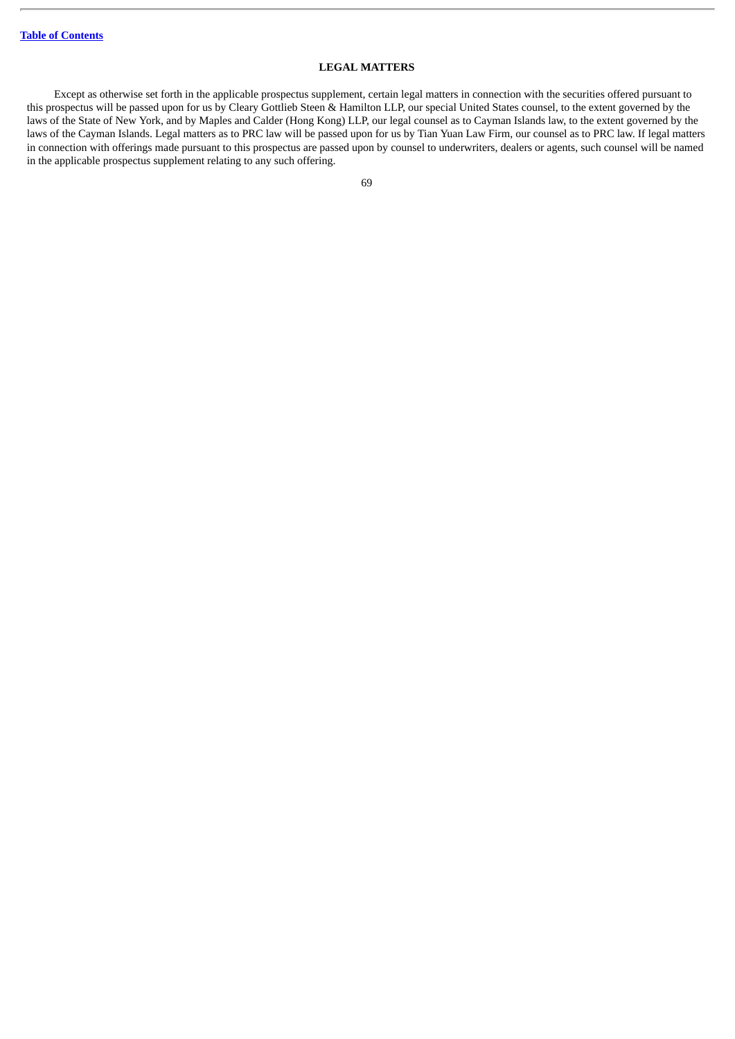## **LEGAL MATTERS**

Except as otherwise set forth in the applicable prospectus supplement, certain legal matters in connection with the securities offered pursuant to this prospectus will be passed upon for us by Cleary Gottlieb Steen & Hamilton LLP, our special United States counsel, to the extent governed by the laws of the State of New York, and by Maples and Calder (Hong Kong) LLP, our legal counsel as to Cayman Islands law, to the extent governed by the laws of the Cayman Islands. Legal matters as to PRC law will be passed upon for us by Tian Yuan Law Firm, our counsel as to PRC law. If legal matters in connection with offerings made pursuant to this prospectus are passed upon by counsel to underwriters, dealers or agents, such counsel will be named in the applicable prospectus supplement relating to any such offering.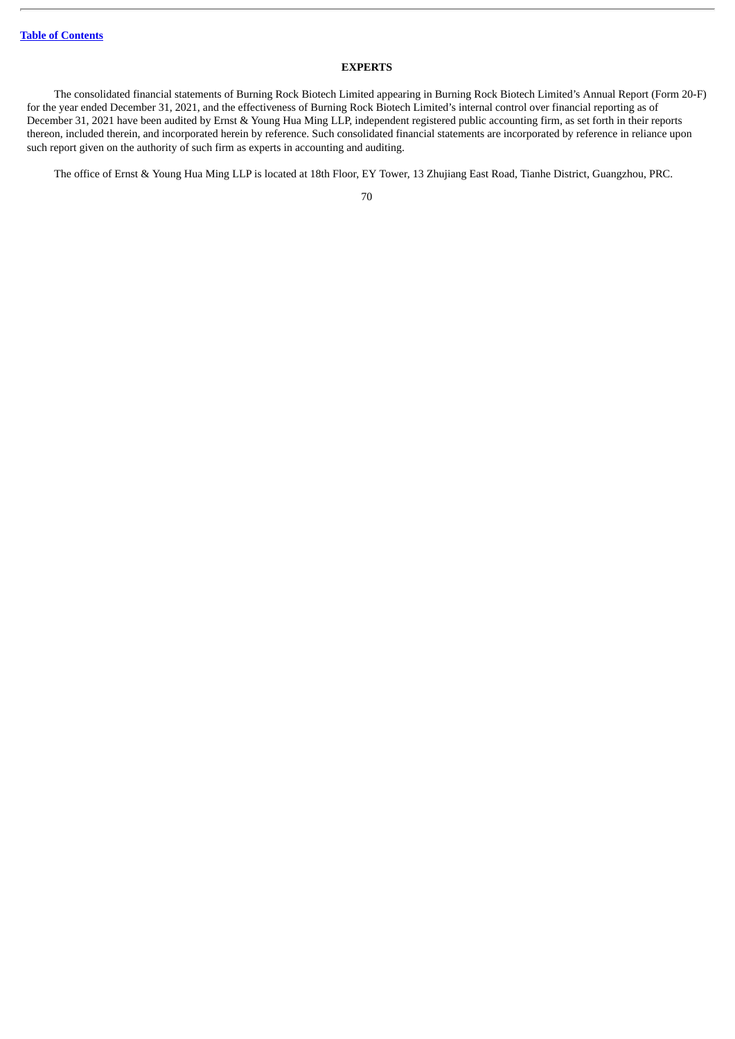## **EXPERTS**

The consolidated financial statements of Burning Rock Biotech Limited appearing in Burning Rock Biotech Limited's Annual Report (Form 20-F) for the year ended December 31, 2021, and the effectiveness of Burning Rock Biotech Limited's internal control over financial reporting as of December 31, 2021 have been audited by Ernst & Young Hua Ming LLP, independent registered public accounting firm, as set forth in their reports thereon, included therein, and incorporated herein by reference. Such consolidated financial statements are incorporated by reference in reliance upon such report given on the authority of such firm as experts in accounting and auditing.

The office of Ernst & Young Hua Ming LLP is located at 18th Floor, EY Tower, 13 Zhujiang East Road, Tianhe District, Guangzhou, PRC.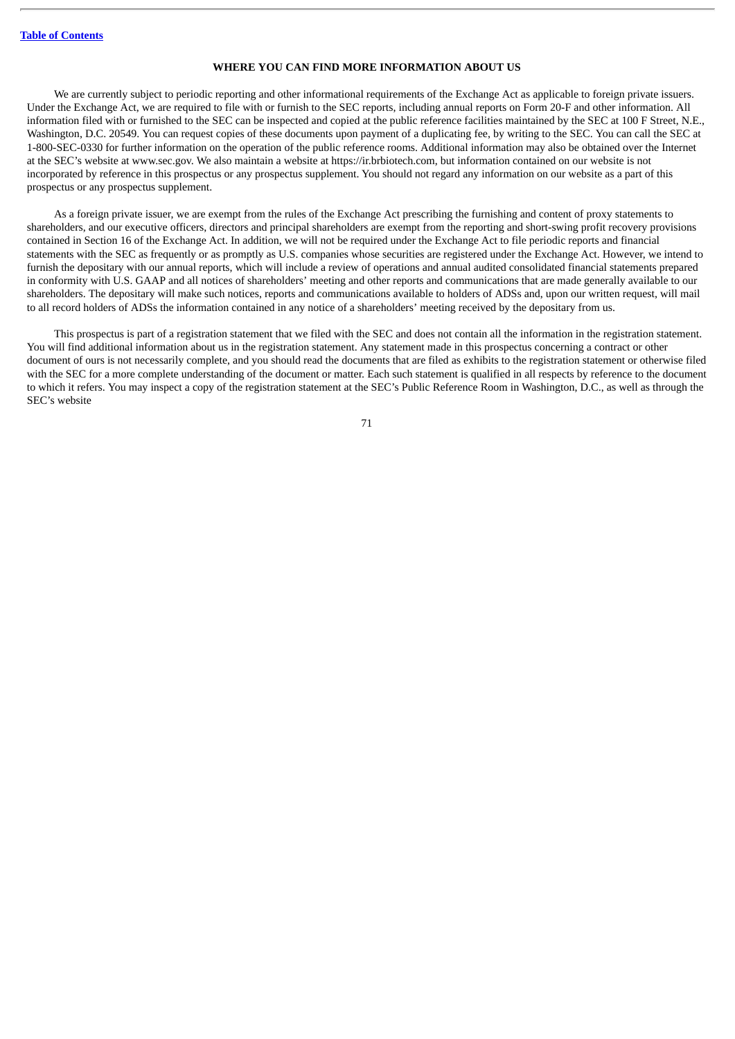### **WHERE YOU CAN FIND MORE INFORMATION ABOUT US**

We are currently subject to periodic reporting and other informational requirements of the Exchange Act as applicable to foreign private issuers. Under the Exchange Act, we are required to file with or furnish to the SEC reports, including annual reports on Form 20-F and other information. All information filed with or furnished to the SEC can be inspected and copied at the public reference facilities maintained by the SEC at 100 F Street, N.E., Washington, D.C. 20549. You can request copies of these documents upon payment of a duplicating fee, by writing to the SEC. You can call the SEC at 1-800-SEC-0330 for further information on the operation of the public reference rooms. Additional information may also be obtained over the Internet at the SEC's website at www.sec.gov. We also maintain a website at https://ir.brbiotech.com, but information contained on our website is not incorporated by reference in this prospectus or any prospectus supplement. You should not regard any information on our website as a part of this prospectus or any prospectus supplement.

As a foreign private issuer, we are exempt from the rules of the Exchange Act prescribing the furnishing and content of proxy statements to shareholders, and our executive officers, directors and principal shareholders are exempt from the reporting and short-swing profit recovery provisions contained in Section 16 of the Exchange Act. In addition, we will not be required under the Exchange Act to file periodic reports and financial statements with the SEC as frequently or as promptly as U.S. companies whose securities are registered under the Exchange Act. However, we intend to furnish the depositary with our annual reports, which will include a review of operations and annual audited consolidated financial statements prepared in conformity with U.S. GAAP and all notices of shareholders' meeting and other reports and communications that are made generally available to our shareholders. The depositary will make such notices, reports and communications available to holders of ADSs and, upon our written request, will mail to all record holders of ADSs the information contained in any notice of a shareholders' meeting received by the depositary from us.

This prospectus is part of a registration statement that we filed with the SEC and does not contain all the information in the registration statement. You will find additional information about us in the registration statement. Any statement made in this prospectus concerning a contract or other document of ours is not necessarily complete, and you should read the documents that are filed as exhibits to the registration statement or otherwise filed with the SEC for a more complete understanding of the document or matter. Each such statement is qualified in all respects by reference to the document to which it refers. You may inspect a copy of the registration statement at the SEC's Public Reference Room in Washington, D.C., as well as through the SEC's website

71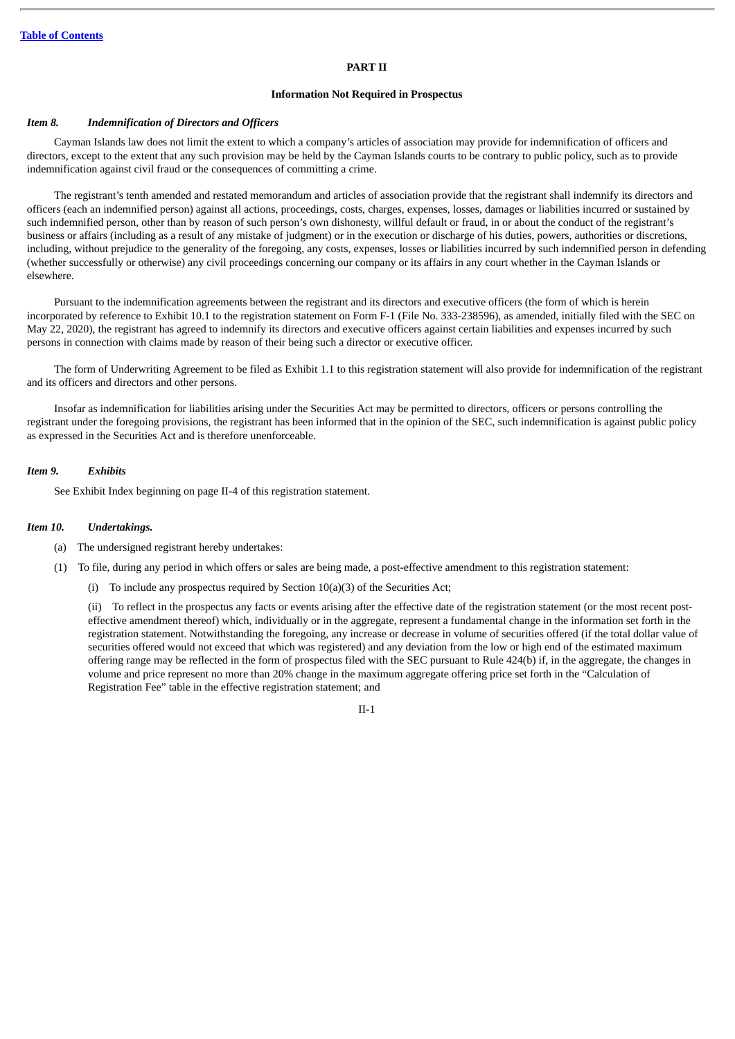### **PART II**

### **Information Not Required in Prospectus**

### *Item 8. Indemnification of Directors and Officers*

Cayman Islands law does not limit the extent to which a company's articles of association may provide for indemnification of officers and directors, except to the extent that any such provision may be held by the Cayman Islands courts to be contrary to public policy, such as to provide indemnification against civil fraud or the consequences of committing a crime.

The registrant's tenth amended and restated memorandum and articles of association provide that the registrant shall indemnify its directors and officers (each an indemnified person) against all actions, proceedings, costs, charges, expenses, losses, damages or liabilities incurred or sustained by such indemnified person, other than by reason of such person's own dishonesty, willful default or fraud, in or about the conduct of the registrant's business or affairs (including as a result of any mistake of judgment) or in the execution or discharge of his duties, powers, authorities or discretions, including, without prejudice to the generality of the foregoing, any costs, expenses, losses or liabilities incurred by such indemnified person in defending (whether successfully or otherwise) any civil proceedings concerning our company or its affairs in any court whether in the Cayman Islands or elsewhere.

Pursuant to the indemnification agreements between the registrant and its directors and executive officers (the form of which is herein incorporated by reference to Exhibit 10.1 to the registration statement on Form F-1 (File No. 333-238596), as amended, initially filed with the SEC on May 22, 2020), the registrant has agreed to indemnify its directors and executive officers against certain liabilities and expenses incurred by such persons in connection with claims made by reason of their being such a director or executive officer.

The form of Underwriting Agreement to be filed as Exhibit 1.1 to this registration statement will also provide for indemnification of the registrant and its officers and directors and other persons.

Insofar as indemnification for liabilities arising under the Securities Act may be permitted to directors, officers or persons controlling the registrant under the foregoing provisions, the registrant has been informed that in the opinion of the SEC, such indemnification is against public policy as expressed in the Securities Act and is therefore unenforceable.

### *Item 9. Exhibits*

See Exhibit Index beginning on page II-4 of this registration statement.

#### *Item 10. Undertakings.*

- (a) The undersigned registrant hereby undertakes:
- (1) To file, during any period in which offers or sales are being made, a post-effective amendment to this registration statement:
	- (i) To include any prospectus required by Section 10(a)(3) of the Securities Act;

(ii) To reflect in the prospectus any facts or events arising after the effective date of the registration statement (or the most recent posteffective amendment thereof) which, individually or in the aggregate, represent a fundamental change in the information set forth in the registration statement. Notwithstanding the foregoing, any increase or decrease in volume of securities offered (if the total dollar value of securities offered would not exceed that which was registered) and any deviation from the low or high end of the estimated maximum offering range may be reflected in the form of prospectus filed with the SEC pursuant to Rule 424(b) if, in the aggregate, the changes in volume and price represent no more than 20% change in the maximum aggregate offering price set forth in the "Calculation of Registration Fee" table in the effective registration statement; and

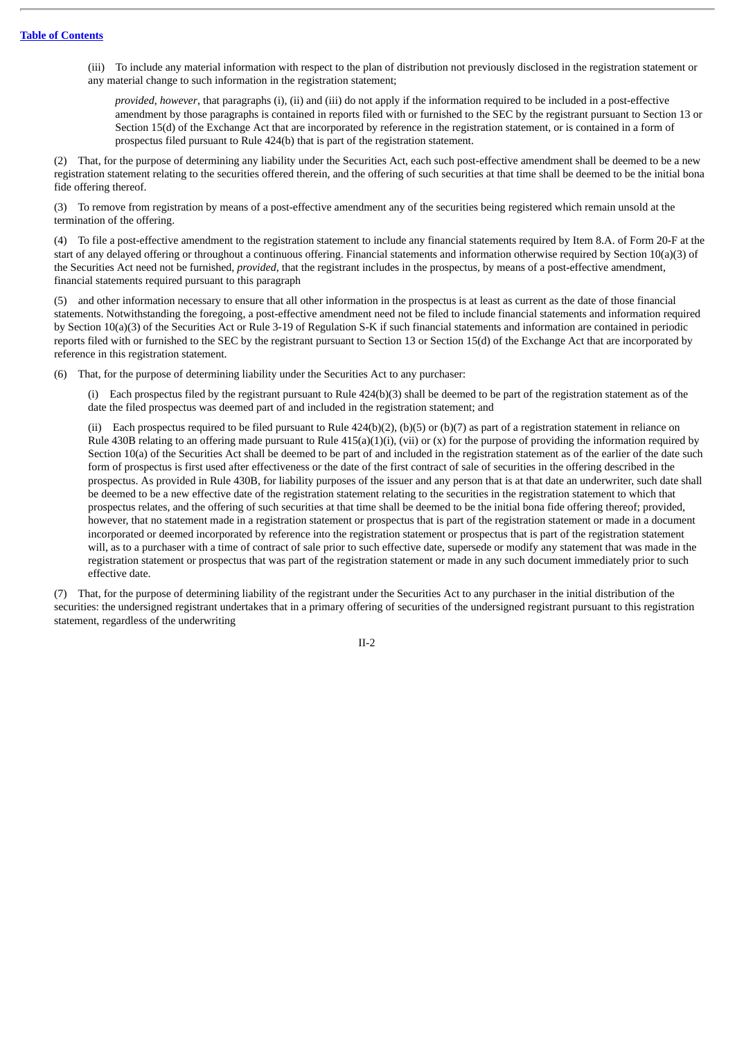(iii) To include any material information with respect to the plan of distribution not previously disclosed in the registration statement or any material change to such information in the registration statement;

*provided*, *however*, that paragraphs (i), (ii) and (iii) do not apply if the information required to be included in a post-effective amendment by those paragraphs is contained in reports filed with or furnished to the SEC by the registrant pursuant to Section 13 or Section 15(d) of the Exchange Act that are incorporated by reference in the registration statement, or is contained in a form of prospectus filed pursuant to Rule 424(b) that is part of the registration statement.

(2) That, for the purpose of determining any liability under the Securities Act, each such post-effective amendment shall be deemed to be a new registration statement relating to the securities offered therein, and the offering of such securities at that time shall be deemed to be the initial bona fide offering thereof.

(3) To remove from registration by means of a post-effective amendment any of the securities being registered which remain unsold at the termination of the offering.

(4) To file a post-effective amendment to the registration statement to include any financial statements required by Item 8.A. of Form 20-F at the start of any delayed offering or throughout a continuous offering. Financial statements and information otherwise required by Section 10(a)(3) of the Securities Act need not be furnished, *provided*, that the registrant includes in the prospectus, by means of a post-effective amendment, financial statements required pursuant to this paragraph

(5) and other information necessary to ensure that all other information in the prospectus is at least as current as the date of those financial statements. Notwithstanding the foregoing, a post-effective amendment need not be filed to include financial statements and information required by Section 10(a)(3) of the Securities Act or Rule 3-19 of Regulation S-K if such financial statements and information are contained in periodic reports filed with or furnished to the SEC by the registrant pursuant to Section 13 or Section 15(d) of the Exchange Act that are incorporated by reference in this registration statement.

(6) That, for the purpose of determining liability under the Securities Act to any purchaser:

(i) Each prospectus filed by the registrant pursuant to Rule 424(b)(3) shall be deemed to be part of the registration statement as of the date the filed prospectus was deemed part of and included in the registration statement; and

(ii) Each prospectus required to be filed pursuant to Rule  $424(b)(2)$ , (b)(5) or (b)(7) as part of a registration statement in reliance on Rule 430B relating to an offering made pursuant to Rule  $415(a)(1)(i)$ , (vii) or (x) for the purpose of providing the information required by Section 10(a) of the Securities Act shall be deemed to be part of and included in the registration statement as of the earlier of the date such form of prospectus is first used after effectiveness or the date of the first contract of sale of securities in the offering described in the prospectus. As provided in Rule 430B, for liability purposes of the issuer and any person that is at that date an underwriter, such date shall be deemed to be a new effective date of the registration statement relating to the securities in the registration statement to which that prospectus relates, and the offering of such securities at that time shall be deemed to be the initial bona fide offering thereof; provided, however, that no statement made in a registration statement or prospectus that is part of the registration statement or made in a document incorporated or deemed incorporated by reference into the registration statement or prospectus that is part of the registration statement will, as to a purchaser with a time of contract of sale prior to such effective date, supersede or modify any statement that was made in the registration statement or prospectus that was part of the registration statement or made in any such document immediately prior to such effective date.

(7) That, for the purpose of determining liability of the registrant under the Securities Act to any purchaser in the initial distribution of the securities: the undersigned registrant undertakes that in a primary offering of securities of the undersigned registrant pursuant to this registration statement, regardless of the underwriting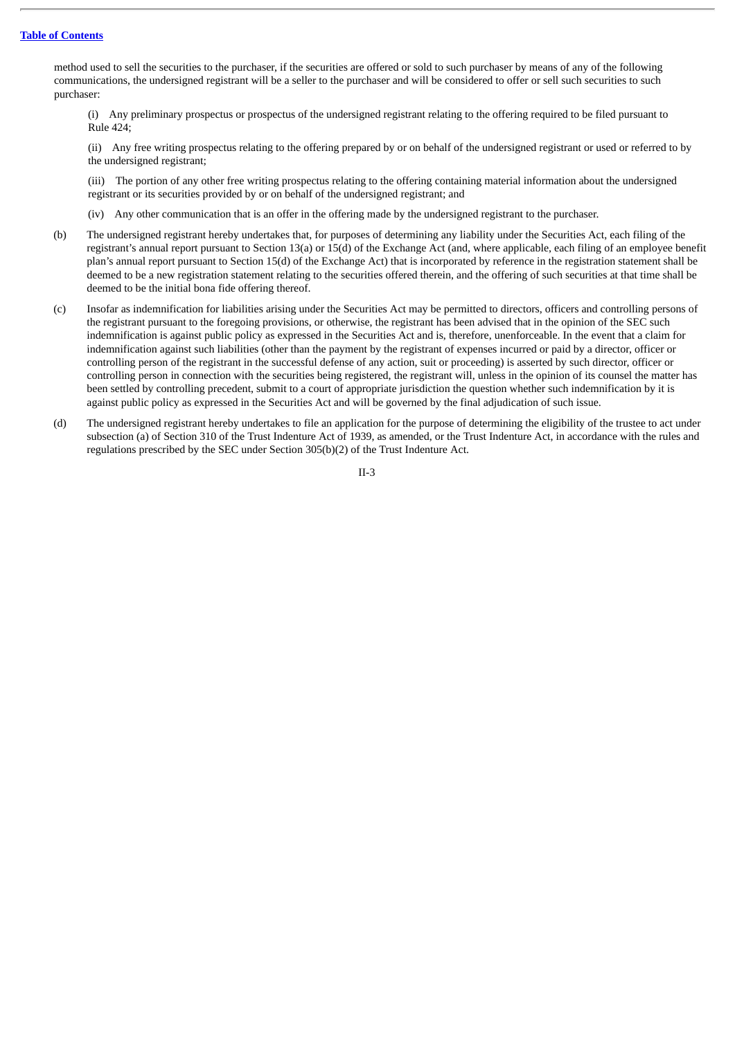method used to sell the securities to the purchaser, if the securities are offered or sold to such purchaser by means of any of the following communications, the undersigned registrant will be a seller to the purchaser and will be considered to offer or sell such securities to such purchaser:

(i) Any preliminary prospectus or prospectus of the undersigned registrant relating to the offering required to be filed pursuant to Rule 424;

(ii) Any free writing prospectus relating to the offering prepared by or on behalf of the undersigned registrant or used or referred to by the undersigned registrant;

(iii) The portion of any other free writing prospectus relating to the offering containing material information about the undersigned registrant or its securities provided by or on behalf of the undersigned registrant; and

(iv) Any other communication that is an offer in the offering made by the undersigned registrant to the purchaser.

- (b) The undersigned registrant hereby undertakes that, for purposes of determining any liability under the Securities Act, each filing of the registrant's annual report pursuant to Section 13(a) or 15(d) of the Exchange Act (and, where applicable, each filing of an employee benefit plan's annual report pursuant to Section 15(d) of the Exchange Act) that is incorporated by reference in the registration statement shall be deemed to be a new registration statement relating to the securities offered therein, and the offering of such securities at that time shall be deemed to be the initial bona fide offering thereof.
- (c) Insofar as indemnification for liabilities arising under the Securities Act may be permitted to directors, officers and controlling persons of the registrant pursuant to the foregoing provisions, or otherwise, the registrant has been advised that in the opinion of the SEC such indemnification is against public policy as expressed in the Securities Act and is, therefore, unenforceable. In the event that a claim for indemnification against such liabilities (other than the payment by the registrant of expenses incurred or paid by a director, officer or controlling person of the registrant in the successful defense of any action, suit or proceeding) is asserted by such director, officer or controlling person in connection with the securities being registered, the registrant will, unless in the opinion of its counsel the matter has been settled by controlling precedent, submit to a court of appropriate jurisdiction the question whether such indemnification by it is against public policy as expressed in the Securities Act and will be governed by the final adjudication of such issue.
- (d) The undersigned registrant hereby undertakes to file an application for the purpose of determining the eligibility of the trustee to act under subsection (a) of Section 310 of the Trust Indenture Act of 1939, as amended, or the Trust Indenture Act, in accordance with the rules and regulations prescribed by the SEC under Section 305(b)(2) of the Trust Indenture Act.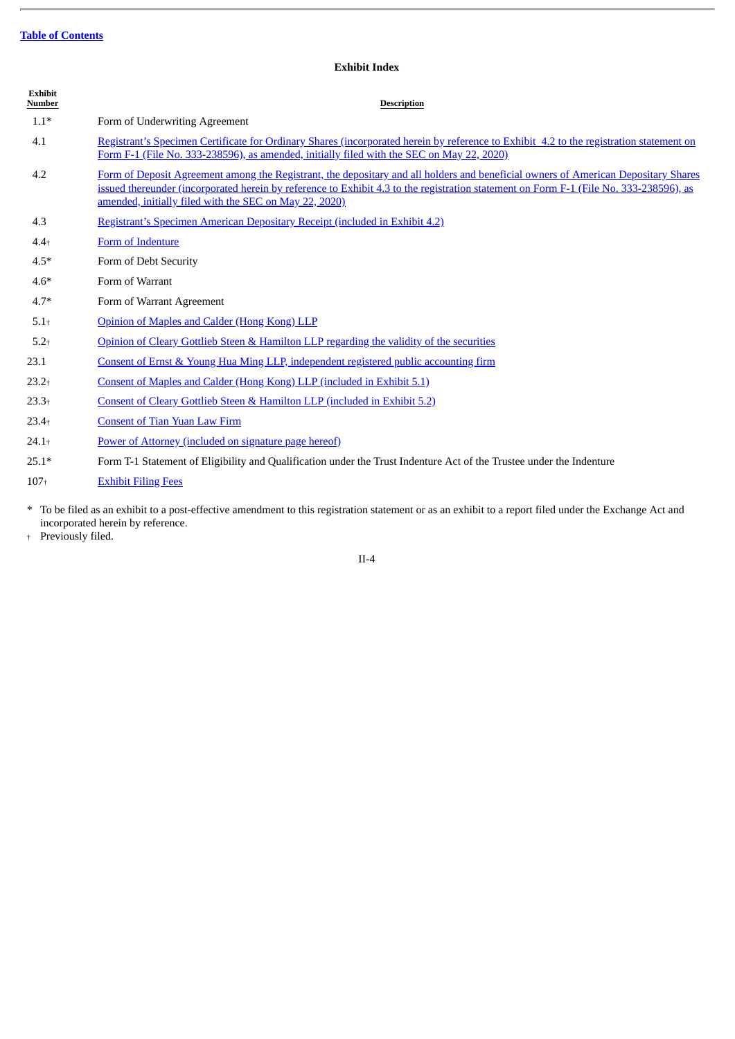# **Exhibit Index**

| <b>Exhibit</b><br>Number | <b>Description</b>                                                                                                                                                                                                                                                                                                                     |
|--------------------------|----------------------------------------------------------------------------------------------------------------------------------------------------------------------------------------------------------------------------------------------------------------------------------------------------------------------------------------|
| $1.1*$                   | Form of Underwriting Agreement                                                                                                                                                                                                                                                                                                         |
| 4.1                      | Registrant's Specimen Certificate for Ordinary Shares (incorporated herein by reference to Exhibit 4.2 to the registration statement on<br>Form F-1 (File No. 333-238596), as amended, initially filed with the SEC on May 22, 2020)                                                                                                   |
| 4.2                      | Form of Deposit Agreement among the Registrant, the depositary and all holders and beneficial owners of American Depositary Shares<br>issued thereunder (incorporated herein by reference to Exhibit 4.3 to the registration statement on Form F-1 (File No. 333-238596), as<br>amended, initially filed with the SEC on May 22, 2020) |
| 4.3                      | Registrant's Specimen American Depositary Receipt (included in Exhibit 4.2)                                                                                                                                                                                                                                                            |
| $4.4 +$                  | Form of Indenture                                                                                                                                                                                                                                                                                                                      |
| $4.5*$                   | Form of Debt Security                                                                                                                                                                                                                                                                                                                  |
| $4.6*$                   | Form of Warrant                                                                                                                                                                                                                                                                                                                        |
| $4.7*$                   | Form of Warrant Agreement                                                                                                                                                                                                                                                                                                              |
| $5.1+$                   | Opinion of Maples and Calder (Hong Kong) LLP                                                                                                                                                                                                                                                                                           |
| $5.2+$                   | Opinion of Cleary Gottlieb Steen & Hamilton LLP regarding the validity of the securities                                                                                                                                                                                                                                               |
| 23.1                     | Consent of Ernst & Young Hua Ming LLP, independent registered public accounting firm                                                                                                                                                                                                                                                   |
| $23.2+$                  | Consent of Maples and Calder (Hong Kong) LLP (included in Exhibit 5.1)                                                                                                                                                                                                                                                                 |
| $23.3+$                  | Consent of Cleary Gottlieb Steen & Hamilton LLP (included in Exhibit 5.2)                                                                                                                                                                                                                                                              |
| $23.4+$                  | <b>Consent of Tian Yuan Law Firm</b>                                                                                                                                                                                                                                                                                                   |
| $24.1+$                  | Power of Attorney (included on signature page hereof)                                                                                                                                                                                                                                                                                  |
| $25.1*$                  | Form T-1 Statement of Eligibility and Qualification under the Trust Indenture Act of the Trustee under the Indenture                                                                                                                                                                                                                   |
| $107 +$                  | <b>Exhibit Filing Fees</b>                                                                                                                                                                                                                                                                                                             |
|                          |                                                                                                                                                                                                                                                                                                                                        |

\* To be filed as an exhibit to a post-effective amendment to this registration statement or as an exhibit to a report filed under the Exchange Act and incorporated herein by reference.

† Previously filed.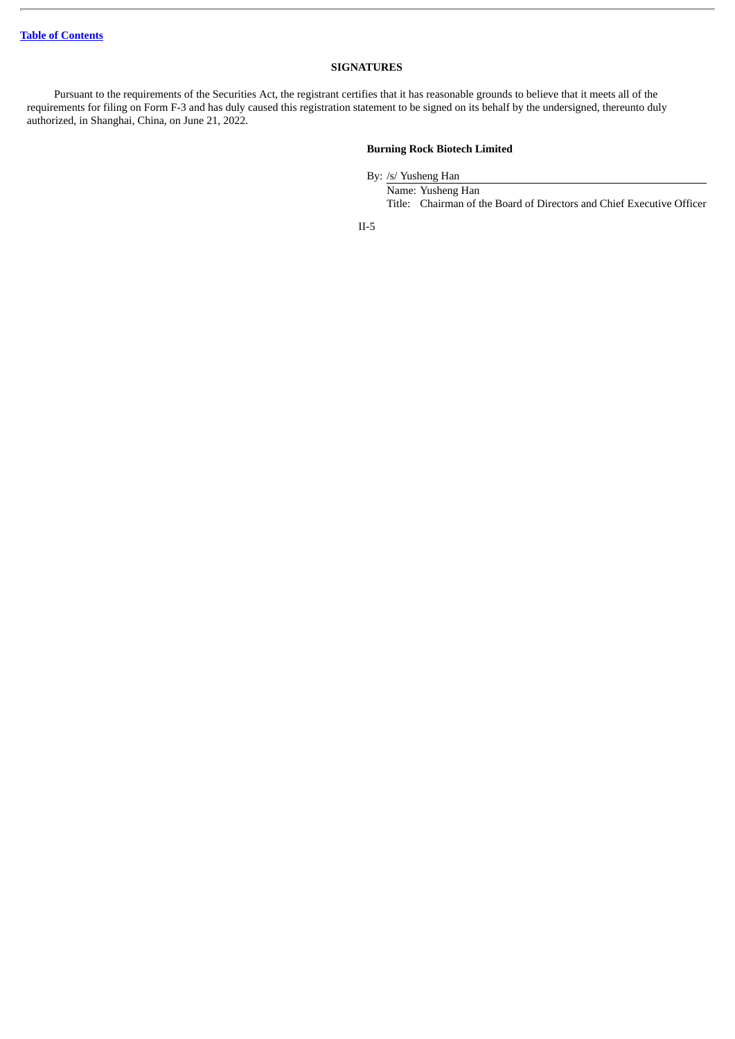## **SIGNATURES**

Pursuant to the requirements of the Securities Act, the registrant certifies that it has reasonable grounds to believe that it meets all of the requirements for filing on Form F-3 and has duly caused this registration statement to be signed on its behalf by the undersigned, thereunto duly authorized, in Shanghai, China, on June 21, 2022.

## **Burning Rock Biotech Limited**

By: /s/ Yusheng Han

Name: Yusheng Han Title: Chairman of the Board of Directors and Chief Executive Officer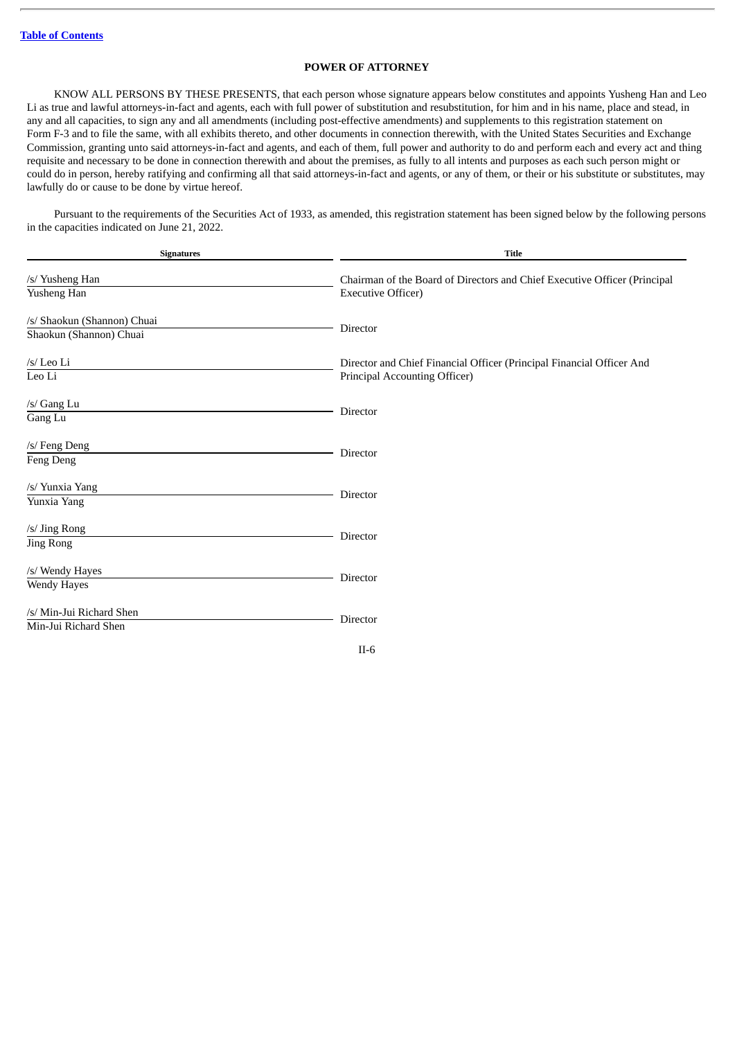## **POWER OF ATTORNEY**

KNOW ALL PERSONS BY THESE PRESENTS, that each person whose signature appears below constitutes and appoints Yusheng Han and Leo Li as true and lawful attorneys-in-fact and agents, each with full power of substitution and resubstitution, for him and in his name, place and stead, in any and all capacities, to sign any and all amendments (including post-effective amendments) and supplements to this registration statement on Form F-3 and to file the same, with all exhibits thereto, and other documents in connection therewith, with the United States Securities and Exchange Commission, granting unto said attorneys-in-fact and agents, and each of them, full power and authority to do and perform each and every act and thing requisite and necessary to be done in connection therewith and about the premises, as fully to all intents and purposes as each such person might or could do in person, hereby ratifying and confirming all that said attorneys-in-fact and agents, or any of them, or their or his substitute or substitutes, may lawfully do or cause to be done by virtue hereof.

Pursuant to the requirements of the Securities Act of 1933, as amended, this registration statement has been signed below by the following persons in the capacities indicated on June 21, 2022.

| <b>Signatures</b>           | <b>Title</b>                                                              |  |
|-----------------------------|---------------------------------------------------------------------------|--|
| /s/ Yusheng Han             | Chairman of the Board of Directors and Chief Executive Officer (Principal |  |
| Yusheng Han                 | <b>Executive Officer)</b>                                                 |  |
| /s/ Shaokun (Shannon) Chuai | Director                                                                  |  |
| Shaokun (Shannon) Chuai     |                                                                           |  |
| /s/ Leo Li                  | Director and Chief Financial Officer (Principal Financial Officer And     |  |
| Leo Li                      | Principal Accounting Officer)                                             |  |
| /s/ Gang Lu                 | Director                                                                  |  |
| Gang Lu                     |                                                                           |  |
| /s/ Feng Deng               | Director                                                                  |  |
| Feng Deng                   |                                                                           |  |
| /s/ Yunxia Yang             | Director                                                                  |  |
| Yunxia Yang                 |                                                                           |  |
| /s/ Jing Rong               | Director                                                                  |  |
| <b>Jing Rong</b>            |                                                                           |  |
| /s/ Wendy Hayes             | Director                                                                  |  |
| Wendy Hayes                 |                                                                           |  |
| /s/ Min-Jui Richard Shen    |                                                                           |  |
| Min-Jui Richard Shen        | Director                                                                  |  |
|                             | $II-6$                                                                    |  |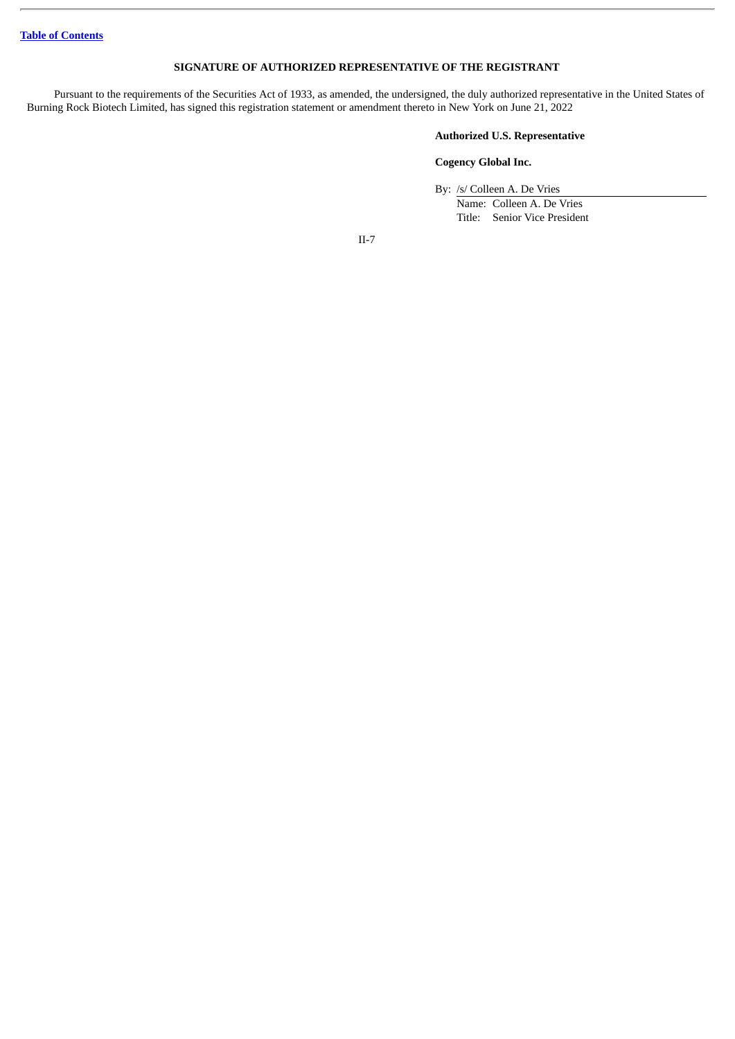## **SIGNATURE OF AUTHORIZED REPRESENTATIVE OF THE REGISTRANT**

Pursuant to the requirements of the Securities Act of 1933, as amended, the undersigned, the duly authorized representative in the United States of Burning Rock Biotech Limited, has signed this registration statement or amendment thereto in New York on June 21, 2022

## **Authorized U.S. Representative**

### **Cogency Global Inc.**

By: /s/ Colleen A. De Vries

Name: Colleen A. De Vries Title: Senior Vice President